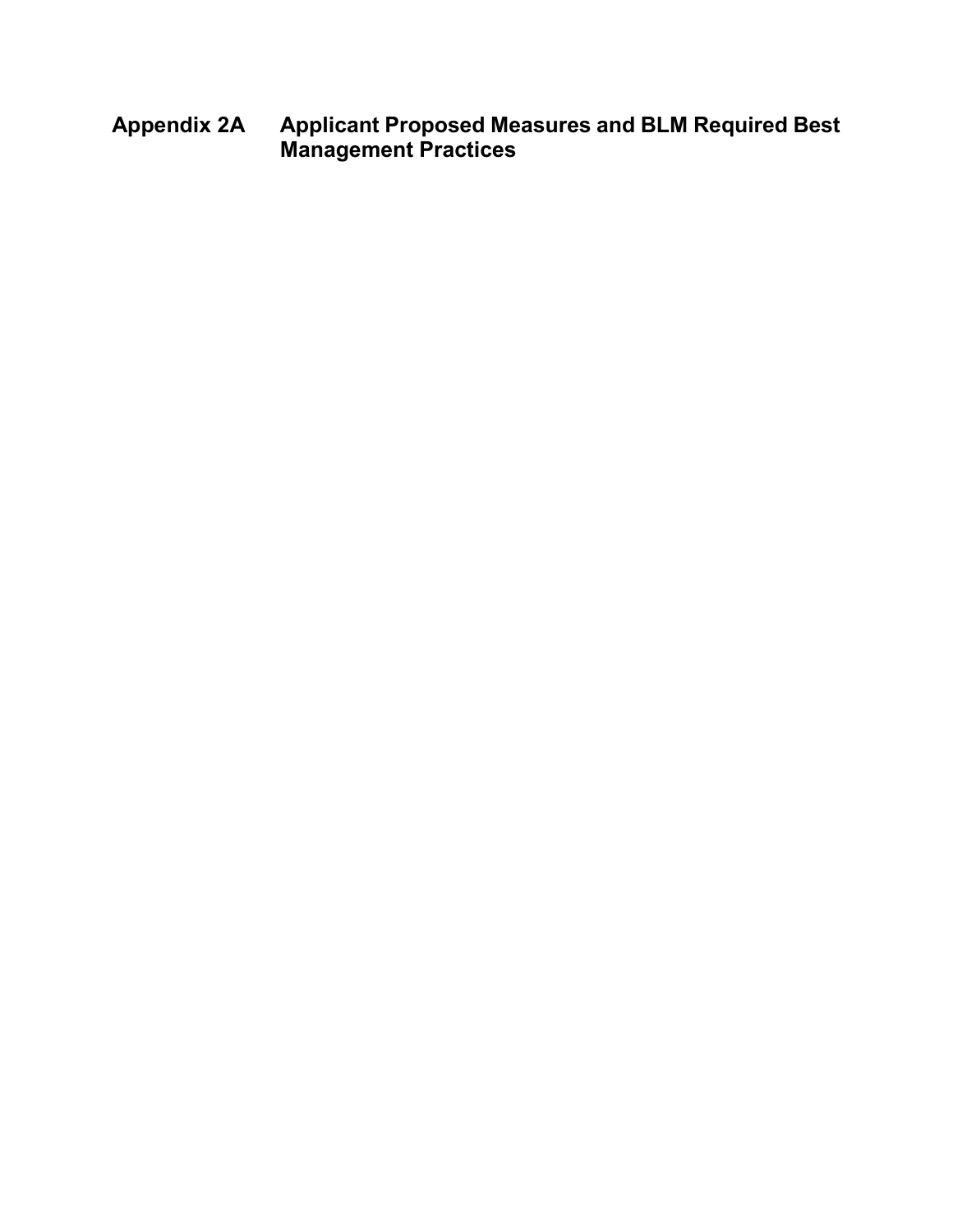<span id="page-0-0"></span>**Appendix 2A Applicant Proposed Measures and BLM Required Best Management Practices**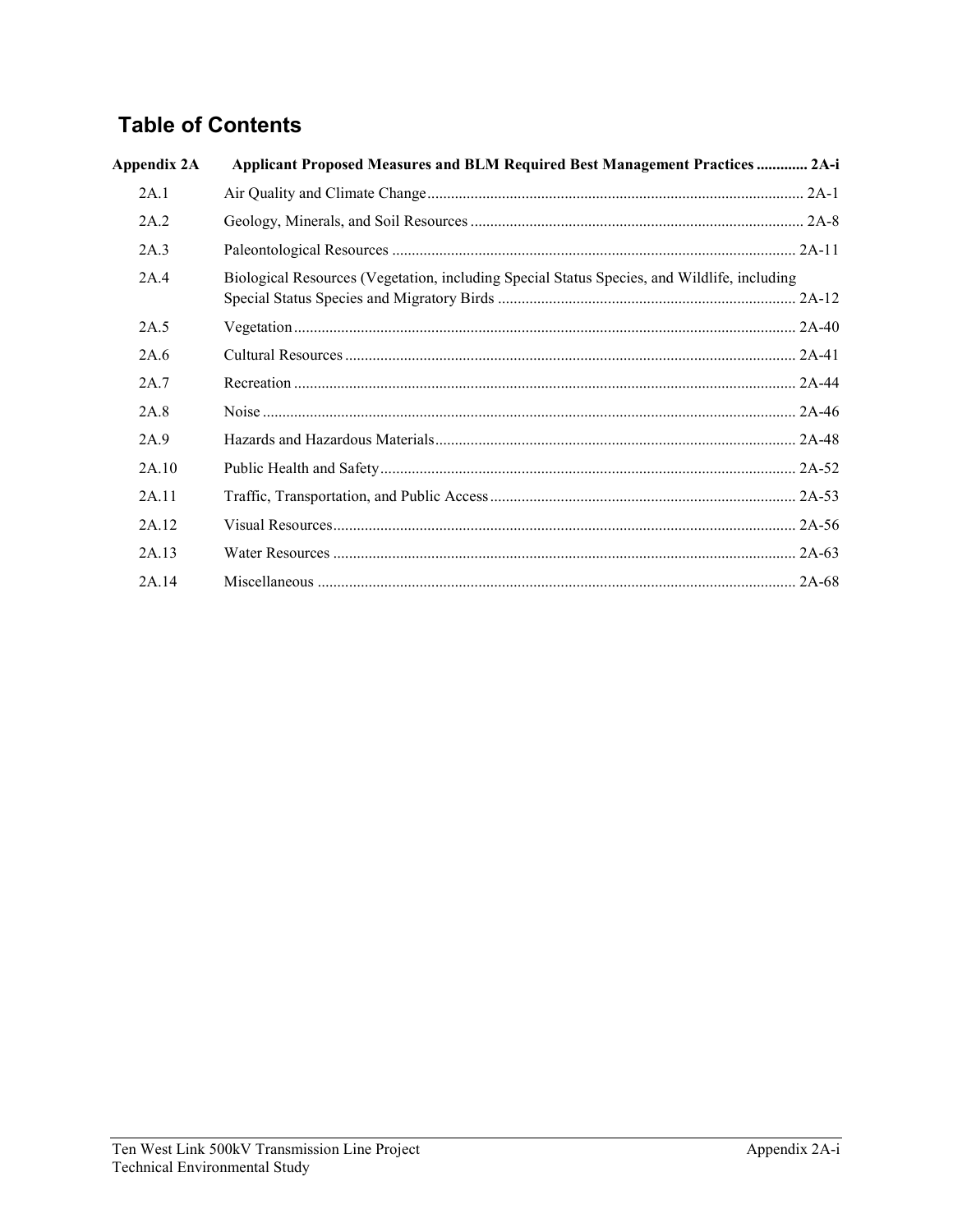#### **Table of Contents**

| <b>Appendix 2A</b> | Applicant Proposed Measures and BLM Required Best Management Practices  2A-i                |
|--------------------|---------------------------------------------------------------------------------------------|
| 2A.1               |                                                                                             |
| 2A.2               |                                                                                             |
| 2A.3               |                                                                                             |
| 2A.4               | Biological Resources (Vegetation, including Special Status Species, and Wildlife, including |
| 2A.5               |                                                                                             |
| 2A.6               |                                                                                             |
| 2A.7               |                                                                                             |
| 2A.8               |                                                                                             |
| 2A.9               |                                                                                             |
| 2A.10              |                                                                                             |
| 2A.11              |                                                                                             |
| 2A.12              |                                                                                             |
| 2A.13              |                                                                                             |
| 2A.14              |                                                                                             |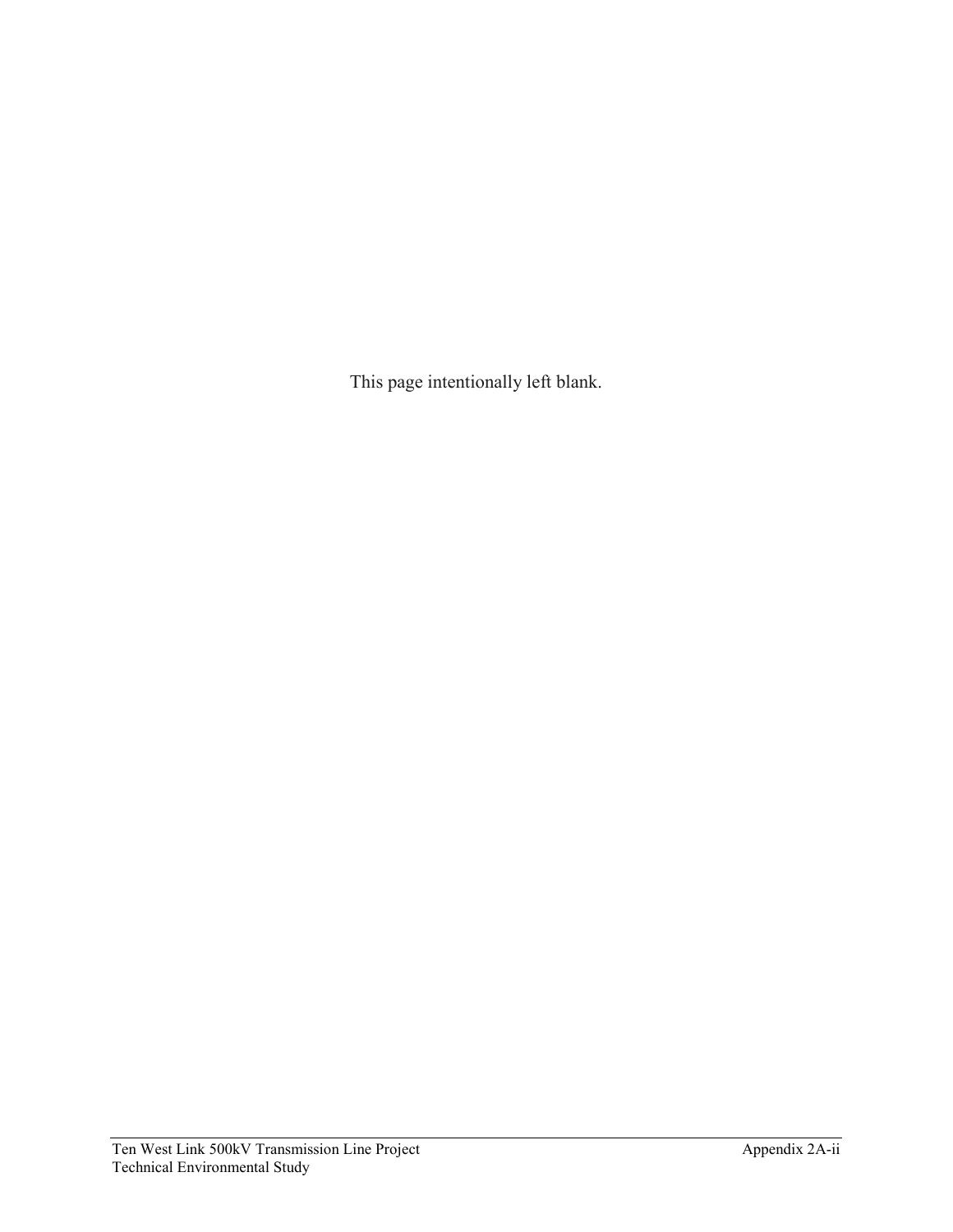This page intentionally left blank.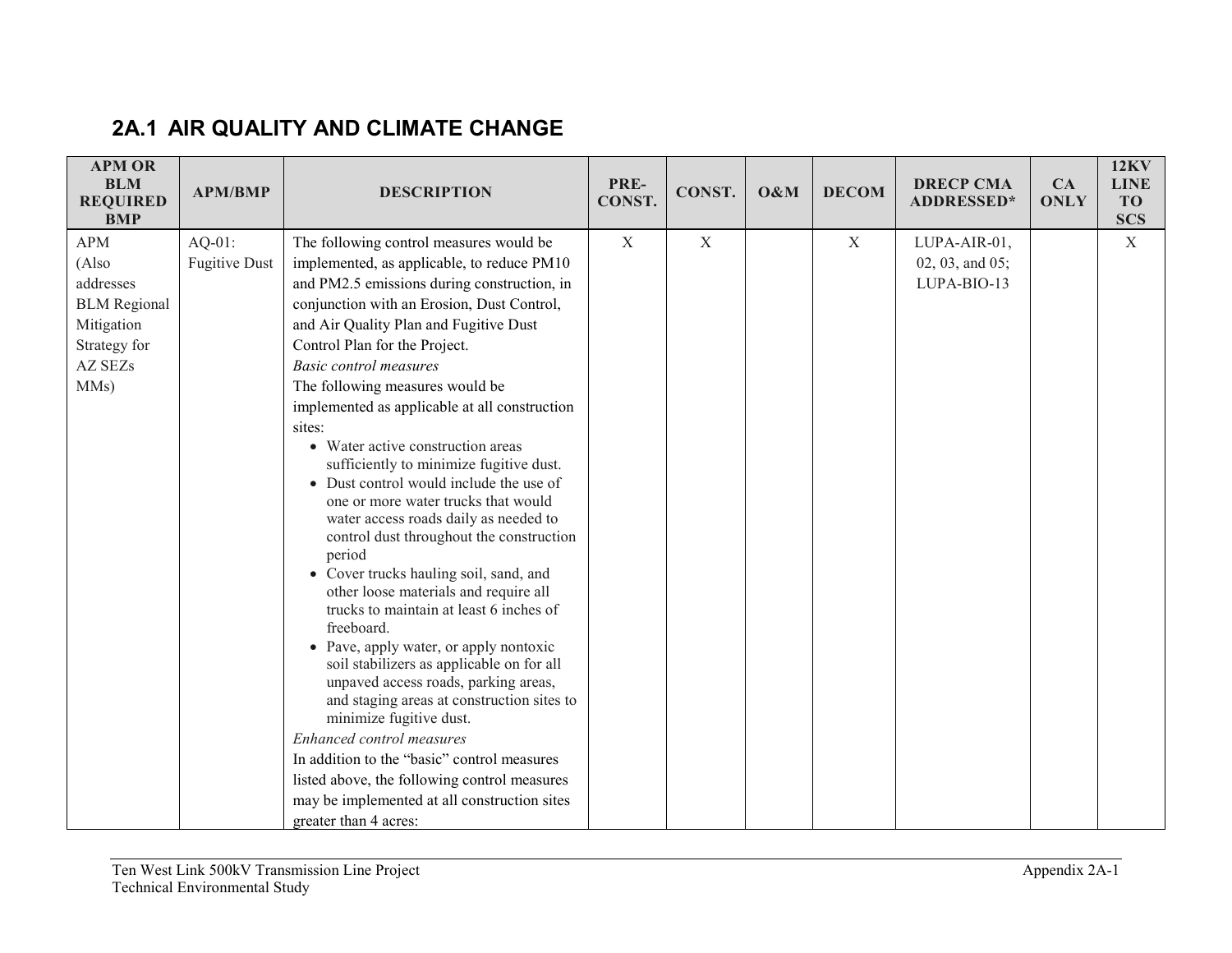# **2A.1 AIR QUALITY AND CLIMATE CHANGE**

<span id="page-3-0"></span>

| <b>APM OR</b><br><b>BLM</b><br><b>REQUIRED</b><br><b>BMP</b> | <b>APM/BMP</b>       | <b>DESCRIPTION</b>                                                                  | PRE-<br><b>CONST.</b> | <b>CONST.</b> | O&M | <b>DECOM</b> | <b>DRECP CMA</b><br><b>ADDRESSED*</b> | CA<br><b>ONLY</b> | <b>12KV</b><br><b>LINE</b><br><b>TO</b><br><b>SCS</b> |
|--------------------------------------------------------------|----------------------|-------------------------------------------------------------------------------------|-----------------------|---------------|-----|--------------|---------------------------------------|-------------------|-------------------------------------------------------|
| <b>APM</b>                                                   | $AQ-01$ :            | The following control measures would be                                             | $\mathbf X$           | $\mathbf X$   |     | $\mathbf X$  | LUPA-AIR-01,                          |                   | $\mathbf X$                                           |
| (Also                                                        | <b>Fugitive Dust</b> | implemented, as applicable, to reduce PM10                                          |                       |               |     |              | 02, 03, and 05;                       |                   |                                                       |
| addresses                                                    |                      | and PM2.5 emissions during construction, in                                         |                       |               |     |              | LUPA-BIO-13                           |                   |                                                       |
| <b>BLM</b> Regional                                          |                      | conjunction with an Erosion, Dust Control,                                          |                       |               |     |              |                                       |                   |                                                       |
| Mitigation                                                   |                      | and Air Quality Plan and Fugitive Dust                                              |                       |               |     |              |                                       |                   |                                                       |
| Strategy for                                                 |                      | Control Plan for the Project.                                                       |                       |               |     |              |                                       |                   |                                                       |
| AZ SEZs                                                      |                      | <b>Basic control measures</b>                                                       |                       |               |     |              |                                       |                   |                                                       |
| MMs)                                                         |                      | The following measures would be                                                     |                       |               |     |              |                                       |                   |                                                       |
|                                                              |                      | implemented as applicable at all construction                                       |                       |               |     |              |                                       |                   |                                                       |
|                                                              |                      | sites:                                                                              |                       |               |     |              |                                       |                   |                                                       |
|                                                              |                      | • Water active construction areas                                                   |                       |               |     |              |                                       |                   |                                                       |
|                                                              |                      | sufficiently to minimize fugitive dust.                                             |                       |               |     |              |                                       |                   |                                                       |
|                                                              |                      | • Dust control would include the use of<br>one or more water trucks that would      |                       |               |     |              |                                       |                   |                                                       |
|                                                              |                      | water access roads daily as needed to                                               |                       |               |     |              |                                       |                   |                                                       |
|                                                              |                      | control dust throughout the construction                                            |                       |               |     |              |                                       |                   |                                                       |
|                                                              |                      | period                                                                              |                       |               |     |              |                                       |                   |                                                       |
|                                                              |                      | • Cover trucks hauling soil, sand, and                                              |                       |               |     |              |                                       |                   |                                                       |
|                                                              |                      | other loose materials and require all                                               |                       |               |     |              |                                       |                   |                                                       |
|                                                              |                      | trucks to maintain at least 6 inches of                                             |                       |               |     |              |                                       |                   |                                                       |
|                                                              |                      | freeboard.                                                                          |                       |               |     |              |                                       |                   |                                                       |
|                                                              |                      | • Pave, apply water, or apply nontoxic<br>soil stabilizers as applicable on for all |                       |               |     |              |                                       |                   |                                                       |
|                                                              |                      | unpaved access roads, parking areas,                                                |                       |               |     |              |                                       |                   |                                                       |
|                                                              |                      | and staging areas at construction sites to                                          |                       |               |     |              |                                       |                   |                                                       |
|                                                              |                      | minimize fugitive dust.                                                             |                       |               |     |              |                                       |                   |                                                       |
|                                                              |                      | Enhanced control measures                                                           |                       |               |     |              |                                       |                   |                                                       |
|                                                              |                      | In addition to the "basic" control measures                                         |                       |               |     |              |                                       |                   |                                                       |
|                                                              |                      | listed above, the following control measures                                        |                       |               |     |              |                                       |                   |                                                       |
|                                                              |                      | may be implemented at all construction sites                                        |                       |               |     |              |                                       |                   |                                                       |
|                                                              |                      | greater than 4 acres:                                                               |                       |               |     |              |                                       |                   |                                                       |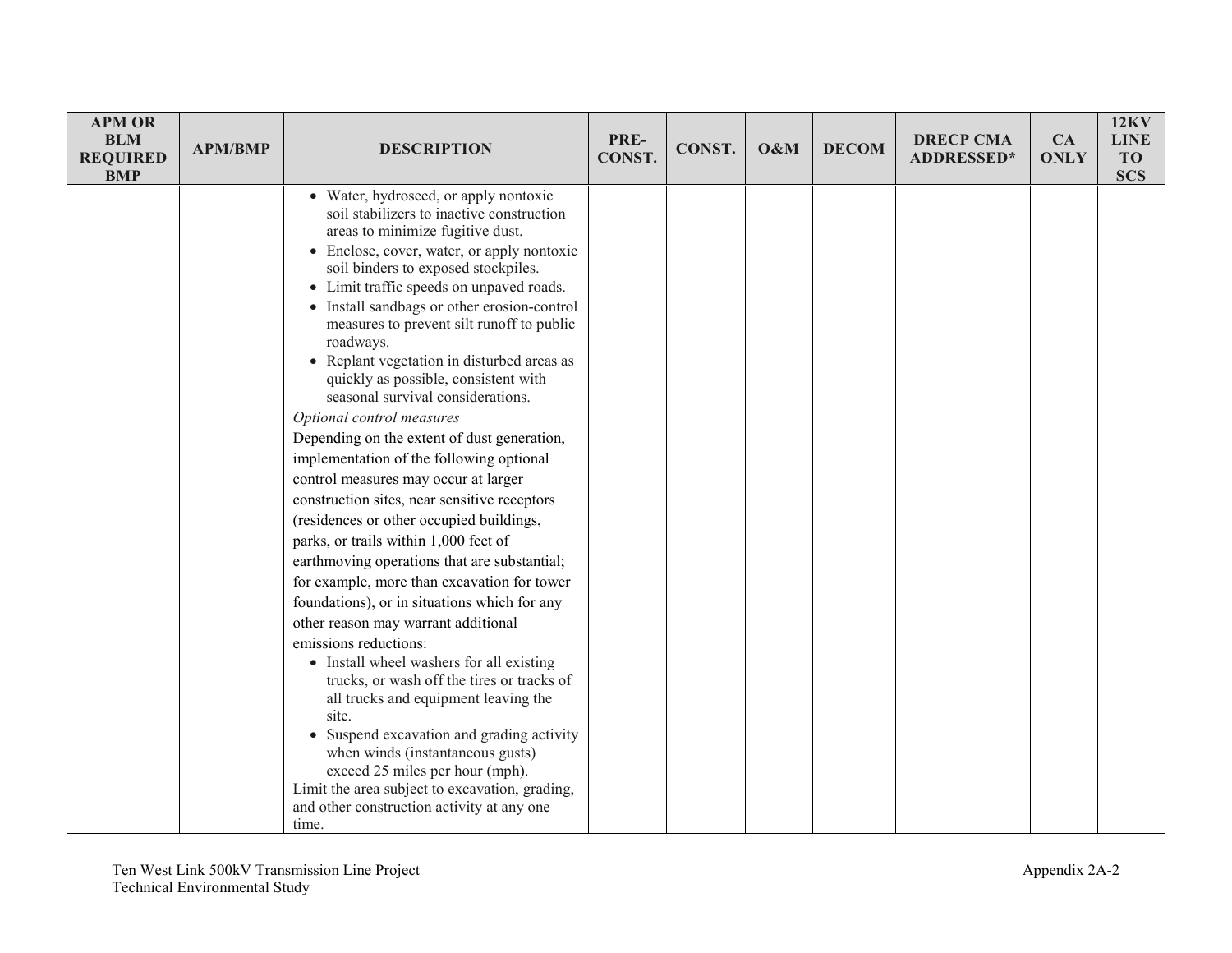| <b>APM OR</b><br><b>BLM</b><br><b>REQUIRED</b><br><b>BMP</b> | <b>APM/BMP</b> | <b>DESCRIPTION</b>                                                                                                                                                                                                                                                                                                                                                                                                                                                                                                                                                                                                                                                                                                                                                                                                                                                                                                                                                                                                                                                                                                                                                                                                                                                                                                                                                                      | PRE-<br><b>CONST.</b> | <b>CONST.</b> | O&M | <b>DECOM</b> | <b>DRECP CMA</b><br><b>ADDRESSED*</b> | CA<br><b>ONLY</b> | <b>12KV</b><br><b>LINE</b><br>TO<br><b>SCS</b> |
|--------------------------------------------------------------|----------------|-----------------------------------------------------------------------------------------------------------------------------------------------------------------------------------------------------------------------------------------------------------------------------------------------------------------------------------------------------------------------------------------------------------------------------------------------------------------------------------------------------------------------------------------------------------------------------------------------------------------------------------------------------------------------------------------------------------------------------------------------------------------------------------------------------------------------------------------------------------------------------------------------------------------------------------------------------------------------------------------------------------------------------------------------------------------------------------------------------------------------------------------------------------------------------------------------------------------------------------------------------------------------------------------------------------------------------------------------------------------------------------------|-----------------------|---------------|-----|--------------|---------------------------------------|-------------------|------------------------------------------------|
|                                                              |                | • Water, hydroseed, or apply nontoxic<br>soil stabilizers to inactive construction<br>areas to minimize fugitive dust.<br>• Enclose, cover, water, or apply nontoxic<br>soil binders to exposed stockpiles.<br>• Limit traffic speeds on unpaved roads.<br>• Install sandbags or other erosion-control<br>measures to prevent silt runoff to public<br>roadways.<br>• Replant vegetation in disturbed areas as<br>quickly as possible, consistent with<br>seasonal survival considerations.<br>Optional control measures<br>Depending on the extent of dust generation,<br>implementation of the following optional<br>control measures may occur at larger<br>construction sites, near sensitive receptors<br>(residences or other occupied buildings,<br>parks, or trails within 1,000 feet of<br>earthmoving operations that are substantial;<br>for example, more than excavation for tower<br>foundations), or in situations which for any<br>other reason may warrant additional<br>emissions reductions:<br>• Install wheel washers for all existing<br>trucks, or wash off the tires or tracks of<br>all trucks and equipment leaving the<br>site.<br>• Suspend excavation and grading activity<br>when winds (instantaneous gusts)<br>exceed 25 miles per hour (mph).<br>Limit the area subject to excavation, grading,<br>and other construction activity at any one<br>time. |                       |               |     |              |                                       |                   |                                                |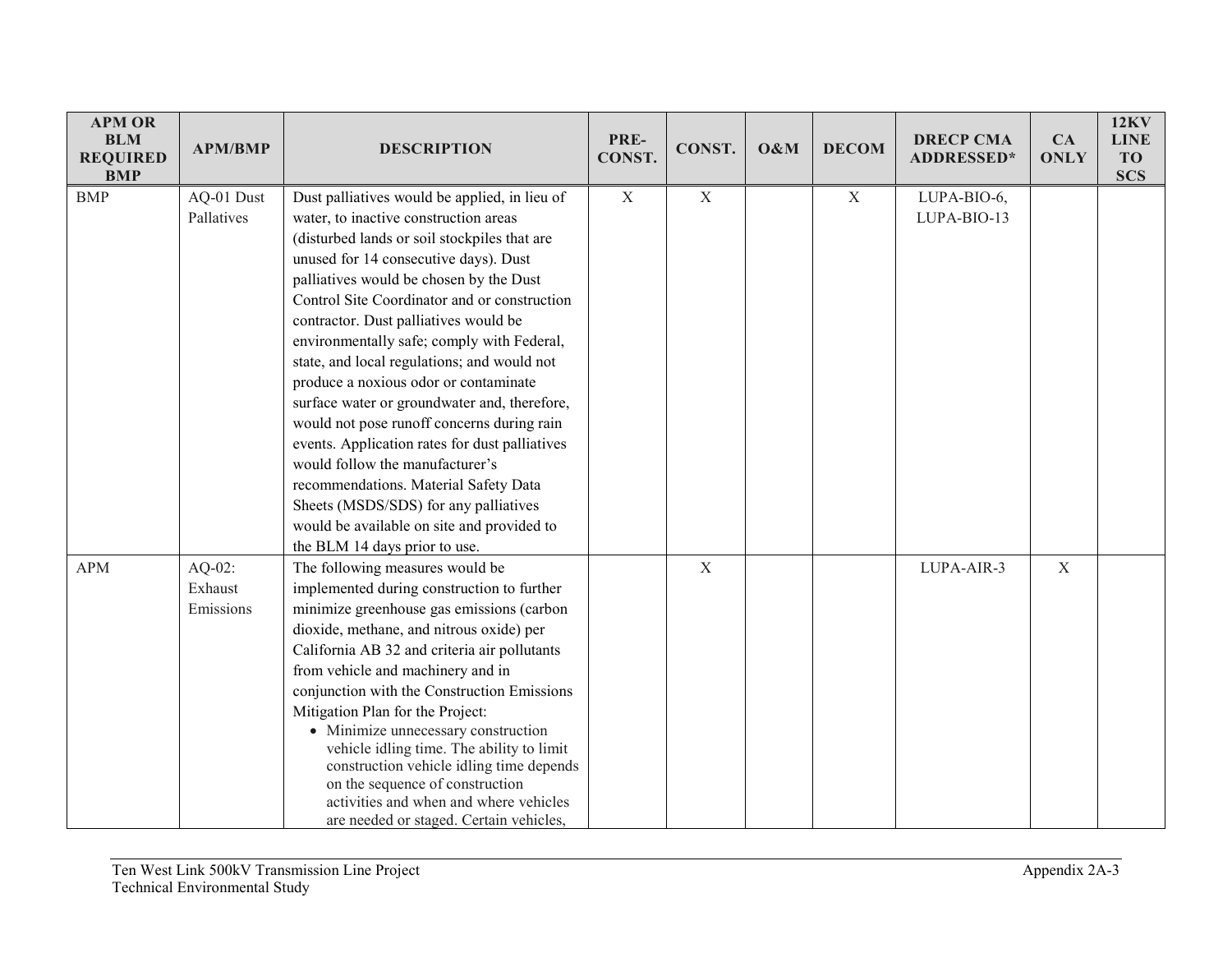| <b>APM OR</b><br><b>BLM</b><br><b>REQUIRED</b><br><b>BMP</b> | <b>APM/BMP</b>                    | <b>DESCRIPTION</b>                                                                                                                                                                                                                                                                                                                                                                                                                                                                                                                                                                                                                                                                                                                                                                                            | PRE-<br><b>CONST.</b> | <b>CONST.</b> | O&M | <b>DECOM</b> | <b>DRECP CMA</b><br><b>ADDRESSED*</b> | CA<br><b>ONLY</b> | <b>12KV</b><br><b>LINE</b><br>TO<br><b>SCS</b> |
|--------------------------------------------------------------|-----------------------------------|---------------------------------------------------------------------------------------------------------------------------------------------------------------------------------------------------------------------------------------------------------------------------------------------------------------------------------------------------------------------------------------------------------------------------------------------------------------------------------------------------------------------------------------------------------------------------------------------------------------------------------------------------------------------------------------------------------------------------------------------------------------------------------------------------------------|-----------------------|---------------|-----|--------------|---------------------------------------|-------------------|------------------------------------------------|
| <b>BMP</b>                                                   | AQ-01 Dust<br>Pallatives          | Dust palliatives would be applied, in lieu of<br>water, to inactive construction areas<br>(disturbed lands or soil stockpiles that are<br>unused for 14 consecutive days). Dust<br>palliatives would be chosen by the Dust<br>Control Site Coordinator and or construction<br>contractor. Dust palliatives would be<br>environmentally safe; comply with Federal,<br>state, and local regulations; and would not<br>produce a noxious odor or contaminate<br>surface water or groundwater and, therefore,<br>would not pose runoff concerns during rain<br>events. Application rates for dust palliatives<br>would follow the manufacturer's<br>recommendations. Material Safety Data<br>Sheets (MSDS/SDS) for any palliatives<br>would be available on site and provided to<br>the BLM 14 days prior to use. | X                     | $\mathbf X$   |     | X            | LUPA-BIO-6,<br>LUPA-BIO-13            |                   |                                                |
| <b>APM</b>                                                   | $AQ-02$ :<br>Exhaust<br>Emissions | The following measures would be<br>implemented during construction to further<br>minimize greenhouse gas emissions (carbon<br>dioxide, methane, and nitrous oxide) per<br>California AB 32 and criteria air pollutants<br>from vehicle and machinery and in<br>conjunction with the Construction Emissions<br>Mitigation Plan for the Project:<br>• Minimize unnecessary construction<br>vehicle idling time. The ability to limit<br>construction vehicle idling time depends<br>on the sequence of construction<br>activities and when and where vehicles<br>are needed or staged. Certain vehicles,                                                                                                                                                                                                        |                       | $\mathbf X$   |     |              | LUPA-AIR-3                            | $\mathbf X$       |                                                |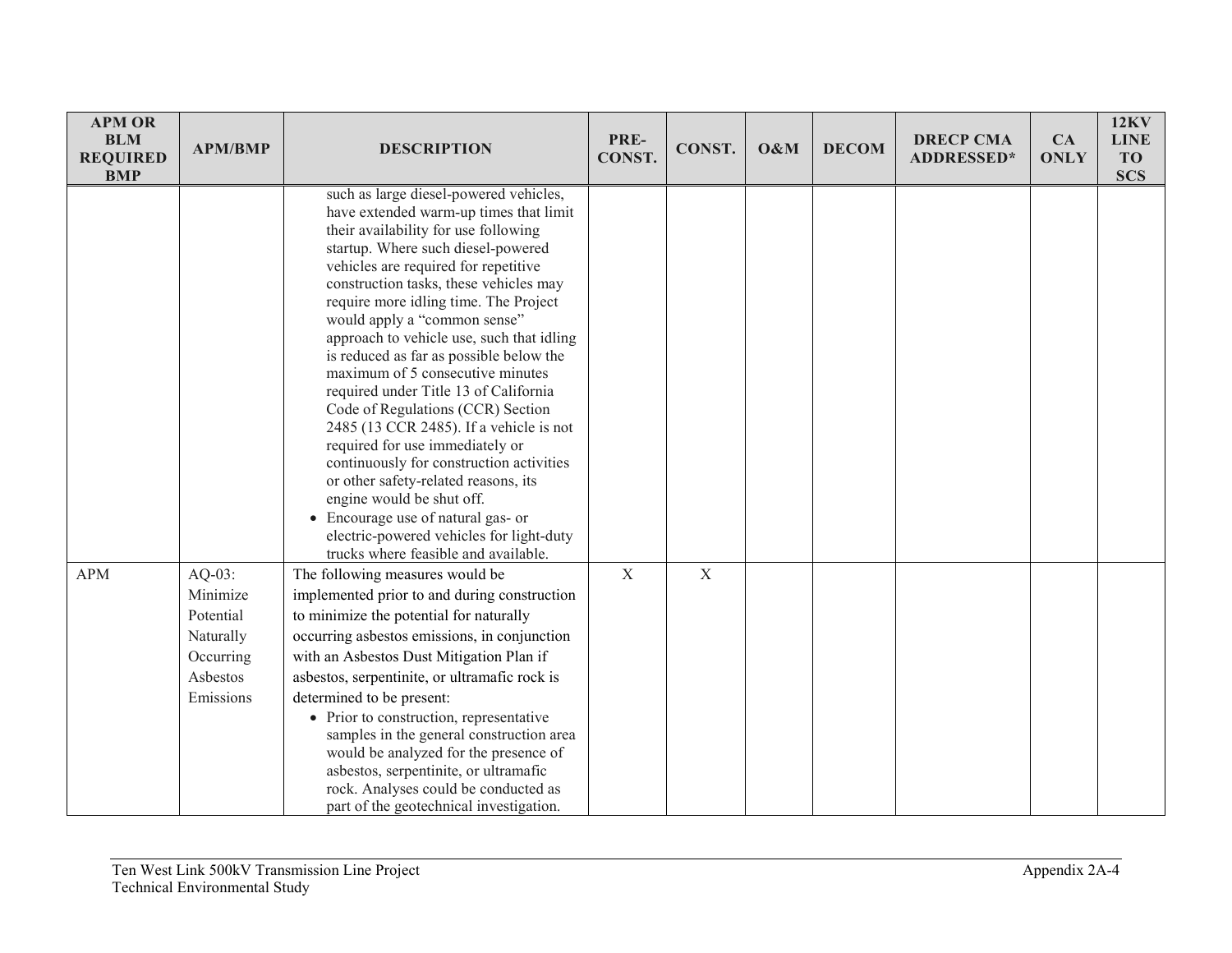| <b>APM OR</b><br><b>BLM</b><br><b>REQUIRED</b><br><b>BMP</b> | <b>APM/BMP</b>                                                                        | <b>DESCRIPTION</b>                                                                                                                                                                                                                                                                                                                                                                                                                                                                                                                                                                                                                                                                                                                                                                                                                                           | PRE-<br><b>CONST.</b> | <b>CONST.</b>    | O&M | <b>DECOM</b> | <b>DRECP CMA</b><br><b>ADDRESSED*</b> | CA<br><b>ONLY</b> | <b>12KV</b><br><b>LINE</b><br>TO<br><b>SCS</b> |
|--------------------------------------------------------------|---------------------------------------------------------------------------------------|--------------------------------------------------------------------------------------------------------------------------------------------------------------------------------------------------------------------------------------------------------------------------------------------------------------------------------------------------------------------------------------------------------------------------------------------------------------------------------------------------------------------------------------------------------------------------------------------------------------------------------------------------------------------------------------------------------------------------------------------------------------------------------------------------------------------------------------------------------------|-----------------------|------------------|-----|--------------|---------------------------------------|-------------------|------------------------------------------------|
|                                                              |                                                                                       | such as large diesel-powered vehicles,<br>have extended warm-up times that limit<br>their availability for use following<br>startup. Where such diesel-powered<br>vehicles are required for repetitive<br>construction tasks, these vehicles may<br>require more idling time. The Project<br>would apply a "common sense"<br>approach to vehicle use, such that idling<br>is reduced as far as possible below the<br>maximum of 5 consecutive minutes<br>required under Title 13 of California<br>Code of Regulations (CCR) Section<br>2485 (13 CCR 2485). If a vehicle is not<br>required for use immediately or<br>continuously for construction activities<br>or other safety-related reasons, its<br>engine would be shut off.<br>• Encourage use of natural gas- or<br>electric-powered vehicles for light-duty<br>trucks where feasible and available. |                       |                  |     |              |                                       |                   |                                                |
| <b>APM</b>                                                   | $AQ-03$ :<br>Minimize<br>Potential<br>Naturally<br>Occurring<br>Asbestos<br>Emissions | The following measures would be<br>implemented prior to and during construction<br>to minimize the potential for naturally<br>occurring asbestos emissions, in conjunction<br>with an Asbestos Dust Mitigation Plan if<br>asbestos, serpentinite, or ultramafic rock is<br>determined to be present:<br>• Prior to construction, representative<br>samples in the general construction area<br>would be analyzed for the presence of<br>asbestos, serpentinite, or ultramafic<br>rock. Analyses could be conducted as<br>part of the geotechnical investigation.                                                                                                                                                                                                                                                                                             | $\mathbf X$           | $\boldsymbol{X}$ |     |              |                                       |                   |                                                |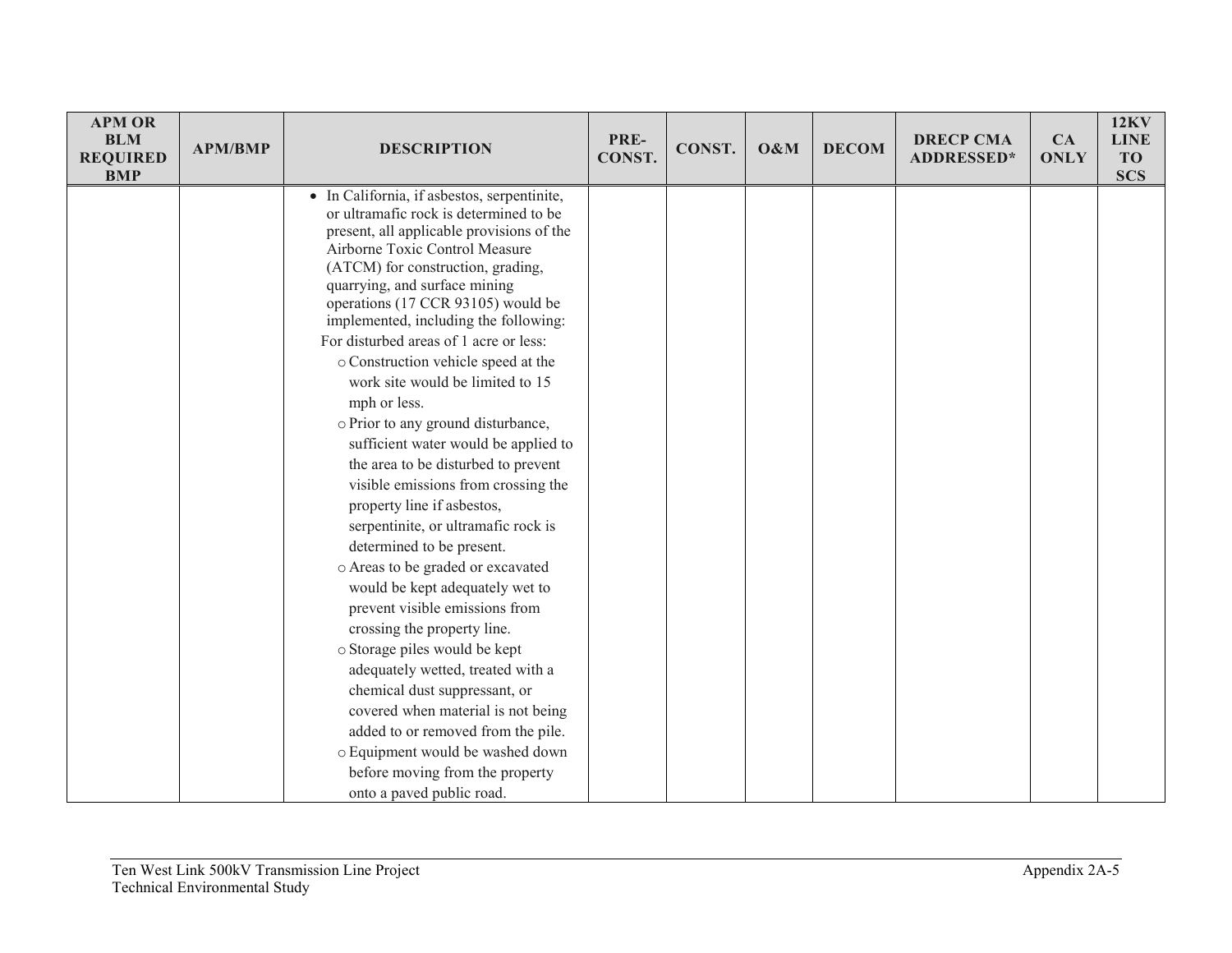| <b>APM OR</b><br><b>BLM</b><br><b>REQUIRED</b><br><b>BMP</b> | <b>APM/BMP</b> | <b>DESCRIPTION</b>                                                                                                                                                                                                                                                                                                                                                                                                                                                                                                                                                                                                                                                                                                                                                                                                                                                                                                                                                                                                                                                                                                              | PRE-<br><b>CONST.</b> | <b>CONST.</b> | O&M | <b>DECOM</b> | <b>DRECP CMA</b><br><b>ADDRESSED*</b> | CA<br><b>ONLY</b> | <b>12KV</b><br><b>LINE</b><br><b>TO</b><br><b>SCS</b> |
|--------------------------------------------------------------|----------------|---------------------------------------------------------------------------------------------------------------------------------------------------------------------------------------------------------------------------------------------------------------------------------------------------------------------------------------------------------------------------------------------------------------------------------------------------------------------------------------------------------------------------------------------------------------------------------------------------------------------------------------------------------------------------------------------------------------------------------------------------------------------------------------------------------------------------------------------------------------------------------------------------------------------------------------------------------------------------------------------------------------------------------------------------------------------------------------------------------------------------------|-----------------------|---------------|-----|--------------|---------------------------------------|-------------------|-------------------------------------------------------|
|                                                              |                | • In California, if asbestos, serpentinite,<br>or ultramafic rock is determined to be<br>present, all applicable provisions of the<br>Airborne Toxic Control Measure<br>(ATCM) for construction, grading,<br>quarrying, and surface mining<br>operations (17 CCR 93105) would be<br>implemented, including the following:<br>For disturbed areas of 1 acre or less:<br>o Construction vehicle speed at the<br>work site would be limited to 15<br>mph or less.<br>o Prior to any ground disturbance,<br>sufficient water would be applied to<br>the area to be disturbed to prevent<br>visible emissions from crossing the<br>property line if asbestos,<br>serpentinite, or ultramafic rock is<br>determined to be present.<br>o Areas to be graded or excavated<br>would be kept adequately wet to<br>prevent visible emissions from<br>crossing the property line.<br>o Storage piles would be kept<br>adequately wetted, treated with a<br>chemical dust suppressant, or<br>covered when material is not being<br>added to or removed from the pile.<br>o Equipment would be washed down<br>before moving from the property |                       |               |     |              |                                       |                   |                                                       |
|                                                              |                | onto a paved public road.                                                                                                                                                                                                                                                                                                                                                                                                                                                                                                                                                                                                                                                                                                                                                                                                                                                                                                                                                                                                                                                                                                       |                       |               |     |              |                                       |                   |                                                       |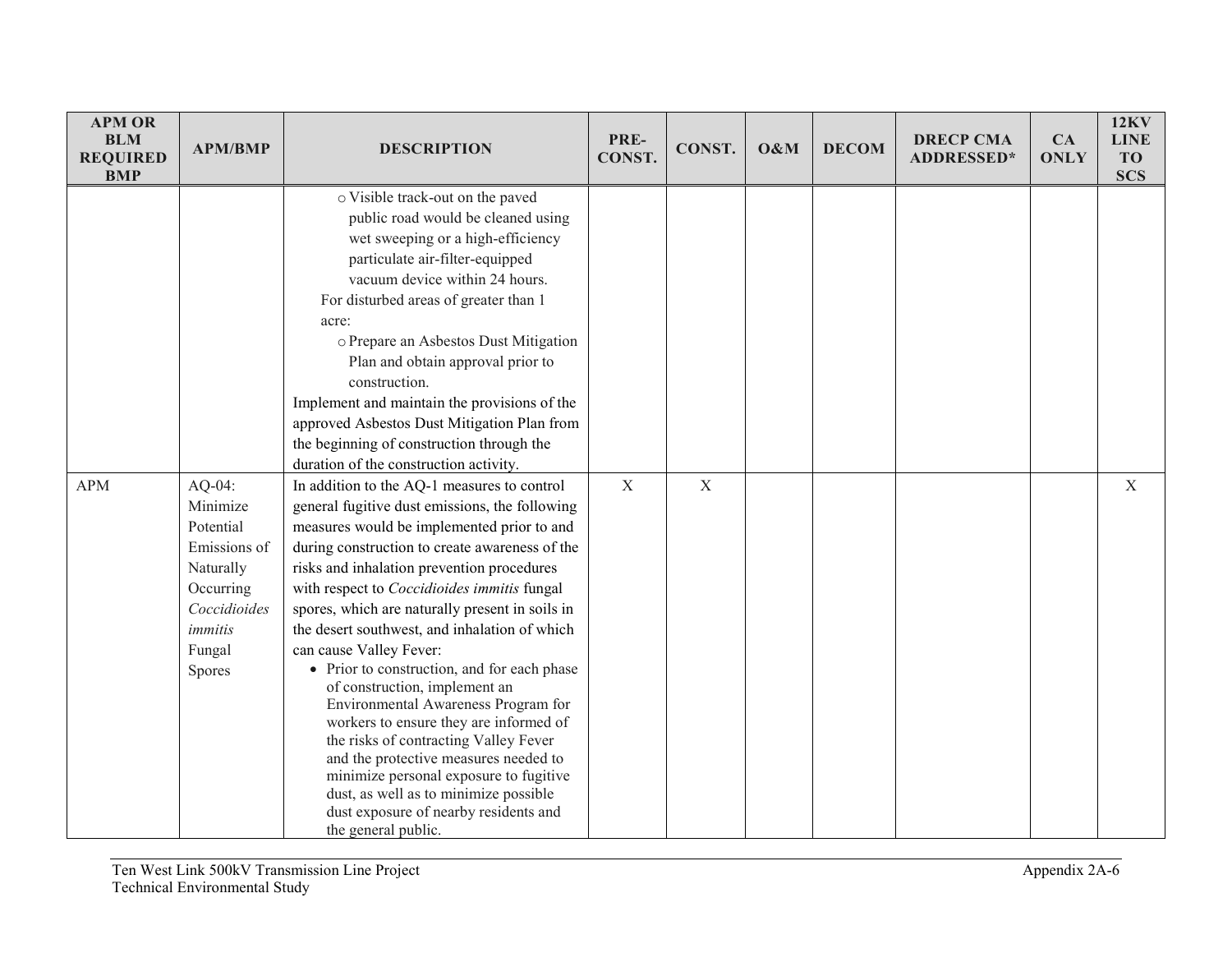| <b>APM OR</b><br><b>BLM</b><br><b>REQUIRED</b><br><b>BMP</b> | <b>APM/BMP</b>                                                                                                                  | <b>DESCRIPTION</b>                                                                                                                                                                                                                                                                                                                                                                                                                                                                                                                                                                                                                                                                                                                                                                                                              | PRE-<br><b>CONST.</b> | <b>CONST.</b>    | O&M | <b>DECOM</b> | <b>DRECP CMA</b><br><b>ADDRESSED*</b> | CA<br><b>ONLY</b> | <b>12KV</b><br><b>LINE</b><br>TO<br><b>SCS</b> |
|--------------------------------------------------------------|---------------------------------------------------------------------------------------------------------------------------------|---------------------------------------------------------------------------------------------------------------------------------------------------------------------------------------------------------------------------------------------------------------------------------------------------------------------------------------------------------------------------------------------------------------------------------------------------------------------------------------------------------------------------------------------------------------------------------------------------------------------------------------------------------------------------------------------------------------------------------------------------------------------------------------------------------------------------------|-----------------------|------------------|-----|--------------|---------------------------------------|-------------------|------------------------------------------------|
|                                                              |                                                                                                                                 | o Visible track-out on the paved<br>public road would be cleaned using<br>wet sweeping or a high-efficiency<br>particulate air-filter-equipped<br>vacuum device within 24 hours.<br>For disturbed areas of greater than 1<br>acre:<br>o Prepare an Asbestos Dust Mitigation<br>Plan and obtain approval prior to<br>construction.<br>Implement and maintain the provisions of the<br>approved Asbestos Dust Mitigation Plan from<br>the beginning of construction through the<br>duration of the construction activity.                                                                                                                                                                                                                                                                                                         |                       |                  |     |              |                                       |                   |                                                |
| <b>APM</b>                                                   | AQ-04:<br>Minimize<br>Potential<br>Emissions of<br>Naturally<br>Occurring<br>Coccidioides<br><i>immitis</i><br>Fungal<br>Spores | In addition to the AQ-1 measures to control<br>general fugitive dust emissions, the following<br>measures would be implemented prior to and<br>during construction to create awareness of the<br>risks and inhalation prevention procedures<br>with respect to Coccidioides immitis fungal<br>spores, which are naturally present in soils in<br>the desert southwest, and inhalation of which<br>can cause Valley Fever:<br>• Prior to construction, and for each phase<br>of construction, implement an<br>Environmental Awareness Program for<br>workers to ensure they are informed of<br>the risks of contracting Valley Fever<br>and the protective measures needed to<br>minimize personal exposure to fugitive<br>dust, as well as to minimize possible<br>dust exposure of nearby residents and<br>the general public. | $\mathbf X$           | $\boldsymbol{X}$ |     |              |                                       |                   | $\mathbf X$                                    |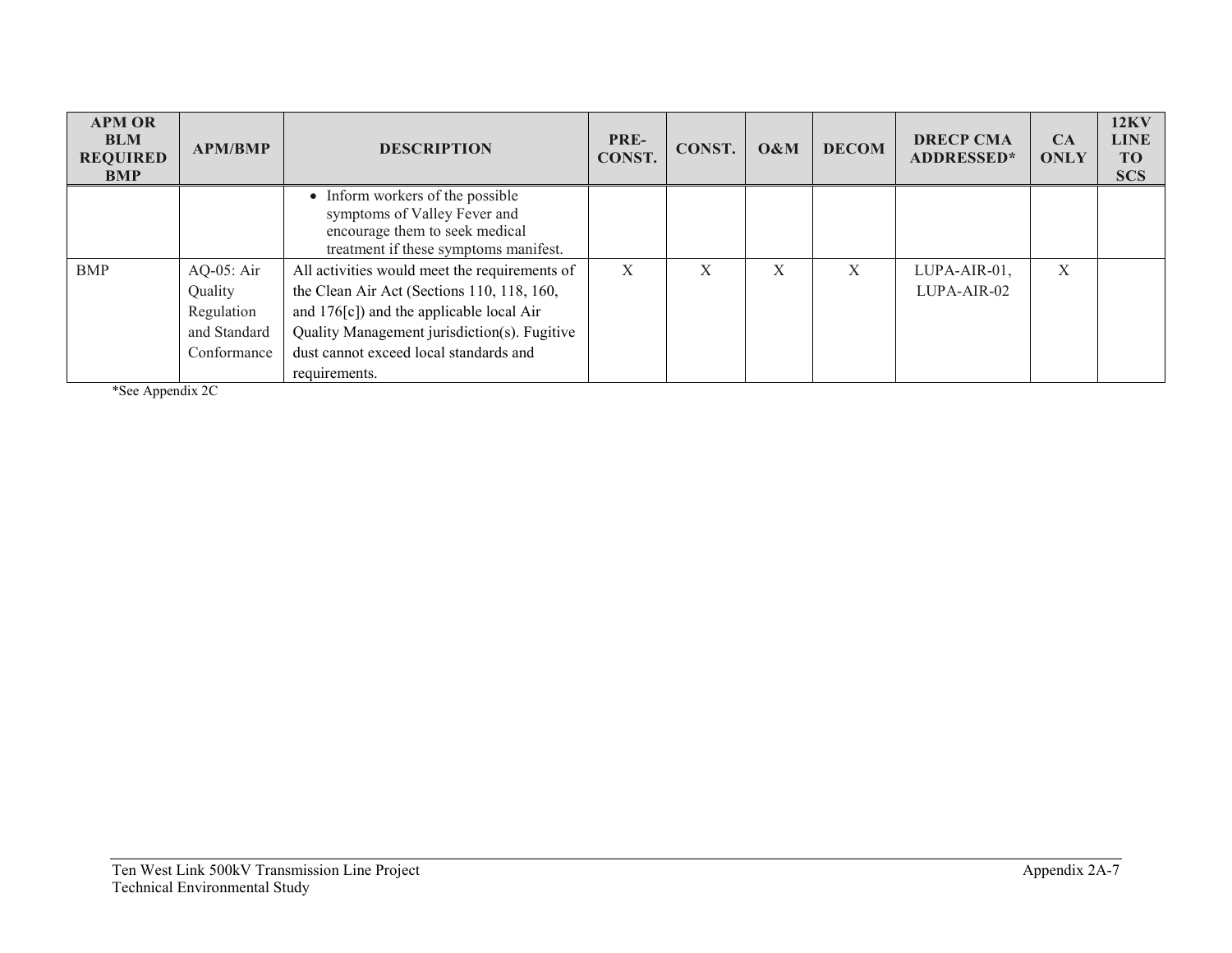| <b>APM OR</b><br><b>BLM</b><br><b>REQUIRED</b><br><b>BMP</b> | <b>APM/BMP</b>                                                       | <b>DESCRIPTION</b>                                                                                                                                                                                                                                    | PRE-<br><b>CONST.</b> | <b>CONST.</b> | 0&M | <b>DECOM</b> | <b>DRECP CMA</b><br><b>ADDRESSED*</b> | CA<br><b>ONLY</b> | <b>12KV</b><br><b>LINE</b><br>TO<br><b>SCS</b> |
|--------------------------------------------------------------|----------------------------------------------------------------------|-------------------------------------------------------------------------------------------------------------------------------------------------------------------------------------------------------------------------------------------------------|-----------------------|---------------|-----|--------------|---------------------------------------|-------------------|------------------------------------------------|
|                                                              |                                                                      | • Inform workers of the possible<br>symptoms of Valley Fever and<br>encourage them to seek medical<br>treatment if these symptoms manifest.                                                                                                           |                       |               |     |              |                                       |                   |                                                |
| <b>BMP</b>                                                   | AQ-05: $Air$<br>Quality<br>Regulation<br>and Standard<br>Conformance | All activities would meet the requirements of<br>the Clean Air Act (Sections 110, 118, 160,<br>and $176[c]$ ) and the applicable local Air<br>Quality Management jurisdiction(s). Fugitive<br>dust cannot exceed local standards and<br>requirements. | X                     | $\mathbf{X}$  | X   | $\mathbf{X}$ | LUPA-AIR-01,<br>LUPA-AIR-02           | $\mathbf{X}$      |                                                |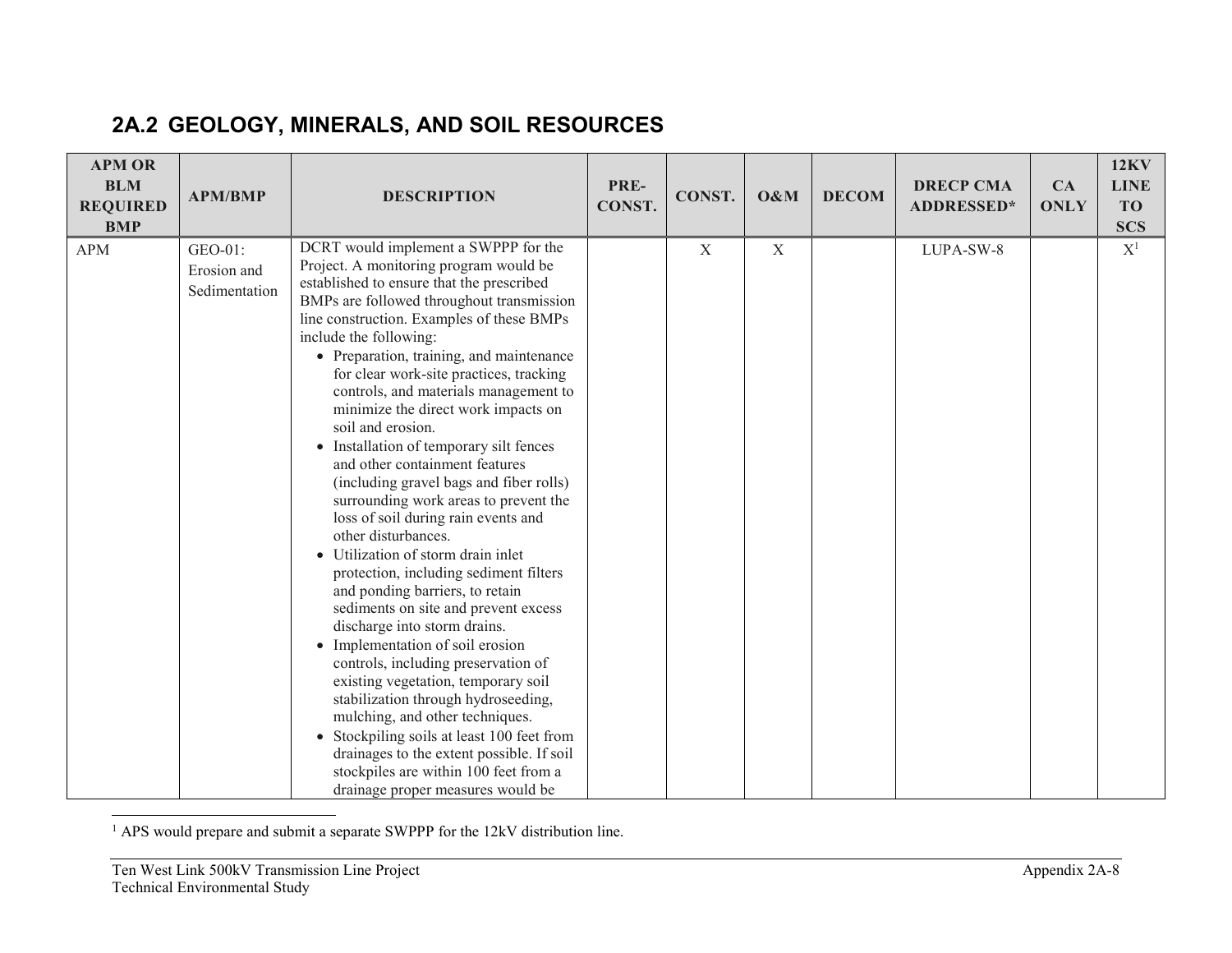## **2A.2 GEOLOGY, MINERALS, AND SOIL RESOURCES**

<span id="page-10-0"></span>

| <b>APM OR</b><br><b>BLM</b><br><b>REQUIRED</b><br><b>BMP</b> | <b>APM/BMP</b>                          | <b>DESCRIPTION</b>                                                                                                                                                                                                                                                                                                                                                                                                                                                                                                                                                                                                                                                                                                                                                                                                                                                                                                                                                                                                                                                                                                                                                                                                                         | PRE-<br><b>CONST.</b> | <b>CONST.</b> | O&M         | <b>DECOM</b> | <b>DRECP CMA</b><br><b>ADDRESSED*</b> | CA<br><b>ONLY</b> | <b>12KV</b><br><b>LINE</b><br>TO<br><b>SCS</b> |
|--------------------------------------------------------------|-----------------------------------------|--------------------------------------------------------------------------------------------------------------------------------------------------------------------------------------------------------------------------------------------------------------------------------------------------------------------------------------------------------------------------------------------------------------------------------------------------------------------------------------------------------------------------------------------------------------------------------------------------------------------------------------------------------------------------------------------------------------------------------------------------------------------------------------------------------------------------------------------------------------------------------------------------------------------------------------------------------------------------------------------------------------------------------------------------------------------------------------------------------------------------------------------------------------------------------------------------------------------------------------------|-----------------------|---------------|-------------|--------------|---------------------------------------|-------------------|------------------------------------------------|
| <b>APM</b>                                                   | GEO-01:<br>Erosion and<br>Sedimentation | DCRT would implement a SWPPP for the<br>Project. A monitoring program would be<br>established to ensure that the prescribed<br>BMPs are followed throughout transmission<br>line construction. Examples of these BMPs<br>include the following:<br>• Preparation, training, and maintenance<br>for clear work-site practices, tracking<br>controls, and materials management to<br>minimize the direct work impacts on<br>soil and erosion.<br>• Installation of temporary silt fences<br>and other containment features<br>(including gravel bags and fiber rolls)<br>surrounding work areas to prevent the<br>loss of soil during rain events and<br>other disturbances.<br>• Utilization of storm drain inlet<br>protection, including sediment filters<br>and ponding barriers, to retain<br>sediments on site and prevent excess<br>discharge into storm drains.<br>• Implementation of soil erosion<br>controls, including preservation of<br>existing vegetation, temporary soil<br>stabilization through hydroseeding,<br>mulching, and other techniques.<br>• Stockpiling soils at least 100 feet from<br>drainages to the extent possible. If soil<br>stockpiles are within 100 feet from a<br>drainage proper measures would be |                       | $\mathbf X$   | $\mathbf X$ |              | LUPA-SW-8                             |                   | $X^1$                                          |

<sup>1</sup> APS would prepare and submit a separate SWPPP for the 12kV distribution line.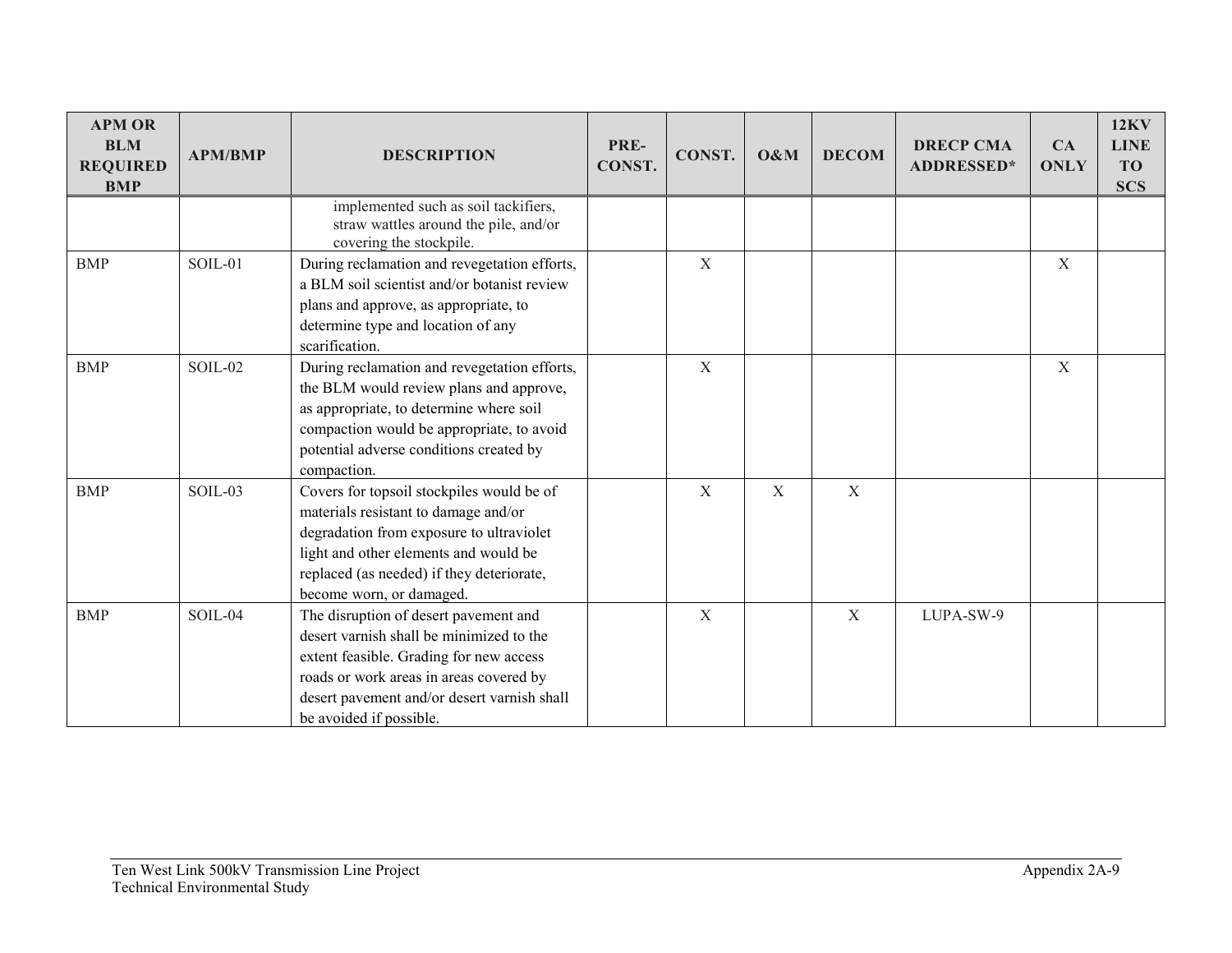| <b>APM OR</b><br><b>BLM</b><br><b>REQUIRED</b><br><b>BMP</b> | <b>APM/BMP</b> | <b>DESCRIPTION</b>                                                                                                                                                                                                                                | PRE-<br><b>CONST.</b> | <b>CONST.</b> | O&M         | <b>DECOM</b> | <b>DRECP CMA</b><br><b>ADDRESSED*</b> | CA<br><b>ONLY</b> | <b>12KV</b><br><b>LINE</b><br>TO<br><b>SCS</b> |
|--------------------------------------------------------------|----------------|---------------------------------------------------------------------------------------------------------------------------------------------------------------------------------------------------------------------------------------------------|-----------------------|---------------|-------------|--------------|---------------------------------------|-------------------|------------------------------------------------|
|                                                              |                | implemented such as soil tackifiers,<br>straw wattles around the pile, and/or<br>covering the stockpile.                                                                                                                                          |                       |               |             |              |                                       |                   |                                                |
| <b>BMP</b>                                                   | SOIL-01        | During reclamation and revegetation efforts,<br>a BLM soil scientist and/or botanist review<br>plans and approve, as appropriate, to<br>determine type and location of any<br>scarification.                                                      |                       | X             |             |              |                                       | $\mathbf X$       |                                                |
| <b>BMP</b>                                                   | SOIL-02        | During reclamation and revegetation efforts,<br>the BLM would review plans and approve,<br>as appropriate, to determine where soil<br>compaction would be appropriate, to avoid<br>potential adverse conditions created by<br>compaction.         |                       | X             |             |              |                                       | $\mathbf X$       |                                                |
| <b>BMP</b>                                                   | SOIL-03        | Covers for topsoil stockpiles would be of<br>materials resistant to damage and/or<br>degradation from exposure to ultraviolet<br>light and other elements and would be<br>replaced (as needed) if they deteriorate,<br>become worn, or damaged.   |                       | $\mathbf X$   | $\mathbf X$ | $\mathbf X$  |                                       |                   |                                                |
| <b>BMP</b>                                                   | SOIL-04        | The disruption of desert pavement and<br>desert varnish shall be minimized to the<br>extent feasible. Grading for new access<br>roads or work areas in areas covered by<br>desert pavement and/or desert varnish shall<br>be avoided if possible. |                       | $\mathbf X$   |             | $\mathbf X$  | LUPA-SW-9                             |                   |                                                |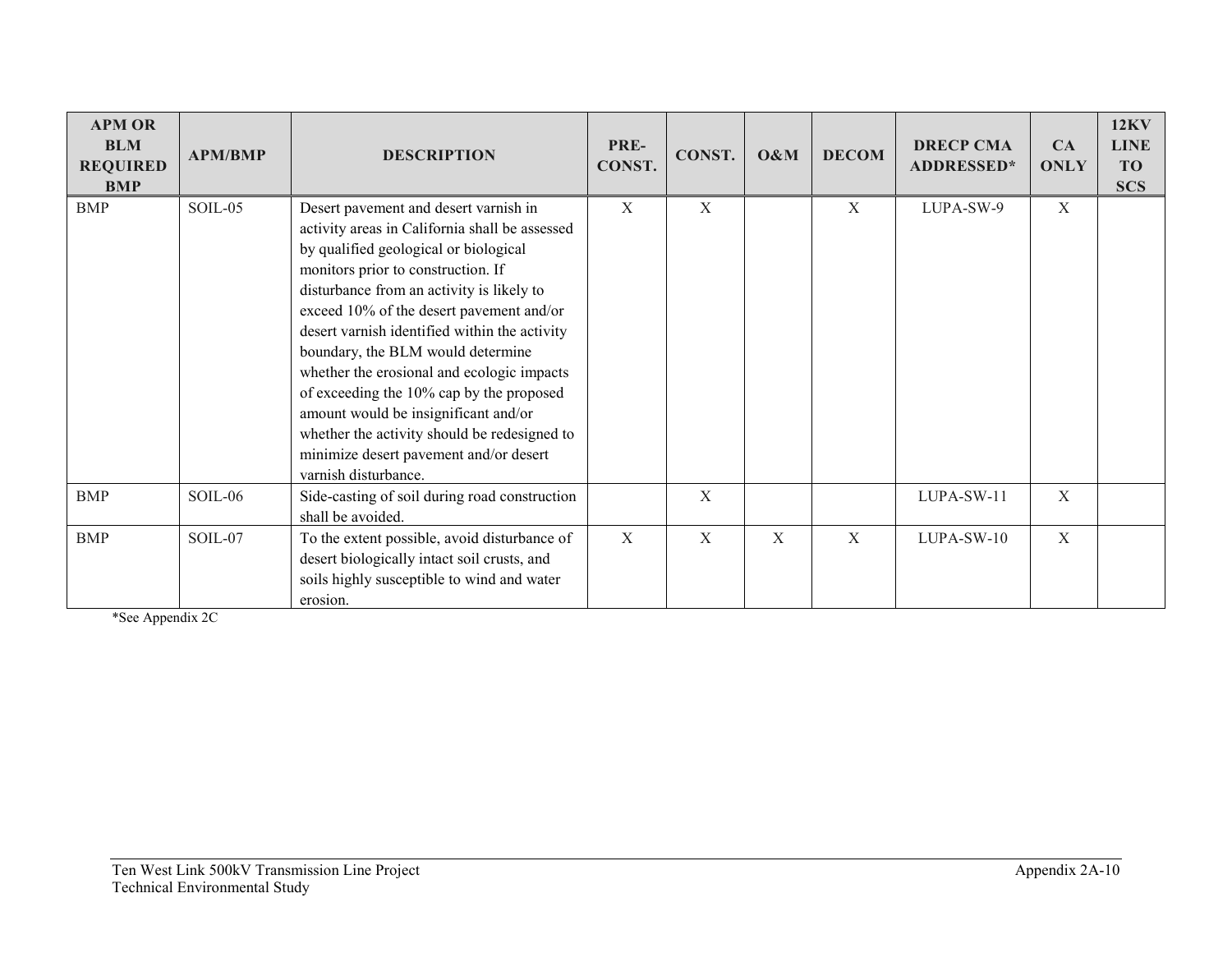| <b>APM OR</b><br><b>BLM</b><br><b>REQUIRED</b><br><b>BMP</b> | <b>APM/BMP</b> | <b>DESCRIPTION</b>                                                                                                                                                                                                                                                                                                                                                                                                                                                                                                                                                                                        | PRE-<br><b>CONST.</b> | <b>CONST.</b>    | O&M            | <b>DECOM</b> | <b>DRECP CMA</b><br><b>ADDRESSED*</b> | CA<br><b>ONLY</b> | <b>12KV</b><br><b>LINE</b><br>TO<br><b>SCS</b> |
|--------------------------------------------------------------|----------------|-----------------------------------------------------------------------------------------------------------------------------------------------------------------------------------------------------------------------------------------------------------------------------------------------------------------------------------------------------------------------------------------------------------------------------------------------------------------------------------------------------------------------------------------------------------------------------------------------------------|-----------------------|------------------|----------------|--------------|---------------------------------------|-------------------|------------------------------------------------|
| <b>BMP</b>                                                   | SOIL-05        | Desert pavement and desert varnish in<br>activity areas in California shall be assessed<br>by qualified geological or biological<br>monitors prior to construction. If<br>disturbance from an activity is likely to<br>exceed 10% of the desert pavement and/or<br>desert varnish identified within the activity<br>boundary, the BLM would determine<br>whether the erosional and ecologic impacts<br>of exceeding the 10% cap by the proposed<br>amount would be insignificant and/or<br>whether the activity should be redesigned to<br>minimize desert pavement and/or desert<br>varnish disturbance. | $\mathbf{X}$          | $\boldsymbol{X}$ |                | X            | LUPA-SW-9                             | $\mathbf X$       |                                                |
| <b>BMP</b>                                                   | SOIL-06        | Side-casting of soil during road construction<br>shall be avoided.                                                                                                                                                                                                                                                                                                                                                                                                                                                                                                                                        |                       | $\mathbf X$      |                |              | LUPA-SW-11                            | $\mathbf X$       |                                                |
| <b>BMP</b>                                                   | SOIL-07        | To the extent possible, avoid disturbance of<br>desert biologically intact soil crusts, and<br>soils highly susceptible to wind and water<br>erosion.                                                                                                                                                                                                                                                                                                                                                                                                                                                     | X                     | X                | $\overline{X}$ | X            | LUPA-SW-10                            | $\boldsymbol{X}$  |                                                |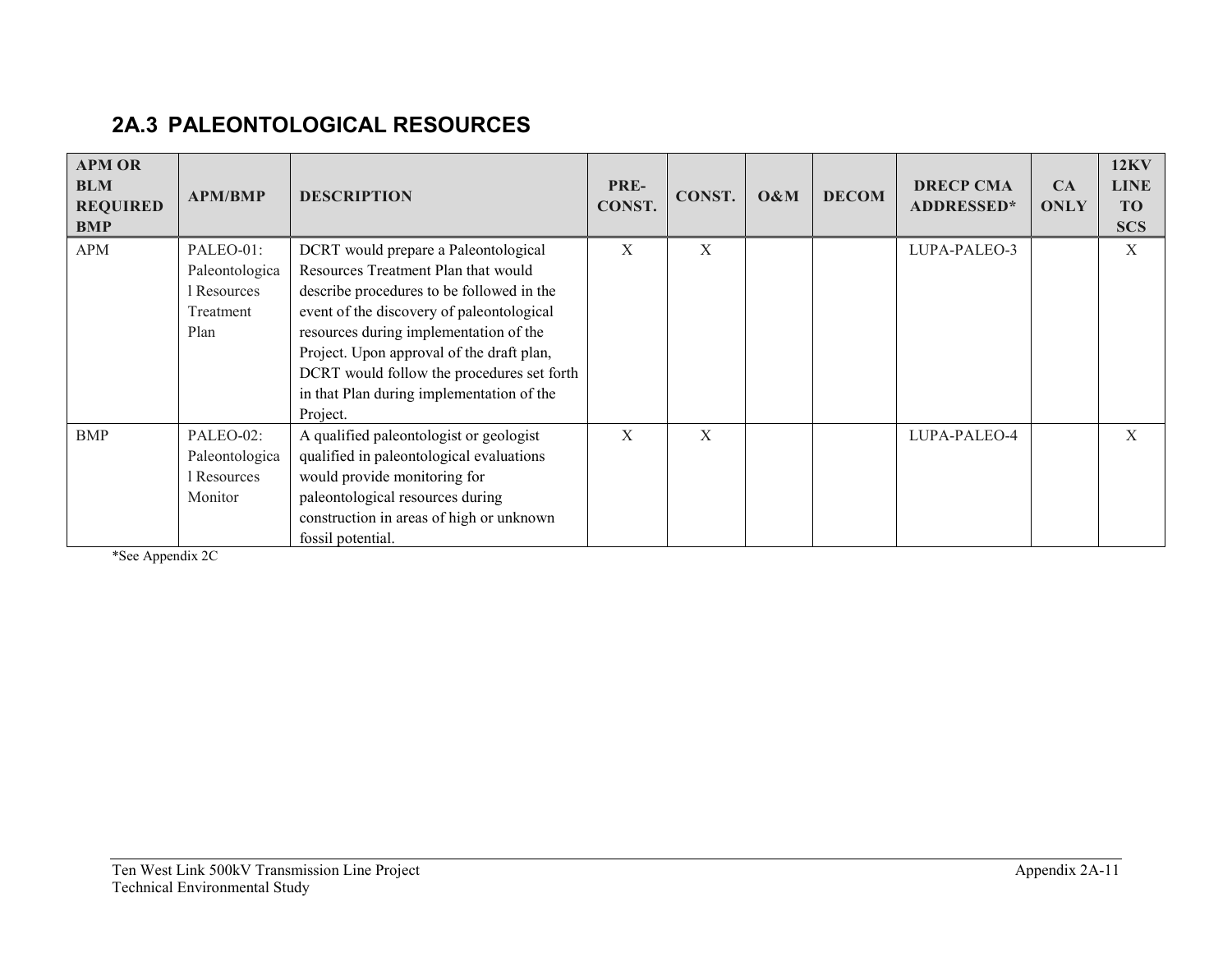## **2A.3 PALEONTOLOGICAL RESOURCES**

<span id="page-13-0"></span>

| <b>APM OR</b><br><b>BLM</b><br><b>REQUIRED</b><br><b>BMP</b> | <b>APM/BMP</b> | <b>DESCRIPTION</b>                         | PRE-<br><b>CONST.</b> | <b>CONST.</b> | $0\&M$ | <b>DECOM</b> | <b>DRECP CMA</b><br><b>ADDRESSED*</b> | CA<br><b>ONLY</b> | 12KV<br><b>LINE</b><br>TO<br><b>SCS</b> |
|--------------------------------------------------------------|----------------|--------------------------------------------|-----------------------|---------------|--------|--------------|---------------------------------------|-------------------|-----------------------------------------|
| <b>APM</b>                                                   | PALEO-01:      | DCRT would prepare a Paleontological       | X                     | X             |        |              | LUPA-PALEO-3                          |                   | X                                       |
|                                                              | Paleontologica | Resources Treatment Plan that would        |                       |               |        |              |                                       |                   |                                         |
|                                                              | Resources      | describe procedures to be followed in the  |                       |               |        |              |                                       |                   |                                         |
|                                                              | Treatment      | event of the discovery of paleontological  |                       |               |        |              |                                       |                   |                                         |
|                                                              | Plan           | resources during implementation of the     |                       |               |        |              |                                       |                   |                                         |
|                                                              |                | Project. Upon approval of the draft plan,  |                       |               |        |              |                                       |                   |                                         |
|                                                              |                | DCRT would follow the procedures set forth |                       |               |        |              |                                       |                   |                                         |
|                                                              |                | in that Plan during implementation of the  |                       |               |        |              |                                       |                   |                                         |
|                                                              |                | Project.                                   |                       |               |        |              |                                       |                   |                                         |
| <b>BMP</b>                                                   | PALEO-02:      | A qualified paleontologist or geologist    | X                     | X             |        |              | LUPA-PALEO-4                          |                   | X                                       |
|                                                              | Paleontologica | qualified in paleontological evaluations   |                       |               |        |              |                                       |                   |                                         |
|                                                              | Resources      | would provide monitoring for               |                       |               |        |              |                                       |                   |                                         |
|                                                              | Monitor        | paleontological resources during           |                       |               |        |              |                                       |                   |                                         |
|                                                              |                | construction in areas of high or unknown   |                       |               |        |              |                                       |                   |                                         |
|                                                              |                | fossil potential.                          |                       |               |        |              |                                       |                   |                                         |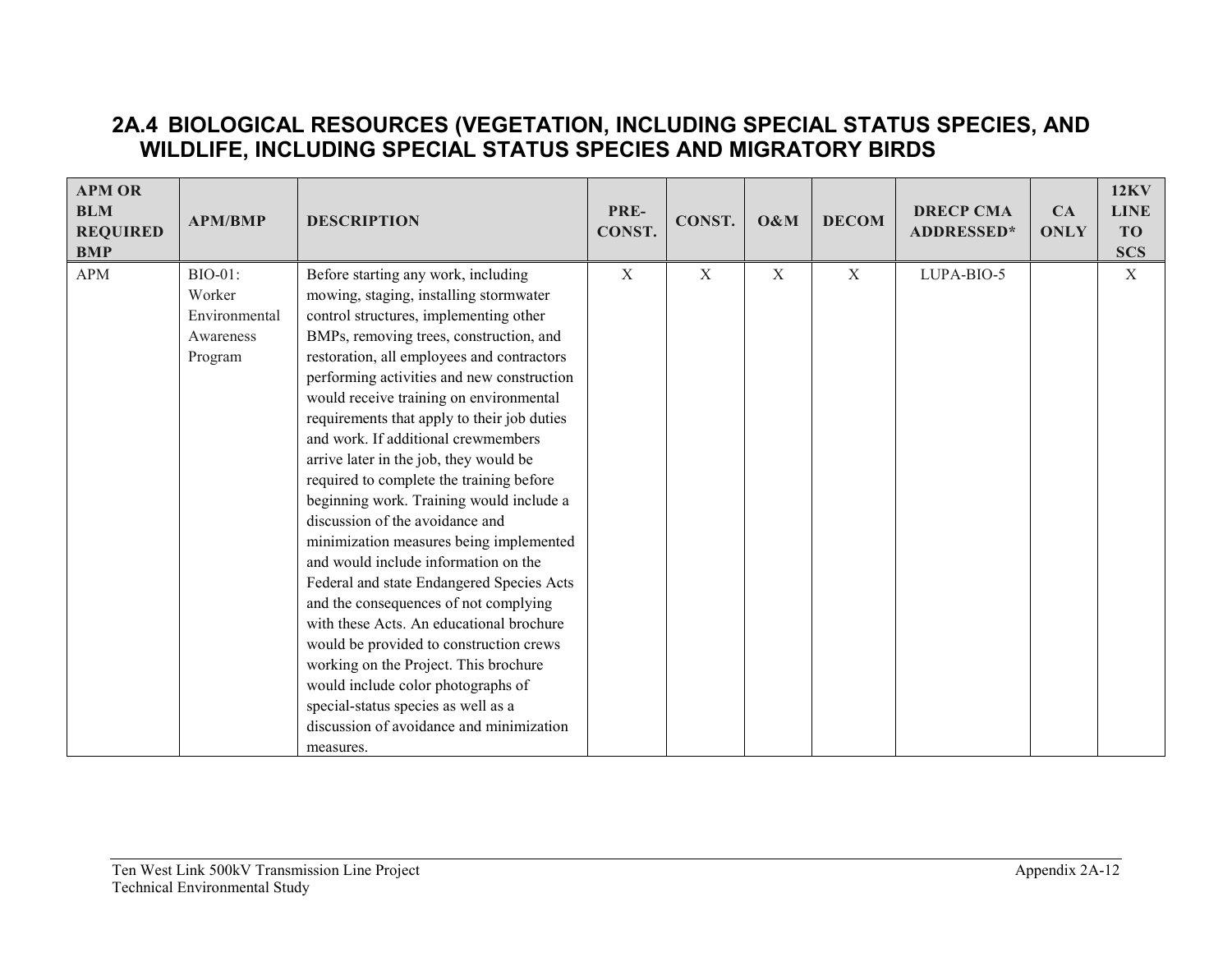#### **2A.4 BIOLOGICAL RESOURCES (VEGETATION, INCLUDING SPECIAL STATUS SPECIES, AND WILDLIFE, INCLUDING SPECIAL STATUS SPECIES AND MIGRATORY BIRDS**

<span id="page-14-0"></span>

| <b>APM OR</b><br><b>BLM</b><br><b>REQUIRED</b><br><b>BMP</b> | <b>APM/BMP</b> | <b>DESCRIPTION</b>                          | PRE-<br><b>CONST.</b> | <b>CONST.</b> | O&M         | <b>DECOM</b> | <b>DRECP CMA</b><br><b>ADDRESSED*</b> | CA<br><b>ONLY</b> | <b>12KV</b><br><b>LINE</b><br><b>TO</b><br><b>SCS</b> |
|--------------------------------------------------------------|----------------|---------------------------------------------|-----------------------|---------------|-------------|--------------|---------------------------------------|-------------------|-------------------------------------------------------|
| <b>APM</b>                                                   | $BIO-01$ :     | Before starting any work, including         | X                     | $\mathbf X$   | $\mathbf X$ | $\mathbf X$  | LUPA-BIO-5                            |                   | X                                                     |
|                                                              | Worker         | mowing, staging, installing stormwater      |                       |               |             |              |                                       |                   |                                                       |
|                                                              | Environmental  | control structures, implementing other      |                       |               |             |              |                                       |                   |                                                       |
|                                                              | Awareness      | BMPs, removing trees, construction, and     |                       |               |             |              |                                       |                   |                                                       |
|                                                              | Program        | restoration, all employees and contractors  |                       |               |             |              |                                       |                   |                                                       |
|                                                              |                | performing activities and new construction  |                       |               |             |              |                                       |                   |                                                       |
|                                                              |                | would receive training on environmental     |                       |               |             |              |                                       |                   |                                                       |
|                                                              |                | requirements that apply to their job duties |                       |               |             |              |                                       |                   |                                                       |
|                                                              |                | and work. If additional crewmembers         |                       |               |             |              |                                       |                   |                                                       |
|                                                              |                | arrive later in the job, they would be      |                       |               |             |              |                                       |                   |                                                       |
|                                                              |                | required to complete the training before    |                       |               |             |              |                                       |                   |                                                       |
|                                                              |                | beginning work. Training would include a    |                       |               |             |              |                                       |                   |                                                       |
|                                                              |                | discussion of the avoidance and             |                       |               |             |              |                                       |                   |                                                       |
|                                                              |                | minimization measures being implemented     |                       |               |             |              |                                       |                   |                                                       |
|                                                              |                | and would include information on the        |                       |               |             |              |                                       |                   |                                                       |
|                                                              |                | Federal and state Endangered Species Acts   |                       |               |             |              |                                       |                   |                                                       |
|                                                              |                | and the consequences of not complying       |                       |               |             |              |                                       |                   |                                                       |
|                                                              |                | with these Acts. An educational brochure    |                       |               |             |              |                                       |                   |                                                       |
|                                                              |                | would be provided to construction crews     |                       |               |             |              |                                       |                   |                                                       |
|                                                              |                | working on the Project. This brochure       |                       |               |             |              |                                       |                   |                                                       |
|                                                              |                | would include color photographs of          |                       |               |             |              |                                       |                   |                                                       |
|                                                              |                | special-status species as well as a         |                       |               |             |              |                                       |                   |                                                       |
|                                                              |                | discussion of avoidance and minimization    |                       |               |             |              |                                       |                   |                                                       |
|                                                              |                | measures.                                   |                       |               |             |              |                                       |                   |                                                       |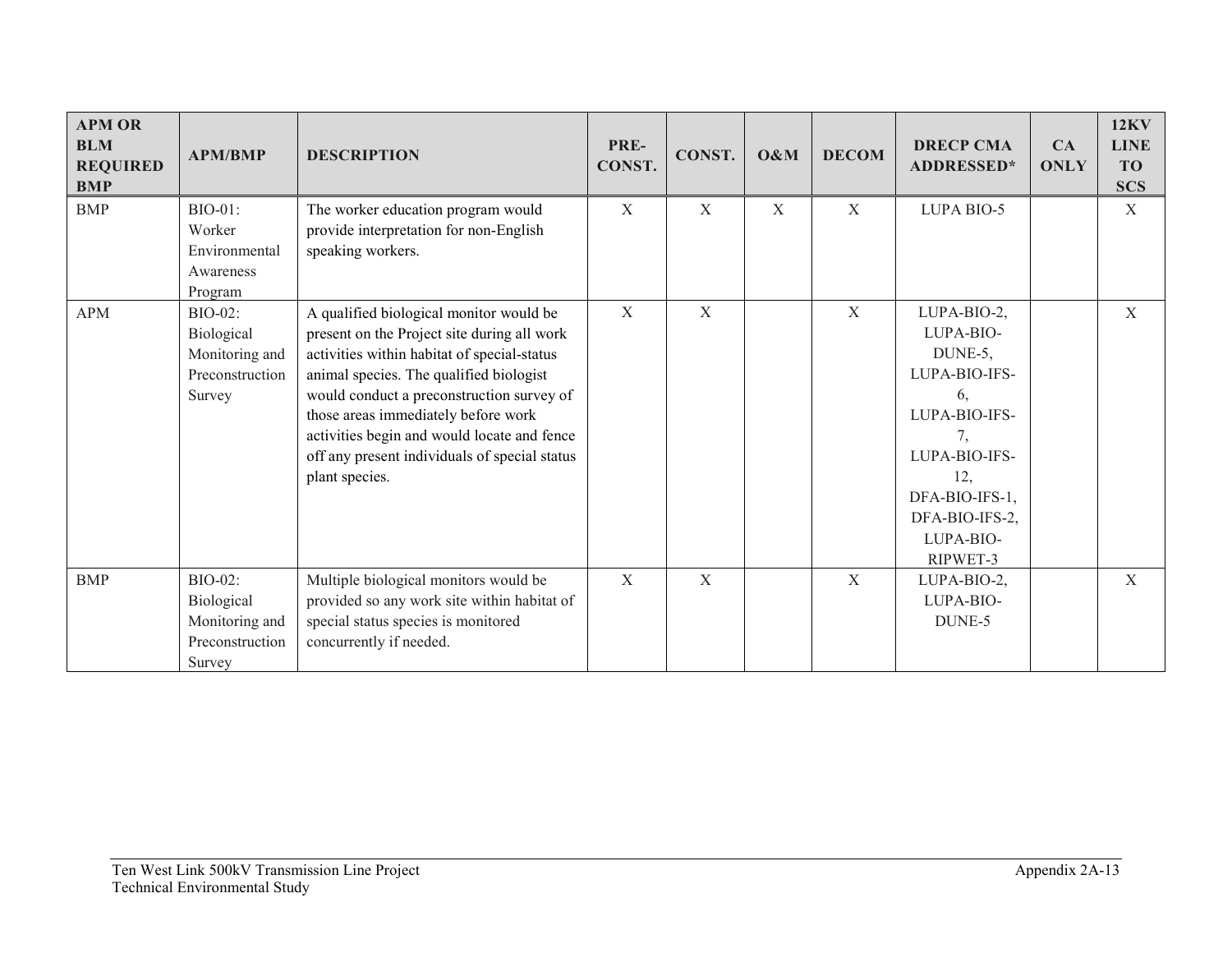| <b>APM OR</b><br><b>BLM</b><br><b>REQUIRED</b><br><b>BMP</b> | <b>APM/BMP</b>                                                              | <b>DESCRIPTION</b>                                                                                                                                                                                                                                                                                                                                                                     | PRE-<br><b>CONST.</b> | <b>CONST.</b>  | O&M         | <b>DECOM</b> | <b>DRECP CMA</b><br><b>ADDRESSED*</b>                                                                                                                                  | CA<br><b>ONLY</b> | <b>12KV</b><br><b>LINE</b><br><b>TO</b><br><b>SCS</b> |
|--------------------------------------------------------------|-----------------------------------------------------------------------------|----------------------------------------------------------------------------------------------------------------------------------------------------------------------------------------------------------------------------------------------------------------------------------------------------------------------------------------------------------------------------------------|-----------------------|----------------|-------------|--------------|------------------------------------------------------------------------------------------------------------------------------------------------------------------------|-------------------|-------------------------------------------------------|
| <b>BMP</b>                                                   | $BIO-01$ :<br>Worker<br>Environmental<br>Awareness<br>Program               | The worker education program would<br>provide interpretation for non-English<br>speaking workers.                                                                                                                                                                                                                                                                                      | X                     | $\mathbf X$    | $\mathbf X$ | $\mathbf X$  | LUPA BIO-5                                                                                                                                                             |                   | X                                                     |
| <b>APM</b>                                                   | <b>BIO-02:</b><br>Biological<br>Monitoring and<br>Preconstruction<br>Survey | A qualified biological monitor would be<br>present on the Project site during all work<br>activities within habitat of special-status<br>animal species. The qualified biologist<br>would conduct a preconstruction survey of<br>those areas immediately before work<br>activities begin and would locate and fence<br>off any present individuals of special status<br>plant species. | $\mathbf X$           | $\overline{X}$ |             | X            | LUPA-BIO-2,<br>LUPA-BIO-<br>DUNE-5,<br>LUPA-BIO-IFS-<br>6,<br>LUPA-BIO-IFS-<br>7.<br>LUPA-BIO-IFS-<br>12,<br>DFA-BIO-IFS-1,<br>DFA-BIO-IFS-2,<br>LUPA-BIO-<br>RIPWET-3 |                   | $\mathbf{X}$                                          |
| <b>BMP</b>                                                   | $BIO-02$ :<br>Biological<br>Monitoring and<br>Preconstruction<br>Survey     | Multiple biological monitors would be<br>provided so any work site within habitat of<br>special status species is monitored<br>concurrently if needed.                                                                                                                                                                                                                                 | X                     | $\mathbf{X}$   |             | X            | LUPA-BIO-2,<br>LUPA-BIO-<br>DUNE-5                                                                                                                                     |                   | X                                                     |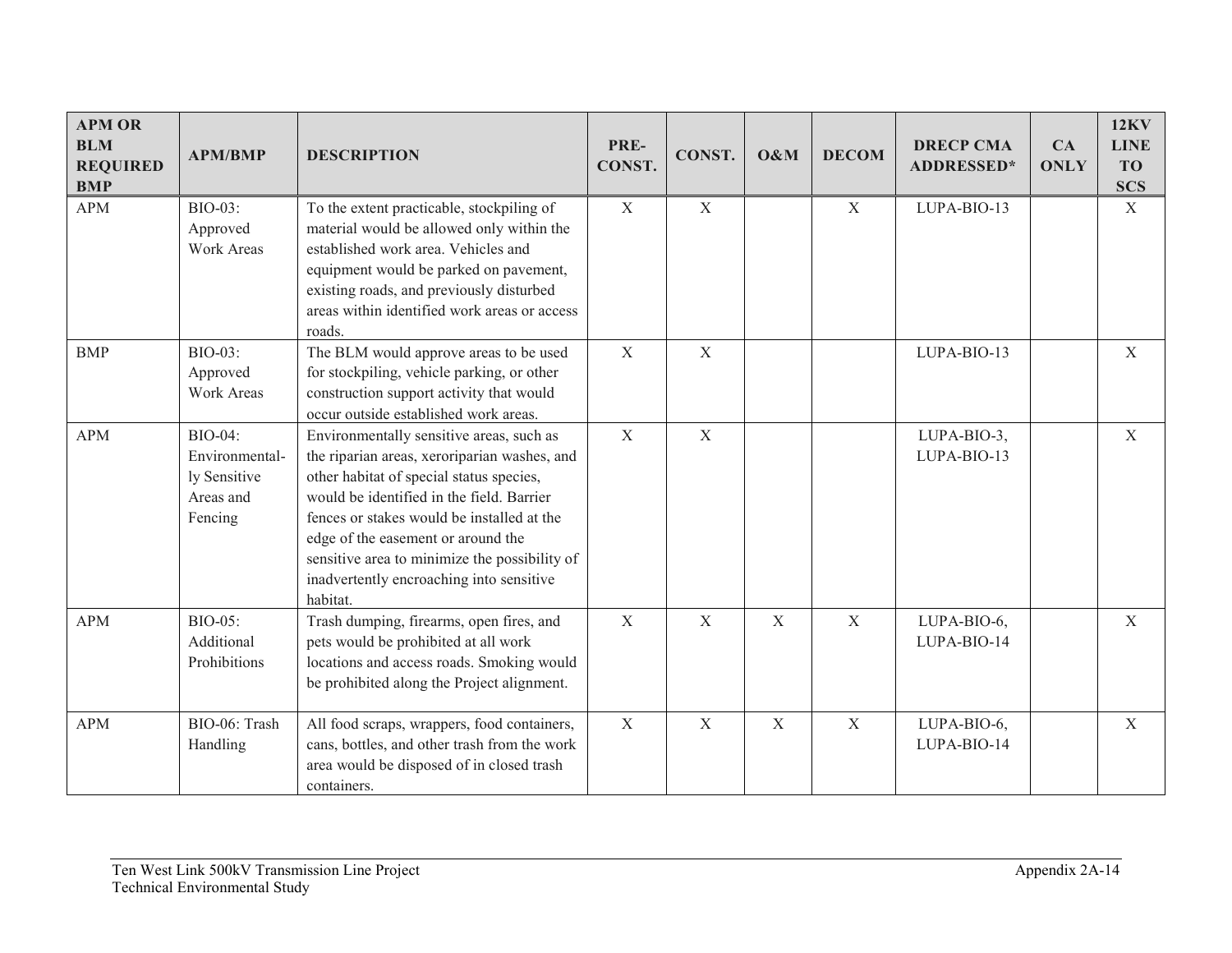| <b>APM OR</b><br><b>BLM</b><br><b>REQUIRED</b><br><b>BMP</b> | <b>APM/BMP</b>                                                       | <b>DESCRIPTION</b>                                                                                                                                                                                                                                                                                                                                                             | PRE-<br><b>CONST.</b> | <b>CONST.</b> | O&M         | <b>DECOM</b> | <b>DRECP CMA</b><br><b>ADDRESSED*</b> | CA<br><b>ONLY</b> | <b>12KV</b><br><b>LINE</b><br>TO<br><b>SCS</b> |
|--------------------------------------------------------------|----------------------------------------------------------------------|--------------------------------------------------------------------------------------------------------------------------------------------------------------------------------------------------------------------------------------------------------------------------------------------------------------------------------------------------------------------------------|-----------------------|---------------|-------------|--------------|---------------------------------------|-------------------|------------------------------------------------|
| <b>APM</b>                                                   | <b>BIO-03:</b><br>Approved<br>Work Areas                             | To the extent practicable, stockpiling of<br>material would be allowed only within the<br>established work area. Vehicles and<br>equipment would be parked on pavement,<br>existing roads, and previously disturbed<br>areas within identified work areas or access<br>roads.                                                                                                  | X                     | $\mathbf X$   |             | $\mathbf X$  | LUPA-BIO-13                           |                   | $\mathbf X$                                    |
| <b>BMP</b>                                                   | <b>BIO-03:</b><br>Approved<br>Work Areas                             | The BLM would approve areas to be used<br>for stockpiling, vehicle parking, or other<br>construction support activity that would<br>occur outside established work areas.                                                                                                                                                                                                      | $\mathbf X$           | $\mathbf X$   |             |              | LUPA-BIO-13                           |                   | $\mathbf X$                                    |
| <b>APM</b>                                                   | $BIO-04$ :<br>Environmental-<br>ly Sensitive<br>Areas and<br>Fencing | Environmentally sensitive areas, such as<br>the riparian areas, xeroriparian washes, and<br>other habitat of special status species,<br>would be identified in the field. Barrier<br>fences or stakes would be installed at the<br>edge of the easement or around the<br>sensitive area to minimize the possibility of<br>inadvertently encroaching into sensitive<br>habitat. | $\mathbf X$           | $\mathbf X$   |             |              | LUPA-BIO-3,<br>LUPA-BIO-13            |                   | $\mathbf X$                                    |
| <b>APM</b>                                                   | <b>BIO-05:</b><br>Additional<br>Prohibitions                         | Trash dumping, firearms, open fires, and<br>pets would be prohibited at all work<br>locations and access roads. Smoking would<br>be prohibited along the Project alignment.                                                                                                                                                                                                    | $\mathbf X$           | $\mathbf X$   | $\mathbf X$ | $\mathbf X$  | LUPA-BIO-6,<br>LUPA-BIO-14            |                   | $\mathbf X$                                    |
| <b>APM</b>                                                   | BIO-06: Trash<br>Handling                                            | All food scraps, wrappers, food containers,<br>cans, bottles, and other trash from the work<br>area would be disposed of in closed trash<br>containers.                                                                                                                                                                                                                        | $\mathbf X$           | $\mathbf X$   | $\mathbf X$ | $\mathbf X$  | LUPA-BIO-6,<br>LUPA-BIO-14            |                   | $\mathbf X$                                    |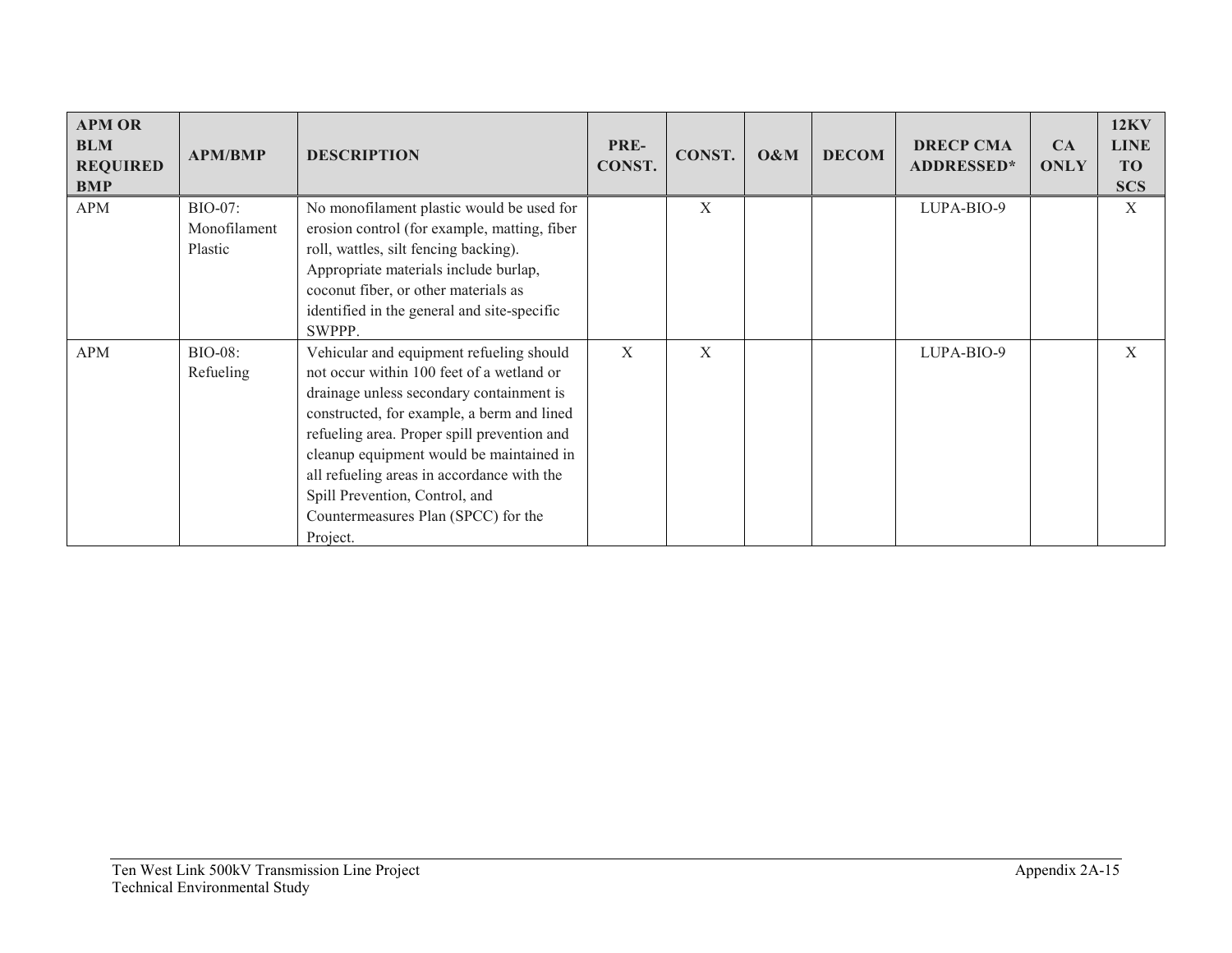| <b>APM OR</b><br><b>BLM</b><br><b>REQUIRED</b><br><b>BMP</b> | <b>APM/BMP</b> | <b>DESCRIPTION</b>                           | PRE-<br><b>CONST.</b> | <b>CONST.</b> | $0\&M$ | <b>DECOM</b> | <b>DRECP CMA</b><br><b>ADDRESSED*</b> | CA<br><b>ONLY</b> | <b>12KV</b><br><b>LINE</b><br>TO<br><b>SCS</b> |
|--------------------------------------------------------------|----------------|----------------------------------------------|-----------------------|---------------|--------|--------------|---------------------------------------|-------------------|------------------------------------------------|
| <b>APM</b>                                                   | <b>BIO-07:</b> | No monofilament plastic would be used for    |                       | X             |        |              | LUPA-BIO-9                            |                   | X                                              |
|                                                              | Monofilament   | erosion control (for example, matting, fiber |                       |               |        |              |                                       |                   |                                                |
|                                                              | Plastic        | roll, wattles, silt fencing backing).        |                       |               |        |              |                                       |                   |                                                |
|                                                              |                | Appropriate materials include burlap,        |                       |               |        |              |                                       |                   |                                                |
|                                                              |                | coconut fiber, or other materials as         |                       |               |        |              |                                       |                   |                                                |
|                                                              |                | identified in the general and site-specific  |                       |               |        |              |                                       |                   |                                                |
|                                                              |                | SWPPP.                                       |                       |               |        |              |                                       |                   |                                                |
| <b>APM</b>                                                   | <b>BIO-08:</b> | Vehicular and equipment refueling should     | X                     | X             |        |              | LUPA-BIO-9                            |                   | $\mathbf X$                                    |
|                                                              | Refueling      | not occur within 100 feet of a wetland or    |                       |               |        |              |                                       |                   |                                                |
|                                                              |                | drainage unless secondary containment is     |                       |               |        |              |                                       |                   |                                                |
|                                                              |                | constructed, for example, a berm and lined   |                       |               |        |              |                                       |                   |                                                |
|                                                              |                | refueling area. Proper spill prevention and  |                       |               |        |              |                                       |                   |                                                |
|                                                              |                | cleanup equipment would be maintained in     |                       |               |        |              |                                       |                   |                                                |
|                                                              |                | all refueling areas in accordance with the   |                       |               |        |              |                                       |                   |                                                |
|                                                              |                | Spill Prevention, Control, and               |                       |               |        |              |                                       |                   |                                                |
|                                                              |                | Countermeasures Plan (SPCC) for the          |                       |               |        |              |                                       |                   |                                                |
|                                                              |                | Project.                                     |                       |               |        |              |                                       |                   |                                                |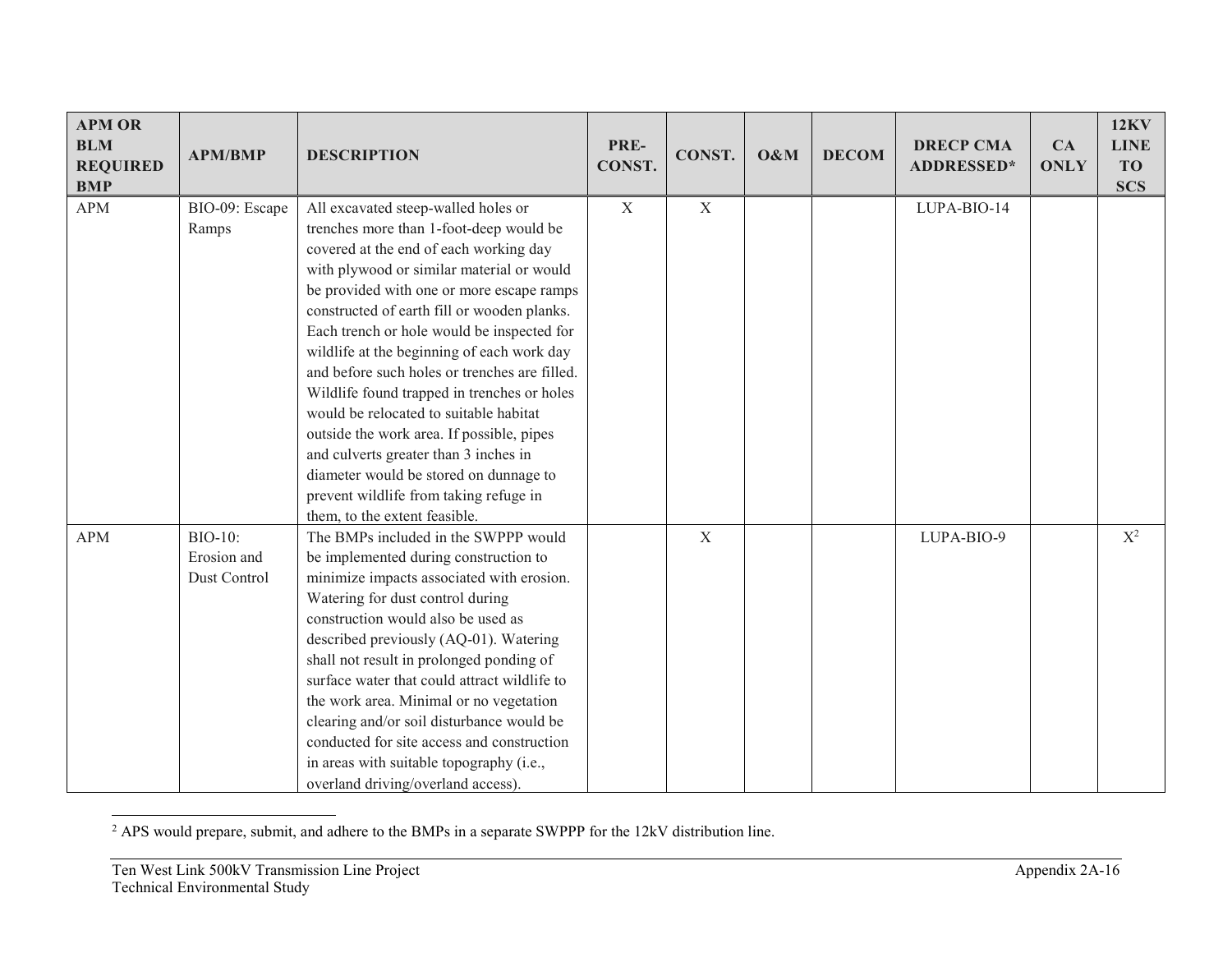| <b>APM OR</b><br><b>BLM</b><br><b>REQUIRED</b><br><b>BMP</b> | <b>APM/BMP</b>                                | <b>DESCRIPTION</b>                                                                                                                                                                                                                                                                                                                                                                                                                                                                                                                                                                                                                                                                                                 | PRE-<br><b>CONST.</b> | <b>CONST.</b> | O&M | <b>DECOM</b> | <b>DRECP CMA</b><br><b>ADDRESSED*</b> | CA<br><b>ONLY</b> | <b>12KV</b><br><b>LINE</b><br><b>TO</b><br><b>SCS</b> |
|--------------------------------------------------------------|-----------------------------------------------|--------------------------------------------------------------------------------------------------------------------------------------------------------------------------------------------------------------------------------------------------------------------------------------------------------------------------------------------------------------------------------------------------------------------------------------------------------------------------------------------------------------------------------------------------------------------------------------------------------------------------------------------------------------------------------------------------------------------|-----------------------|---------------|-----|--------------|---------------------------------------|-------------------|-------------------------------------------------------|
| <b>APM</b>                                                   | BIO-09: Escape<br>Ramps                       | All excavated steep-walled holes or<br>trenches more than 1-foot-deep would be<br>covered at the end of each working day<br>with plywood or similar material or would<br>be provided with one or more escape ramps<br>constructed of earth fill or wooden planks.<br>Each trench or hole would be inspected for<br>wildlife at the beginning of each work day<br>and before such holes or trenches are filled.<br>Wildlife found trapped in trenches or holes<br>would be relocated to suitable habitat<br>outside the work area. If possible, pipes<br>and culverts greater than 3 inches in<br>diameter would be stored on dunnage to<br>prevent wildlife from taking refuge in<br>them, to the extent feasible. | X                     | $\mathbf X$   |     |              | LUPA-BIO-14                           |                   |                                                       |
| <b>APM</b>                                                   | <b>BIO-10:</b><br>Erosion and<br>Dust Control | The BMPs included in the SWPPP would<br>be implemented during construction to<br>minimize impacts associated with erosion.<br>Watering for dust control during<br>construction would also be used as<br>described previously (AQ-01). Watering<br>shall not result in prolonged ponding of<br>surface water that could attract wildlife to<br>the work area. Minimal or no vegetation<br>clearing and/or soil disturbance would be<br>conducted for site access and construction<br>in areas with suitable topography (i.e.,<br>overland driving/overland access).                                                                                                                                                 |                       | $\mathbf X$   |     |              | LUPA-BIO-9                            |                   | $\mathbf{X}^2$                                        |

<sup>&</sup>lt;sup>2</sup> APS would prepare, submit, and adhere to the BMPs in a separate SWPPP for the 12kV distribution line.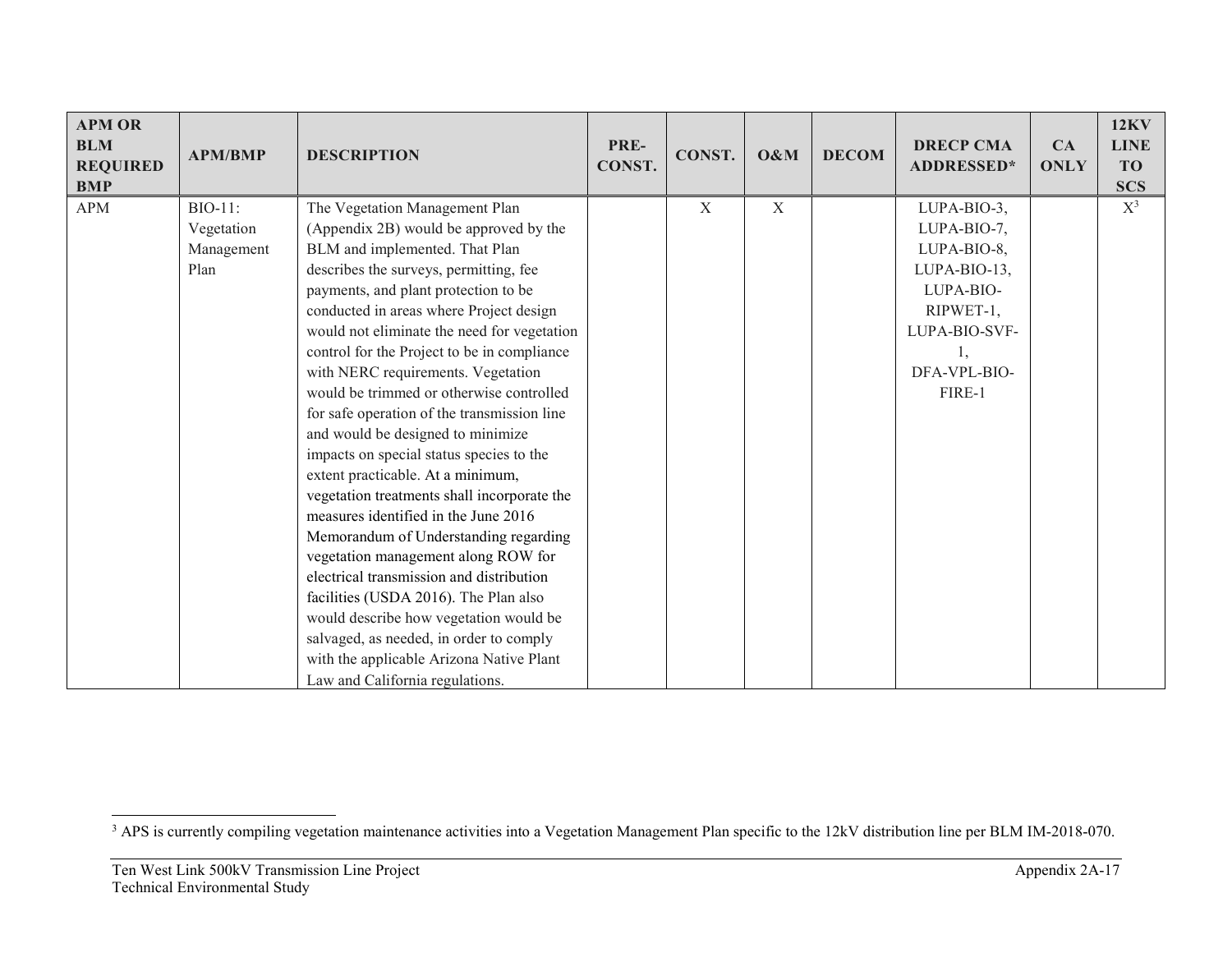| <b>APM OR</b><br><b>BLM</b><br><b>REQUIRED</b><br><b>BMP</b> | <b>APM/BMP</b> | <b>DESCRIPTION</b>                          | PRE-<br><b>CONST.</b> | <b>CONST.</b> | O&M         | <b>DECOM</b> | <b>DRECP CMA</b><br><b>ADDRESSED*</b> | CA<br><b>ONLY</b> | <b>12KV</b><br><b>LINE</b><br>TO<br><b>SCS</b> |
|--------------------------------------------------------------|----------------|---------------------------------------------|-----------------------|---------------|-------------|--------------|---------------------------------------|-------------------|------------------------------------------------|
| <b>APM</b>                                                   | BIO-11:        | The Vegetation Management Plan              |                       | $\mathbf X$   | $\mathbf X$ |              | LUPA-BIO-3,                           |                   | $X^3$                                          |
|                                                              | Vegetation     | (Appendix 2B) would be approved by the      |                       |               |             |              | LUPA-BIO-7,                           |                   |                                                |
|                                                              | Management     | BLM and implemented. That Plan              |                       |               |             |              | LUPA-BIO-8,                           |                   |                                                |
|                                                              | Plan           | describes the surveys, permitting, fee      |                       |               |             |              | LUPA-BIO-13,                          |                   |                                                |
|                                                              |                | payments, and plant protection to be        |                       |               |             |              | LUPA-BIO-                             |                   |                                                |
|                                                              |                | conducted in areas where Project design     |                       |               |             |              | RIPWET-1,                             |                   |                                                |
|                                                              |                | would not eliminate the need for vegetation |                       |               |             |              | LUPA-BIO-SVF-                         |                   |                                                |
|                                                              |                | control for the Project to be in compliance |                       |               |             |              |                                       |                   |                                                |
|                                                              |                | with NERC requirements. Vegetation          |                       |               |             |              | DFA-VPL-BIO-                          |                   |                                                |
|                                                              |                | would be trimmed or otherwise controlled    |                       |               |             |              | FIRE-1                                |                   |                                                |
|                                                              |                | for safe operation of the transmission line |                       |               |             |              |                                       |                   |                                                |
|                                                              |                | and would be designed to minimize           |                       |               |             |              |                                       |                   |                                                |
|                                                              |                | impacts on special status species to the    |                       |               |             |              |                                       |                   |                                                |
|                                                              |                | extent practicable. At a minimum,           |                       |               |             |              |                                       |                   |                                                |
|                                                              |                | vegetation treatments shall incorporate the |                       |               |             |              |                                       |                   |                                                |
|                                                              |                | measures identified in the June 2016        |                       |               |             |              |                                       |                   |                                                |
|                                                              |                | Memorandum of Understanding regarding       |                       |               |             |              |                                       |                   |                                                |
|                                                              |                | vegetation management along ROW for         |                       |               |             |              |                                       |                   |                                                |
|                                                              |                | electrical transmission and distribution    |                       |               |             |              |                                       |                   |                                                |
|                                                              |                | facilities (USDA 2016). The Plan also       |                       |               |             |              |                                       |                   |                                                |
|                                                              |                | would describe how vegetation would be      |                       |               |             |              |                                       |                   |                                                |
|                                                              |                | salvaged, as needed, in order to comply     |                       |               |             |              |                                       |                   |                                                |
|                                                              |                | with the applicable Arizona Native Plant    |                       |               |             |              |                                       |                   |                                                |
|                                                              |                | Law and California regulations.             |                       |               |             |              |                                       |                   |                                                |

<sup>&</sup>lt;sup>3</sup> APS is currently compiling vegetation maintenance activities into a Vegetation Management Plan specific to the 12kV distribution line per BLM IM-2018-070.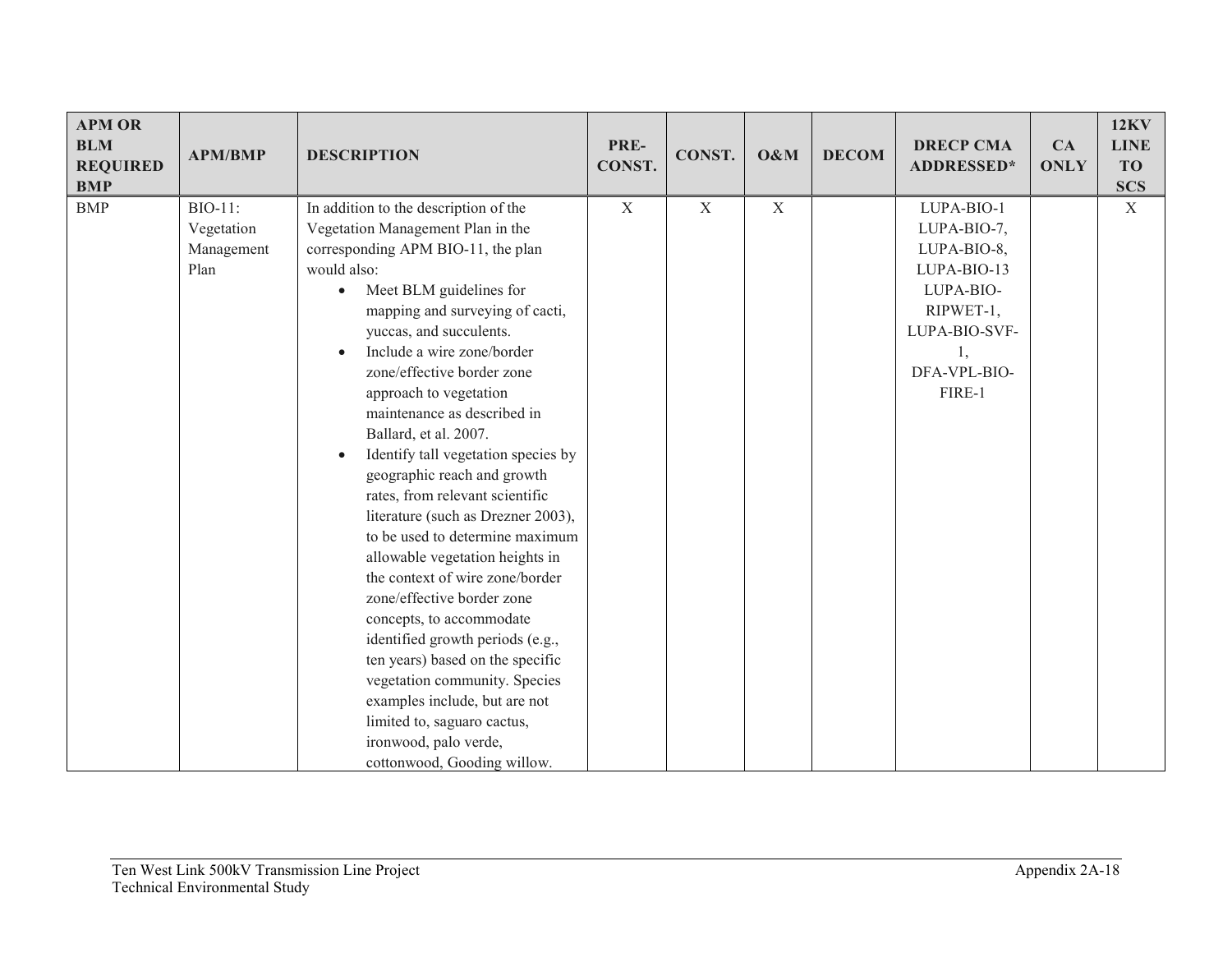| <b>APM OR</b><br><b>BLM</b><br><b>REQUIRED</b><br><b>BMP</b> | <b>APM/BMP</b>                                     | <b>DESCRIPTION</b>                                                                                                                                                                                                                                                                                                                                                                                                                                                                                                                                                                                                                                                                                                                                                                                                                                                                                                                                               | PRE-<br><b>CONST.</b> | <b>CONST.</b> | O&M         | <b>DECOM</b> | <b>DRECP CMA</b><br><b>ADDRESSED*</b>                                                                                        | CA<br><b>ONLY</b> | <b>12KV</b><br><b>LINE</b><br>TO<br><b>SCS</b> |
|--------------------------------------------------------------|----------------------------------------------------|------------------------------------------------------------------------------------------------------------------------------------------------------------------------------------------------------------------------------------------------------------------------------------------------------------------------------------------------------------------------------------------------------------------------------------------------------------------------------------------------------------------------------------------------------------------------------------------------------------------------------------------------------------------------------------------------------------------------------------------------------------------------------------------------------------------------------------------------------------------------------------------------------------------------------------------------------------------|-----------------------|---------------|-------------|--------------|------------------------------------------------------------------------------------------------------------------------------|-------------------|------------------------------------------------|
| <b>BMP</b>                                                   | <b>BIO-11:</b><br>Vegetation<br>Management<br>Plan | In addition to the description of the<br>Vegetation Management Plan in the<br>corresponding APM BIO-11, the plan<br>would also:<br>Meet BLM guidelines for<br>$\bullet$<br>mapping and surveying of cacti,<br>yuccas, and succulents.<br>Include a wire zone/border<br>$\bullet$<br>zone/effective border zone<br>approach to vegetation<br>maintenance as described in<br>Ballard, et al. 2007.<br>Identify tall vegetation species by<br>$\bullet$<br>geographic reach and growth<br>rates, from relevant scientific<br>literature (such as Drezner 2003),<br>to be used to determine maximum<br>allowable vegetation heights in<br>the context of wire zone/border<br>zone/effective border zone<br>concepts, to accommodate<br>identified growth periods (e.g.,<br>ten years) based on the specific<br>vegetation community. Species<br>examples include, but are not<br>limited to, saguaro cactus,<br>ironwood, palo verde,<br>cottonwood, Gooding willow. | $\mathbf X$           | $\mathbf X$   | $\mathbf X$ |              | LUPA-BIO-1<br>LUPA-BIO-7,<br>LUPA-BIO-8,<br>LUPA-BIO-13<br>LUPA-BIO-<br>RIPWET-1,<br>LUPA-BIO-SVF-<br>DFA-VPL-BIO-<br>FIRE-1 |                   | $\mathbf X$                                    |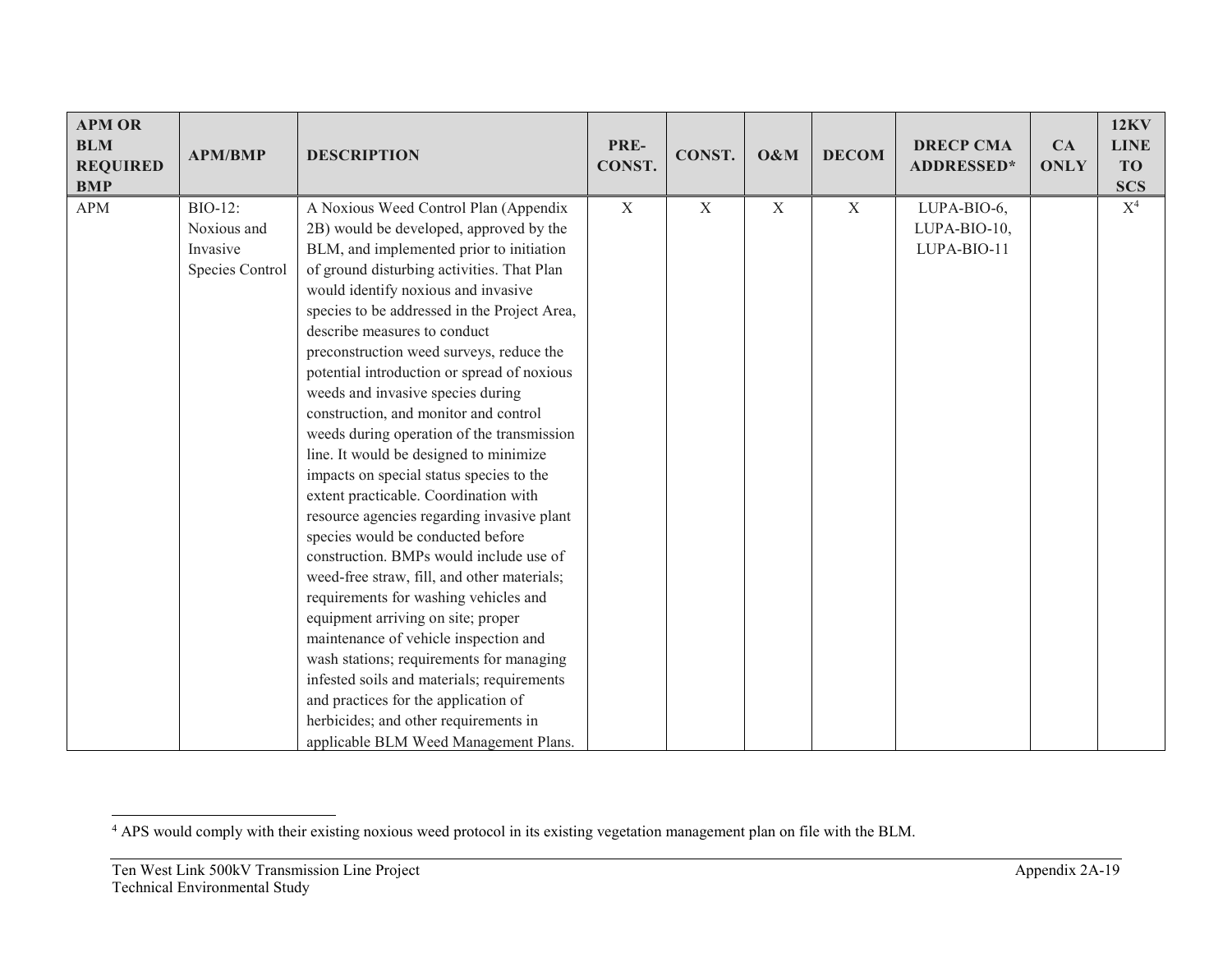| <b>APM OR</b><br><b>BLM</b><br><b>REQUIRED</b><br><b>BMP</b> | <b>APM/BMP</b>                                               | <b>DESCRIPTION</b>                                                                                                                                                                                                                                                                                                                                                                                                                                                                                                                                                                                                                                                                                                                                                                                                                                                                                                                                           | PRE-<br><b>CONST.</b> | <b>CONST.</b> | O&M         | <b>DECOM</b> | <b>DRECP CMA</b><br><b>ADDRESSED*</b>      | CA<br><b>ONLY</b> | <b>12KV</b><br><b>LINE</b><br><b>TO</b><br><b>SCS</b> |
|--------------------------------------------------------------|--------------------------------------------------------------|--------------------------------------------------------------------------------------------------------------------------------------------------------------------------------------------------------------------------------------------------------------------------------------------------------------------------------------------------------------------------------------------------------------------------------------------------------------------------------------------------------------------------------------------------------------------------------------------------------------------------------------------------------------------------------------------------------------------------------------------------------------------------------------------------------------------------------------------------------------------------------------------------------------------------------------------------------------|-----------------------|---------------|-------------|--------------|--------------------------------------------|-------------------|-------------------------------------------------------|
| <b>APM</b>                                                   | <b>BIO-12:</b><br>Noxious and<br>Invasive<br>Species Control | A Noxious Weed Control Plan (Appendix<br>2B) would be developed, approved by the<br>BLM, and implemented prior to initiation<br>of ground disturbing activities. That Plan<br>would identify noxious and invasive<br>species to be addressed in the Project Area,<br>describe measures to conduct<br>preconstruction weed surveys, reduce the<br>potential introduction or spread of noxious<br>weeds and invasive species during<br>construction, and monitor and control<br>weeds during operation of the transmission<br>line. It would be designed to minimize<br>impacts on special status species to the<br>extent practicable. Coordination with<br>resource agencies regarding invasive plant<br>species would be conducted before<br>construction. BMPs would include use of<br>weed-free straw, fill, and other materials;<br>requirements for washing vehicles and<br>equipment arriving on site; proper<br>maintenance of vehicle inspection and | $\mathbf X$           | X             | $\mathbf X$ | $\mathbf X$  | LUPA-BIO-6,<br>LUPA-BIO-10,<br>LUPA-BIO-11 |                   | $X^4$                                                 |
|                                                              |                                                              | wash stations; requirements for managing<br>infested soils and materials; requirements<br>and practices for the application of<br>herbicides; and other requirements in<br>applicable BLM Weed Management Plans.                                                                                                                                                                                                                                                                                                                                                                                                                                                                                                                                                                                                                                                                                                                                             |                       |               |             |              |                                            |                   |                                                       |

<sup>&</sup>lt;sup>4</sup> APS would comply with their existing noxious weed protocol in its existing vegetation management plan on file with the BLM.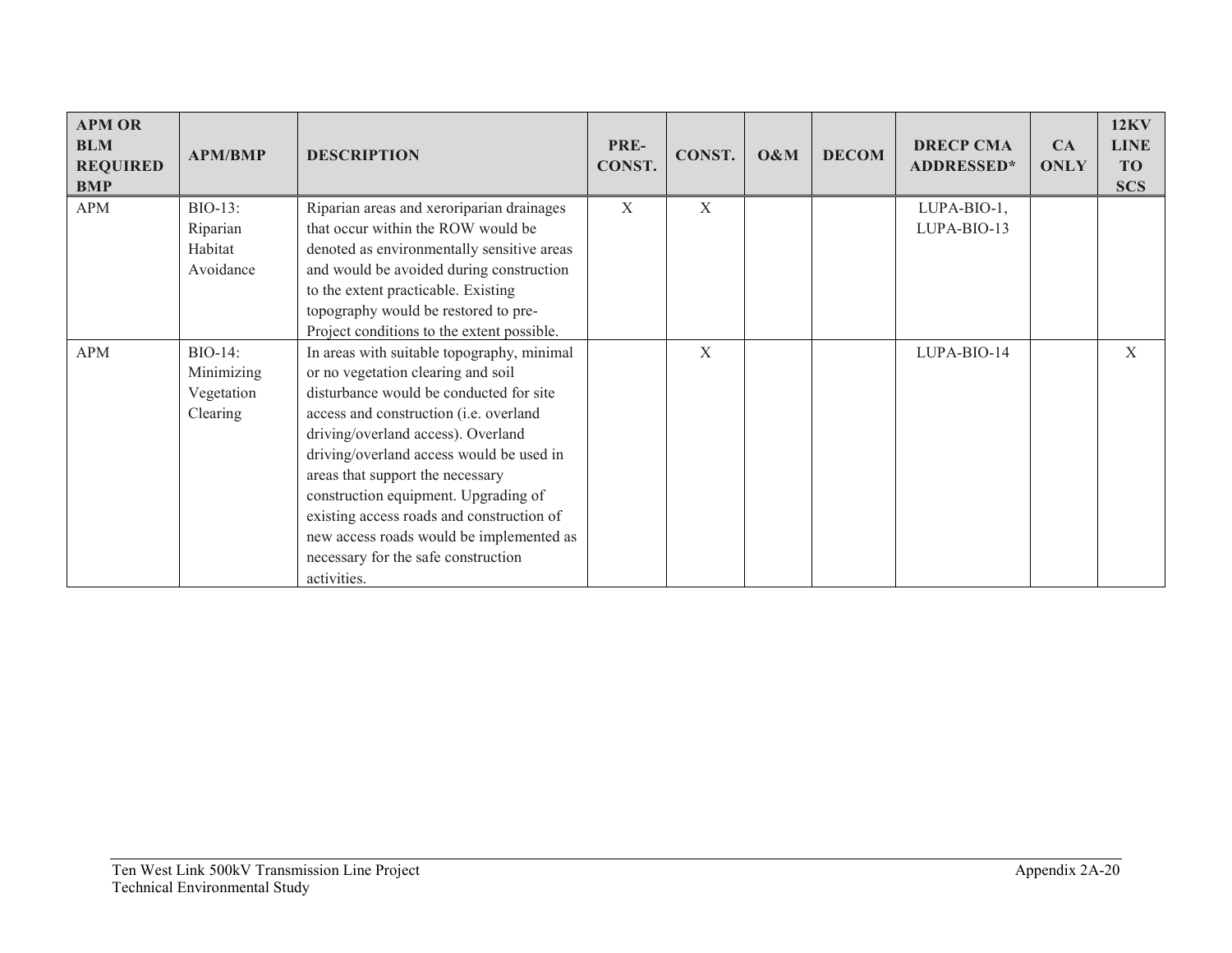| <b>APM OR</b><br><b>BLM</b><br><b>REQUIRED</b><br><b>BMP</b> | <b>APM/BMP</b> | <b>DESCRIPTION</b>                         | PRE-<br><b>CONST.</b> | <b>CONST.</b> | O&M | <b>DECOM</b> | <b>DRECP CMA</b><br><b>ADDRESSED*</b> | CA<br><b>ONLY</b> | <b>12KV</b><br><b>LINE</b><br>TO<br><b>SCS</b> |
|--------------------------------------------------------------|----------------|--------------------------------------------|-----------------------|---------------|-----|--------------|---------------------------------------|-------------------|------------------------------------------------|
| <b>APM</b>                                                   | <b>BIO-13:</b> | Riparian areas and xeroriparian drainages  | X                     | X             |     |              | LUPA-BIO-1,                           |                   |                                                |
|                                                              | Riparian       | that occur within the ROW would be         |                       |               |     |              | LUPA-BIO-13                           |                   |                                                |
|                                                              | Habitat        | denoted as environmentally sensitive areas |                       |               |     |              |                                       |                   |                                                |
|                                                              | Avoidance      | and would be avoided during construction   |                       |               |     |              |                                       |                   |                                                |
|                                                              |                | to the extent practicable. Existing        |                       |               |     |              |                                       |                   |                                                |
|                                                              |                | topography would be restored to pre-       |                       |               |     |              |                                       |                   |                                                |
|                                                              |                | Project conditions to the extent possible. |                       |               |     |              |                                       |                   |                                                |
| <b>APM</b>                                                   | <b>BIO-14:</b> | In areas with suitable topography, minimal |                       | X             |     |              | LUPA-BIO-14                           |                   | X                                              |
|                                                              | Minimizing     | or no vegetation clearing and soil         |                       |               |     |              |                                       |                   |                                                |
|                                                              | Vegetation     | disturbance would be conducted for site    |                       |               |     |              |                                       |                   |                                                |
|                                                              | Clearing       | access and construction (i.e. overland     |                       |               |     |              |                                       |                   |                                                |
|                                                              |                | driving/overland access). Overland         |                       |               |     |              |                                       |                   |                                                |
|                                                              |                | driving/overland access would be used in   |                       |               |     |              |                                       |                   |                                                |
|                                                              |                | areas that support the necessary           |                       |               |     |              |                                       |                   |                                                |
|                                                              |                | construction equipment. Upgrading of       |                       |               |     |              |                                       |                   |                                                |
|                                                              |                | existing access roads and construction of  |                       |               |     |              |                                       |                   |                                                |
|                                                              |                | new access roads would be implemented as   |                       |               |     |              |                                       |                   |                                                |
|                                                              |                | necessary for the safe construction        |                       |               |     |              |                                       |                   |                                                |
|                                                              |                | activities.                                |                       |               |     |              |                                       |                   |                                                |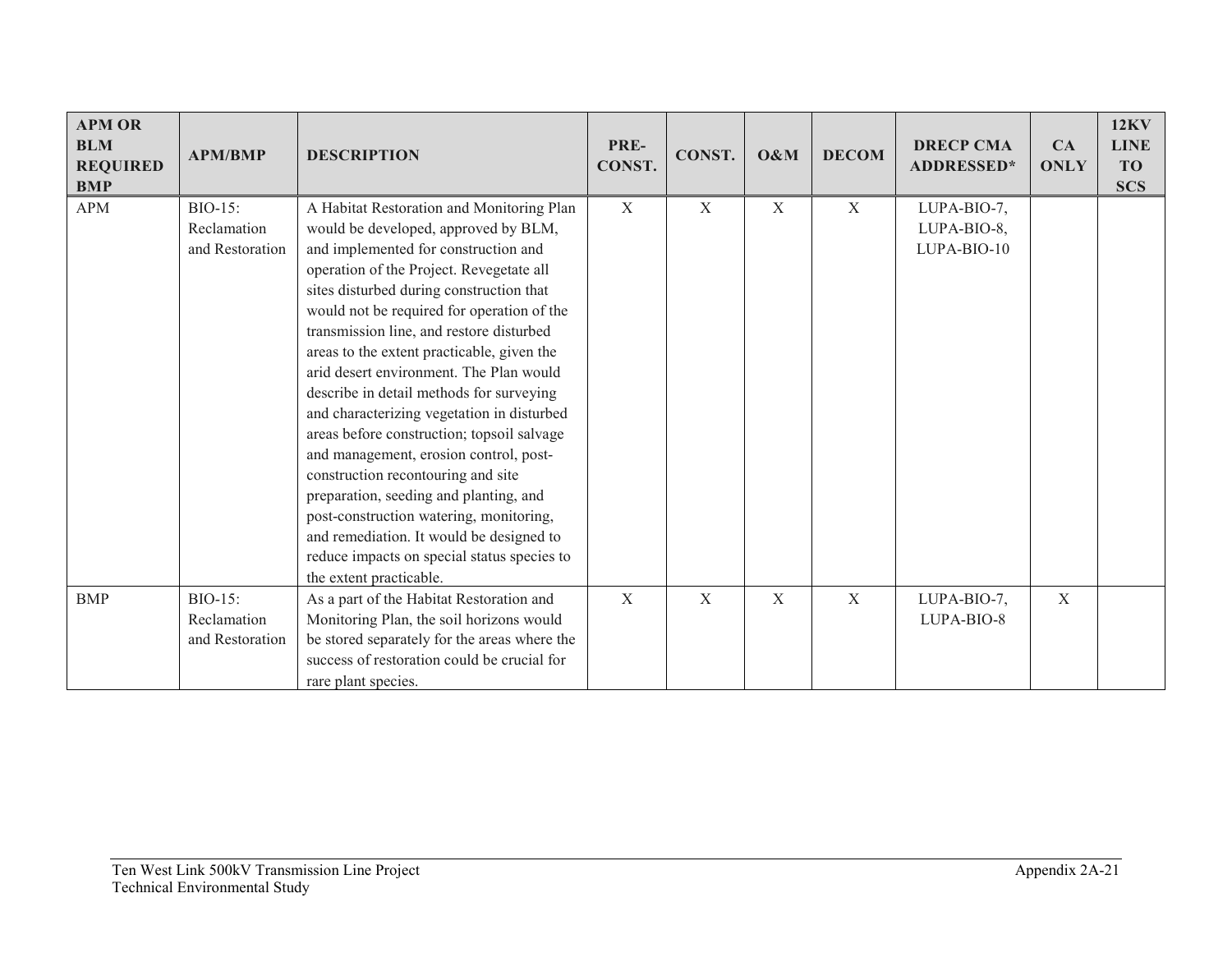| <b>APM OR</b><br><b>BLM</b><br><b>REQUIRED</b><br><b>BMP</b> | <b>APM/BMP</b>                                   | <b>DESCRIPTION</b>                                                                                                                                                                                                                                                                                                                                                                                                                                                                                                                                                                                                                                                                                                                                                                                                                      | PRE-<br><b>CONST.</b> | <b>CONST.</b> | O&M         | <b>DECOM</b> | <b>DRECP CMA</b><br><b>ADDRESSED*</b>     | CA<br><b>ONLY</b> | <b>12KV</b><br><b>LINE</b><br>TO<br><b>SCS</b> |
|--------------------------------------------------------------|--------------------------------------------------|-----------------------------------------------------------------------------------------------------------------------------------------------------------------------------------------------------------------------------------------------------------------------------------------------------------------------------------------------------------------------------------------------------------------------------------------------------------------------------------------------------------------------------------------------------------------------------------------------------------------------------------------------------------------------------------------------------------------------------------------------------------------------------------------------------------------------------------------|-----------------------|---------------|-------------|--------------|-------------------------------------------|-------------------|------------------------------------------------|
| <b>APM</b>                                                   | <b>BIO-15:</b><br>Reclamation<br>and Restoration | A Habitat Restoration and Monitoring Plan<br>would be developed, approved by BLM,<br>and implemented for construction and<br>operation of the Project. Revegetate all<br>sites disturbed during construction that<br>would not be required for operation of the<br>transmission line, and restore disturbed<br>areas to the extent practicable, given the<br>arid desert environment. The Plan would<br>describe in detail methods for surveying<br>and characterizing vegetation in disturbed<br>areas before construction; topsoil salvage<br>and management, erosion control, post-<br>construction recontouring and site<br>preparation, seeding and planting, and<br>post-construction watering, monitoring,<br>and remediation. It would be designed to<br>reduce impacts on special status species to<br>the extent practicable. | $\mathbf X$           | X             | $\mathbf X$ | $\mathbf X$  | LUPA-BIO-7,<br>LUPA-BIO-8,<br>LUPA-BIO-10 |                   |                                                |
| <b>BMP</b>                                                   | <b>BIO-15:</b><br>Reclamation<br>and Restoration | As a part of the Habitat Restoration and<br>Monitoring Plan, the soil horizons would<br>be stored separately for the areas where the<br>success of restoration could be crucial for<br>rare plant species.                                                                                                                                                                                                                                                                                                                                                                                                                                                                                                                                                                                                                              | $\mathbf X$           | $\mathbf X$   | $\mathbf X$ | $\mathbf X$  | LUPA-BIO-7,<br>LUPA-BIO-8                 | $\mathbf{X}$      |                                                |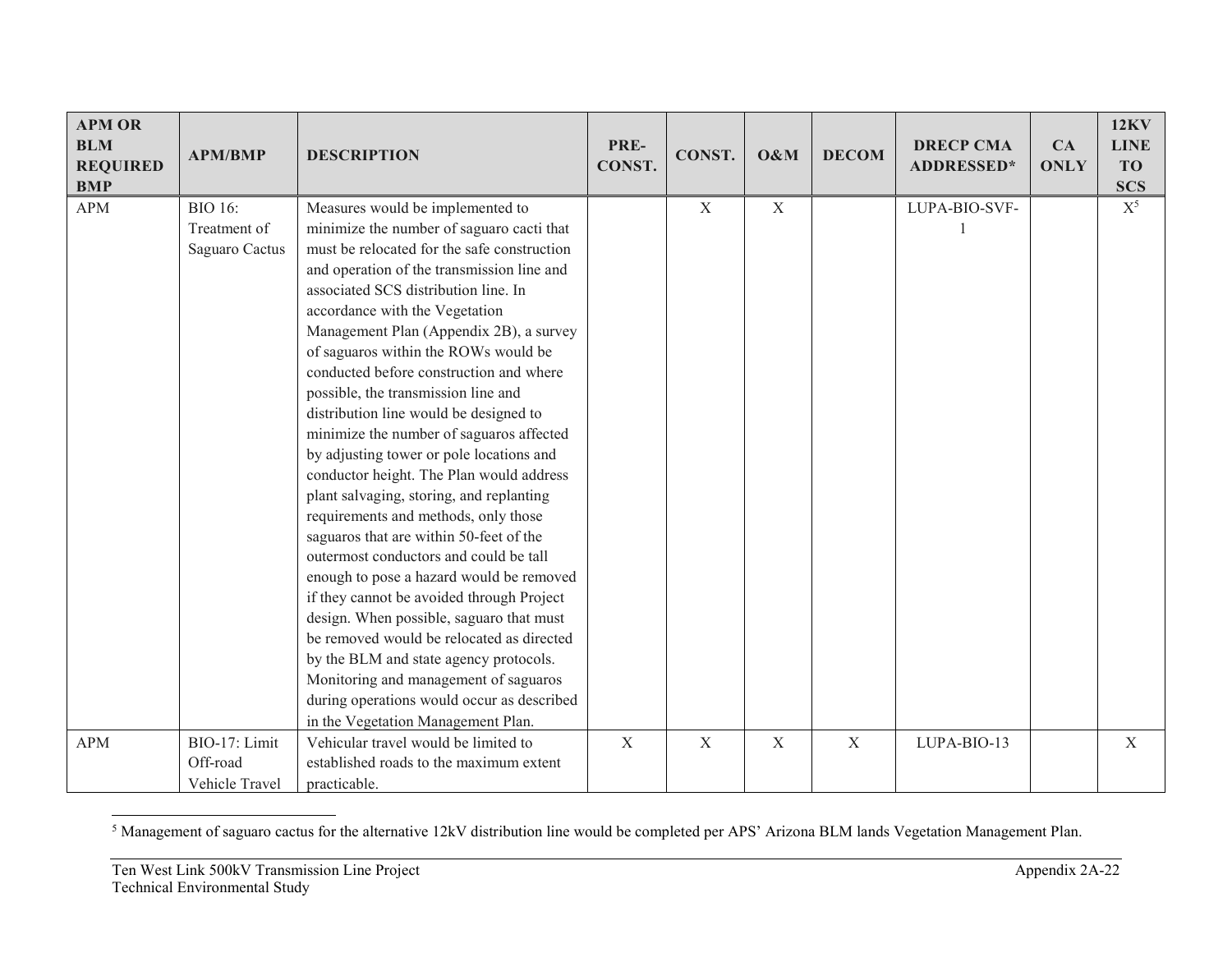| <b>APM OR</b><br><b>BLM</b><br><b>REQUIRED</b><br><b>BMP</b> | <b>APM/BMP</b> | <b>DESCRIPTION</b>                          | PRE-<br><b>CONST.</b> | <b>CONST.</b> | O&M         | <b>DECOM</b>     | <b>DRECP CMA</b><br><b>ADDRESSED*</b> | CA<br><b>ONLY</b> | <b>12KV</b><br><b>LINE</b><br>TO<br><b>SCS</b> |
|--------------------------------------------------------------|----------------|---------------------------------------------|-----------------------|---------------|-------------|------------------|---------------------------------------|-------------------|------------------------------------------------|
| <b>APM</b>                                                   | <b>BIO 16:</b> | Measures would be implemented to            |                       | $\mathbf X$   | $\mathbf X$ |                  | LUPA-BIO-SVF-                         |                   | $X^5$                                          |
|                                                              | Treatment of   | minimize the number of saguaro cacti that   |                       |               |             |                  |                                       |                   |                                                |
|                                                              | Saguaro Cactus | must be relocated for the safe construction |                       |               |             |                  |                                       |                   |                                                |
|                                                              |                | and operation of the transmission line and  |                       |               |             |                  |                                       |                   |                                                |
|                                                              |                | associated SCS distribution line. In        |                       |               |             |                  |                                       |                   |                                                |
|                                                              |                | accordance with the Vegetation              |                       |               |             |                  |                                       |                   |                                                |
|                                                              |                | Management Plan (Appendix 2B), a survey     |                       |               |             |                  |                                       |                   |                                                |
|                                                              |                | of saguaros within the ROWs would be        |                       |               |             |                  |                                       |                   |                                                |
|                                                              |                | conducted before construction and where     |                       |               |             |                  |                                       |                   |                                                |
|                                                              |                | possible, the transmission line and         |                       |               |             |                  |                                       |                   |                                                |
|                                                              |                | distribution line would be designed to      |                       |               |             |                  |                                       |                   |                                                |
|                                                              |                | minimize the number of saguaros affected    |                       |               |             |                  |                                       |                   |                                                |
|                                                              |                | by adjusting tower or pole locations and    |                       |               |             |                  |                                       |                   |                                                |
|                                                              |                | conductor height. The Plan would address    |                       |               |             |                  |                                       |                   |                                                |
|                                                              |                | plant salvaging, storing, and replanting    |                       |               |             |                  |                                       |                   |                                                |
|                                                              |                | requirements and methods, only those        |                       |               |             |                  |                                       |                   |                                                |
|                                                              |                | saguaros that are within 50-feet of the     |                       |               |             |                  |                                       |                   |                                                |
|                                                              |                | outermost conductors and could be tall      |                       |               |             |                  |                                       |                   |                                                |
|                                                              |                | enough to pose a hazard would be removed    |                       |               |             |                  |                                       |                   |                                                |
|                                                              |                | if they cannot be avoided through Project   |                       |               |             |                  |                                       |                   |                                                |
|                                                              |                | design. When possible, saguaro that must    |                       |               |             |                  |                                       |                   |                                                |
|                                                              |                | be removed would be relocated as directed   |                       |               |             |                  |                                       |                   |                                                |
|                                                              |                | by the BLM and state agency protocols.      |                       |               |             |                  |                                       |                   |                                                |
|                                                              |                | Monitoring and management of saguaros       |                       |               |             |                  |                                       |                   |                                                |
|                                                              |                | during operations would occur as described  |                       |               |             |                  |                                       |                   |                                                |
|                                                              |                | in the Vegetation Management Plan.          |                       |               |             |                  |                                       |                   |                                                |
| <b>APM</b>                                                   | BIO-17: Limit  | Vehicular travel would be limited to        | X                     | $\mathbf X$   | X           | $\boldsymbol{X}$ | LUPA-BIO-13                           |                   | X                                              |
|                                                              | Off-road       | established roads to the maximum extent     |                       |               |             |                  |                                       |                   |                                                |
|                                                              | Vehicle Travel | practicable.                                |                       |               |             |                  |                                       |                   |                                                |

 <sup>5</sup> Management of saguaro cactus for the alternative 12kV distribution line would be completed per APS' Arizona BLM lands Vegetation Management Plan.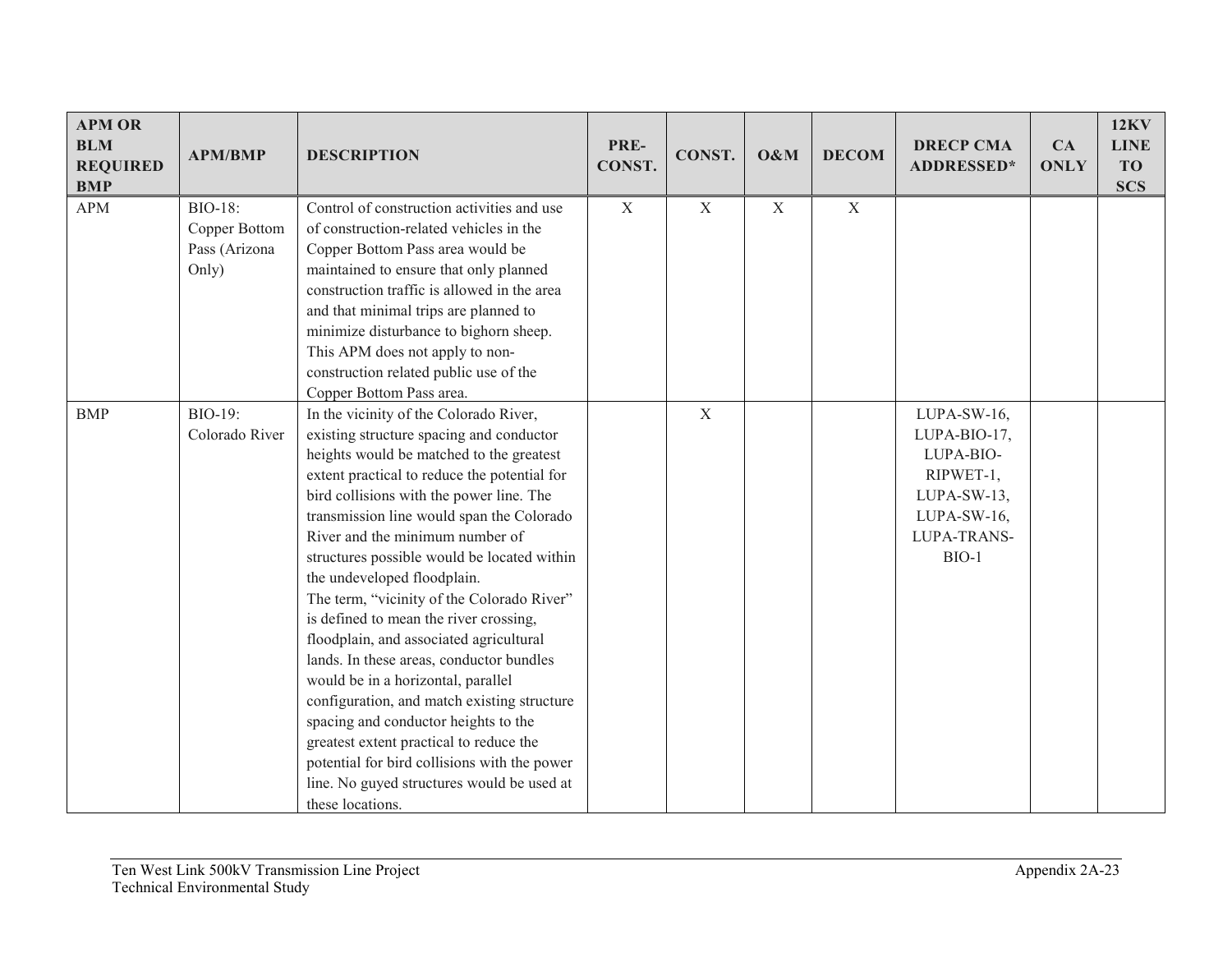| <b>APM OR</b><br><b>BLM</b><br><b>REQUIRED</b><br><b>BMP</b> | <b>APM/BMP</b>                                            | <b>DESCRIPTION</b>                                                                                                                                                                                                                                                                                                                                                                                                                                                                                                                                                                                                                                                                                                                                                                                                                                                | PRE-<br><b>CONST.</b> | <b>CONST.</b> | O&M         | <b>DECOM</b> | <b>DRECP CMA</b><br><b>ADDRESSED*</b>                                                                         | CA<br><b>ONLY</b> | <b>12KV</b><br><b>LINE</b><br>TO<br><b>SCS</b> |
|--------------------------------------------------------------|-----------------------------------------------------------|-------------------------------------------------------------------------------------------------------------------------------------------------------------------------------------------------------------------------------------------------------------------------------------------------------------------------------------------------------------------------------------------------------------------------------------------------------------------------------------------------------------------------------------------------------------------------------------------------------------------------------------------------------------------------------------------------------------------------------------------------------------------------------------------------------------------------------------------------------------------|-----------------------|---------------|-------------|--------------|---------------------------------------------------------------------------------------------------------------|-------------------|------------------------------------------------|
| <b>APM</b>                                                   | <b>BIO-18:</b><br>Copper Bottom<br>Pass (Arizona<br>Only) | Control of construction activities and use<br>of construction-related vehicles in the<br>Copper Bottom Pass area would be<br>maintained to ensure that only planned<br>construction traffic is allowed in the area<br>and that minimal trips are planned to<br>minimize disturbance to bighorn sheep.<br>This APM does not apply to non-<br>construction related public use of the<br>Copper Bottom Pass area.                                                                                                                                                                                                                                                                                                                                                                                                                                                    | $\mathbf X$           | $\mathbf X$   | $\mathbf X$ | $\mathbf X$  |                                                                                                               |                   |                                                |
| <b>BMP</b>                                                   | BIO-19:<br>Colorado River                                 | In the vicinity of the Colorado River,<br>existing structure spacing and conductor<br>heights would be matched to the greatest<br>extent practical to reduce the potential for<br>bird collisions with the power line. The<br>transmission line would span the Colorado<br>River and the minimum number of<br>structures possible would be located within<br>the undeveloped floodplain.<br>The term, "vicinity of the Colorado River"<br>is defined to mean the river crossing,<br>floodplain, and associated agricultural<br>lands. In these areas, conductor bundles<br>would be in a horizontal, parallel<br>configuration, and match existing structure<br>spacing and conductor heights to the<br>greatest extent practical to reduce the<br>potential for bird collisions with the power<br>line. No guyed structures would be used at<br>these locations. |                       | X             |             |              | LUPA-SW-16,<br>LUPA-BIO-17,<br>LUPA-BIO-<br>RIPWET-1,<br>LUPA-SW-13,<br>LUPA-SW-16,<br>LUPA-TRANS-<br>$BIO-1$ |                   |                                                |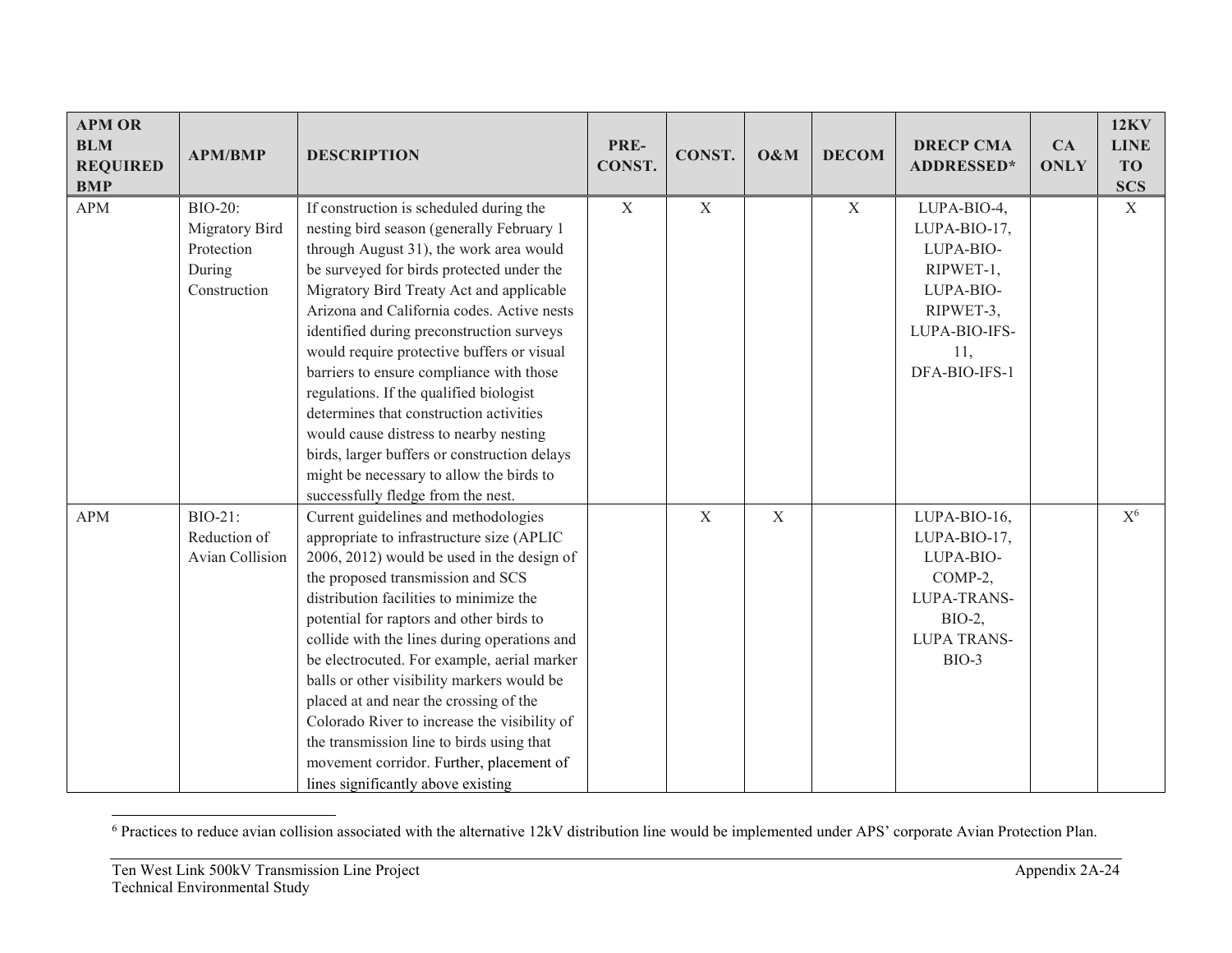| <b>APM OR</b><br><b>BLM</b><br><b>REQUIRED</b><br><b>BMP</b> | <b>APM/BMP</b>                                                           | <b>DESCRIPTION</b>                                                                                                                                                                                                                                                                                                                                                                                                                                                                                                                                                                                                                                                              | PRE-<br><b>CONST.</b> | <b>CONST.</b> | O&M         | <b>DECOM</b>     | <b>DRECP CMA</b><br><b>ADDRESSED*</b>                                                                                    | CA<br><b>ONLY</b> | <b>12KV</b><br><b>LINE</b><br><b>TO</b><br><b>SCS</b> |
|--------------------------------------------------------------|--------------------------------------------------------------------------|---------------------------------------------------------------------------------------------------------------------------------------------------------------------------------------------------------------------------------------------------------------------------------------------------------------------------------------------------------------------------------------------------------------------------------------------------------------------------------------------------------------------------------------------------------------------------------------------------------------------------------------------------------------------------------|-----------------------|---------------|-------------|------------------|--------------------------------------------------------------------------------------------------------------------------|-------------------|-------------------------------------------------------|
| <b>APM</b>                                                   | <b>BIO-20:</b><br>Migratory Bird<br>Protection<br>During<br>Construction | If construction is scheduled during the<br>nesting bird season (generally February 1<br>through August 31), the work area would<br>be surveyed for birds protected under the<br>Migratory Bird Treaty Act and applicable<br>Arizona and California codes. Active nests<br>identified during preconstruction surveys<br>would require protective buffers or visual<br>barriers to ensure compliance with those<br>regulations. If the qualified biologist<br>determines that construction activities<br>would cause distress to nearby nesting<br>birds, larger buffers or construction delays<br>might be necessary to allow the birds to<br>successfully fledge from the nest. | X                     | $\mathbf X$   |             | $\boldsymbol{X}$ | LUPA-BIO-4,<br>LUPA-BIO-17,<br>LUPA-BIO-<br>RIPWET-1,<br>LUPA-BIO-<br>RIPWET-3,<br>LUPA-BIO-IFS-<br>11,<br>DFA-BIO-IFS-1 |                   | $\mathbf X$                                           |
| <b>APM</b>                                                   | $BIO-21$ :<br>Reduction of<br><b>Avian Collision</b>                     | Current guidelines and methodologies<br>appropriate to infrastructure size (APLIC<br>2006, 2012) would be used in the design of<br>the proposed transmission and SCS<br>distribution facilities to minimize the<br>potential for raptors and other birds to<br>collide with the lines during operations and<br>be electrocuted. For example, aerial marker<br>balls or other visibility markers would be<br>placed at and near the crossing of the<br>Colorado River to increase the visibility of<br>the transmission line to birds using that<br>movement corridor. Further, placement of<br>lines significantly above existing                                               |                       | $\mathbf{X}$  | $\mathbf X$ |                  | LUPA-BIO-16,<br>LUPA-BIO-17,<br>LUPA-BIO-<br>COMP-2,<br>LUPA-TRANS-<br>$BIO-2,$<br><b>LUPA TRANS-</b><br>$BIO-3$         |                   | $X^6$                                                 |

<sup>&</sup>lt;sup>6</sup> Practices to reduce avian collision associated with the alternative 12kV distribution line would be implemented under APS' corporate Avian Protection Plan.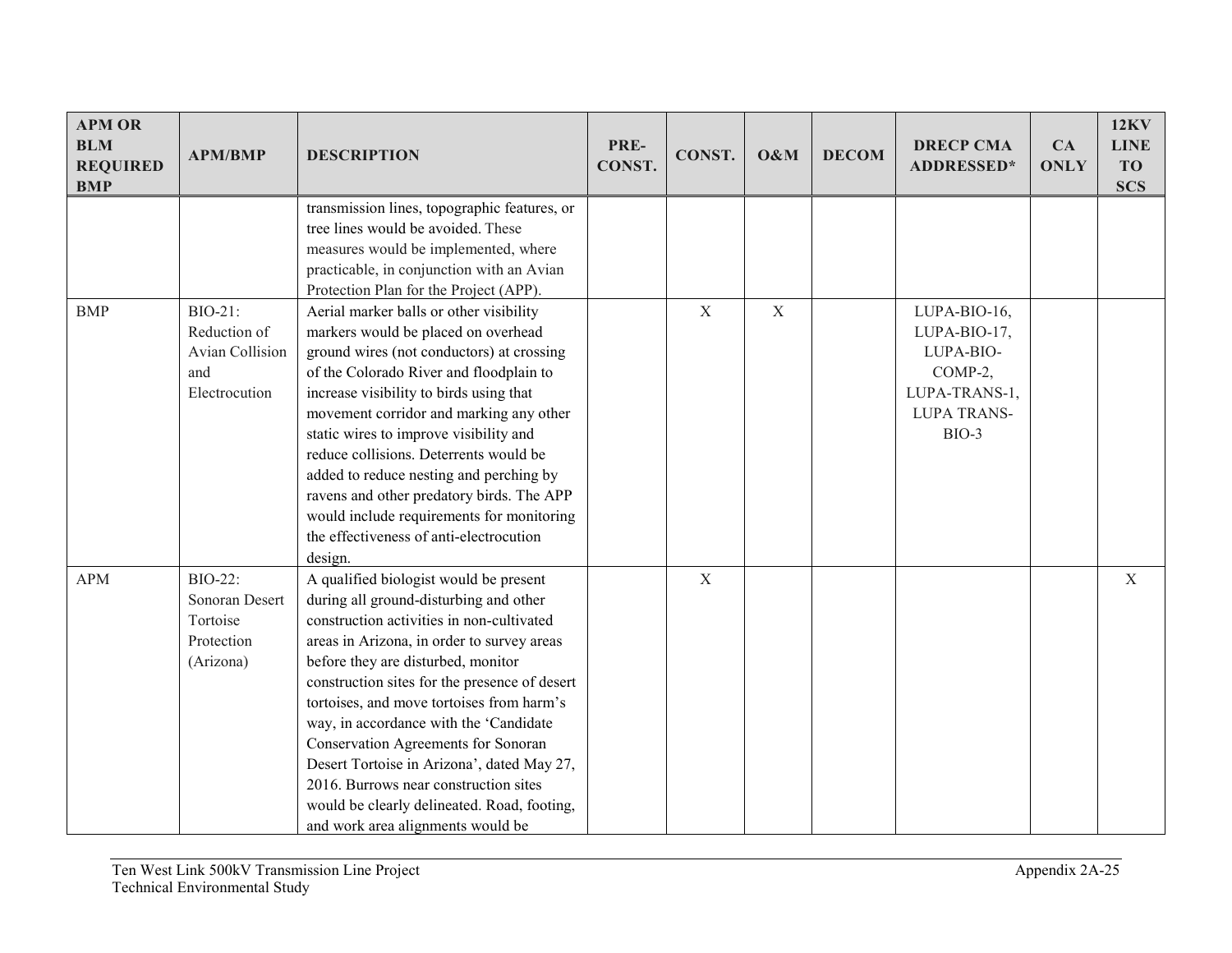| <b>APM OR</b><br><b>BLM</b><br><b>REQUIRED</b><br><b>BMP</b> | <b>APM/BMP</b>                                                          | <b>DESCRIPTION</b>                                                                                                                                                                                                                                                                                                                                                                                                                                                                                                                                                          | PRE-<br><b>CONST.</b> | <b>CONST.</b> | 0&M         | <b>DECOM</b> | <b>DRECP CMA</b><br><b>ADDRESSED*</b>                                                                  | CA<br><b>ONLY</b> | <b>12KV</b><br><b>LINE</b><br><b>TO</b><br><b>SCS</b> |
|--------------------------------------------------------------|-------------------------------------------------------------------------|-----------------------------------------------------------------------------------------------------------------------------------------------------------------------------------------------------------------------------------------------------------------------------------------------------------------------------------------------------------------------------------------------------------------------------------------------------------------------------------------------------------------------------------------------------------------------------|-----------------------|---------------|-------------|--------------|--------------------------------------------------------------------------------------------------------|-------------------|-------------------------------------------------------|
|                                                              |                                                                         | transmission lines, topographic features, or<br>tree lines would be avoided. These<br>measures would be implemented, where<br>practicable, in conjunction with an Avian<br>Protection Plan for the Project (APP).                                                                                                                                                                                                                                                                                                                                                           |                       |               |             |              |                                                                                                        |                   |                                                       |
| <b>BMP</b>                                                   | BIO-21:<br>Reduction of<br>Avian Collision<br>and<br>Electrocution      | Aerial marker balls or other visibility<br>markers would be placed on overhead<br>ground wires (not conductors) at crossing<br>of the Colorado River and floodplain to<br>increase visibility to birds using that<br>movement corridor and marking any other<br>static wires to improve visibility and<br>reduce collisions. Deterrents would be<br>added to reduce nesting and perching by<br>ravens and other predatory birds. The APP<br>would include requirements for monitoring<br>the effectiveness of anti-electrocution<br>design.                                 |                       | $\mathbf X$   | $\mathbf X$ |              | LUPA-BIO-16,<br>LUPA-BIO-17,<br>LUPA-BIO-<br>COMP-2,<br>LUPA-TRANS-1,<br><b>LUPA TRANS-</b><br>$BIO-3$ |                   |                                                       |
| <b>APM</b>                                                   | <b>BIO-22:</b><br>Sonoran Desert<br>Tortoise<br>Protection<br>(Arizona) | A qualified biologist would be present<br>during all ground-disturbing and other<br>construction activities in non-cultivated<br>areas in Arizona, in order to survey areas<br>before they are disturbed, monitor<br>construction sites for the presence of desert<br>tortoises, and move tortoises from harm's<br>way, in accordance with the 'Candidate<br>Conservation Agreements for Sonoran<br>Desert Tortoise in Arizona', dated May 27,<br>2016. Burrows near construction sites<br>would be clearly delineated. Road, footing,<br>and work area alignments would be |                       | $\mathbf X$   |             |              |                                                                                                        |                   | $\mathbf X$                                           |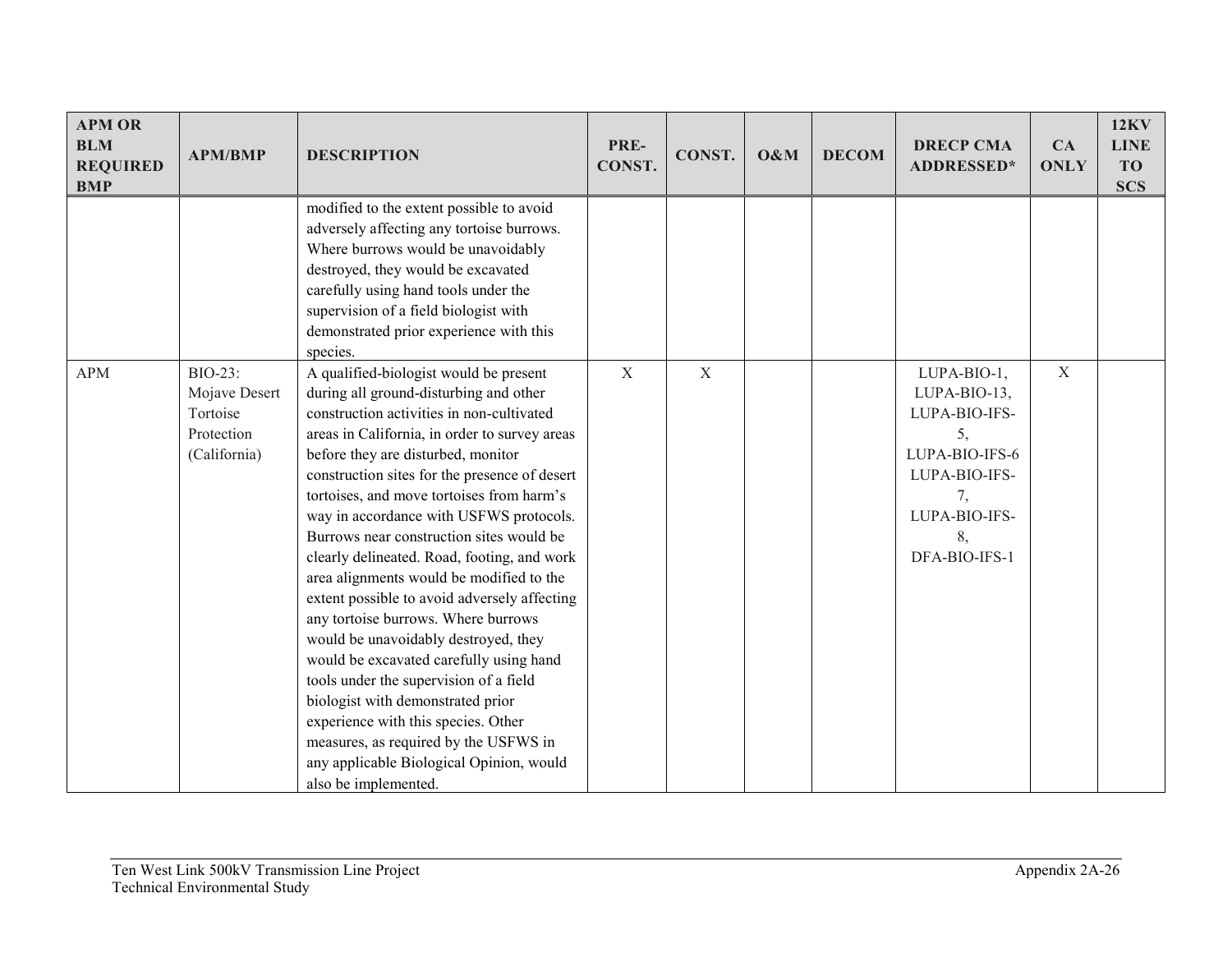| <b>APM OR</b><br><b>BLM</b><br><b>REQUIRED</b><br><b>BMP</b> | <b>APM/BMP</b>                                                            | <b>DESCRIPTION</b>                                                                                                                                                                                                                                                                                                                                                                                                                                                                                                                                                                                                                                                                                                                                                                                                                                                                                                | PRE-<br><b>CONST.</b> | <b>CONST.</b> | O&M | <b>DECOM</b> | <b>DRECP CMA</b><br><b>ADDRESSED*</b>                                                                                               | CA<br><b>ONLY</b> | <b>12KV</b><br><b>LINE</b><br>TO<br><b>SCS</b> |
|--------------------------------------------------------------|---------------------------------------------------------------------------|-------------------------------------------------------------------------------------------------------------------------------------------------------------------------------------------------------------------------------------------------------------------------------------------------------------------------------------------------------------------------------------------------------------------------------------------------------------------------------------------------------------------------------------------------------------------------------------------------------------------------------------------------------------------------------------------------------------------------------------------------------------------------------------------------------------------------------------------------------------------------------------------------------------------|-----------------------|---------------|-----|--------------|-------------------------------------------------------------------------------------------------------------------------------------|-------------------|------------------------------------------------|
|                                                              |                                                                           | modified to the extent possible to avoid<br>adversely affecting any tortoise burrows.<br>Where burrows would be unavoidably<br>destroyed, they would be excavated<br>carefully using hand tools under the<br>supervision of a field biologist with<br>demonstrated prior experience with this<br>species.                                                                                                                                                                                                                                                                                                                                                                                                                                                                                                                                                                                                         |                       |               |     |              |                                                                                                                                     |                   |                                                |
| <b>APM</b>                                                   | <b>BIO-23:</b><br>Mojave Desert<br>Tortoise<br>Protection<br>(California) | A qualified-biologist would be present<br>during all ground-disturbing and other<br>construction activities in non-cultivated<br>areas in California, in order to survey areas<br>before they are disturbed, monitor<br>construction sites for the presence of desert<br>tortoises, and move tortoises from harm's<br>way in accordance with USFWS protocols.<br>Burrows near construction sites would be<br>clearly delineated. Road, footing, and work<br>area alignments would be modified to the<br>extent possible to avoid adversely affecting<br>any tortoise burrows. Where burrows<br>would be unavoidably destroyed, they<br>would be excavated carefully using hand<br>tools under the supervision of a field<br>biologist with demonstrated prior<br>experience with this species. Other<br>measures, as required by the USFWS in<br>any applicable Biological Opinion, would<br>also be implemented. | X                     | $\mathbf X$   |     |              | LUPA-BIO-1,<br>LUPA-BIO-13,<br>LUPA-BIO-IFS-<br>5,<br>LUPA-BIO-IFS-6<br>LUPA-BIO-IFS-<br>7,<br>LUPA-BIO-IFS-<br>8,<br>DFA-BIO-IFS-1 | $\mathbf X$       |                                                |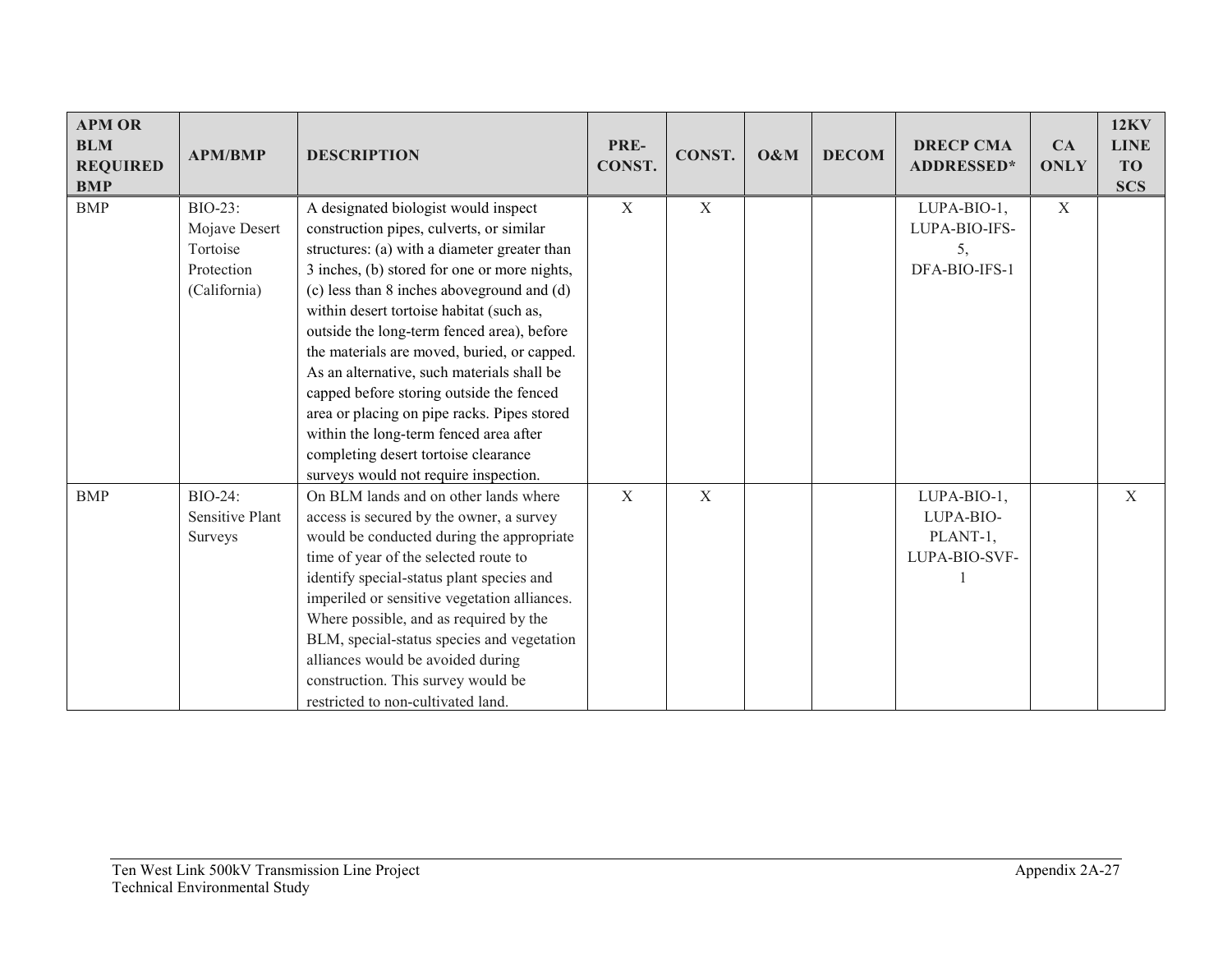| <b>APM OR</b><br><b>BLM</b><br><b>REQUIRED</b><br><b>BMP</b> | <b>APM/BMP</b>                                                       | <b>DESCRIPTION</b>                                                                                                                                                                                                                                                                                                                                                                                                                                                                                                                                                                                                                           | PRE-<br><b>CONST.</b> | <b>CONST.</b> | O&M | <b>DECOM</b> | <b>DRECP CMA</b><br><b>ADDRESSED*</b>                 | CA<br><b>ONLY</b> | <b>12KV</b><br><b>LINE</b><br><b>TO</b><br><b>SCS</b> |
|--------------------------------------------------------------|----------------------------------------------------------------------|----------------------------------------------------------------------------------------------------------------------------------------------------------------------------------------------------------------------------------------------------------------------------------------------------------------------------------------------------------------------------------------------------------------------------------------------------------------------------------------------------------------------------------------------------------------------------------------------------------------------------------------------|-----------------------|---------------|-----|--------------|-------------------------------------------------------|-------------------|-------------------------------------------------------|
| <b>BMP</b>                                                   | $BIO-23:$<br>Mojave Desert<br>Tortoise<br>Protection<br>(California) | A designated biologist would inspect<br>construction pipes, culverts, or similar<br>structures: (a) with a diameter greater than<br>3 inches, (b) stored for one or more nights,<br>(c) less than 8 inches above ground and (d)<br>within desert tortoise habitat (such as,<br>outside the long-term fenced area), before<br>the materials are moved, buried, or capped.<br>As an alternative, such materials shall be<br>capped before storing outside the fenced<br>area or placing on pipe racks. Pipes stored<br>within the long-term fenced area after<br>completing desert tortoise clearance<br>surveys would not require inspection. | X                     | $\mathbf X$   |     |              | LUPA-BIO-1,<br>LUPA-BIO-IFS-<br>5,<br>DFA-BIO-IFS-1   | $\mathbf X$       |                                                       |
| <b>BMP</b>                                                   | <b>BIO-24:</b><br>Sensitive Plant<br>Surveys                         | On BLM lands and on other lands where<br>access is secured by the owner, a survey<br>would be conducted during the appropriate<br>time of year of the selected route to<br>identify special-status plant species and<br>imperiled or sensitive vegetation alliances.<br>Where possible, and as required by the<br>BLM, special-status species and vegetation<br>alliances would be avoided during<br>construction. This survey would be<br>restricted to non-cultivated land.                                                                                                                                                                | X                     | $\mathbf X$   |     |              | LUPA-BIO-1,<br>LUPA-BIO-<br>PLANT-1,<br>LUPA-BIO-SVF- |                   | X                                                     |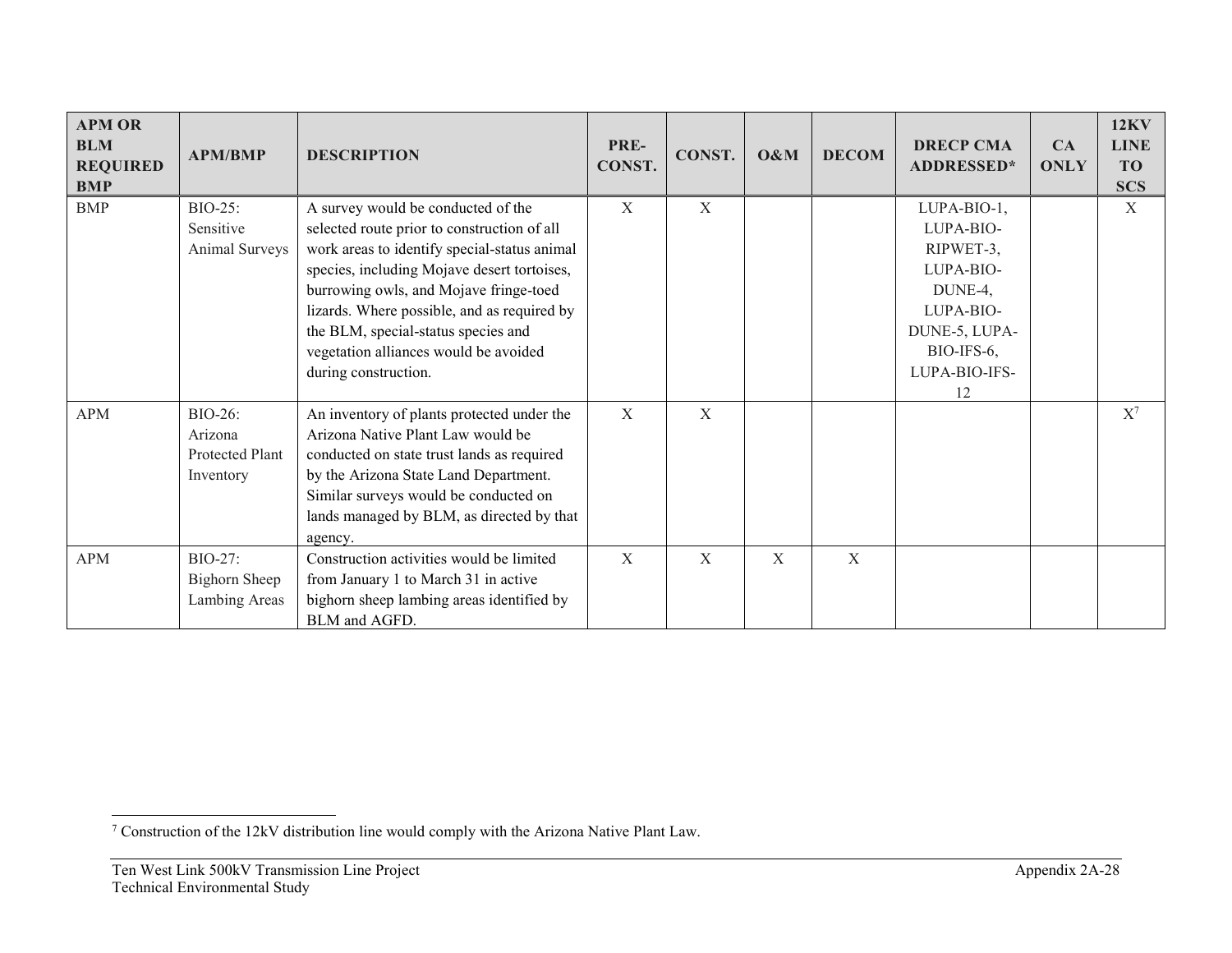| <b>APM OR</b><br><b>BLM</b><br><b>REQUIRED</b><br><b>BMP</b> | <b>APM/BMP</b>                                     | <b>DESCRIPTION</b>                                                                                                                                                                                                                                                                                                                                                                | PRE-<br><b>CONST.</b> | <b>CONST.</b> | O&M | <b>DECOM</b> | <b>DRECP CMA</b><br><b>ADDRESSED*</b>                                                                                            | CA<br><b>ONLY</b> | <b>12KV</b><br><b>LINE</b><br>T <sub>O</sub><br><b>SCS</b> |
|--------------------------------------------------------------|----------------------------------------------------|-----------------------------------------------------------------------------------------------------------------------------------------------------------------------------------------------------------------------------------------------------------------------------------------------------------------------------------------------------------------------------------|-----------------------|---------------|-----|--------------|----------------------------------------------------------------------------------------------------------------------------------|-------------------|------------------------------------------------------------|
| <b>BMP</b>                                                   | <b>BIO-25:</b><br>Sensitive<br>Animal Surveys      | A survey would be conducted of the<br>selected route prior to construction of all<br>work areas to identify special-status animal<br>species, including Mojave desert tortoises,<br>burrowing owls, and Mojave fringe-toed<br>lizards. Where possible, and as required by<br>the BLM, special-status species and<br>vegetation alliances would be avoided<br>during construction. | X                     | $\mathbf X$   |     |              | LUPA-BIO-1,<br>LUPA-BIO-<br>RIPWET-3,<br>LUPA-BIO-<br>DUNE-4,<br>LUPA-BIO-<br>DUNE-5, LUPA-<br>BIO-IFS-6,<br>LUPA-BIO-IFS-<br>12 |                   | X                                                          |
| <b>APM</b>                                                   | BIO-26:<br>Arizona<br>Protected Plant<br>Inventory | An inventory of plants protected under the<br>Arizona Native Plant Law would be<br>conducted on state trust lands as required<br>by the Arizona State Land Department.<br>Similar surveys would be conducted on<br>lands managed by BLM, as directed by that<br>agency.                                                                                                           | X                     | $\mathbf X$   |     |              |                                                                                                                                  |                   | $X^7$                                                      |
| <b>APM</b>                                                   | $BIO-27$ :<br>Bighorn Sheep<br>Lambing Areas       | Construction activities would be limited<br>from January 1 to March 31 in active<br>bighorn sheep lambing areas identified by<br>BLM and AGFD.                                                                                                                                                                                                                                    | X                     | $\mathbf X$   | X   | X            |                                                                                                                                  |                   |                                                            |

 <sup>7</sup> Construction of the 12kV distribution line would comply with the Arizona Native Plant Law.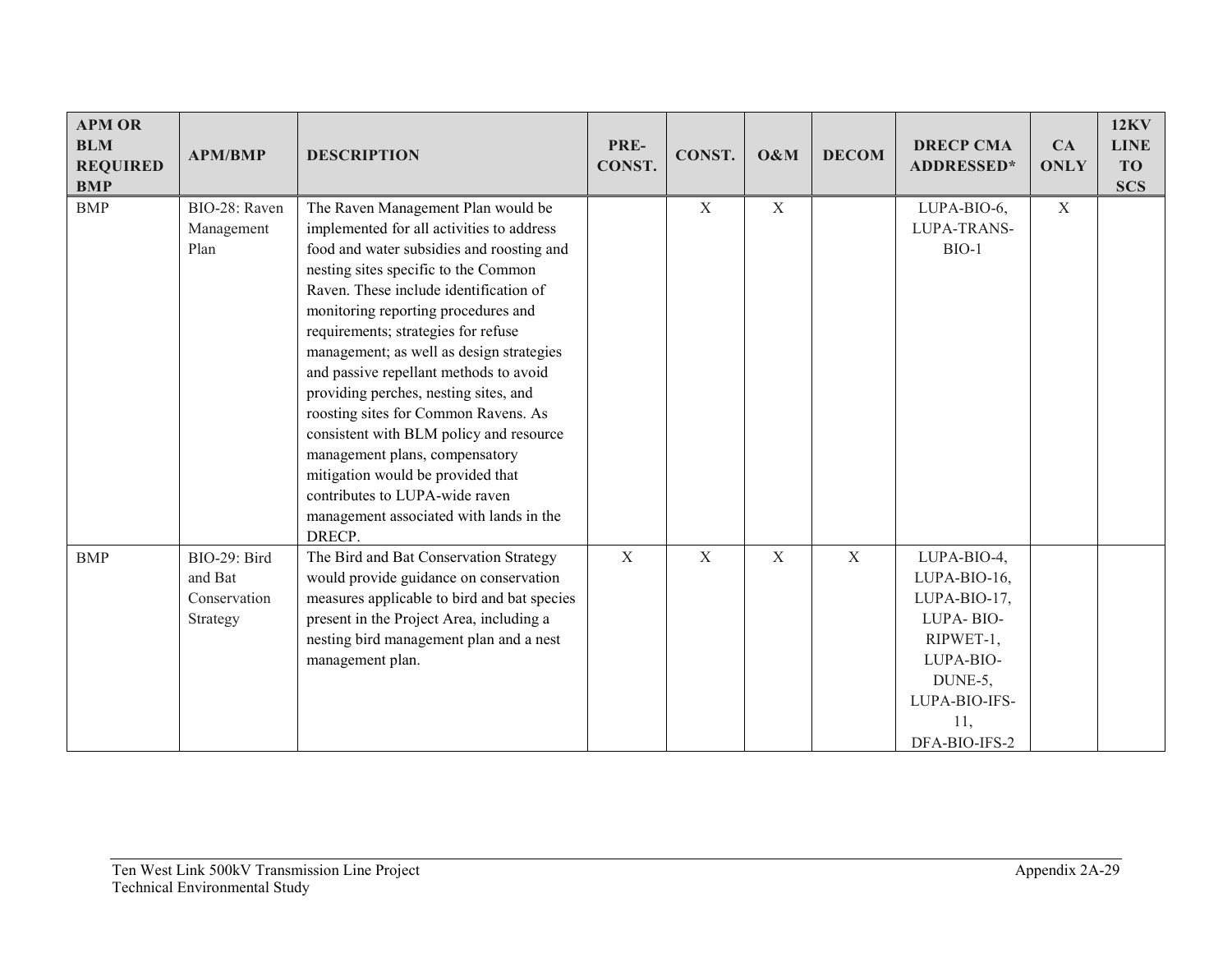| <b>APM OR</b><br><b>BLM</b><br><b>REQUIRED</b><br><b>BMP</b> | <b>APM/BMP</b>                                      | <b>DESCRIPTION</b>                                                                                                                                                                                                                                                                                                                                                                                                                                                                                                                                                                                                                                                           | PRE-<br><b>CONST.</b> | <b>CONST.</b>             | O&M         | <b>DECOM</b> | <b>DRECP CMA</b><br><b>ADDRESSED*</b>                                                                                                  | CA<br><b>ONLY</b> | <b>12KV</b><br><b>LINE</b><br><b>TO</b><br><b>SCS</b> |
|--------------------------------------------------------------|-----------------------------------------------------|------------------------------------------------------------------------------------------------------------------------------------------------------------------------------------------------------------------------------------------------------------------------------------------------------------------------------------------------------------------------------------------------------------------------------------------------------------------------------------------------------------------------------------------------------------------------------------------------------------------------------------------------------------------------------|-----------------------|---------------------------|-------------|--------------|----------------------------------------------------------------------------------------------------------------------------------------|-------------------|-------------------------------------------------------|
| <b>BMP</b>                                                   | BIO-28: Raven<br>Management<br>Plan                 | The Raven Management Plan would be<br>implemented for all activities to address<br>food and water subsidies and roosting and<br>nesting sites specific to the Common<br>Raven. These include identification of<br>monitoring reporting procedures and<br>requirements; strategies for refuse<br>management; as well as design strategies<br>and passive repellant methods to avoid<br>providing perches, nesting sites, and<br>roosting sites for Common Ravens. As<br>consistent with BLM policy and resource<br>management plans, compensatory<br>mitigation would be provided that<br>contributes to LUPA-wide raven<br>management associated with lands in the<br>DRECP. |                       | X                         | $\mathbf X$ |              | LUPA-BIO-6,<br>LUPA-TRANS-<br>$BIO-1$                                                                                                  | $\mathbf X$       |                                                       |
| <b>BMP</b>                                                   | BIO-29: Bird<br>and Bat<br>Conservation<br>Strategy | The Bird and Bat Conservation Strategy<br>would provide guidance on conservation<br>measures applicable to bird and bat species<br>present in the Project Area, including a<br>nesting bird management plan and a nest<br>management plan.                                                                                                                                                                                                                                                                                                                                                                                                                                   | X                     | $\boldsymbol{\mathrm{X}}$ | $\mathbf X$ | $\mathbf X$  | LUPA-BIO-4,<br>LUPA-BIO-16,<br>LUPA-BIO-17,<br>LUPA-BIO-<br>RIPWET-1,<br>LUPA-BIO-<br>DUNE-5,<br>LUPA-BIO-IFS-<br>11,<br>DFA-BIO-IFS-2 |                   |                                                       |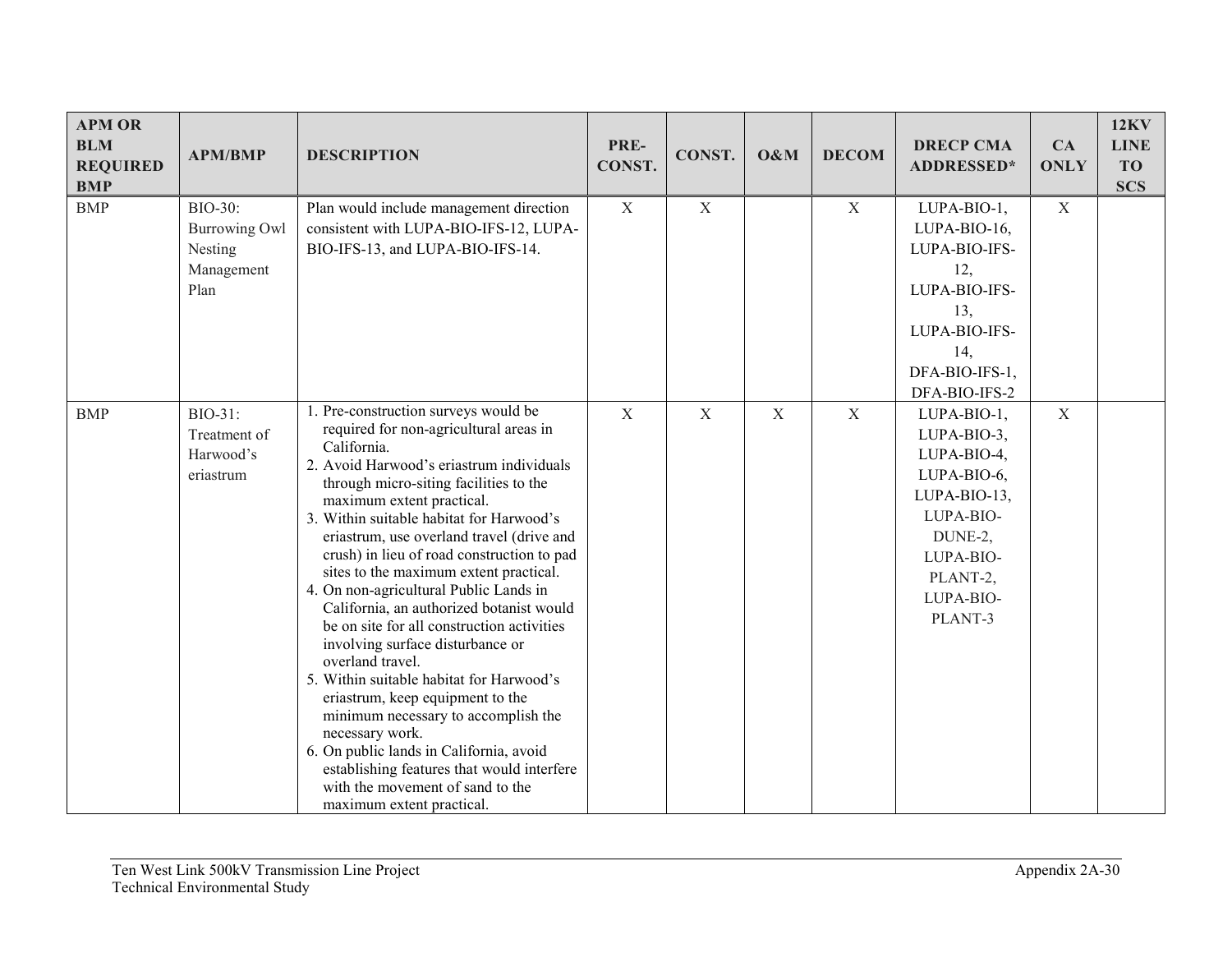| <b>APM OR</b><br><b>BLM</b><br><b>REQUIRED</b><br><b>BMP</b> | <b>APM/BMP</b>                                                          | <b>DESCRIPTION</b>                                                                                                                                                                                                                                                                                                                                                                                                                                                                                                                                                                                                                                                                                                                                                                                                                                                                                | PRE-<br><b>CONST.</b> | CONST.      | O&M         | <b>DECOM</b> | <b>DRECP CMA</b><br><b>ADDRESSED*</b>                                                                                                             | CA<br><b>ONLY</b> | <b>12KV</b><br><b>LINE</b><br><b>TO</b><br><b>SCS</b> |
|--------------------------------------------------------------|-------------------------------------------------------------------------|---------------------------------------------------------------------------------------------------------------------------------------------------------------------------------------------------------------------------------------------------------------------------------------------------------------------------------------------------------------------------------------------------------------------------------------------------------------------------------------------------------------------------------------------------------------------------------------------------------------------------------------------------------------------------------------------------------------------------------------------------------------------------------------------------------------------------------------------------------------------------------------------------|-----------------------|-------------|-------------|--------------|---------------------------------------------------------------------------------------------------------------------------------------------------|-------------------|-------------------------------------------------------|
| <b>BMP</b>                                                   | <b>BIO-30:</b><br><b>Burrowing Owl</b><br>Nesting<br>Management<br>Plan | Plan would include management direction<br>consistent with LUPA-BIO-IFS-12, LUPA-<br>BIO-IFS-13, and LUPA-BIO-IFS-14.                                                                                                                                                                                                                                                                                                                                                                                                                                                                                                                                                                                                                                                                                                                                                                             | X                     | $\mathbf X$ |             | $\mathbf X$  | LUPA-BIO-1,<br>LUPA-BIO-16,<br>LUPA-BIO-IFS-<br>12,<br>LUPA-BIO-IFS-<br>13,<br>LUPA-BIO-IFS-<br>14,<br>DFA-BIO-IFS-1,<br>DFA-BIO-IFS-2            | $\mathbf X$       |                                                       |
| <b>BMP</b>                                                   | BIO-31:<br>Treatment of<br>Harwood's<br>eriastrum                       | 1. Pre-construction surveys would be<br>required for non-agricultural areas in<br>California.<br>2. Avoid Harwood's eriastrum individuals<br>through micro-siting facilities to the<br>maximum extent practical.<br>3. Within suitable habitat for Harwood's<br>eriastrum, use overland travel (drive and<br>crush) in lieu of road construction to pad<br>sites to the maximum extent practical.<br>4. On non-agricultural Public Lands in<br>California, an authorized botanist would<br>be on site for all construction activities<br>involving surface disturbance or<br>overland travel.<br>5. Within suitable habitat for Harwood's<br>eriastrum, keep equipment to the<br>minimum necessary to accomplish the<br>necessary work.<br>6. On public lands in California, avoid<br>establishing features that would interfere<br>with the movement of sand to the<br>maximum extent practical. | X                     | $\mathbf X$ | $\mathbf X$ | $\mathbf X$  | LUPA-BIO-1,<br>LUPA-BIO-3,<br>LUPA-BIO-4,<br>LUPA-BIO-6,<br>LUPA-BIO-13,<br>LUPA-BIO-<br>DUNE-2,<br>LUPA-BIO-<br>PLANT-2,<br>LUPA-BIO-<br>PLANT-3 | X                 |                                                       |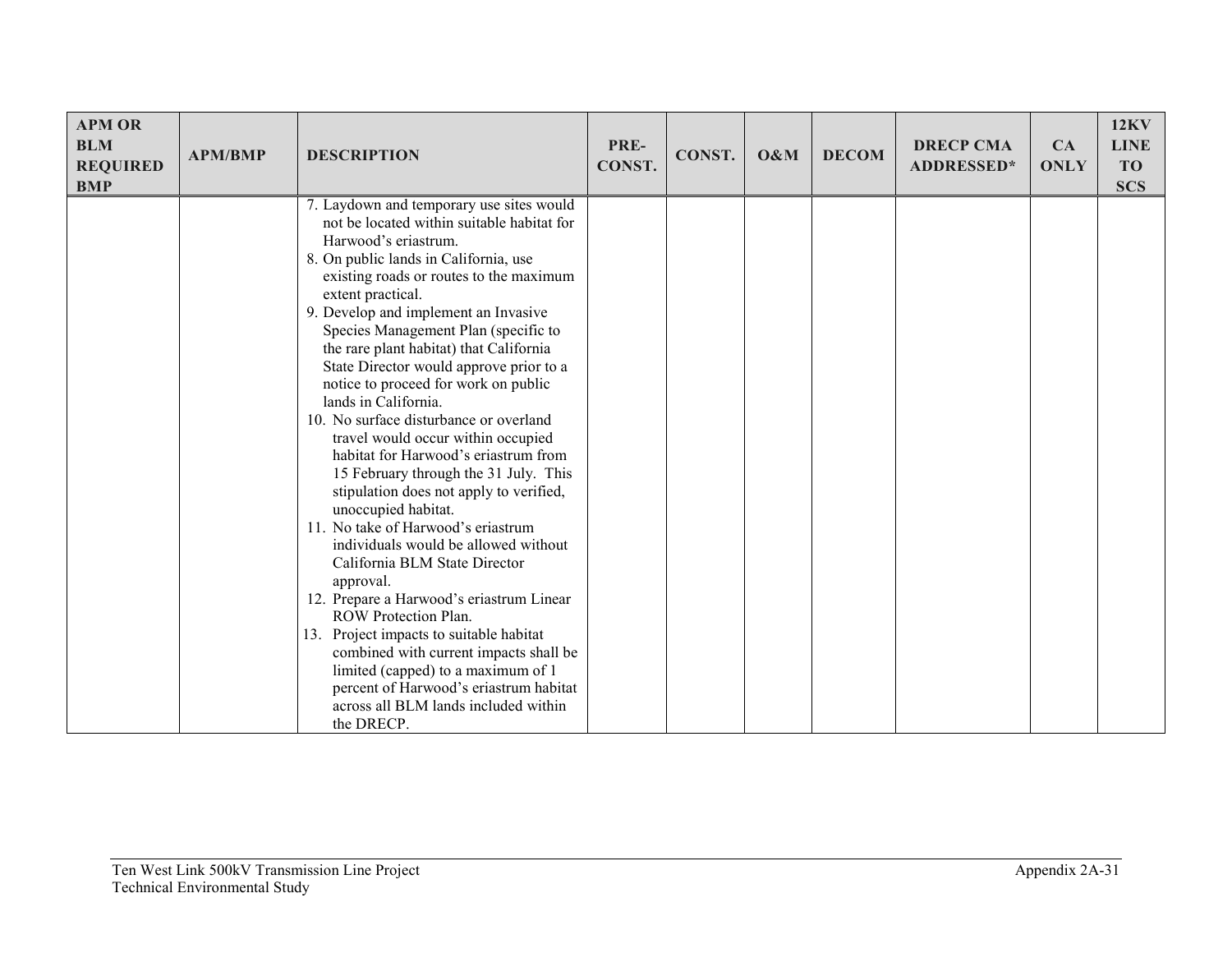| <b>APM OR</b><br><b>BLM</b><br><b>REQUIRED</b><br><b>BMP</b> | <b>APM/BMP</b> | <b>DESCRIPTION</b>                                                                                                                                                                                                                                                                                                                                                                                                                                                                                                                                                                                                                                                                                                                                                                                                                                                                                                                                                                                                                                                                                                          | PRE-<br><b>CONST.</b> | <b>CONST.</b> | 0&M | <b>DECOM</b> | <b>DRECP CMA</b><br><b>ADDRESSED*</b> | CA<br><b>ONLY</b> | <b>12KV</b><br><b>LINE</b><br><b>TO</b><br><b>SCS</b> |
|--------------------------------------------------------------|----------------|-----------------------------------------------------------------------------------------------------------------------------------------------------------------------------------------------------------------------------------------------------------------------------------------------------------------------------------------------------------------------------------------------------------------------------------------------------------------------------------------------------------------------------------------------------------------------------------------------------------------------------------------------------------------------------------------------------------------------------------------------------------------------------------------------------------------------------------------------------------------------------------------------------------------------------------------------------------------------------------------------------------------------------------------------------------------------------------------------------------------------------|-----------------------|---------------|-----|--------------|---------------------------------------|-------------------|-------------------------------------------------------|
|                                                              |                | 7. Laydown and temporary use sites would<br>not be located within suitable habitat for<br>Harwood's eriastrum.<br>8. On public lands in California, use<br>existing roads or routes to the maximum<br>extent practical.<br>9. Develop and implement an Invasive<br>Species Management Plan (specific to<br>the rare plant habitat) that California<br>State Director would approve prior to a<br>notice to proceed for work on public<br>lands in California.<br>10. No surface disturbance or overland<br>travel would occur within occupied<br>habitat for Harwood's eriastrum from<br>15 February through the 31 July. This<br>stipulation does not apply to verified,<br>unoccupied habitat.<br>11. No take of Harwood's eriastrum<br>individuals would be allowed without<br>California BLM State Director<br>approval.<br>12. Prepare a Harwood's eriastrum Linear<br>ROW Protection Plan.<br>13. Project impacts to suitable habitat<br>combined with current impacts shall be<br>limited (capped) to a maximum of 1<br>percent of Harwood's eriastrum habitat<br>across all BLM lands included within<br>the DRECP. |                       |               |     |              |                                       |                   |                                                       |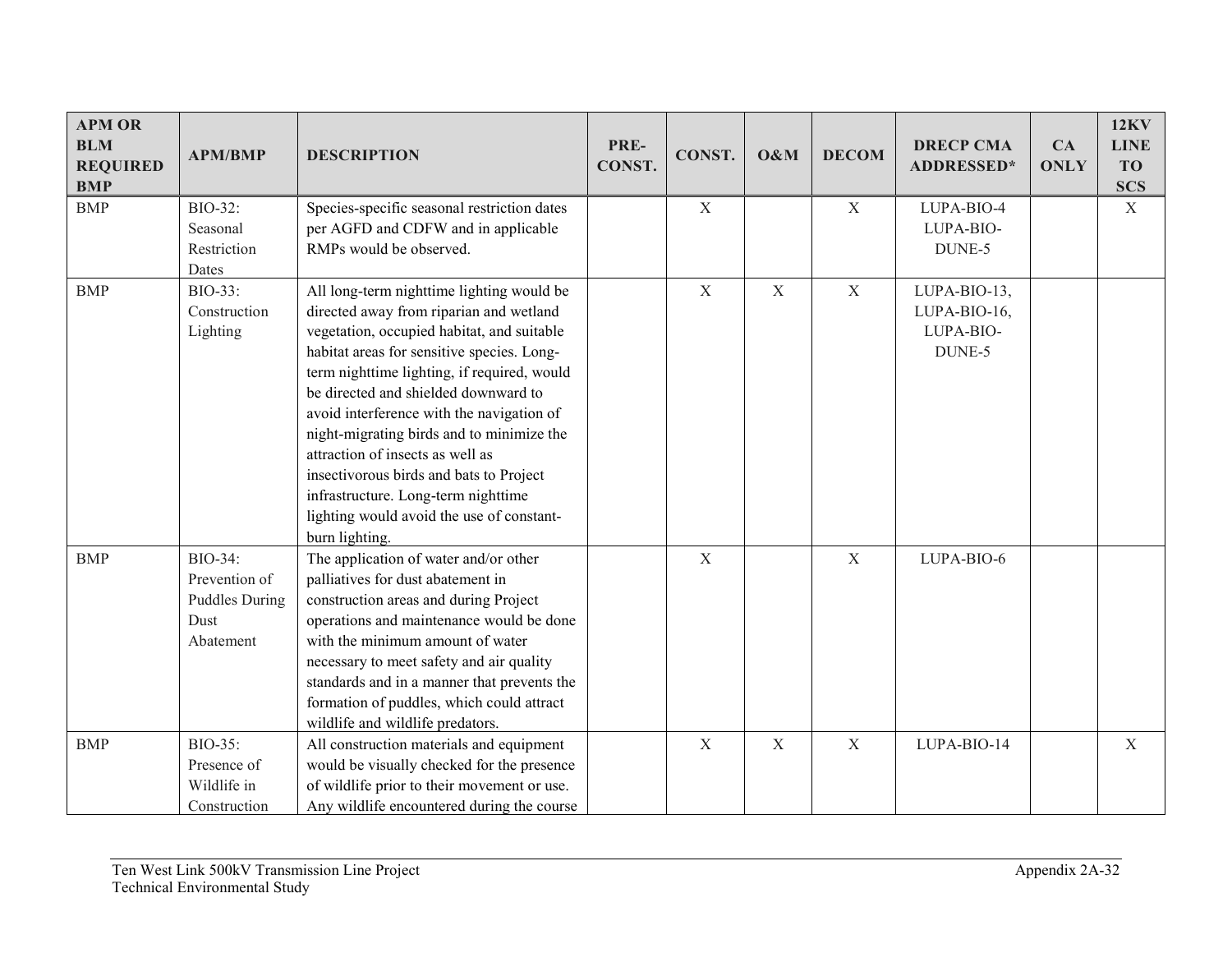| <b>APM OR</b><br><b>BLM</b><br><b>REQUIRED</b><br><b>BMP</b> | <b>APM/BMP</b>                                                         | <b>DESCRIPTION</b>                                                                                                                                                                                                                                                                                                                                                                                                                                                                                                                                     | PRE-<br>CONST. | <b>CONST.</b> | O&M         | <b>DECOM</b> | <b>DRECP CMA</b><br><b>ADDRESSED*</b>               | CA<br><b>ONLY</b> | <b>12KV</b><br><b>LINE</b><br><b>TO</b><br><b>SCS</b> |
|--------------------------------------------------------------|------------------------------------------------------------------------|--------------------------------------------------------------------------------------------------------------------------------------------------------------------------------------------------------------------------------------------------------------------------------------------------------------------------------------------------------------------------------------------------------------------------------------------------------------------------------------------------------------------------------------------------------|----------------|---------------|-------------|--------------|-----------------------------------------------------|-------------------|-------------------------------------------------------|
| <b>BMP</b>                                                   | <b>BIO-32:</b><br>Seasonal<br>Restriction<br>Dates                     | Species-specific seasonal restriction dates<br>per AGFD and CDFW and in applicable<br>RMPs would be observed.                                                                                                                                                                                                                                                                                                                                                                                                                                          |                | X             |             | $\mathbf X$  | LUPA-BIO-4<br>LUPA-BIO-<br>DUNE-5                   |                   | X                                                     |
| <b>BMP</b>                                                   | BIO-33:<br>Construction<br>Lighting                                    | All long-term nighttime lighting would be<br>directed away from riparian and wetland<br>vegetation, occupied habitat, and suitable<br>habitat areas for sensitive species. Long-<br>term nighttime lighting, if required, would<br>be directed and shielded downward to<br>avoid interference with the navigation of<br>night-migrating birds and to minimize the<br>attraction of insects as well as<br>insectivorous birds and bats to Project<br>infrastructure. Long-term nighttime<br>lighting would avoid the use of constant-<br>burn lighting. |                | $\mathbf X$   | $\mathbf X$ | $\mathbf X$  | LUPA-BIO-13,<br>LUPA-BIO-16,<br>LUPA-BIO-<br>DUNE-5 |                   |                                                       |
| <b>BMP</b>                                                   | BIO-34:<br>Prevention of<br><b>Puddles During</b><br>Dust<br>Abatement | The application of water and/or other<br>palliatives for dust abatement in<br>construction areas and during Project<br>operations and maintenance would be done<br>with the minimum amount of water<br>necessary to meet safety and air quality<br>standards and in a manner that prevents the<br>formation of puddles, which could attract<br>wildlife and wildlife predators.                                                                                                                                                                        |                | $\mathbf{X}$  |             | $\mathbf X$  | LUPA-BIO-6                                          |                   |                                                       |
| <b>BMP</b>                                                   | <b>BIO-35:</b><br>Presence of<br>Wildlife in<br>Construction           | All construction materials and equipment<br>would be visually checked for the presence<br>of wildlife prior to their movement or use.<br>Any wildlife encountered during the course                                                                                                                                                                                                                                                                                                                                                                    |                | $\mathbf X$   | $\mathbf X$ | $\mathbf X$  | LUPA-BIO-14                                         |                   | $\mathbf X$                                           |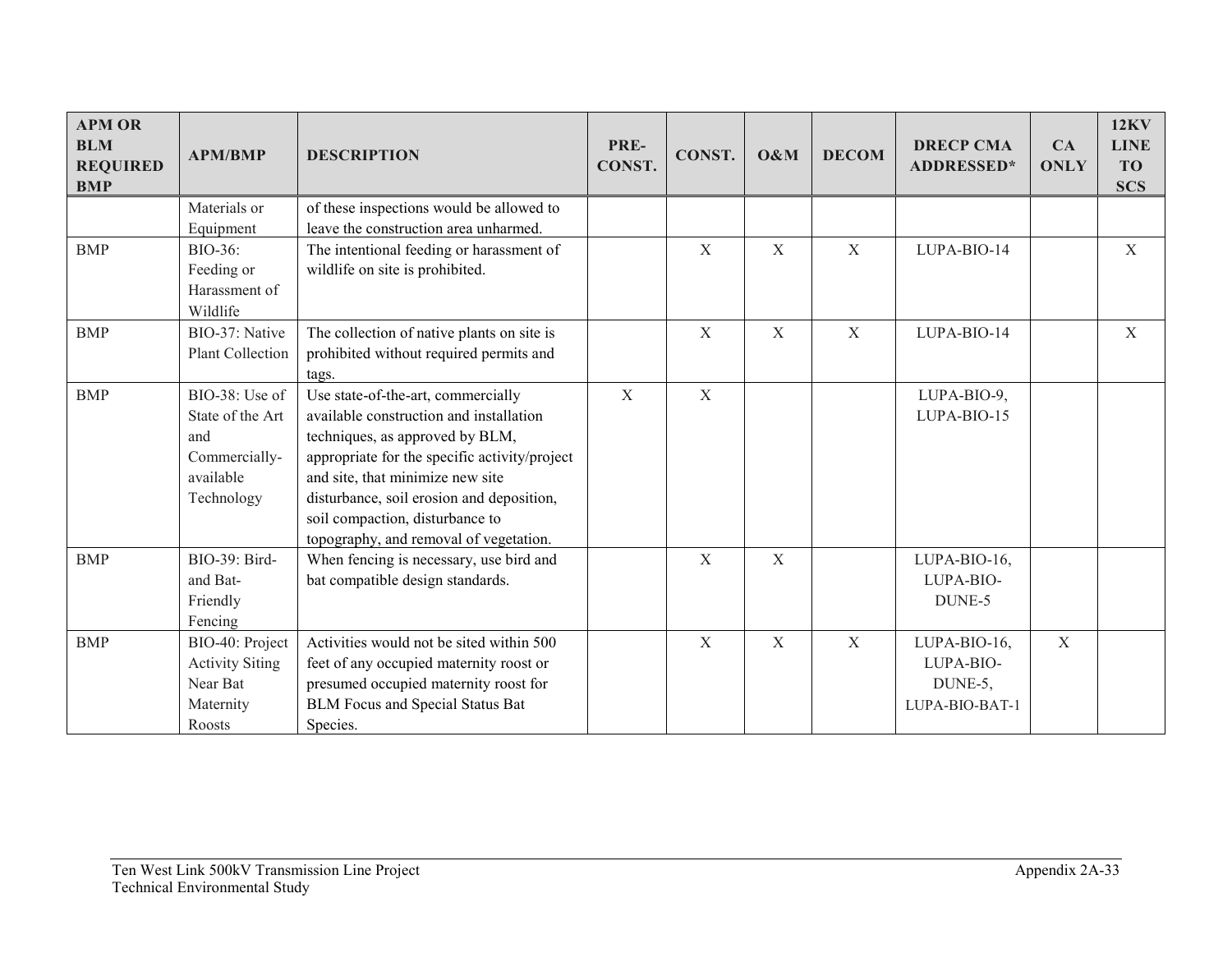| <b>APM OR</b><br><b>BLM</b><br><b>REQUIRED</b><br><b>BMP</b> | <b>APM/BMP</b>                                                                        | <b>DESCRIPTION</b>                                                                                                                                                                                                                                                                                                              | PRE-<br><b>CONST.</b> | <b>CONST.</b>             | O&M              | <b>DECOM</b> | <b>DRECP CMA</b><br><b>ADDRESSED*</b>                  | CA<br><b>ONLY</b> | <b>12KV</b><br><b>LINE</b><br>TO<br><b>SCS</b> |
|--------------------------------------------------------------|---------------------------------------------------------------------------------------|---------------------------------------------------------------------------------------------------------------------------------------------------------------------------------------------------------------------------------------------------------------------------------------------------------------------------------|-----------------------|---------------------------|------------------|--------------|--------------------------------------------------------|-------------------|------------------------------------------------|
|                                                              | Materials or                                                                          | of these inspections would be allowed to                                                                                                                                                                                                                                                                                        |                       |                           |                  |              |                                                        |                   |                                                |
| <b>BMP</b>                                                   | Equipment<br>BIO-36:<br>Feeding or<br>Harassment of<br>Wildlife                       | leave the construction area unharmed.<br>The intentional feeding or harassment of<br>wildlife on site is prohibited.                                                                                                                                                                                                            |                       | $\mathbf X$               | $\mathbf X$      | $\mathbf X$  | LUPA-BIO-14                                            |                   | $\mathbf X$                                    |
| <b>BMP</b>                                                   | BIO-37: Native<br>Plant Collection                                                    | The collection of native plants on site is<br>prohibited without required permits and<br>tags.                                                                                                                                                                                                                                  |                       | $\mathbf X$               | $\mathbf X$      | $\mathbf X$  | LUPA-BIO-14                                            |                   | $\mathbf X$                                    |
| <b>BMP</b>                                                   | BIO-38: Use of<br>State of the Art<br>and<br>Commercially-<br>available<br>Technology | Use state-of-the-art, commercially<br>available construction and installation<br>techniques, as approved by BLM,<br>appropriate for the specific activity/project<br>and site, that minimize new site<br>disturbance, soil erosion and deposition,<br>soil compaction, disturbance to<br>topography, and removal of vegetation. | $\mathbf{X}$          | $\mathbf X$               |                  |              | LUPA-BIO-9,<br>LUPA-BIO-15                             |                   |                                                |
| <b>BMP</b>                                                   | BIO-39: Bird-<br>and Bat-<br>Friendly<br>Fencing                                      | When fencing is necessary, use bird and<br>bat compatible design standards.                                                                                                                                                                                                                                                     |                       | $\boldsymbol{\mathrm{X}}$ | $\boldsymbol{X}$ |              | LUPA-BIO-16,<br>LUPA-BIO-<br>DUNE-5                    |                   |                                                |
| <b>BMP</b>                                                   | BIO-40: Project<br><b>Activity Siting</b><br>Near Bat<br>Maternity<br>Roosts          | Activities would not be sited within 500<br>feet of any occupied maternity roost or<br>presumed occupied maternity roost for<br><b>BLM Focus and Special Status Bat</b><br>Species.                                                                                                                                             |                       | $\overline{X}$            | $\mathbf X$      | X            | LUPA-BIO-16,<br>LUPA-BIO-<br>DUNE-5,<br>LUPA-BIO-BAT-1 | $\mathbf{X}$      |                                                |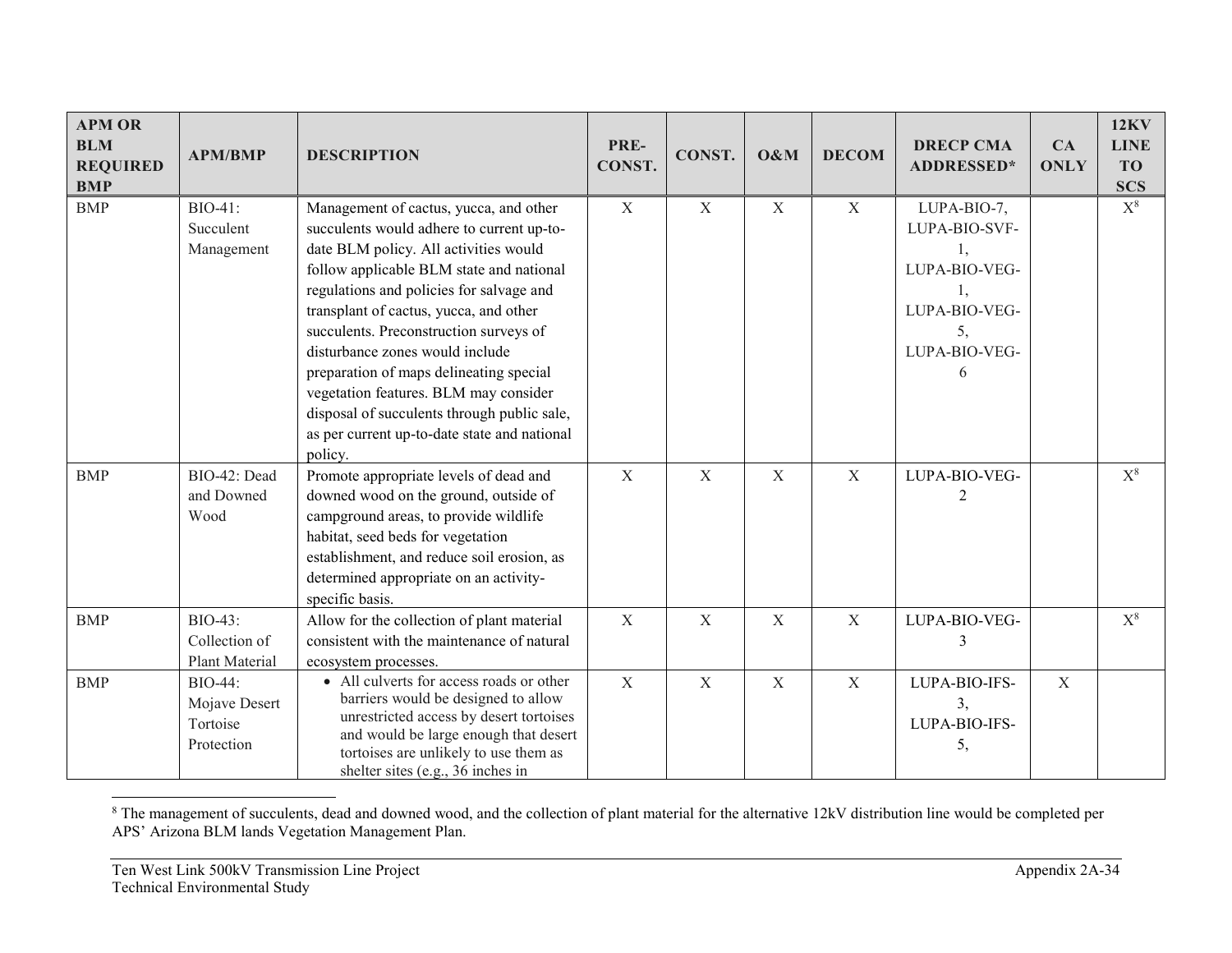| <b>APM OR</b><br><b>BLM</b><br><b>REQUIRED</b><br><b>BMP</b> | <b>APM/BMP</b>                                            | <b>DESCRIPTION</b>                                                                                                                                                                                                                                                                                                                                                                                                                                                                                                                        | PRE-<br><b>CONST.</b> | <b>CONST.</b> | O&M         | <b>DECOM</b> | <b>DRECP CMA</b><br><b>ADDRESSED*</b>                                                                  | CA<br><b>ONLY</b> | <b>12KV</b><br><b>LINE</b><br>TO<br><b>SCS</b> |
|--------------------------------------------------------------|-----------------------------------------------------------|-------------------------------------------------------------------------------------------------------------------------------------------------------------------------------------------------------------------------------------------------------------------------------------------------------------------------------------------------------------------------------------------------------------------------------------------------------------------------------------------------------------------------------------------|-----------------------|---------------|-------------|--------------|--------------------------------------------------------------------------------------------------------|-------------------|------------------------------------------------|
| <b>BMP</b>                                                   | BIO-41:<br>Succulent<br>Management                        | Management of cactus, yucca, and other<br>succulents would adhere to current up-to-<br>date BLM policy. All activities would<br>follow applicable BLM state and national<br>regulations and policies for salvage and<br>transplant of cactus, yucca, and other<br>succulents. Preconstruction surveys of<br>disturbance zones would include<br>preparation of maps delineating special<br>vegetation features. BLM may consider<br>disposal of succulents through public sale,<br>as per current up-to-date state and national<br>policy. | X                     | $\mathbf X$   | $\mathbf X$ | $\mathbf X$  | LUPA-BIO-7,<br>LUPA-BIO-SVF-<br>1.<br>LUPA-BIO-VEG-<br>1.<br>LUPA-BIO-VEG-<br>5,<br>LUPA-BIO-VEG-<br>6 |                   | $X^8$                                          |
| <b>BMP</b>                                                   | BIO-42: Dead<br>and Downed<br>Wood                        | Promote appropriate levels of dead and<br>downed wood on the ground, outside of<br>campground areas, to provide wildlife<br>habitat, seed beds for vegetation<br>establishment, and reduce soil erosion, as<br>determined appropriate on an activity-<br>specific basis.                                                                                                                                                                                                                                                                  | $\mathbf{X}$          | X             | $\mathbf X$ | $\mathbf X$  | LUPA-BIO-VEG-<br>2                                                                                     |                   | $X^8$                                          |
| <b>BMP</b>                                                   | <b>BIO-43:</b><br>Collection of<br>Plant Material         | Allow for the collection of plant material<br>consistent with the maintenance of natural<br>ecosystem processes.                                                                                                                                                                                                                                                                                                                                                                                                                          | $\mathbf X$           | $\mathbf X$   | $\mathbf X$ | $\mathbf X$  | LUPA-BIO-VEG-<br>3                                                                                     |                   | $\mathrm{X}^8$                                 |
| <b>BMP</b>                                                   | <b>BIO-44:</b><br>Mojave Desert<br>Tortoise<br>Protection | • All culverts for access roads or other<br>barriers would be designed to allow<br>unrestricted access by desert tortoises<br>and would be large enough that desert<br>tortoises are unlikely to use them as<br>shelter sites (e.g., 36 inches in                                                                                                                                                                                                                                                                                         | $\mathbf X$           | $\mathbf X$   | $\mathbf X$ | $\mathbf X$  | LUPA-BIO-IFS-<br>3,<br>LUPA-BIO-IFS-<br>5,                                                             | $\mathbf X$       |                                                |

 $\frac{8}{8}$  The management of succulents, dead and downed wood, and the collection of plant material for the alternative 12kV distribution line would be completed per APS' Arizona BLM lands Vegetation Management Plan.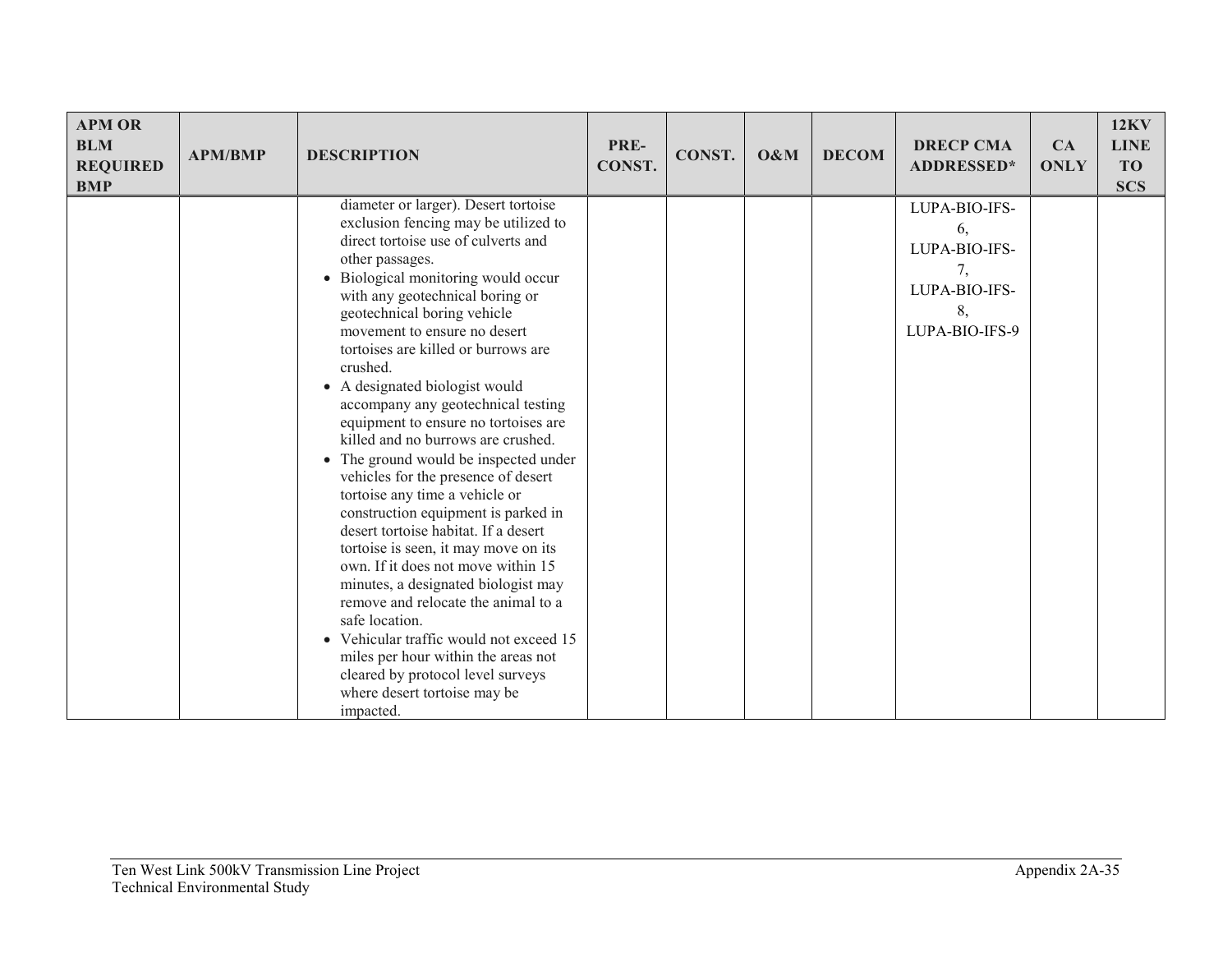| <b>APM OR</b><br><b>BLM</b><br><b>REQUIRED</b><br><b>BMP</b> | <b>APM/BMP</b> | <b>DESCRIPTION</b>                                                                                                                                                                                                                                                                                                                                                                                                                                                                                                                                                                                                                                                                                                                                                                                                                                                                                                                                                                                                                                 | PRE-<br><b>CONST.</b> | <b>CONST.</b> | O&M | <b>DECOM</b> | <b>DRECP CMA</b><br><b>ADDRESSED*</b>                                               | CA<br><b>ONLY</b> | <b>12KV</b><br><b>LINE</b><br><b>TO</b><br><b>SCS</b> |
|--------------------------------------------------------------|----------------|----------------------------------------------------------------------------------------------------------------------------------------------------------------------------------------------------------------------------------------------------------------------------------------------------------------------------------------------------------------------------------------------------------------------------------------------------------------------------------------------------------------------------------------------------------------------------------------------------------------------------------------------------------------------------------------------------------------------------------------------------------------------------------------------------------------------------------------------------------------------------------------------------------------------------------------------------------------------------------------------------------------------------------------------------|-----------------------|---------------|-----|--------------|-------------------------------------------------------------------------------------|-------------------|-------------------------------------------------------|
|                                                              |                | diameter or larger). Desert tortoise<br>exclusion fencing may be utilized to<br>direct tortoise use of culverts and<br>other passages.<br>Biological monitoring would occur<br>$\bullet$<br>with any geotechnical boring or<br>geotechnical boring vehicle<br>movement to ensure no desert<br>tortoises are killed or burrows are<br>crushed.<br>• A designated biologist would<br>accompany any geotechnical testing<br>equipment to ensure no tortoises are<br>killed and no burrows are crushed.<br>The ground would be inspected under<br>vehicles for the presence of desert<br>tortoise any time a vehicle or<br>construction equipment is parked in<br>desert tortoise habitat. If a desert<br>tortoise is seen, it may move on its<br>own. If it does not move within 15<br>minutes, a designated biologist may<br>remove and relocate the animal to a<br>safe location.<br>Vehicular traffic would not exceed 15<br>miles per hour within the areas not<br>cleared by protocol level surveys<br>where desert tortoise may be<br>impacted. |                       |               |     |              | LUPA-BIO-IFS-<br>6,<br>LUPA-BIO-IFS-<br>7,<br>LUPA-BIO-IFS-<br>8,<br>LUPA-BIO-IFS-9 |                   |                                                       |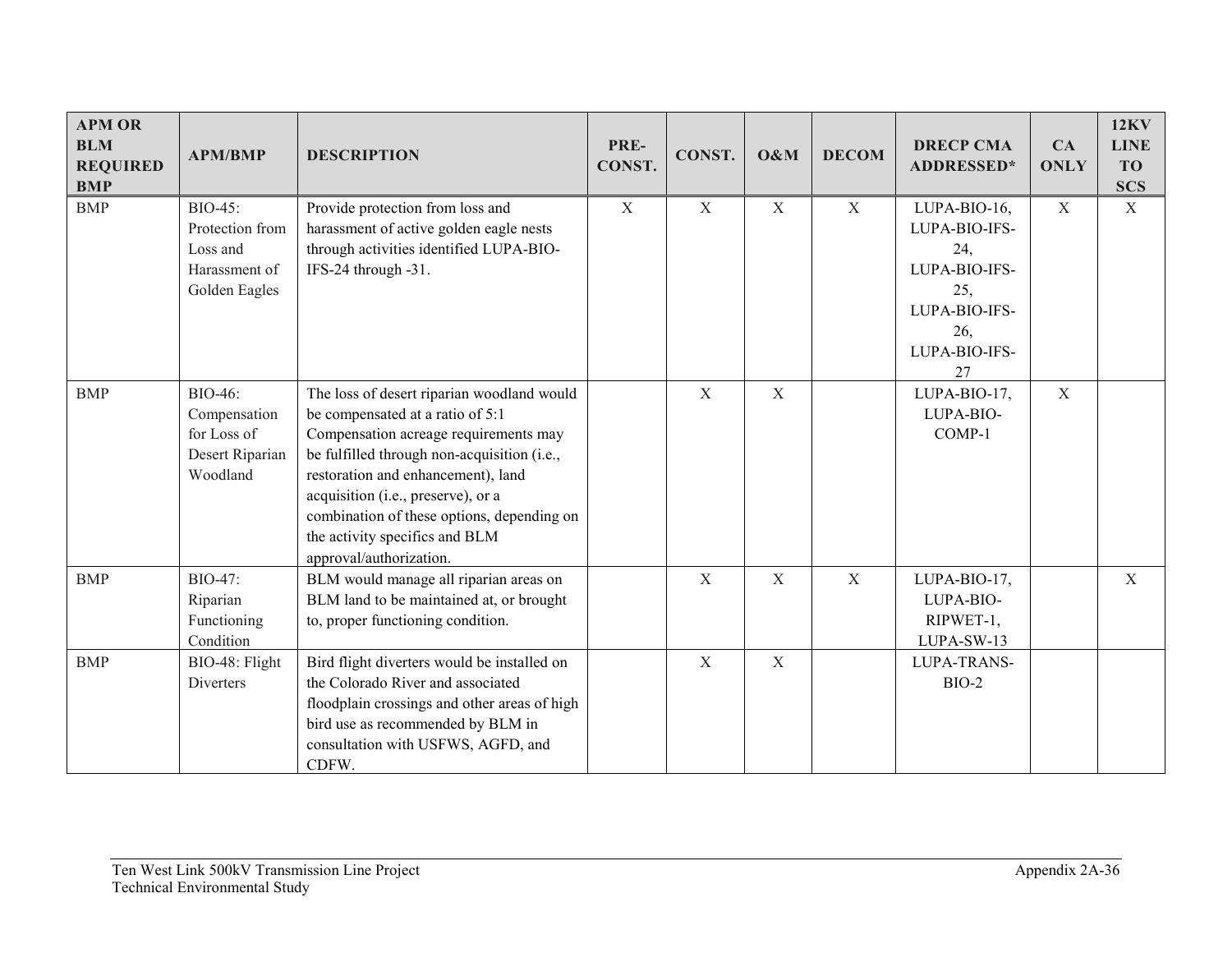| <b>APM OR</b><br><b>BLM</b><br><b>REQUIRED</b><br><b>BMP</b> | <b>APM/BMP</b>                                                                  | <b>DESCRIPTION</b>                                                                                                                                                                                                                                                                                                                                            | PRE-<br><b>CONST.</b> | <b>CONST.</b> | O&M         | <b>DECOM</b> | <b>DRECP CMA</b><br><b>ADDRESSED*</b>                                                                       | CA<br><b>ONLY</b> | <b>12KV</b><br><b>LINE</b><br>TO<br><b>SCS</b> |
|--------------------------------------------------------------|---------------------------------------------------------------------------------|---------------------------------------------------------------------------------------------------------------------------------------------------------------------------------------------------------------------------------------------------------------------------------------------------------------------------------------------------------------|-----------------------|---------------|-------------|--------------|-------------------------------------------------------------------------------------------------------------|-------------------|------------------------------------------------|
| <b>BMP</b>                                                   | <b>BIO-45:</b><br>Protection from<br>Loss and<br>Harassment of<br>Golden Eagles | Provide protection from loss and<br>harassment of active golden eagle nests<br>through activities identified LUPA-BIO-<br>IFS-24 through -31.                                                                                                                                                                                                                 | X                     | $\mathbf X$   | $\mathbf X$ | $\mathbf X$  | LUPA-BIO-16,<br>LUPA-BIO-IFS-<br>24,<br>LUPA-BIO-IFS-<br>25,<br>LUPA-BIO-IFS-<br>26,<br>LUPA-BIO-IFS-<br>27 | $\mathbf X$       | X                                              |
| <b>BMP</b>                                                   | BIO-46:<br>Compensation<br>for Loss of<br>Desert Riparian<br>Woodland           | The loss of desert riparian woodland would<br>be compensated at a ratio of 5:1<br>Compensation acreage requirements may<br>be fulfilled through non-acquisition (i.e.,<br>restoration and enhancement), land<br>acquisition (i.e., preserve), or a<br>combination of these options, depending on<br>the activity specifics and BLM<br>approval/authorization. |                       | $\mathbf X$   | $\mathbf X$ |              | LUPA-BIO-17,<br>LUPA-BIO-<br>COMP-1                                                                         | $\mathbf X$       |                                                |
| <b>BMP</b>                                                   | <b>BIO-47:</b><br>Riparian<br>Functioning<br>Condition                          | BLM would manage all riparian areas on<br>BLM land to be maintained at, or brought<br>to, proper functioning condition.                                                                                                                                                                                                                                       |                       | X             | $\mathbf X$ | $\mathbf X$  | LUPA-BIO-17,<br>LUPA-BIO-<br>RIPWET-1,<br>LUPA-SW-13                                                        |                   | $\mathbf{X}$                                   |
| <b>BMP</b>                                                   | BIO-48: Flight<br>Diverters                                                     | Bird flight diverters would be installed on<br>the Colorado River and associated<br>floodplain crossings and other areas of high<br>bird use as recommended by BLM in<br>consultation with USFWS, AGFD, and<br>CDFW.                                                                                                                                          |                       | $\mathbf X$   | $\mathbf X$ |              | LUPA-TRANS-<br>$BIO-2$                                                                                      |                   |                                                |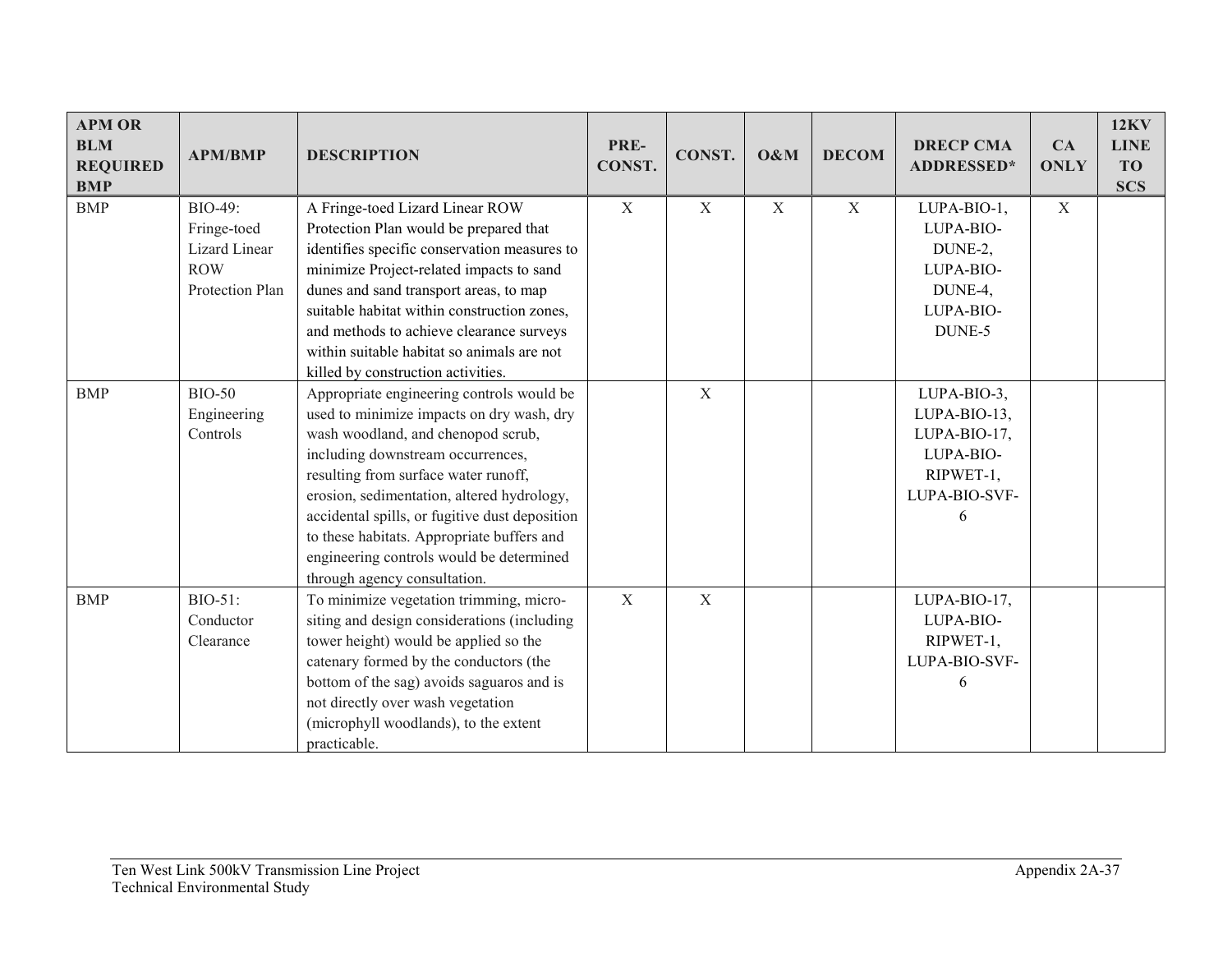| <b>APM OR</b><br><b>BLM</b><br><b>REQUIRED</b><br><b>BMP</b> | <b>APM/BMP</b>                                                                  | <b>DESCRIPTION</b>                                                                                                                                                                                                                                                                                                                                                                                                                  | PRE-<br><b>CONST.</b> | <b>CONST.</b>  | O&M         | <b>DECOM</b> | <b>DRECP CMA</b><br><b>ADDRESSED*</b>                                                       | CA<br><b>ONLY</b> | <b>12KV</b><br><b>LINE</b><br><b>TO</b><br><b>SCS</b> |
|--------------------------------------------------------------|---------------------------------------------------------------------------------|-------------------------------------------------------------------------------------------------------------------------------------------------------------------------------------------------------------------------------------------------------------------------------------------------------------------------------------------------------------------------------------------------------------------------------------|-----------------------|----------------|-------------|--------------|---------------------------------------------------------------------------------------------|-------------------|-------------------------------------------------------|
| <b>BMP</b>                                                   | <b>BIO-49:</b><br>Fringe-toed<br>Lizard Linear<br><b>ROW</b><br>Protection Plan | A Fringe-toed Lizard Linear ROW<br>Protection Plan would be prepared that<br>identifies specific conservation measures to<br>minimize Project-related impacts to sand<br>dunes and sand transport areas, to map<br>suitable habitat within construction zones,<br>and methods to achieve clearance surveys<br>within suitable habitat so animals are not<br>killed by construction activities.                                      | X                     | X              | $\mathbf X$ | $\mathbf X$  | LUPA-BIO-1,<br>LUPA-BIO-<br>DUNE-2,<br>LUPA-BIO-<br>DUNE-4,<br>LUPA-BIO-<br>DUNE-5          | $\mathbf X$       |                                                       |
| <b>BMP</b>                                                   | <b>BIO-50</b><br>Engineering<br>Controls                                        | Appropriate engineering controls would be<br>used to minimize impacts on dry wash, dry<br>wash woodland, and chenopod scrub,<br>including downstream occurrences,<br>resulting from surface water runoff,<br>erosion, sedimentation, altered hydrology,<br>accidental spills, or fugitive dust deposition<br>to these habitats. Appropriate buffers and<br>engineering controls would be determined<br>through agency consultation. |                       | $\mathbf X$    |             |              | LUPA-BIO-3,<br>LUPA-BIO-13,<br>LUPA-BIO-17,<br>LUPA-BIO-<br>RIPWET-1,<br>LUPA-BIO-SVF-<br>6 |                   |                                                       |
| <b>BMP</b>                                                   | BIO-51:<br>Conductor<br>Clearance                                               | To minimize vegetation trimming, micro-<br>siting and design considerations (including<br>tower height) would be applied so the<br>catenary formed by the conductors (the<br>bottom of the sag) avoids saguaros and is<br>not directly over wash vegetation<br>(microphyll woodlands), to the extent<br>practicable.                                                                                                                | $\mathbf X$           | $\overline{X}$ |             |              | LUPA-BIO-17,<br>LUPA-BIO-<br>RIPWET-1,<br>LUPA-BIO-SVF-<br>6                                |                   |                                                       |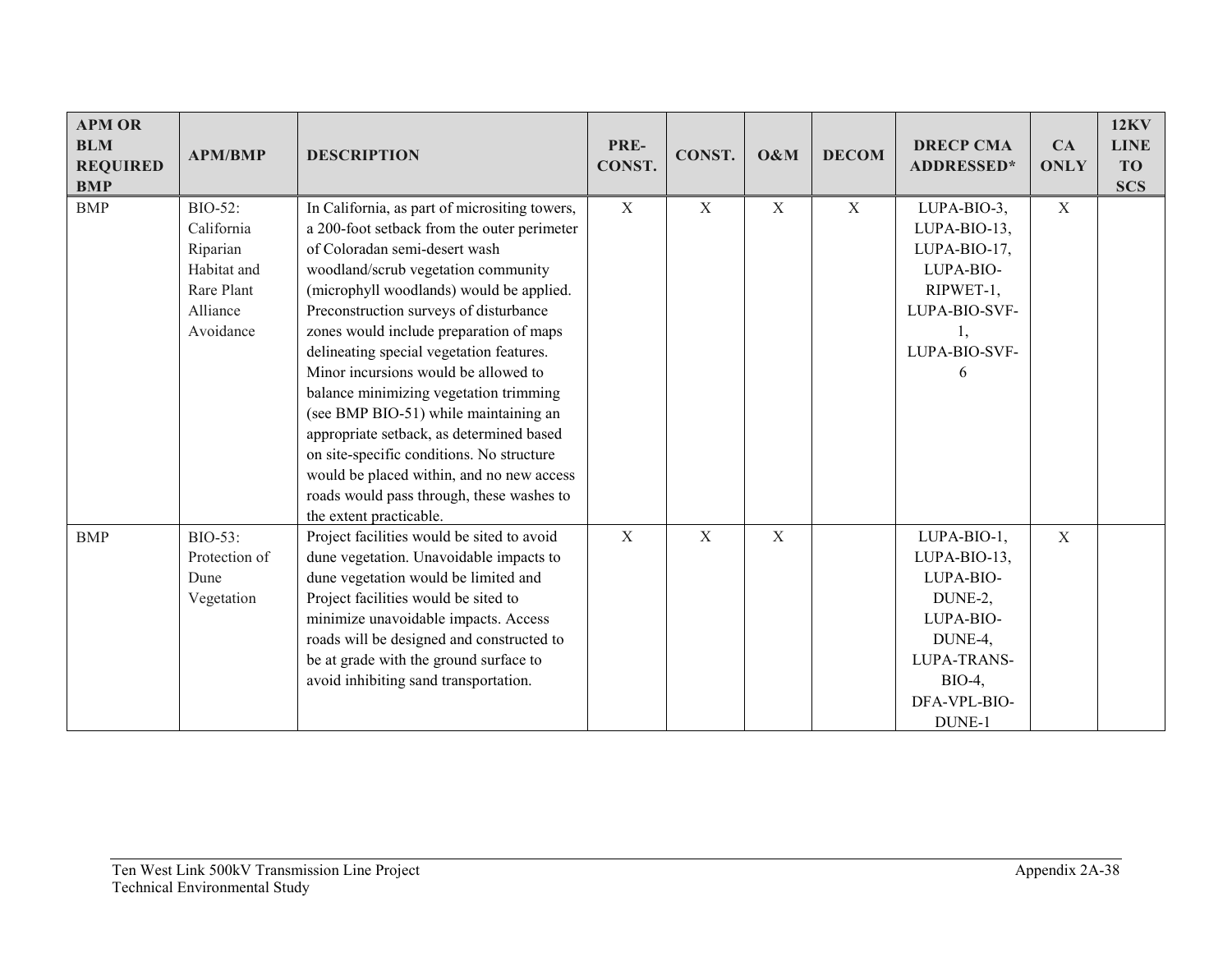| <b>APM OR</b><br><b>BLM</b><br><b>REQUIRED</b><br><b>BMP</b> | <b>APM/BMP</b>                                                                          | <b>DESCRIPTION</b>                                                                                                                                                                                                                                                                                                                                                                                                                                                                                                                                                                                                                                                                         | PRE-<br><b>CONST.</b> | <b>CONST.</b> | O&M         | <b>DECOM</b> | <b>DRECP CMA</b><br><b>ADDRESSED*</b>                                                                                            | CA<br><b>ONLY</b> | <b>12KV</b><br><b>LINE</b><br>TO<br><b>SCS</b> |
|--------------------------------------------------------------|-----------------------------------------------------------------------------------------|--------------------------------------------------------------------------------------------------------------------------------------------------------------------------------------------------------------------------------------------------------------------------------------------------------------------------------------------------------------------------------------------------------------------------------------------------------------------------------------------------------------------------------------------------------------------------------------------------------------------------------------------------------------------------------------------|-----------------------|---------------|-------------|--------------|----------------------------------------------------------------------------------------------------------------------------------|-------------------|------------------------------------------------|
| <b>BMP</b>                                                   | BIO-52:<br>California<br>Riparian<br>Habitat and<br>Rare Plant<br>Alliance<br>Avoidance | In California, as part of micrositing towers,<br>a 200-foot setback from the outer perimeter<br>of Coloradan semi-desert wash<br>woodland/scrub vegetation community<br>(microphyll woodlands) would be applied.<br>Preconstruction surveys of disturbance<br>zones would include preparation of maps<br>delineating special vegetation features.<br>Minor incursions would be allowed to<br>balance minimizing vegetation trimming<br>(see BMP BIO-51) while maintaining an<br>appropriate setback, as determined based<br>on site-specific conditions. No structure<br>would be placed within, and no new access<br>roads would pass through, these washes to<br>the extent practicable. | X                     | X             | $\mathbf X$ | $\mathbf X$  | LUPA-BIO-3,<br>LUPA-BIO-13,<br>LUPA-BIO-17,<br>LUPA-BIO-<br>RIPWET-1,<br>LUPA-BIO-SVF-<br>1,<br>LUPA-BIO-SVF-<br>6               | $\mathbf X$       |                                                |
| <b>BMP</b>                                                   | $BIO-53$ :<br>Protection of<br>Dune<br>Vegetation                                       | Project facilities would be sited to avoid<br>dune vegetation. Unavoidable impacts to<br>dune vegetation would be limited and<br>Project facilities would be sited to<br>minimize unavoidable impacts. Access<br>roads will be designed and constructed to<br>be at grade with the ground surface to<br>avoid inhibiting sand transportation.                                                                                                                                                                                                                                                                                                                                              | X                     | $\mathbf X$   | $\mathbf X$ |              | LUPA-BIO-1,<br>LUPA-BIO-13,<br>LUPA-BIO-<br>DUNE-2,<br>LUPA-BIO-<br>DUNE-4,<br>LUPA-TRANS-<br>$BIO-4,$<br>DFA-VPL-BIO-<br>DUNE-1 | X                 |                                                |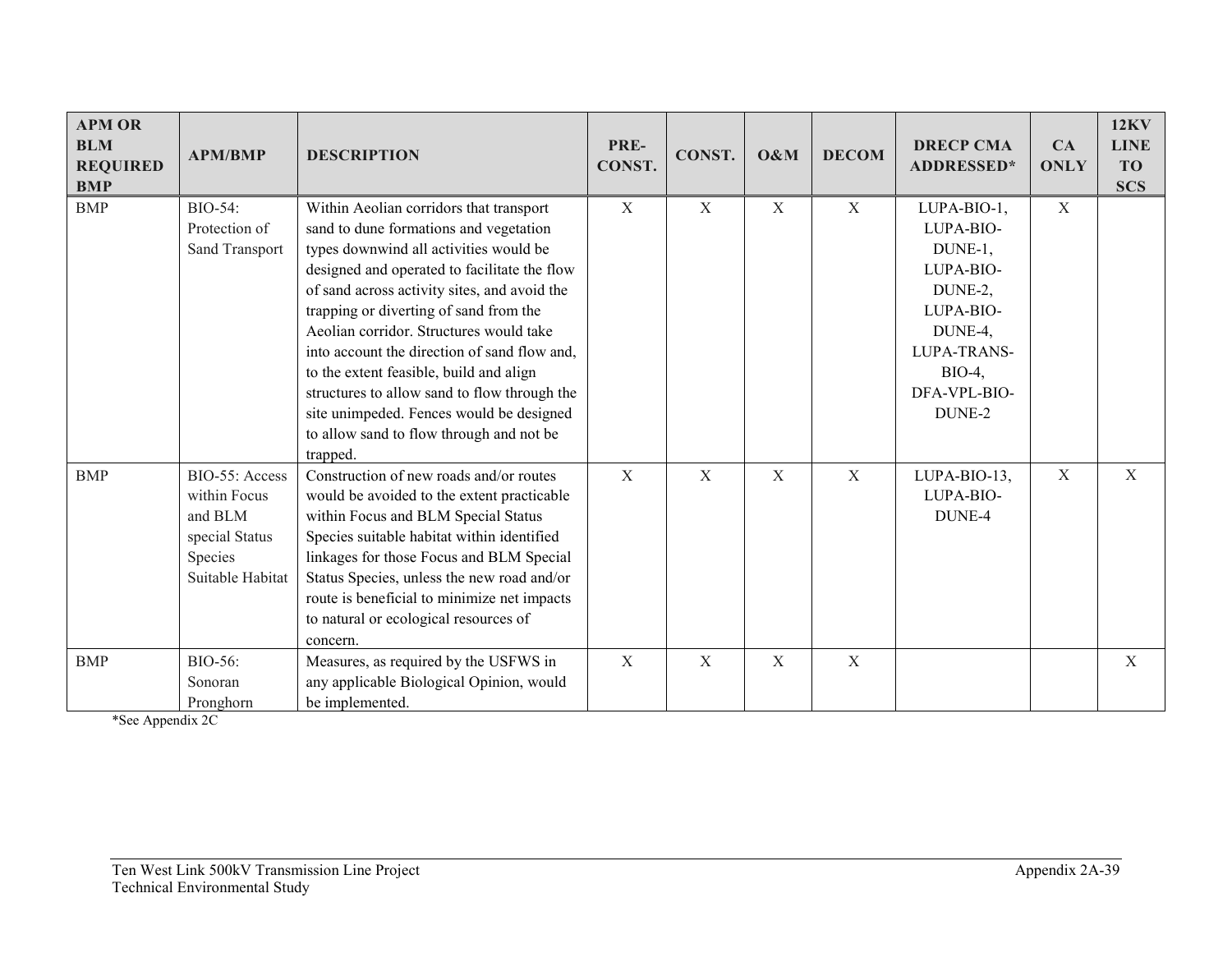| <b>APM OR</b><br><b>BLM</b><br><b>REQUIRED</b><br><b>BMP</b> | <b>APM/BMP</b>                                                                             | <b>DESCRIPTION</b>                                                                                                                                                                                                                                                                                                                                                                                                                                                                                                                                              | PRE-<br><b>CONST.</b> | <b>CONST.</b> | O&M         | <b>DECOM</b>     | <b>DRECP CMA</b><br><b>ADDRESSED*</b>                                                                                                     | CA<br><b>ONLY</b> | <b>12KV</b><br><b>LINE</b><br>TO<br><b>SCS</b> |
|--------------------------------------------------------------|--------------------------------------------------------------------------------------------|-----------------------------------------------------------------------------------------------------------------------------------------------------------------------------------------------------------------------------------------------------------------------------------------------------------------------------------------------------------------------------------------------------------------------------------------------------------------------------------------------------------------------------------------------------------------|-----------------------|---------------|-------------|------------------|-------------------------------------------------------------------------------------------------------------------------------------------|-------------------|------------------------------------------------|
| <b>BMP</b>                                                   | <b>BIO-54:</b><br>Protection of<br>Sand Transport                                          | Within Aeolian corridors that transport<br>sand to dune formations and vegetation<br>types downwind all activities would be<br>designed and operated to facilitate the flow<br>of sand across activity sites, and avoid the<br>trapping or diverting of sand from the<br>Aeolian corridor. Structures would take<br>into account the direction of sand flow and,<br>to the extent feasible, build and align<br>structures to allow sand to flow through the<br>site unimpeded. Fences would be designed<br>to allow sand to flow through and not be<br>trapped. | X                     | $\mathbf X$   | X           | X                | LUPA-BIO-1,<br>LUPA-BIO-<br>DUNE-1,<br>LUPA-BIO-<br>DUNE-2,<br>LUPA-BIO-<br>DUNE-4,<br>LUPA-TRANS-<br>$BIO-4$ ,<br>DFA-VPL-BIO-<br>DUNE-2 | $\mathbf X$       |                                                |
| <b>BMP</b>                                                   | BIO-55: Access<br>within Focus<br>and BLM<br>special Status<br>Species<br>Suitable Habitat | Construction of new roads and/or routes<br>would be avoided to the extent practicable<br>within Focus and BLM Special Status<br>Species suitable habitat within identified<br>linkages for those Focus and BLM Special<br>Status Species, unless the new road and/or<br>route is beneficial to minimize net impacts<br>to natural or ecological resources of<br>concern.                                                                                                                                                                                        | X                     | $\mathbf X$   | X           | $\mathbf X$      | LUPA-BIO-13,<br>LUPA-BIO-<br>DUNE-4                                                                                                       | $\mathbf X$       | X                                              |
| <b>BMP</b>                                                   | <b>BIO-56:</b><br>Sonoran<br>Pronghorn                                                     | Measures, as required by the USFWS in<br>any applicable Biological Opinion, would<br>be implemented.                                                                                                                                                                                                                                                                                                                                                                                                                                                            | X                     | $\mathbf X$   | $\mathbf X$ | $\boldsymbol{X}$ |                                                                                                                                           |                   | X                                              |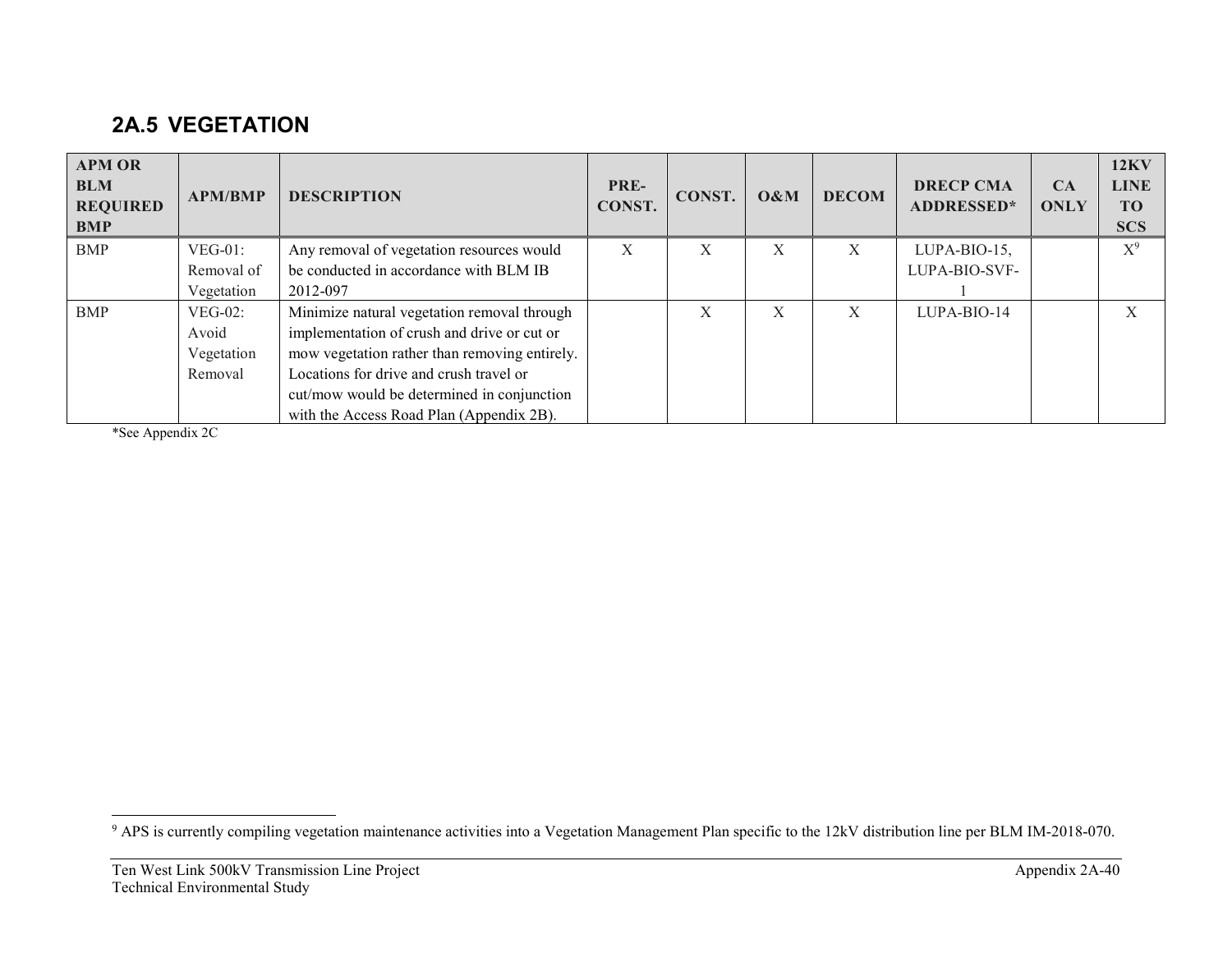### **2A.5 VEGETATION**

<span id="page-42-0"></span>

| <b>APM OR</b><br><b>BLM</b><br><b>REQUIRED</b><br><b>BMP</b> | <b>APM/BMP</b> | <b>DESCRIPTION</b>                            | PRE-<br><b>CONST.</b> | <b>CONST.</b> | O&M              | <b>DECOM</b> | <b>DRECP CMA</b><br><b>ADDRESSED*</b> | CA<br><b>ONLY</b> | <b>12KV</b><br><b>LINE</b><br>TO<br><b>SCS</b> |
|--------------------------------------------------------------|----------------|-----------------------------------------------|-----------------------|---------------|------------------|--------------|---------------------------------------|-------------------|------------------------------------------------|
| <b>BMP</b>                                                   | $VEG-01$ :     | Any removal of vegetation resources would     | X                     | $\mathbf{X}$  | $\boldsymbol{X}$ | X            | $LUPA-BIO-15$ ,                       |                   | $X^9$                                          |
|                                                              | Removal of     | be conducted in accordance with BLM IB        |                       |               |                  |              | LUPA-BIO-SVF-                         |                   |                                                |
|                                                              | Vegetation     | 2012-097                                      |                       |               |                  |              |                                       |                   |                                                |
| <b>BMP</b>                                                   | $VEG-02$ :     | Minimize natural vegetation removal through   |                       | X             | X                | X            | LUPA-BIO-14                           |                   | X                                              |
|                                                              | Avoid          | implementation of crush and drive or cut or   |                       |               |                  |              |                                       |                   |                                                |
|                                                              | Vegetation     | mow vegetation rather than removing entirely. |                       |               |                  |              |                                       |                   |                                                |
|                                                              | Removal        | Locations for drive and crush travel or       |                       |               |                  |              |                                       |                   |                                                |
|                                                              |                | cut/mow would be determined in conjunction    |                       |               |                  |              |                                       |                   |                                                |
|                                                              |                | with the Access Road Plan (Appendix 2B).      |                       |               |                  |              |                                       |                   |                                                |

<sup>&</sup>lt;sup>9</sup> APS is currently compiling vegetation maintenance activities into a Vegetation Management Plan specific to the 12kV distribution line per BLM IM-2018-070.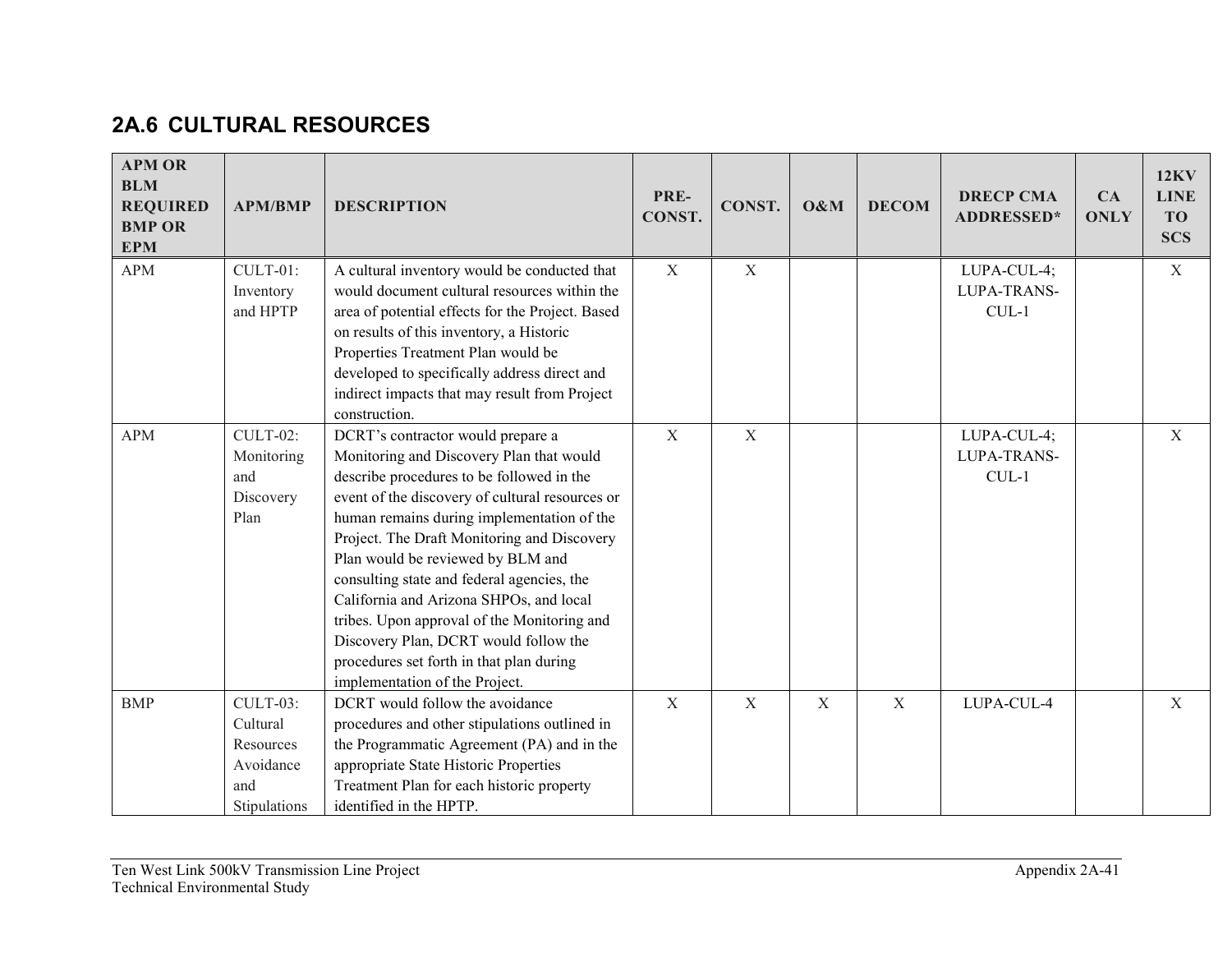# **2A.6 CULTURAL RESOURCES**

<span id="page-43-0"></span>

| <b>APM OR</b><br><b>BLM</b><br><b>REQUIRED</b><br><b>BMP OR</b><br><b>EPM</b> | <b>APM/BMP</b>                                                        | <b>DESCRIPTION</b>                                                                                                                                                                                                                                                                                                                                                                                                                                                                                                                                                             | PRE-<br><b>CONST.</b> | <b>CONST.</b> | O&M              | <b>DECOM</b> | <b>DRECP CMA</b><br><b>ADDRESSED*</b> | CA<br><b>ONLY</b> | 12KV<br><b>LINE</b><br>TO<br><b>SCS</b> |
|-------------------------------------------------------------------------------|-----------------------------------------------------------------------|--------------------------------------------------------------------------------------------------------------------------------------------------------------------------------------------------------------------------------------------------------------------------------------------------------------------------------------------------------------------------------------------------------------------------------------------------------------------------------------------------------------------------------------------------------------------------------|-----------------------|---------------|------------------|--------------|---------------------------------------|-------------------|-----------------------------------------|
| APM                                                                           | CULT-01:<br>Inventory<br>and HPTP                                     | A cultural inventory would be conducted that<br>would document cultural resources within the<br>area of potential effects for the Project. Based<br>on results of this inventory, a Historic<br>Properties Treatment Plan would be<br>developed to specifically address direct and<br>indirect impacts that may result from Project<br>construction.                                                                                                                                                                                                                           | $\mathbf X$           | $\mathbf X$   |                  |              | LUPA-CUL-4;<br>LUPA-TRANS-<br>$CUL-1$ |                   | X                                       |
| <b>APM</b>                                                                    | CULT-02:<br>Monitoring<br>and<br>Discovery<br>Plan                    | DCRT's contractor would prepare a<br>Monitoring and Discovery Plan that would<br>describe procedures to be followed in the<br>event of the discovery of cultural resources or<br>human remains during implementation of the<br>Project. The Draft Monitoring and Discovery<br>Plan would be reviewed by BLM and<br>consulting state and federal agencies, the<br>California and Arizona SHPOs, and local<br>tribes. Upon approval of the Monitoring and<br>Discovery Plan, DCRT would follow the<br>procedures set forth in that plan during<br>implementation of the Project. | X                     | $\mathbf X$   |                  |              | LUPA-CUL-4;<br>LUPA-TRANS-<br>$CUL-1$ |                   | $\mathbf X$                             |
| <b>BMP</b>                                                                    | CULT-03:<br>Cultural<br>Resources<br>Avoidance<br>and<br>Stipulations | DCRT would follow the avoidance<br>procedures and other stipulations outlined in<br>the Programmatic Agreement (PA) and in the<br>appropriate State Historic Properties<br>Treatment Plan for each historic property<br>identified in the HPTP.                                                                                                                                                                                                                                                                                                                                | X                     | $\mathbf X$   | $\boldsymbol{X}$ | $\mathbf X$  | LUPA-CUL-4                            |                   | $\mathbf{X}$                            |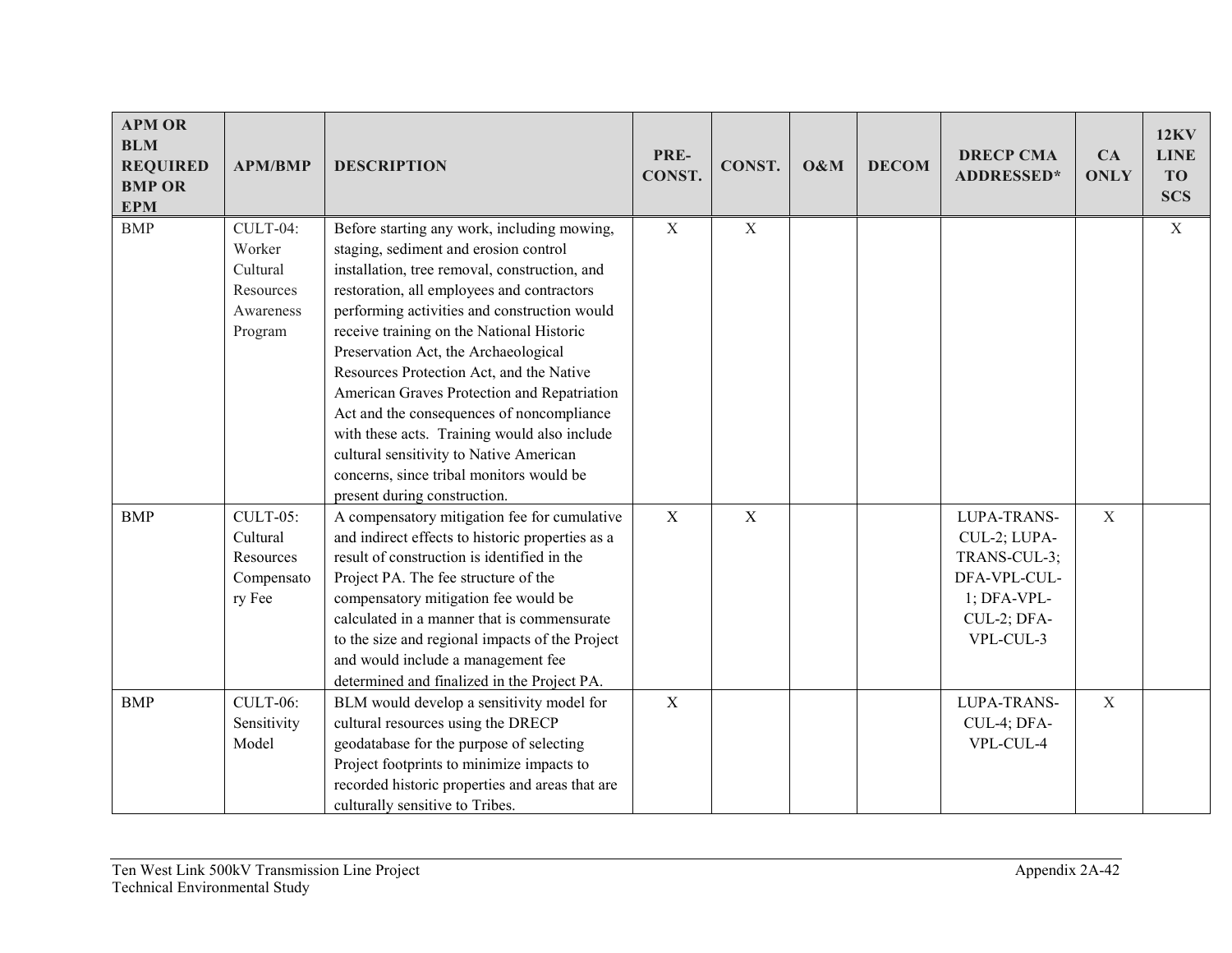| <b>APM OR</b><br><b>BLM</b><br><b>REQUIRED</b><br><b>BMP OR</b><br><b>EPM</b> | <b>APM/BMP</b>                                                      | <b>DESCRIPTION</b>                                                                                                                                                                                                                                                                                                                                                                                                                                                                                                                                                                                                                      | PRE-<br><b>CONST.</b> | <b>CONST.</b> | O&M | <b>DECOM</b> | <b>DRECP CMA</b><br><b>ADDRESSED*</b>                                                                  | CA<br><b>ONLY</b> | <b>12KV</b><br><b>LINE</b><br>TO<br><b>SCS</b> |
|-------------------------------------------------------------------------------|---------------------------------------------------------------------|-----------------------------------------------------------------------------------------------------------------------------------------------------------------------------------------------------------------------------------------------------------------------------------------------------------------------------------------------------------------------------------------------------------------------------------------------------------------------------------------------------------------------------------------------------------------------------------------------------------------------------------------|-----------------------|---------------|-----|--------------|--------------------------------------------------------------------------------------------------------|-------------------|------------------------------------------------|
| <b>BMP</b>                                                                    | CULT-04:<br>Worker<br>Cultural<br>Resources<br>Awareness<br>Program | Before starting any work, including mowing,<br>staging, sediment and erosion control<br>installation, tree removal, construction, and<br>restoration, all employees and contractors<br>performing activities and construction would<br>receive training on the National Historic<br>Preservation Act, the Archaeological<br>Resources Protection Act, and the Native<br>American Graves Protection and Repatriation<br>Act and the consequences of noncompliance<br>with these acts. Training would also include<br>cultural sensitivity to Native American<br>concerns, since tribal monitors would be<br>present during construction. | $\mathbf X$           | $\mathbf X$   |     |              |                                                                                                        |                   | $\mathbf X$                                    |
| <b>BMP</b>                                                                    | CULT-05:<br>Cultural<br>Resources<br>Compensato<br>ry Fee           | A compensatory mitigation fee for cumulative<br>and indirect effects to historic properties as a<br>result of construction is identified in the<br>Project PA. The fee structure of the<br>compensatory mitigation fee would be<br>calculated in a manner that is commensurate<br>to the size and regional impacts of the Project<br>and would include a management fee<br>determined and finalized in the Project PA.                                                                                                                                                                                                                  | $\mathbf X$           | $\mathbf X$   |     |              | LUPA-TRANS-<br>CUL-2; LUPA-<br>TRANS-CUL-3;<br>DFA-VPL-CUL-<br>1; DFA-VPL-<br>CUL-2; DFA-<br>VPL-CUL-3 | X                 |                                                |
| <b>BMP</b>                                                                    | CULT-06:<br>Sensitivity<br>Model                                    | BLM would develop a sensitivity model for<br>cultural resources using the DRECP<br>geodatabase for the purpose of selecting<br>Project footprints to minimize impacts to<br>recorded historic properties and areas that are<br>culturally sensitive to Tribes.                                                                                                                                                                                                                                                                                                                                                                          | $\mathbf X$           |               |     |              | LUPA-TRANS-<br>CUL-4; DFA-<br>VPL-CUL-4                                                                | $\mathbf{X}$      |                                                |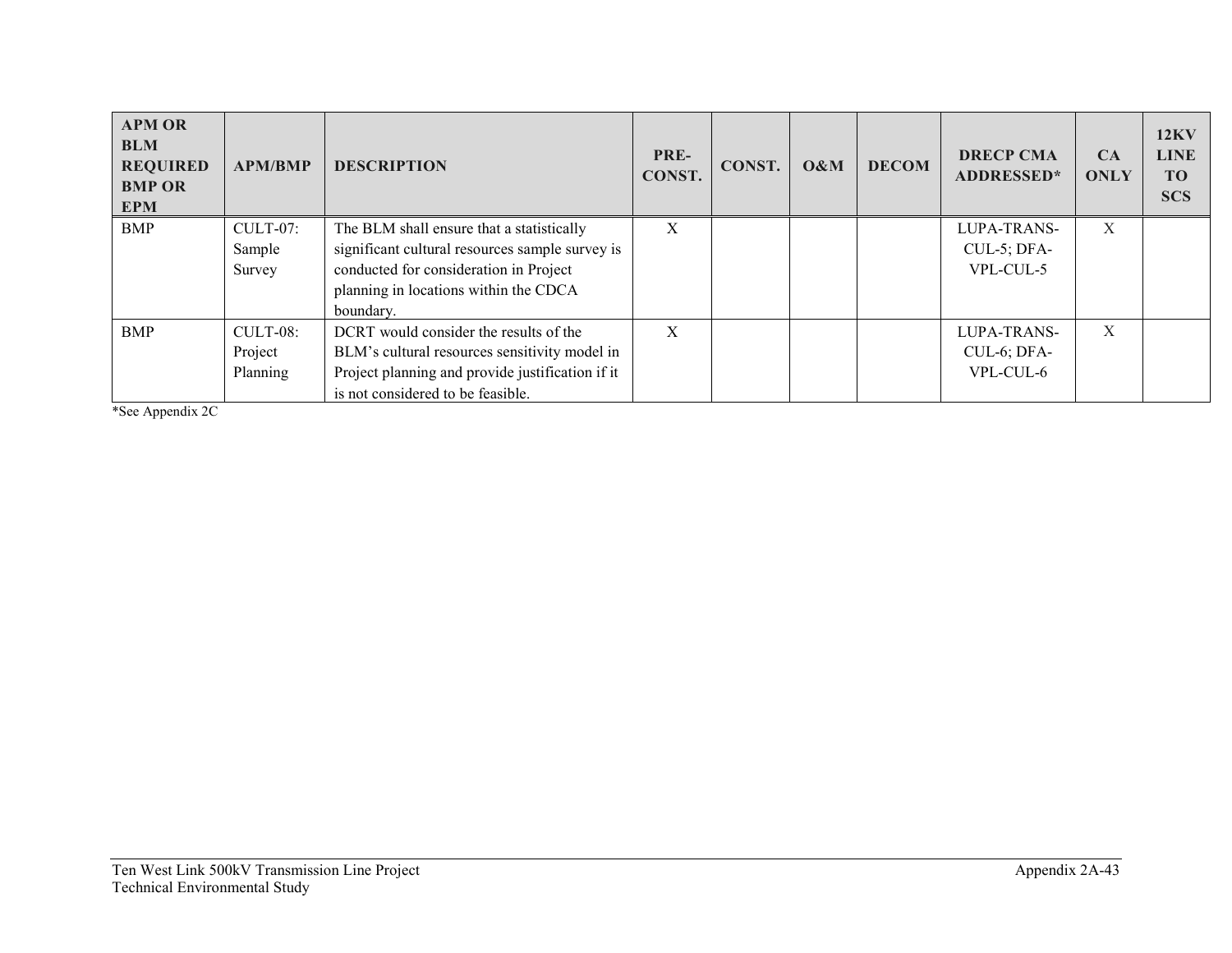| <b>APM OR</b><br><b>BLM</b><br><b>REQUIRED</b><br><b>BMP OR</b><br><b>EPM</b> | <b>APM/BMP</b> | <b>DESCRIPTION</b>                               | PRE-<br><b>CONST.</b> | CONST. | O&M | <b>DECOM</b> | <b>DRECP CMA</b><br><b>ADDRESSED*</b> | CA<br><b>ONLY</b> | <b>12KV</b><br><b>LINE</b><br>TO<br><b>SCS</b> |
|-------------------------------------------------------------------------------|----------------|--------------------------------------------------|-----------------------|--------|-----|--------------|---------------------------------------|-------------------|------------------------------------------------|
| BMP                                                                           | CULT-07:       | The BLM shall ensure that a statistically        | X                     |        |     |              | LUPA-TRANS-                           | X                 |                                                |
|                                                                               | Sample         | significant cultural resources sample survey is  |                       |        |     |              | $CUL-5$ ; DFA-                        |                   |                                                |
|                                                                               | Survey         | conducted for consideration in Project           |                       |        |     |              | VPL-CUL-5                             |                   |                                                |
|                                                                               |                | planning in locations within the CDCA            |                       |        |     |              |                                       |                   |                                                |
|                                                                               |                | boundary.                                        |                       |        |     |              |                                       |                   |                                                |
| <b>BMP</b>                                                                    | CULT-08:       | DCRT would consider the results of the           | X                     |        |     |              | LUPA-TRANS-                           | X                 |                                                |
|                                                                               | Project        | BLM's cultural resources sensitivity model in    |                       |        |     |              | CUL-6; DFA-                           |                   |                                                |
|                                                                               | Planning       | Project planning and provide justification if it |                       |        |     |              | VPL-CUL-6                             |                   |                                                |
|                                                                               |                | is not considered to be feasible.                |                       |        |     |              |                                       |                   |                                                |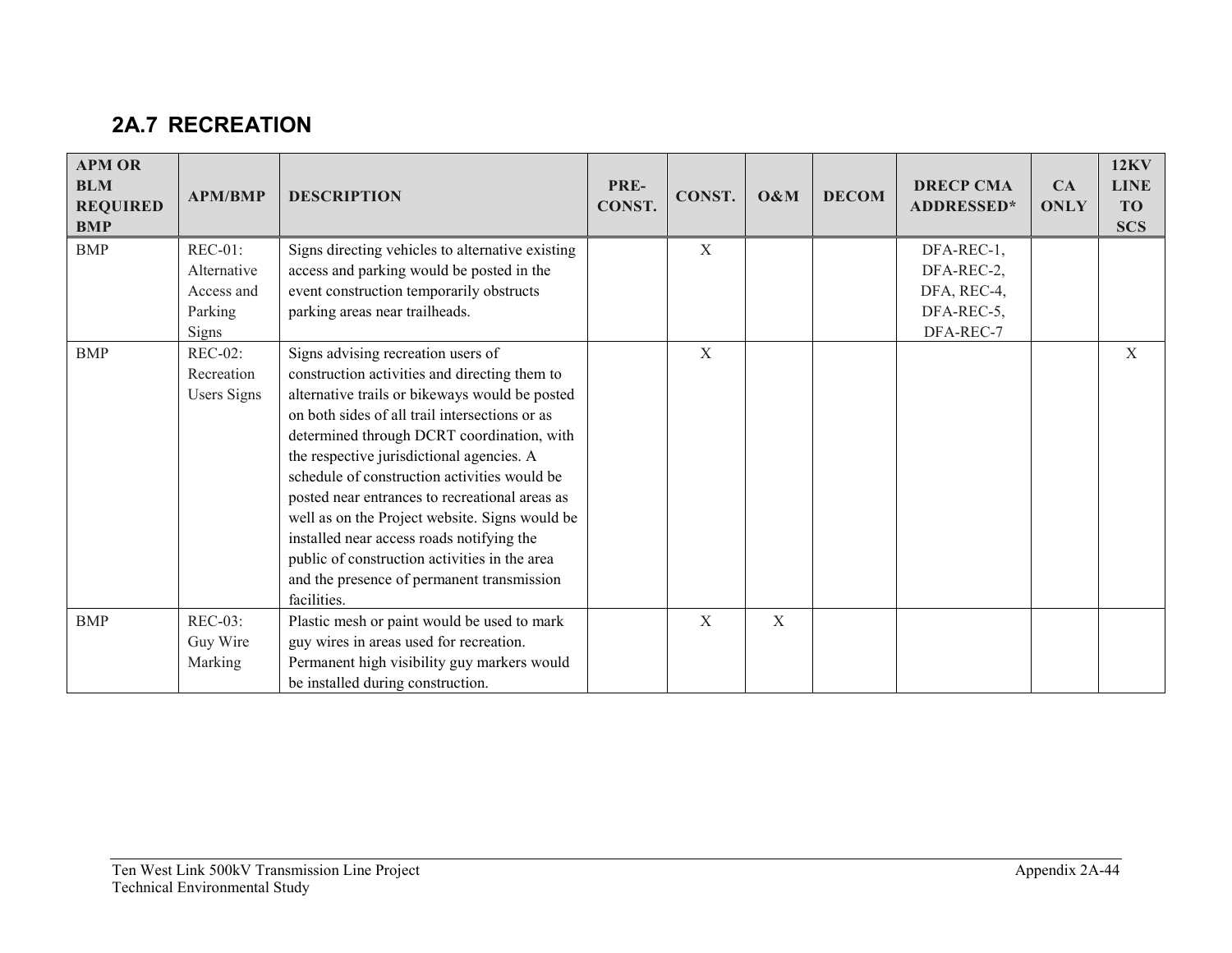## **2A.7 RECREATION**

<span id="page-46-0"></span>

| <b>APM OR</b><br><b>BLM</b><br><b>REQUIRED</b><br><b>BMP</b> | <b>APM/BMP</b>                                              | <b>DESCRIPTION</b>                                                                                                                                                                                                                                                                                                                                                                                                                                                                                                                                                                                | PRE-<br><b>CONST.</b> | <b>CONST.</b>    | O&M | <b>DECOM</b> | <b>DRECP CMA</b><br><b>ADDRESSED*</b>                 | CA<br><b>ONLY</b> | 12KV<br><b>LINE</b><br>T <sub>O</sub><br><b>SCS</b> |
|--------------------------------------------------------------|-------------------------------------------------------------|---------------------------------------------------------------------------------------------------------------------------------------------------------------------------------------------------------------------------------------------------------------------------------------------------------------------------------------------------------------------------------------------------------------------------------------------------------------------------------------------------------------------------------------------------------------------------------------------------|-----------------------|------------------|-----|--------------|-------------------------------------------------------|-------------------|-----------------------------------------------------|
| <b>BMP</b>                                                   | <b>REC-01:</b><br>Alternative<br>Access and<br>Parking      | Signs directing vehicles to alternative existing<br>access and parking would be posted in the<br>event construction temporarily obstructs<br>parking areas near trailheads.                                                                                                                                                                                                                                                                                                                                                                                                                       |                       | X                |     |              | DFA-REC-1,<br>DFA-REC-2,<br>DFA, REC-4,<br>DFA-REC-5, |                   |                                                     |
| <b>BMP</b>                                                   | Signs<br><b>REC-02:</b><br>Recreation<br><b>Users Signs</b> | Signs advising recreation users of<br>construction activities and directing them to<br>alternative trails or bikeways would be posted<br>on both sides of all trail intersections or as<br>determined through DCRT coordination, with<br>the respective jurisdictional agencies. A<br>schedule of construction activities would be<br>posted near entrances to recreational areas as<br>well as on the Project website. Signs would be<br>installed near access roads notifying the<br>public of construction activities in the area<br>and the presence of permanent transmission<br>facilities. |                       | $\boldsymbol{X}$ |     |              | DFA-REC-7                                             |                   | $\mathbf X$                                         |
| <b>BMP</b>                                                   | <b>REC-03:</b><br>Guy Wire<br>Marking                       | Plastic mesh or paint would be used to mark<br>guy wires in areas used for recreation.<br>Permanent high visibility guy markers would<br>be installed during construction.                                                                                                                                                                                                                                                                                                                                                                                                                        |                       | X                | X   |              |                                                       |                   |                                                     |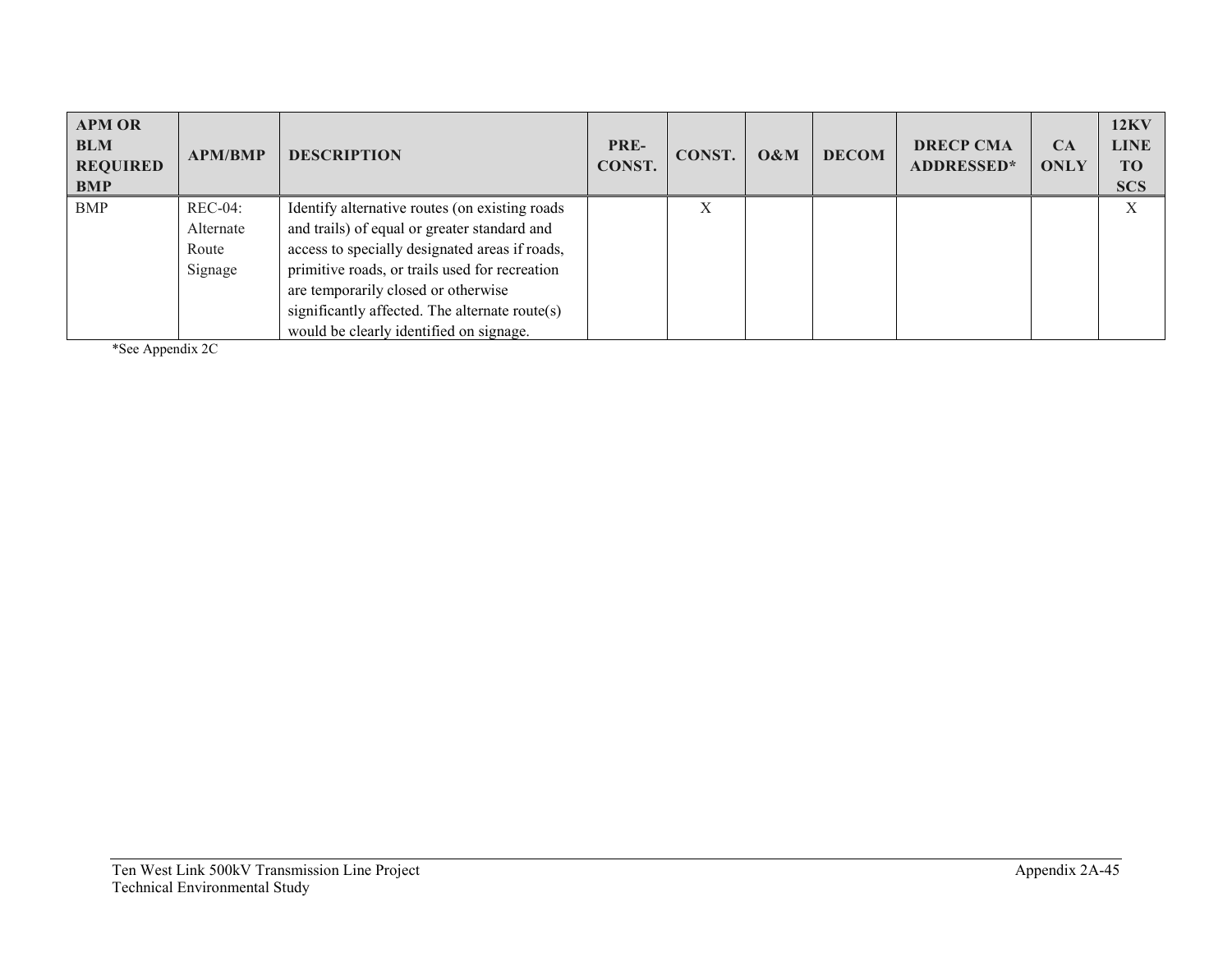| <b>APM OR</b><br><b>BLM</b><br><b>REQUIRED</b><br><b>BMP</b> | <b>APM/BMP</b> | <b>DESCRIPTION</b>                                | PRE-<br><b>CONST.</b> | <b>CONST.</b> | O&M | <b>DECOM</b> | <b>DRECP CMA</b><br><b>ADDRESSED*</b> | CA<br><b>ONLY</b> | 12KV<br><b>LINE</b><br>TO<br><b>SCS</b> |
|--------------------------------------------------------------|----------------|---------------------------------------------------|-----------------------|---------------|-----|--------------|---------------------------------------|-------------------|-----------------------------------------|
| <b>BMP</b>                                                   | <b>REC-04:</b> | Identify alternative routes (on existing roads)   |                       | Х             |     |              |                                       |                   | X                                       |
|                                                              | Alternate      | and trails) of equal or greater standard and      |                       |               |     |              |                                       |                   |                                         |
|                                                              | Route          | access to specially designated areas if roads,    |                       |               |     |              |                                       |                   |                                         |
|                                                              | Signage        | primitive roads, or trails used for recreation    |                       |               |     |              |                                       |                   |                                         |
|                                                              |                | are temporarily closed or otherwise               |                       |               |     |              |                                       |                   |                                         |
|                                                              |                | significantly affected. The alternate route $(s)$ |                       |               |     |              |                                       |                   |                                         |
|                                                              |                | would be clearly identified on signage.           |                       |               |     |              |                                       |                   |                                         |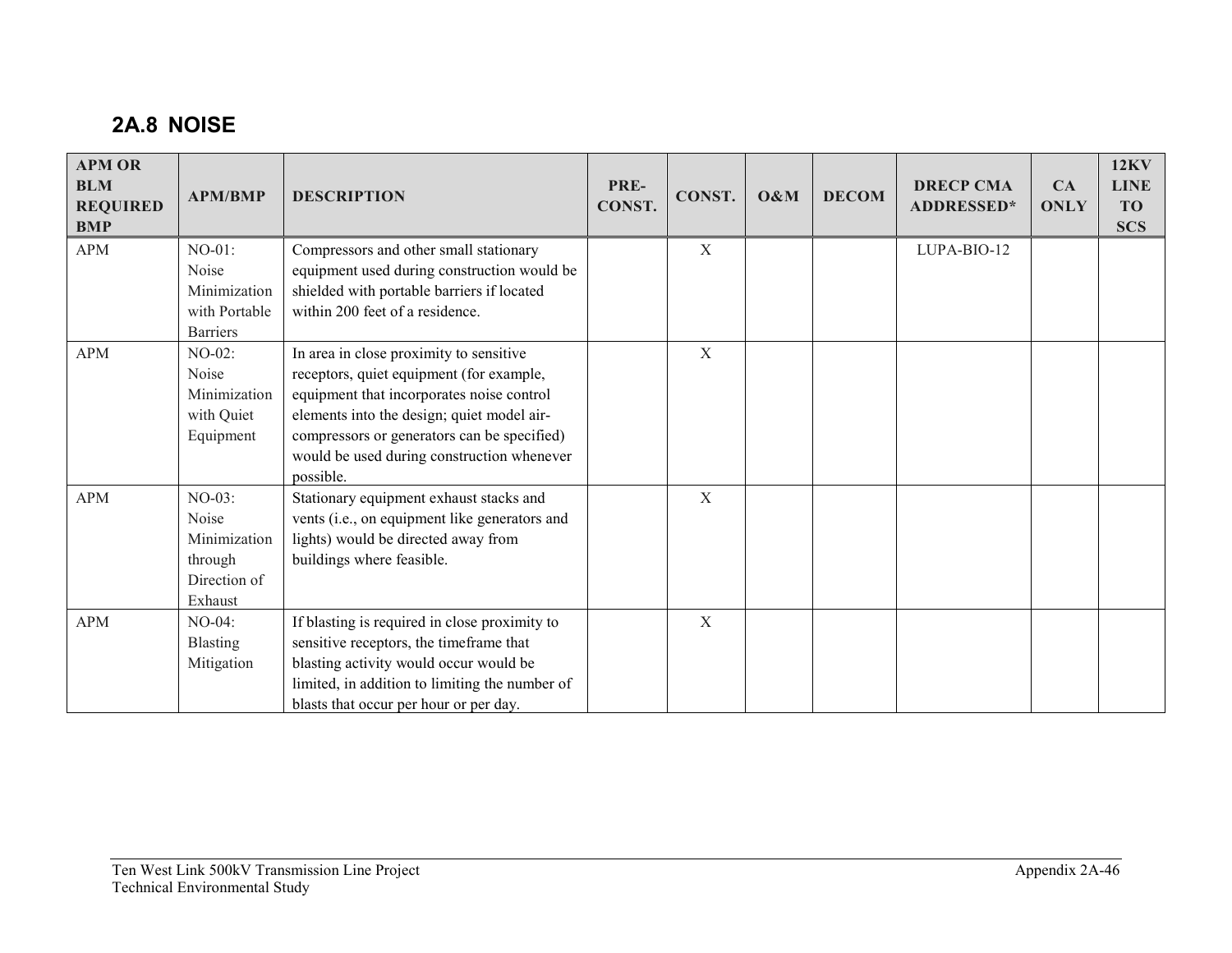## **2A.8 NOISE**

<span id="page-48-0"></span>

| <b>APM OR</b><br><b>BLM</b><br><b>REQUIRED</b><br><b>BMP</b> | <b>APM/BMP</b>                                                           | <b>DESCRIPTION</b>                                                                                                                                                                                                                                                                       | PRE-<br><b>CONST.</b> | <b>CONST.</b> | O&M | <b>DECOM</b> | <b>DRECP CMA</b><br><b>ADDRESSED*</b> | CA<br><b>ONLY</b> | <b>12KV</b><br><b>LINE</b><br>TO<br><b>SCS</b> |
|--------------------------------------------------------------|--------------------------------------------------------------------------|------------------------------------------------------------------------------------------------------------------------------------------------------------------------------------------------------------------------------------------------------------------------------------------|-----------------------|---------------|-----|--------------|---------------------------------------|-------------------|------------------------------------------------|
| <b>APM</b>                                                   | $NO-01$ :<br>Noise<br>Minimization<br>with Portable<br><b>Barriers</b>   | Compressors and other small stationary<br>equipment used during construction would be<br>shielded with portable barriers if located<br>within 200 feet of a residence.                                                                                                                   |                       | $\mathbf{X}$  |     |              | LUPA-BIO-12                           |                   |                                                |
| <b>APM</b>                                                   | $NO-02$ :<br>Noise<br>Minimization<br>with Quiet<br>Equipment            | In area in close proximity to sensitive<br>receptors, quiet equipment (for example,<br>equipment that incorporates noise control<br>elements into the design; quiet model air-<br>compressors or generators can be specified)<br>would be used during construction whenever<br>possible. |                       | $\mathbf X$   |     |              |                                       |                   |                                                |
| <b>APM</b>                                                   | $NO-03$ :<br>Noise<br>Minimization<br>through<br>Direction of<br>Exhaust | Stationary equipment exhaust stacks and<br>vents (i.e., on equipment like generators and<br>lights) would be directed away from<br>buildings where feasible.                                                                                                                             |                       | $\mathbf X$   |     |              |                                       |                   |                                                |
| <b>APM</b>                                                   | $NO-04$ :<br><b>Blasting</b><br>Mitigation                               | If blasting is required in close proximity to<br>sensitive receptors, the timeframe that<br>blasting activity would occur would be<br>limited, in addition to limiting the number of<br>blasts that occur per hour or per day.                                                           |                       | $\mathbf{X}$  |     |              |                                       |                   |                                                |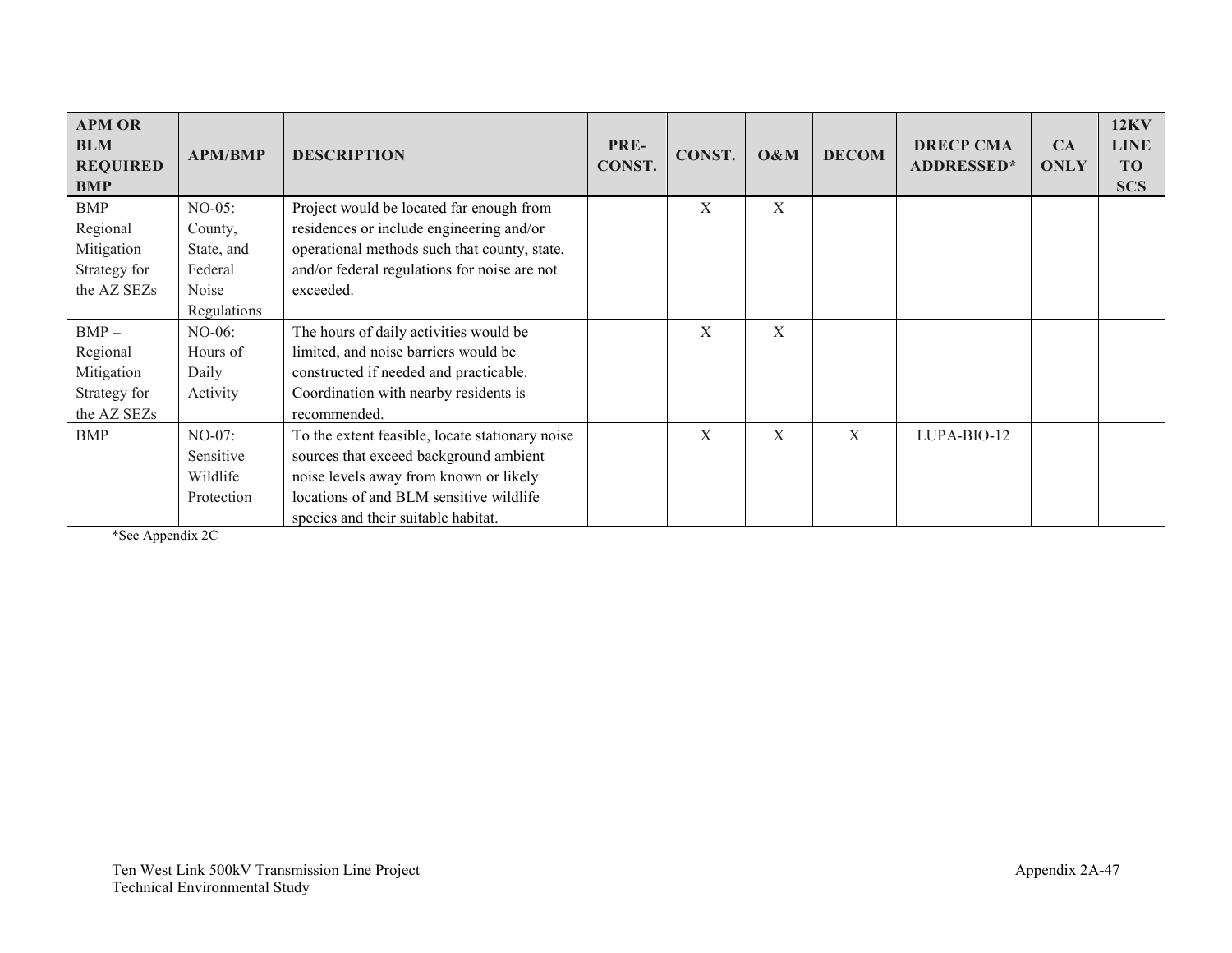| <b>APM OR</b><br><b>BLM</b><br><b>REQUIRED</b><br><b>BMP</b> | <b>APM/BMP</b> | <b>DESCRIPTION</b>                              | PRE-<br><b>CONST.</b> | <b>CONST.</b> | O&M | <b>DECOM</b> | <b>DRECP CMA</b><br><b>ADDRESSED*</b> | CA<br><b>ONLY</b> | <b>12KV</b><br><b>LINE</b><br>TO<br><b>SCS</b> |
|--------------------------------------------------------------|----------------|-------------------------------------------------|-----------------------|---------------|-----|--------------|---------------------------------------|-------------------|------------------------------------------------|
| $BMP -$                                                      | $NO-05$ :      | Project would be located far enough from        |                       | X             | X   |              |                                       |                   |                                                |
| Regional                                                     | County,        | residences or include engineering and/or        |                       |               |     |              |                                       |                   |                                                |
| Mitigation                                                   | State, and     | operational methods such that county, state,    |                       |               |     |              |                                       |                   |                                                |
| Strategy for                                                 | Federal        | and/or federal regulations for noise are not    |                       |               |     |              |                                       |                   |                                                |
| the AZ SEZs                                                  | Noise          | exceeded.                                       |                       |               |     |              |                                       |                   |                                                |
|                                                              | Regulations    |                                                 |                       |               |     |              |                                       |                   |                                                |
| $BMP -$                                                      | $NO-06$ :      | The hours of daily activities would be          |                       | X             | X   |              |                                       |                   |                                                |
| Regional                                                     | Hours of       | limited, and noise barriers would be            |                       |               |     |              |                                       |                   |                                                |
| Mitigation                                                   | Daily          | constructed if needed and practicable.          |                       |               |     |              |                                       |                   |                                                |
| Strategy for                                                 | Activity       | Coordination with nearby residents is           |                       |               |     |              |                                       |                   |                                                |
| the AZ SEZs                                                  |                | recommended.                                    |                       |               |     |              |                                       |                   |                                                |
| <b>BMP</b>                                                   | $NO-07$ :      | To the extent feasible, locate stationary noise |                       | X             | X   | $\mathbf{X}$ | LUPA-BIO-12                           |                   |                                                |
|                                                              | Sensitive      | sources that exceed background ambient          |                       |               |     |              |                                       |                   |                                                |
|                                                              | Wildlife       | noise levels away from known or likely          |                       |               |     |              |                                       |                   |                                                |
|                                                              | Protection     | locations of and BLM sensitive wildlife         |                       |               |     |              |                                       |                   |                                                |
|                                                              |                | species and their suitable habitat.             |                       |               |     |              |                                       |                   |                                                |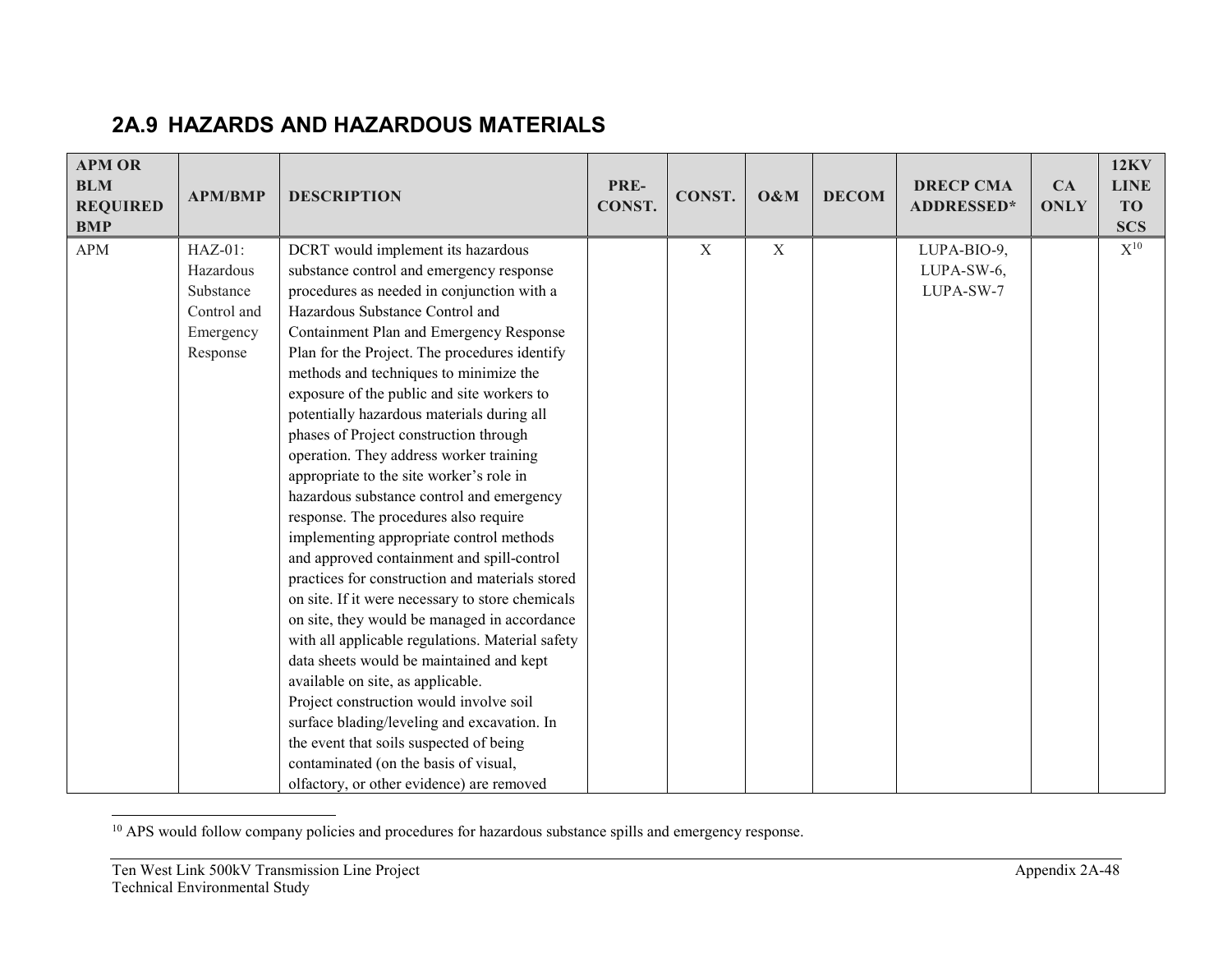## **2A.9 HAZARDS AND HAZARDOUS MATERIALS**

<span id="page-50-0"></span>

| <b>APM OR</b><br><b>BLM</b><br><b>REQUIRED</b><br><b>BMP</b> | <b>APM/BMP</b> | <b>DESCRIPTION</b>                               | PRE-<br><b>CONST.</b> | <b>CONST.</b> | O&M         | <b>DECOM</b> | <b>DRECP CMA</b><br><b>ADDRESSED*</b> | CA<br><b>ONLY</b> | <b>12KV</b><br><b>LINE</b><br>T <sub>O</sub><br><b>SCS</b> |
|--------------------------------------------------------------|----------------|--------------------------------------------------|-----------------------|---------------|-------------|--------------|---------------------------------------|-------------------|------------------------------------------------------------|
| <b>APM</b>                                                   | $HAZ-01:$      | DCRT would implement its hazardous               |                       | $\mathbf X$   | $\mathbf X$ |              | LUPA-BIO-9,                           |                   | $\mathrm{X}^{10}$                                          |
|                                                              | Hazardous      | substance control and emergency response         |                       |               |             |              | LUPA-SW-6,                            |                   |                                                            |
|                                                              | Substance      | procedures as needed in conjunction with a       |                       |               |             |              | LUPA-SW-7                             |                   |                                                            |
|                                                              | Control and    | Hazardous Substance Control and                  |                       |               |             |              |                                       |                   |                                                            |
|                                                              | Emergency      | Containment Plan and Emergency Response          |                       |               |             |              |                                       |                   |                                                            |
|                                                              | Response       | Plan for the Project. The procedures identify    |                       |               |             |              |                                       |                   |                                                            |
|                                                              |                | methods and techniques to minimize the           |                       |               |             |              |                                       |                   |                                                            |
|                                                              |                | exposure of the public and site workers to       |                       |               |             |              |                                       |                   |                                                            |
|                                                              |                | potentially hazardous materials during all       |                       |               |             |              |                                       |                   |                                                            |
|                                                              |                | phases of Project construction through           |                       |               |             |              |                                       |                   |                                                            |
|                                                              |                | operation. They address worker training          |                       |               |             |              |                                       |                   |                                                            |
|                                                              |                | appropriate to the site worker's role in         |                       |               |             |              |                                       |                   |                                                            |
|                                                              |                | hazardous substance control and emergency        |                       |               |             |              |                                       |                   |                                                            |
|                                                              |                | response. The procedures also require            |                       |               |             |              |                                       |                   |                                                            |
|                                                              |                | implementing appropriate control methods         |                       |               |             |              |                                       |                   |                                                            |
|                                                              |                | and approved containment and spill-control       |                       |               |             |              |                                       |                   |                                                            |
|                                                              |                | practices for construction and materials stored  |                       |               |             |              |                                       |                   |                                                            |
|                                                              |                | on site. If it were necessary to store chemicals |                       |               |             |              |                                       |                   |                                                            |
|                                                              |                | on site, they would be managed in accordance     |                       |               |             |              |                                       |                   |                                                            |
|                                                              |                | with all applicable regulations. Material safety |                       |               |             |              |                                       |                   |                                                            |
|                                                              |                | data sheets would be maintained and kept         |                       |               |             |              |                                       |                   |                                                            |
|                                                              |                | available on site, as applicable.                |                       |               |             |              |                                       |                   |                                                            |
|                                                              |                | Project construction would involve soil          |                       |               |             |              |                                       |                   |                                                            |
|                                                              |                | surface blading/leveling and excavation. In      |                       |               |             |              |                                       |                   |                                                            |
|                                                              |                | the event that soils suspected of being          |                       |               |             |              |                                       |                   |                                                            |
|                                                              |                | contaminated (on the basis of visual,            |                       |               |             |              |                                       |                   |                                                            |
|                                                              |                | olfactory, or other evidence) are removed        |                       |               |             |              |                                       |                   |                                                            |

<sup>&</sup>lt;sup>10</sup> APS would follow company policies and procedures for hazardous substance spills and emergency response.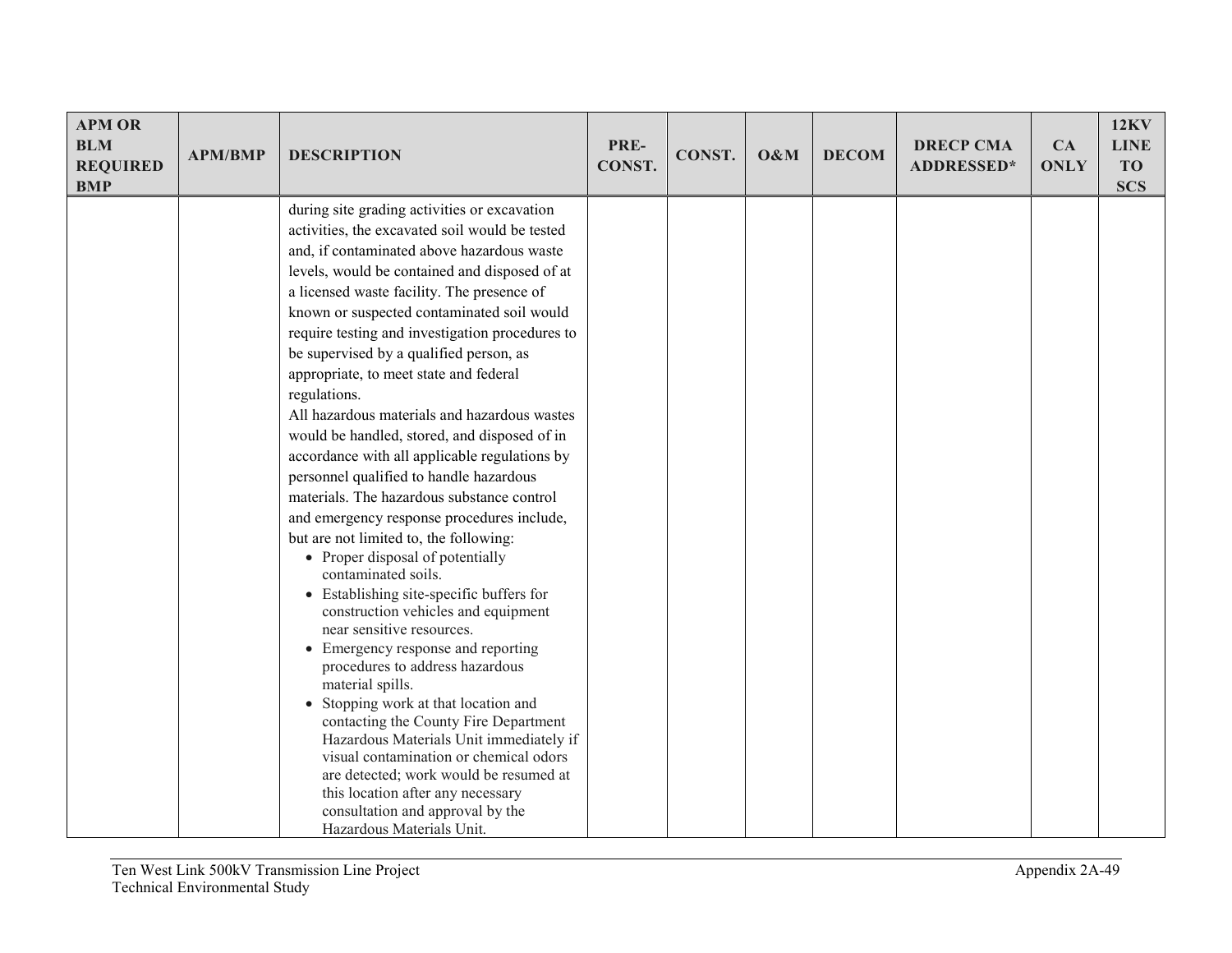| <b>APM OR</b><br><b>BLM</b><br><b>REQUIRED</b><br><b>BMP</b> | <b>APM/BMP</b> | <b>DESCRIPTION</b>                                                                                                                                                                                                                                                                                                                                                                                                                                                                                                                                                                                                                                                                                                                                                                                                                                                                                                                                                                                                                                                                                                                                                                                                                                                                                                                                                                | PRE-<br><b>CONST.</b> | <b>CONST.</b> | O&M | <b>DECOM</b> | <b>DRECP CMA</b><br><b>ADDRESSED*</b> | CA<br><b>ONLY</b> | <b>12KV</b><br><b>LINE</b><br><b>TO</b><br><b>SCS</b> |
|--------------------------------------------------------------|----------------|-----------------------------------------------------------------------------------------------------------------------------------------------------------------------------------------------------------------------------------------------------------------------------------------------------------------------------------------------------------------------------------------------------------------------------------------------------------------------------------------------------------------------------------------------------------------------------------------------------------------------------------------------------------------------------------------------------------------------------------------------------------------------------------------------------------------------------------------------------------------------------------------------------------------------------------------------------------------------------------------------------------------------------------------------------------------------------------------------------------------------------------------------------------------------------------------------------------------------------------------------------------------------------------------------------------------------------------------------------------------------------------|-----------------------|---------------|-----|--------------|---------------------------------------|-------------------|-------------------------------------------------------|
|                                                              |                | during site grading activities or excavation<br>activities, the excavated soil would be tested<br>and, if contaminated above hazardous waste<br>levels, would be contained and disposed of at<br>a licensed waste facility. The presence of<br>known or suspected contaminated soil would<br>require testing and investigation procedures to<br>be supervised by a qualified person, as<br>appropriate, to meet state and federal<br>regulations.<br>All hazardous materials and hazardous wastes<br>would be handled, stored, and disposed of in<br>accordance with all applicable regulations by<br>personnel qualified to handle hazardous<br>materials. The hazardous substance control<br>and emergency response procedures include,<br>but are not limited to, the following:<br>• Proper disposal of potentially<br>contaminated soils.<br>• Establishing site-specific buffers for<br>construction vehicles and equipment<br>near sensitive resources.<br>• Emergency response and reporting<br>procedures to address hazardous<br>material spills.<br>• Stopping work at that location and<br>contacting the County Fire Department<br>Hazardous Materials Unit immediately if<br>visual contamination or chemical odors<br>are detected; work would be resumed at<br>this location after any necessary<br>consultation and approval by the<br>Hazardous Materials Unit. |                       |               |     |              |                                       |                   |                                                       |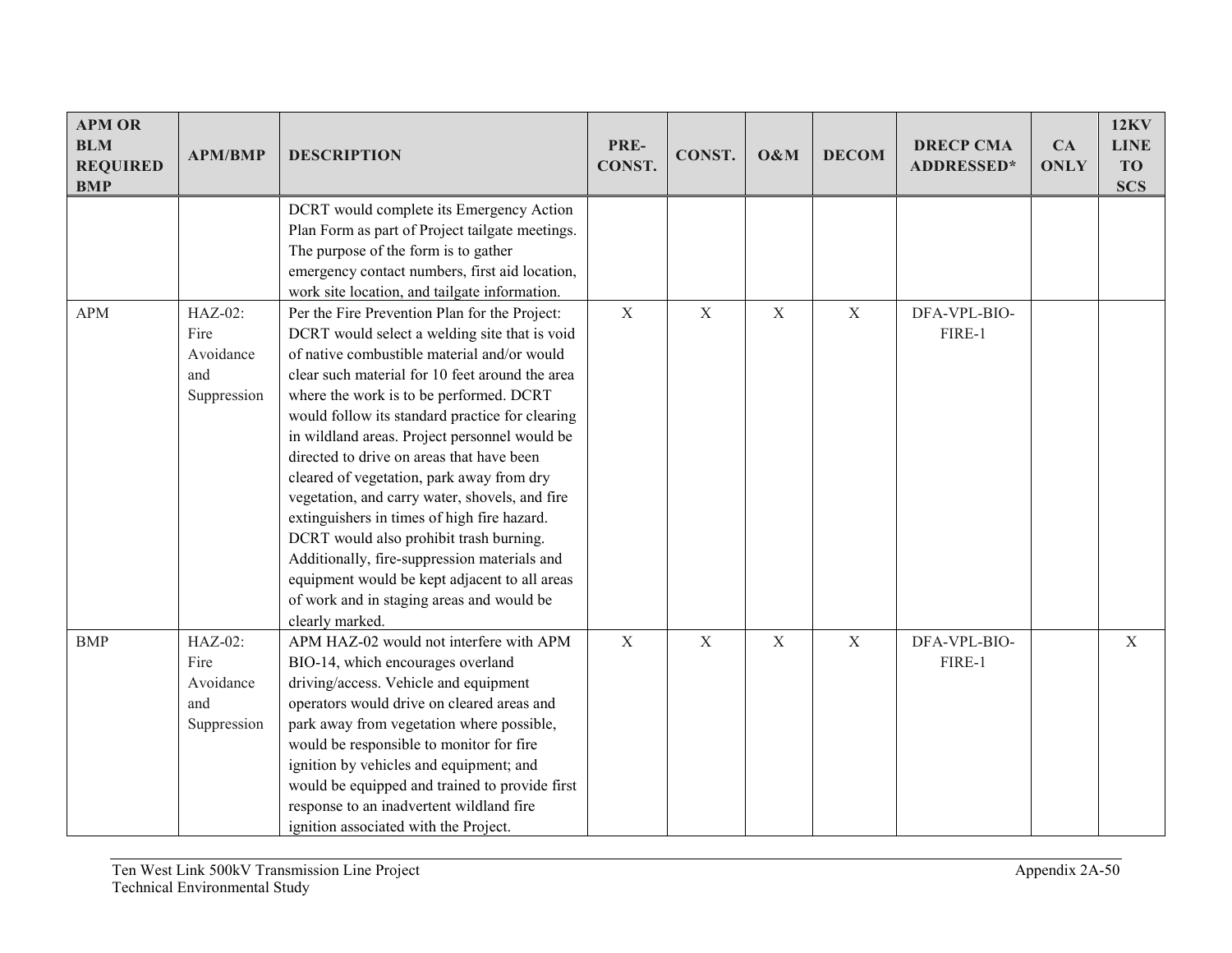| <b>APM OR</b><br><b>BLM</b><br><b>REQUIRED</b><br><b>BMP</b> | <b>APM/BMP</b>                                     | <b>DESCRIPTION</b>                                                                                                                                                                                                                                                                                                                                                                                                                                                                                                                                                                                                                                                                                                                                     | PRE-<br><b>CONST.</b> | <b>CONST.</b> | O&M         | <b>DECOM</b> | <b>DRECP CMA</b><br><b>ADDRESSED*</b> | CA<br><b>ONLY</b> | <b>12KV</b><br><b>LINE</b><br>TO<br><b>SCS</b> |
|--------------------------------------------------------------|----------------------------------------------------|--------------------------------------------------------------------------------------------------------------------------------------------------------------------------------------------------------------------------------------------------------------------------------------------------------------------------------------------------------------------------------------------------------------------------------------------------------------------------------------------------------------------------------------------------------------------------------------------------------------------------------------------------------------------------------------------------------------------------------------------------------|-----------------------|---------------|-------------|--------------|---------------------------------------|-------------------|------------------------------------------------|
|                                                              |                                                    | DCRT would complete its Emergency Action<br>Plan Form as part of Project tailgate meetings.<br>The purpose of the form is to gather<br>emergency contact numbers, first aid location,<br>work site location, and tailgate information.                                                                                                                                                                                                                                                                                                                                                                                                                                                                                                                 |                       |               |             |              |                                       |                   |                                                |
| <b>APM</b>                                                   | HAZ-02:<br>Fire<br>Avoidance<br>and<br>Suppression | Per the Fire Prevention Plan for the Project:<br>DCRT would select a welding site that is void<br>of native combustible material and/or would<br>clear such material for 10 feet around the area<br>where the work is to be performed. DCRT<br>would follow its standard practice for clearing<br>in wildland areas. Project personnel would be<br>directed to drive on areas that have been<br>cleared of vegetation, park away from dry<br>vegetation, and carry water, shovels, and fire<br>extinguishers in times of high fire hazard.<br>DCRT would also prohibit trash burning.<br>Additionally, fire-suppression materials and<br>equipment would be kept adjacent to all areas<br>of work and in staging areas and would be<br>clearly marked. | $\mathbf X$           | $\mathbf{X}$  | $\mathbf X$ | $\mathbf X$  | DFA-VPL-BIO-<br>FIRE-1                |                   |                                                |
| <b>BMP</b>                                                   | HAZ-02:<br>Fire<br>Avoidance<br>and<br>Suppression | APM HAZ-02 would not interfere with APM<br>BIO-14, which encourages overland<br>driving/access. Vehicle and equipment<br>operators would drive on cleared areas and<br>park away from vegetation where possible,<br>would be responsible to monitor for fire<br>ignition by vehicles and equipment; and<br>would be equipped and trained to provide first<br>response to an inadvertent wildland fire<br>ignition associated with the Project.                                                                                                                                                                                                                                                                                                         | $\mathbf{X}$          | $\mathbf X$   | $\mathbf X$ | $\mathbf X$  | DFA-VPL-BIO-<br>FIRE-1                |                   | $\boldsymbol{X}$                               |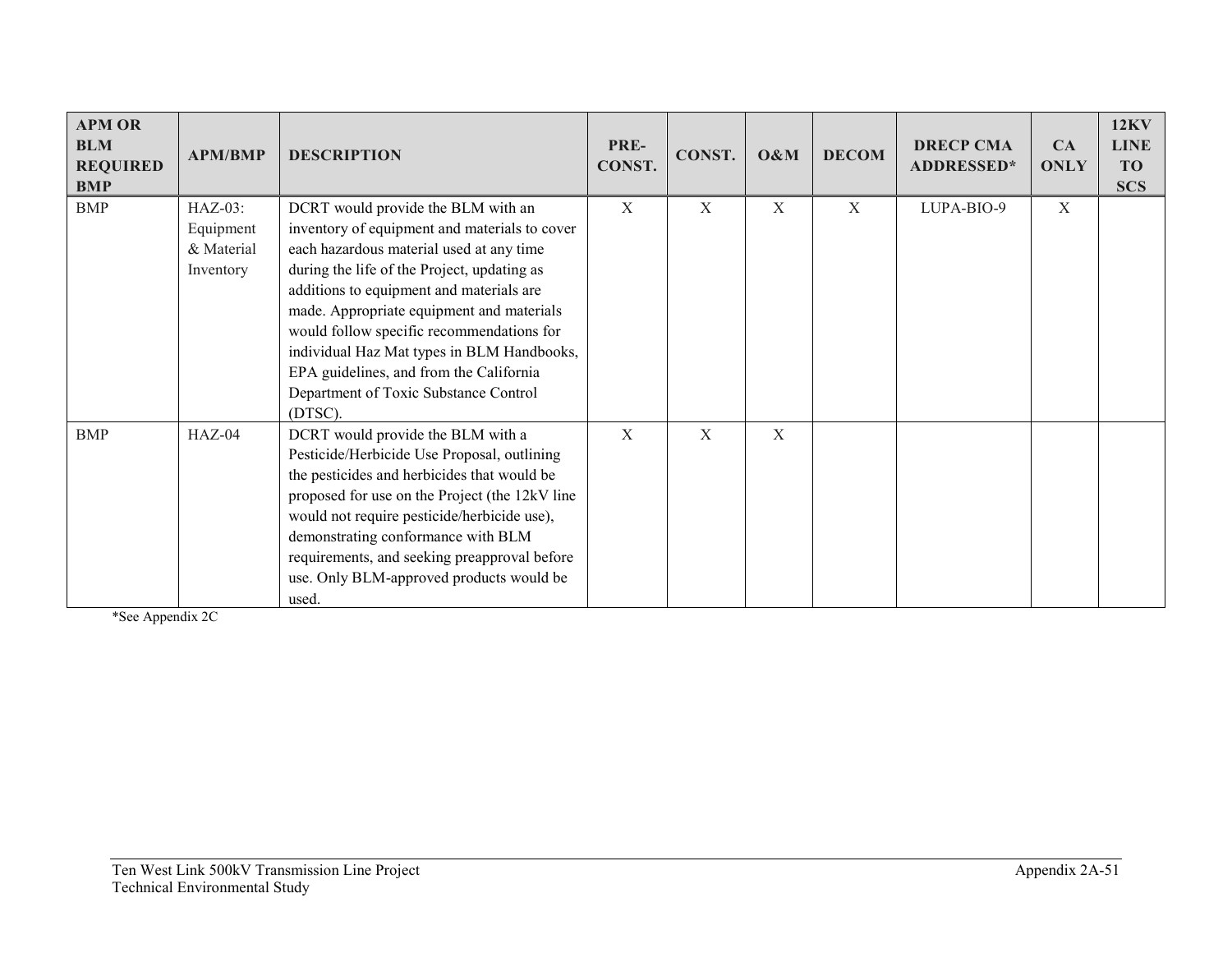| <b>APM OR</b><br><b>BLM</b><br><b>REQUIRED</b><br><b>BMP</b> | <b>APM/BMP</b> | <b>DESCRIPTION</b>                             | PRE-<br><b>CONST.</b>     | <b>CONST.</b> | O&M         | <b>DECOM</b>     | <b>DRECP CMA</b><br><b>ADDRESSED*</b> | CA<br><b>ONLY</b> | <b>12KV</b><br><b>LINE</b><br>T <sub>O</sub><br><b>SCS</b> |
|--------------------------------------------------------------|----------------|------------------------------------------------|---------------------------|---------------|-------------|------------------|---------------------------------------|-------------------|------------------------------------------------------------|
| <b>BMP</b>                                                   | HAZ-03:        | DCRT would provide the BLM with an             | $\mathbf X$               | $\mathbf X$   | $\mathbf X$ | $\boldsymbol{X}$ | LUPA-BIO-9                            | $\mathbf X$       |                                                            |
|                                                              | Equipment      | inventory of equipment and materials to cover  |                           |               |             |                  |                                       |                   |                                                            |
|                                                              | & Material     | each hazardous material used at any time       |                           |               |             |                  |                                       |                   |                                                            |
|                                                              | Inventory      | during the life of the Project, updating as    |                           |               |             |                  |                                       |                   |                                                            |
|                                                              |                | additions to equipment and materials are       |                           |               |             |                  |                                       |                   |                                                            |
|                                                              |                | made. Appropriate equipment and materials      |                           |               |             |                  |                                       |                   |                                                            |
|                                                              |                | would follow specific recommendations for      |                           |               |             |                  |                                       |                   |                                                            |
|                                                              |                | individual Haz Mat types in BLM Handbooks,     |                           |               |             |                  |                                       |                   |                                                            |
|                                                              |                | EPA guidelines, and from the California        |                           |               |             |                  |                                       |                   |                                                            |
|                                                              |                | Department of Toxic Substance Control          |                           |               |             |                  |                                       |                   |                                                            |
|                                                              |                | (DTSC).                                        |                           |               |             |                  |                                       |                   |                                                            |
| <b>BMP</b>                                                   | $HAZ-04$       | DCRT would provide the BLM with a              | $\boldsymbol{\mathrm{X}}$ | $\mathbf X$   | $\mathbf X$ |                  |                                       |                   |                                                            |
|                                                              |                | Pesticide/Herbicide Use Proposal, outlining    |                           |               |             |                  |                                       |                   |                                                            |
|                                                              |                | the pesticides and herbicides that would be    |                           |               |             |                  |                                       |                   |                                                            |
|                                                              |                | proposed for use on the Project (the 12kV line |                           |               |             |                  |                                       |                   |                                                            |
|                                                              |                | would not require pesticide/herbicide use),    |                           |               |             |                  |                                       |                   |                                                            |
|                                                              |                | demonstrating conformance with BLM             |                           |               |             |                  |                                       |                   |                                                            |
|                                                              |                | requirements, and seeking preapproval before   |                           |               |             |                  |                                       |                   |                                                            |
|                                                              |                | use. Only BLM-approved products would be       |                           |               |             |                  |                                       |                   |                                                            |
|                                                              |                | used.                                          |                           |               |             |                  |                                       |                   |                                                            |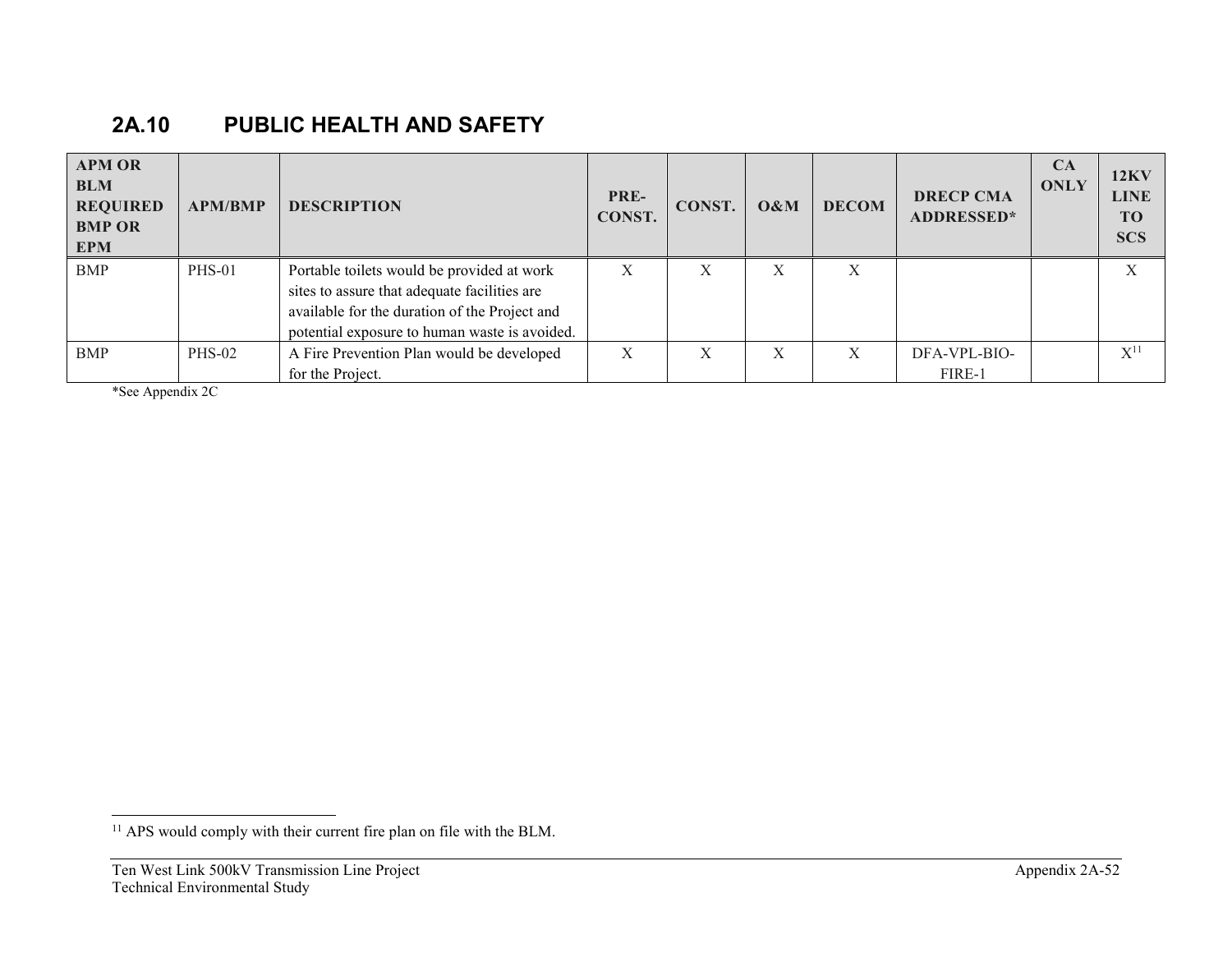#### **2A.10 PUBLIC HEALTH AND SAFETY**

<span id="page-54-0"></span>

| <b>APM OR</b><br><b>BLM</b><br><b>REQUIRED</b><br><b>BMP OR</b><br><b>EPM</b> | <b>APM/BMP</b> | <b>DESCRIPTION</b>                            | PRE-<br><b>CONST.</b> | <b>CONST.</b> | 0&M | <b>DECOM</b> | <b>DRECP CMA</b><br><b>ADDRESSED*</b> | CA<br><b>ONLY</b> | 12KV<br><b>LINE</b><br><b>TO</b><br><b>SCS</b> |
|-------------------------------------------------------------------------------|----------------|-----------------------------------------------|-----------------------|---------------|-----|--------------|---------------------------------------|-------------------|------------------------------------------------|
| <b>BMP</b>                                                                    | $PHS-01$       | Portable toilets would be provided at work    | Χ                     | Χ             | X   | Х            |                                       |                   |                                                |
|                                                                               |                | sites to assure that adequate facilities are  |                       |               |     |              |                                       |                   |                                                |
|                                                                               |                | available for the duration of the Project and |                       |               |     |              |                                       |                   |                                                |
|                                                                               |                | potential exposure to human waste is avoided. |                       |               |     |              |                                       |                   |                                                |
| <b>BMP</b>                                                                    | <b>PHS-02</b>  | A Fire Prevention Plan would be developed     | Χ                     | Χ             | X   | Χ            | DFA-VPL-BIO-                          |                   | $X^{11}$                                       |
|                                                                               |                | for the Project.                              |                       |               |     |              | FIRE-1                                |                   |                                                |

<sup>&</sup>lt;sup>11</sup> APS would comply with their current fire plan on file with the BLM.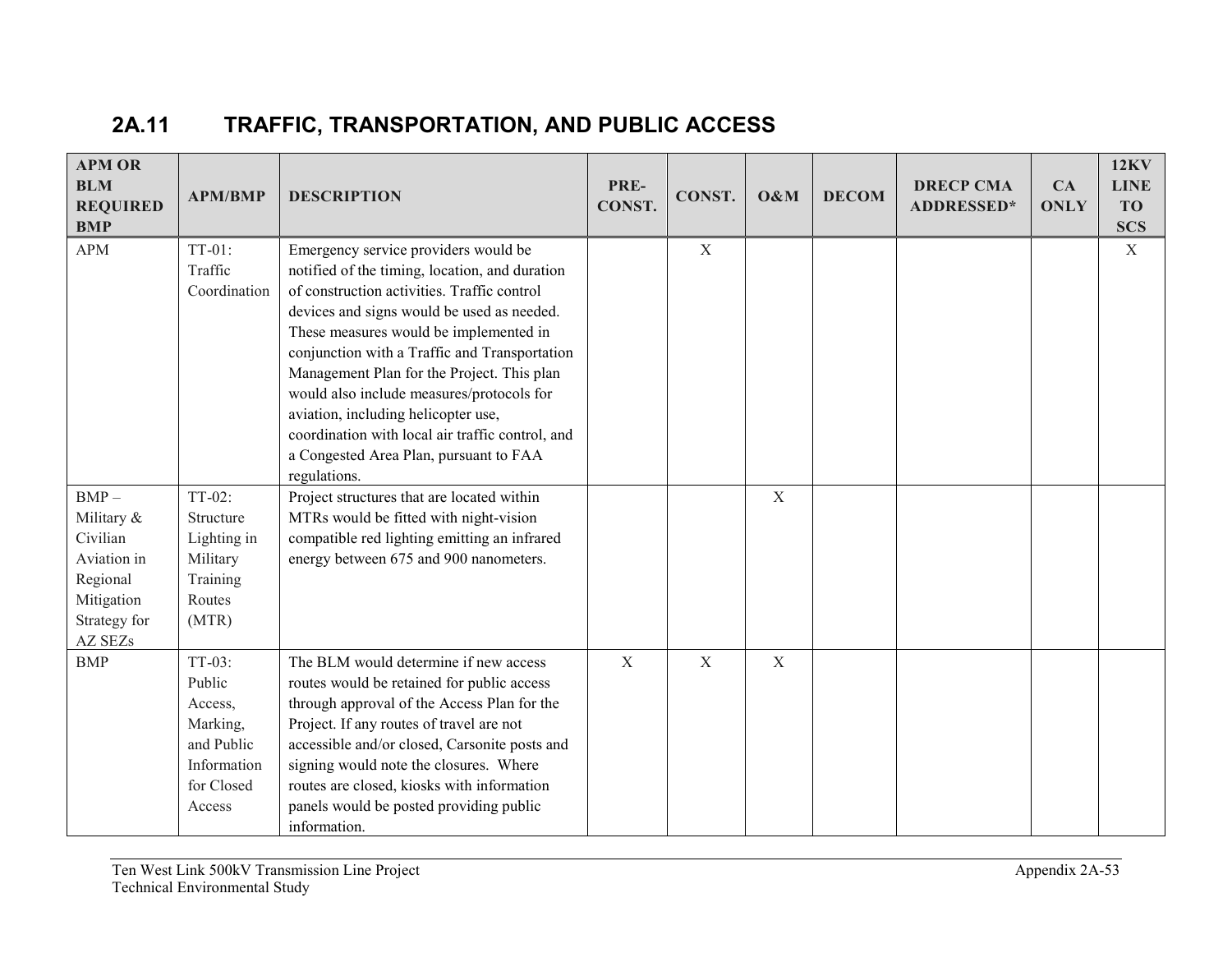# **2A.11 TRAFFIC, TRANSPORTATION, AND PUBLIC ACCESS**

<span id="page-55-0"></span>

| <b>APM OR</b><br><b>BLM</b><br><b>REQUIRED</b><br><b>BMP</b>                                          | <b>APM/BMP</b>                                                                                  | <b>DESCRIPTION</b>                                                                                                                                                                                                                                                                                                                                                                                                                                                                                                             | PRE-<br><b>CONST.</b> | <b>CONST.</b> | O&M         | <b>DECOM</b> | <b>DRECP CMA</b><br><b>ADDRESSED*</b> | CA<br><b>ONLY</b> | <b>12KV</b><br><b>LINE</b><br>TO<br><b>SCS</b> |
|-------------------------------------------------------------------------------------------------------|-------------------------------------------------------------------------------------------------|--------------------------------------------------------------------------------------------------------------------------------------------------------------------------------------------------------------------------------------------------------------------------------------------------------------------------------------------------------------------------------------------------------------------------------------------------------------------------------------------------------------------------------|-----------------------|---------------|-------------|--------------|---------------------------------------|-------------------|------------------------------------------------|
| <b>APM</b>                                                                                            | $TT-01$ :<br>Traffic<br>Coordination                                                            | Emergency service providers would be<br>notified of the timing, location, and duration<br>of construction activities. Traffic control<br>devices and signs would be used as needed.<br>These measures would be implemented in<br>conjunction with a Traffic and Transportation<br>Management Plan for the Project. This plan<br>would also include measures/protocols for<br>aviation, including helicopter use,<br>coordination with local air traffic control, and<br>a Congested Area Plan, pursuant to FAA<br>regulations. |                       | $\mathbf X$   |             |              |                                       |                   | $\mathbf X$                                    |
| $BMP -$<br>Military &<br>Civilian<br>Aviation in<br>Regional<br>Mitigation<br>Strategy for<br>AZ SEZs | $TT-02$ :<br>Structure<br>Lighting in<br>Military<br>Training<br>Routes<br>(MTR)                | Project structures that are located within<br>MTRs would be fitted with night-vision<br>compatible red lighting emitting an infrared<br>energy between 675 and 900 nanometers.                                                                                                                                                                                                                                                                                                                                                 |                       |               | $\mathbf X$ |              |                                       |                   |                                                |
| <b>BMP</b>                                                                                            | $TT-03$ :<br>Public<br>Access,<br>Marking,<br>and Public<br>Information<br>for Closed<br>Access | The BLM would determine if new access<br>routes would be retained for public access<br>through approval of the Access Plan for the<br>Project. If any routes of travel are not<br>accessible and/or closed, Carsonite posts and<br>signing would note the closures. Where<br>routes are closed, kiosks with information<br>panels would be posted providing public<br>information.                                                                                                                                             | $\mathbf{X}$          | $\mathbf{X}$  | $\mathbf X$ |              |                                       |                   |                                                |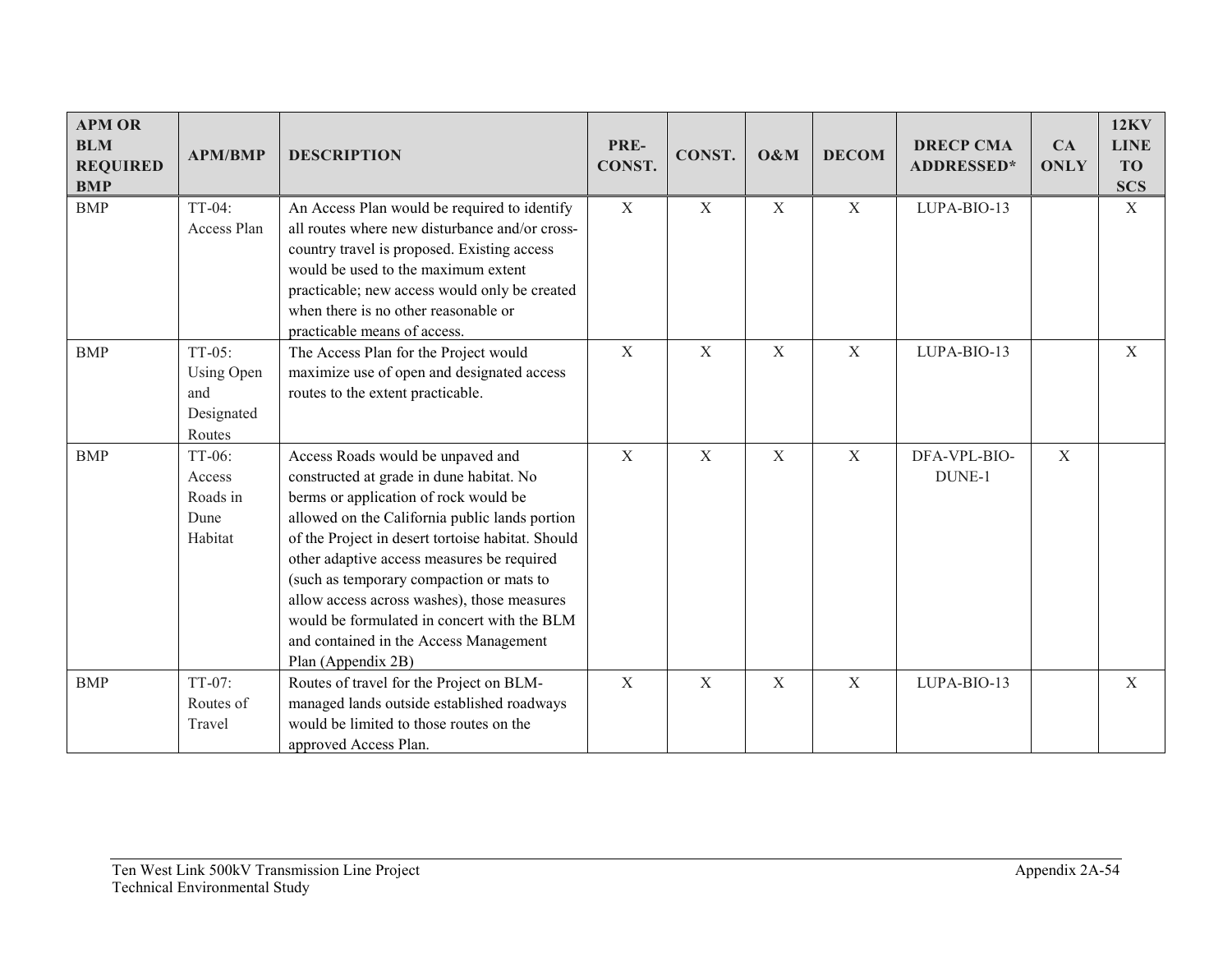| <b>APM OR</b><br><b>BLM</b><br><b>REQUIRED</b><br><b>BMP</b> | <b>APM/BMP</b>                                         | <b>DESCRIPTION</b>                                                                                                                                                                                                                                                                                                                                                                                                                                                                    | PRE-<br><b>CONST.</b> | <b>CONST.</b> | O&M            | <b>DECOM</b> | <b>DRECP CMA</b><br><b>ADDRESSED*</b> | CA<br><b>ONLY</b> | <b>12KV</b><br><b>LINE</b><br>TO<br><b>SCS</b> |
|--------------------------------------------------------------|--------------------------------------------------------|---------------------------------------------------------------------------------------------------------------------------------------------------------------------------------------------------------------------------------------------------------------------------------------------------------------------------------------------------------------------------------------------------------------------------------------------------------------------------------------|-----------------------|---------------|----------------|--------------|---------------------------------------|-------------------|------------------------------------------------|
| <b>BMP</b>                                                   | $TT-04$ :<br>Access Plan                               | An Access Plan would be required to identify<br>all routes where new disturbance and/or cross-<br>country travel is proposed. Existing access<br>would be used to the maximum extent<br>practicable; new access would only be created<br>when there is no other reasonable or<br>practicable means of access.                                                                                                                                                                         | X                     | X             | $\mathbf X$    | $\mathbf X$  | LUPA-BIO-13                           |                   | X                                              |
| <b>BMP</b>                                                   | $TT-05$ :<br>Using Open<br>and<br>Designated<br>Routes | The Access Plan for the Project would<br>maximize use of open and designated access<br>routes to the extent practicable.                                                                                                                                                                                                                                                                                                                                                              | $\mathbf{X}$          | $\mathbf{X}$  | $\overline{X}$ | $\mathbf X$  | LUPA-BIO-13                           |                   | X                                              |
| <b>BMP</b>                                                   | TT-06:<br>Access<br>Roads in<br>Dune<br>Habitat        | Access Roads would be unpaved and<br>constructed at grade in dune habitat. No<br>berms or application of rock would be<br>allowed on the California public lands portion<br>of the Project in desert tortoise habitat. Should<br>other adaptive access measures be required<br>(such as temporary compaction or mats to<br>allow access across washes), those measures<br>would be formulated in concert with the BLM<br>and contained in the Access Management<br>Plan (Appendix 2B) | X                     | $\mathbf X$   | $\mathbf X$    | $\mathbf X$  | DFA-VPL-BIO-<br>DUNE-1                | $\mathbf{X}$      |                                                |
| <b>BMP</b>                                                   | $TT-07$ :<br>Routes of<br>Travel                       | Routes of travel for the Project on BLM-<br>managed lands outside established roadways<br>would be limited to those routes on the<br>approved Access Plan.                                                                                                                                                                                                                                                                                                                            | $\mathbf{X}$          | $\mathbf{X}$  | X              | X            | LUPA-BIO-13                           |                   | X                                              |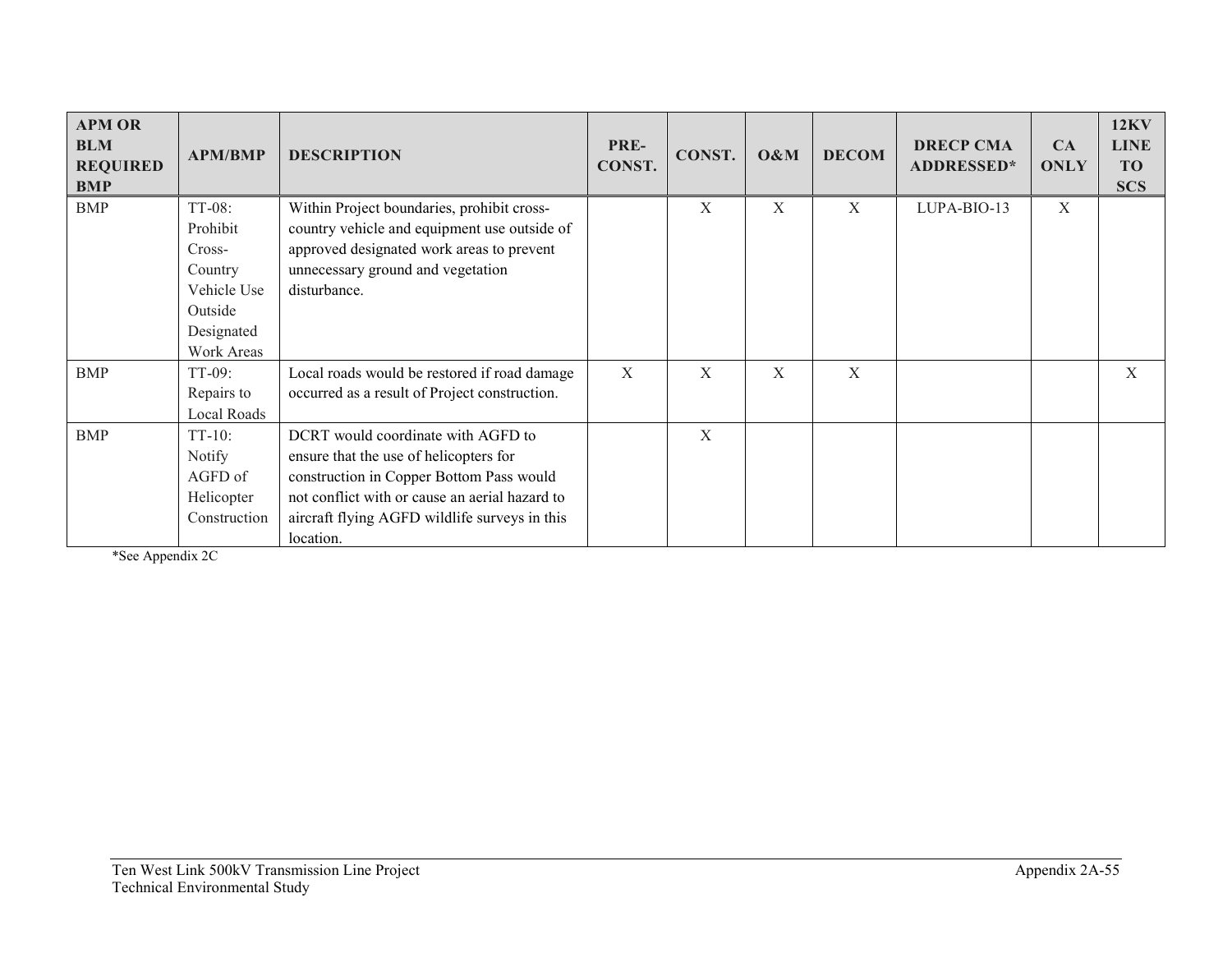| <b>APM OR</b><br><b>BLM</b><br><b>REQUIRED</b><br><b>BMP</b> | <b>APM/BMP</b>                                                                                | <b>DESCRIPTION</b>                                                                                                                                                                                                                       | PRE-<br><b>CONST.</b> | <b>CONST.</b> | O&M | <b>DECOM</b> | <b>DRECP CMA</b><br><b>ADDRESSED*</b> | CA<br><b>ONLY</b> | <b>12KV</b><br><b>LINE</b><br>TO<br><b>SCS</b> |
|--------------------------------------------------------------|-----------------------------------------------------------------------------------------------|------------------------------------------------------------------------------------------------------------------------------------------------------------------------------------------------------------------------------------------|-----------------------|---------------|-----|--------------|---------------------------------------|-------------------|------------------------------------------------|
| <b>BMP</b>                                                   | TT-08:<br>Prohibit<br>Cross-<br>Country<br>Vehicle Use<br>Outside<br>Designated<br>Work Areas | Within Project boundaries, prohibit cross-<br>country vehicle and equipment use outside of<br>approved designated work areas to prevent<br>unnecessary ground and vegetation<br>disturbance.                                             |                       | $\mathbf X$   | X   | $\mathbf X$  | LUPA-BIO-13                           | $\mathbf X$       |                                                |
| <b>BMP</b>                                                   | TT-09:<br>Repairs to<br>Local Roads                                                           | Local roads would be restored if road damage<br>occurred as a result of Project construction.                                                                                                                                            | X                     | $\mathbf{X}$  | X   | X            |                                       |                   | X                                              |
| <b>BMP</b>                                                   | $TT-10:$<br>Notify<br>AGFD of<br>Helicopter<br>Construction                                   | DCRT would coordinate with AGFD to<br>ensure that the use of helicopters for<br>construction in Copper Bottom Pass would<br>not conflict with or cause an aerial hazard to<br>aircraft flying AGFD wildlife surveys in this<br>location. |                       | X             |     |              |                                       |                   |                                                |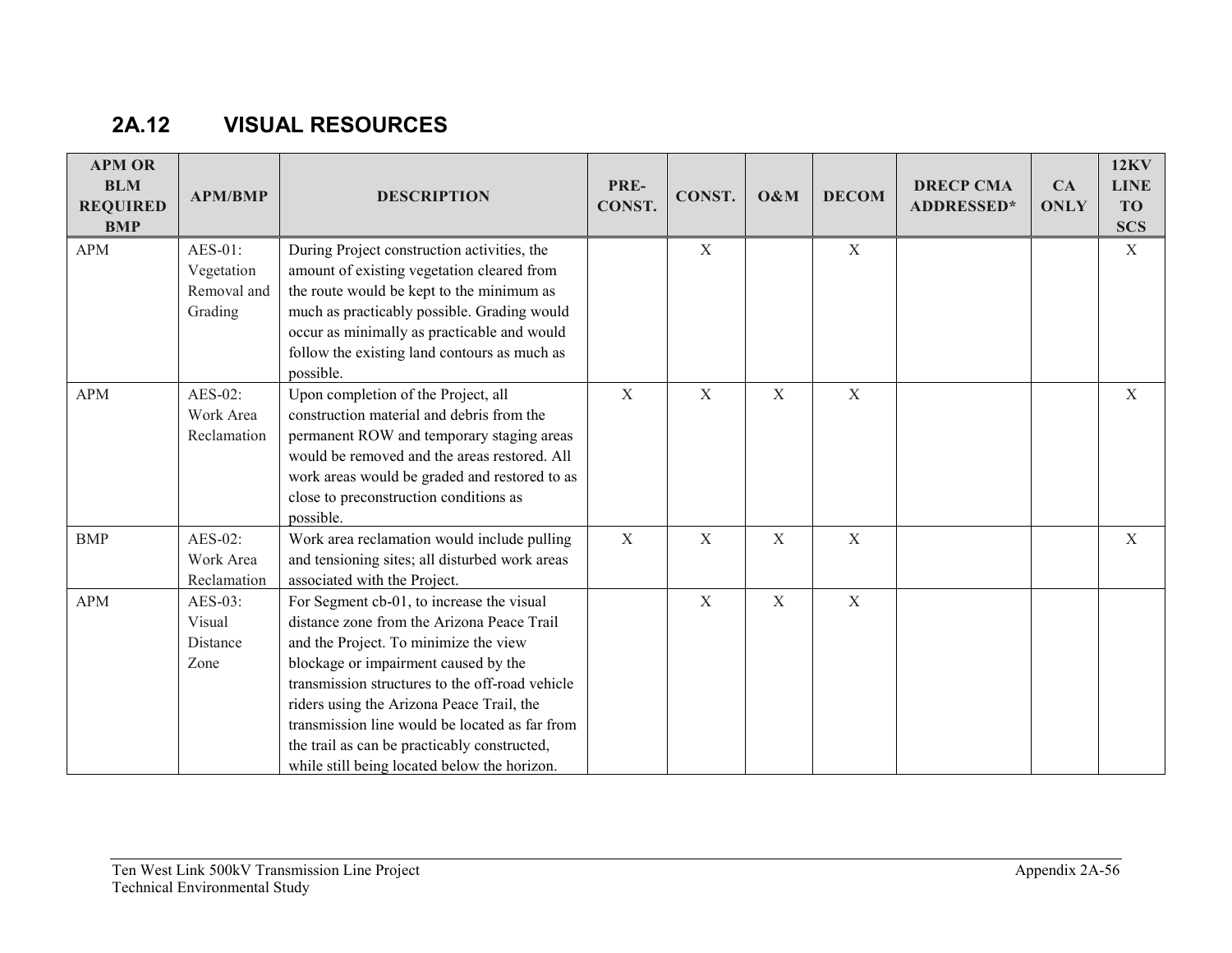# **2A.12 VISUAL RESOURCES**

<span id="page-58-0"></span>

| <b>APM OR</b><br><b>BLM</b><br><b>REQUIRED</b><br><b>BMP</b> | <b>APM/BMP</b>                                  | <b>DESCRIPTION</b>                                                                                                                                                                                                                                                                                                                                                                                                         | PRE-<br><b>CONST.</b> | <b>CONST.</b> | O&M         | <b>DECOM</b>     | <b>DRECP CMA</b><br><b>ADDRESSED*</b> | CA<br><b>ONLY</b> | <b>12KV</b><br><b>LINE</b><br>TO<br><b>SCS</b> |
|--------------------------------------------------------------|-------------------------------------------------|----------------------------------------------------------------------------------------------------------------------------------------------------------------------------------------------------------------------------------------------------------------------------------------------------------------------------------------------------------------------------------------------------------------------------|-----------------------|---------------|-------------|------------------|---------------------------------------|-------------------|------------------------------------------------|
| <b>APM</b>                                                   | AES-01:<br>Vegetation<br>Removal and<br>Grading | During Project construction activities, the<br>amount of existing vegetation cleared from<br>the route would be kept to the minimum as<br>much as practicably possible. Grading would<br>occur as minimally as practicable and would<br>follow the existing land contours as much as<br>possible.                                                                                                                          |                       | X             |             | $\mathbf X$      |                                       |                   | $\mathbf X$                                    |
| <b>APM</b>                                                   | AES-02:<br>Work Area<br>Reclamation             | Upon completion of the Project, all<br>construction material and debris from the<br>permanent ROW and temporary staging areas<br>would be removed and the areas restored. All<br>work areas would be graded and restored to as<br>close to preconstruction conditions as<br>possible.                                                                                                                                      | X                     | X             | $\mathbf X$ | $\mathbf X$      |                                       |                   | X                                              |
| <b>BMP</b>                                                   | AES-02:<br>Work Area<br>Reclamation             | Work area reclamation would include pulling<br>and tensioning sites; all disturbed work areas<br>associated with the Project.                                                                                                                                                                                                                                                                                              | $\mathbf X$           | X             | $\mathbf X$ | $\boldsymbol{X}$ |                                       |                   | $\mathbf X$                                    |
| <b>APM</b>                                                   | $AES-03$ :<br>Visual<br>Distance<br>Zone        | For Segment cb-01, to increase the visual<br>distance zone from the Arizona Peace Trail<br>and the Project. To minimize the view<br>blockage or impairment caused by the<br>transmission structures to the off-road vehicle<br>riders using the Arizona Peace Trail, the<br>transmission line would be located as far from<br>the trail as can be practicably constructed,<br>while still being located below the horizon. |                       | X             | $\mathbf X$ | $\mathbf X$      |                                       |                   |                                                |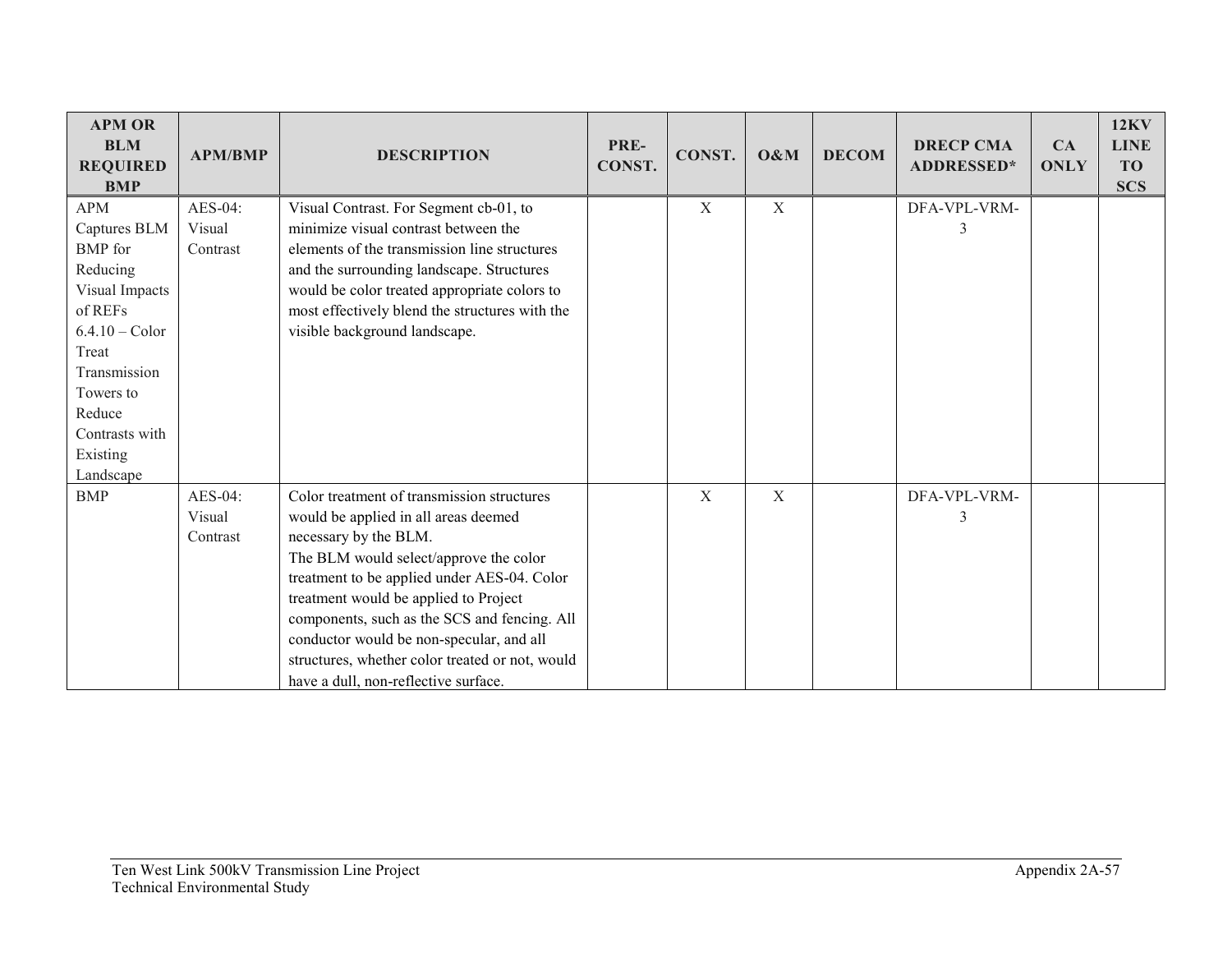| <b>APM OR</b><br><b>BLM</b><br><b>REQUIRED</b><br><b>BMP</b>                                                                                                                                         | <b>APM/BMP</b>                | <b>DESCRIPTION</b>                                                                                                                                                                                                                                                                                                                                                                                                                   | PRE-<br><b>CONST.</b> | <b>CONST.</b> | O&M         | <b>DECOM</b> | <b>DRECP CMA</b><br><b>ADDRESSED*</b> | CA<br><b>ONLY</b> | <b>12KV</b><br><b>LINE</b><br>TO<br><b>SCS</b> |
|------------------------------------------------------------------------------------------------------------------------------------------------------------------------------------------------------|-------------------------------|--------------------------------------------------------------------------------------------------------------------------------------------------------------------------------------------------------------------------------------------------------------------------------------------------------------------------------------------------------------------------------------------------------------------------------------|-----------------------|---------------|-------------|--------------|---------------------------------------|-------------------|------------------------------------------------|
| <b>APM</b><br>Captures BLM<br><b>BMP</b> for<br>Reducing<br>Visual Impacts<br>of REFs<br>$6.4.10 - Color$<br>Treat<br>Transmission<br>Towers to<br>Reduce<br>Contrasts with<br>Existing<br>Landscape | AES-04:<br>Visual<br>Contrast | Visual Contrast. For Segment cb-01, to<br>minimize visual contrast between the<br>elements of the transmission line structures<br>and the surrounding landscape. Structures<br>would be color treated appropriate colors to<br>most effectively blend the structures with the<br>visible background landscape.                                                                                                                       |                       | $\mathbf X$   | $\mathbf X$ |              | DFA-VPL-VRM-<br>3                     |                   |                                                |
| <b>BMP</b>                                                                                                                                                                                           | AES-04:<br>Visual<br>Contrast | Color treatment of transmission structures<br>would be applied in all areas deemed<br>necessary by the BLM.<br>The BLM would select/approve the color<br>treatment to be applied under AES-04. Color<br>treatment would be applied to Project<br>components, such as the SCS and fencing. All<br>conductor would be non-specular, and all<br>structures, whether color treated or not, would<br>have a dull, non-reflective surface. |                       | $\mathbf X$   | $\mathbf X$ |              | DFA-VPL-VRM-<br>3                     |                   |                                                |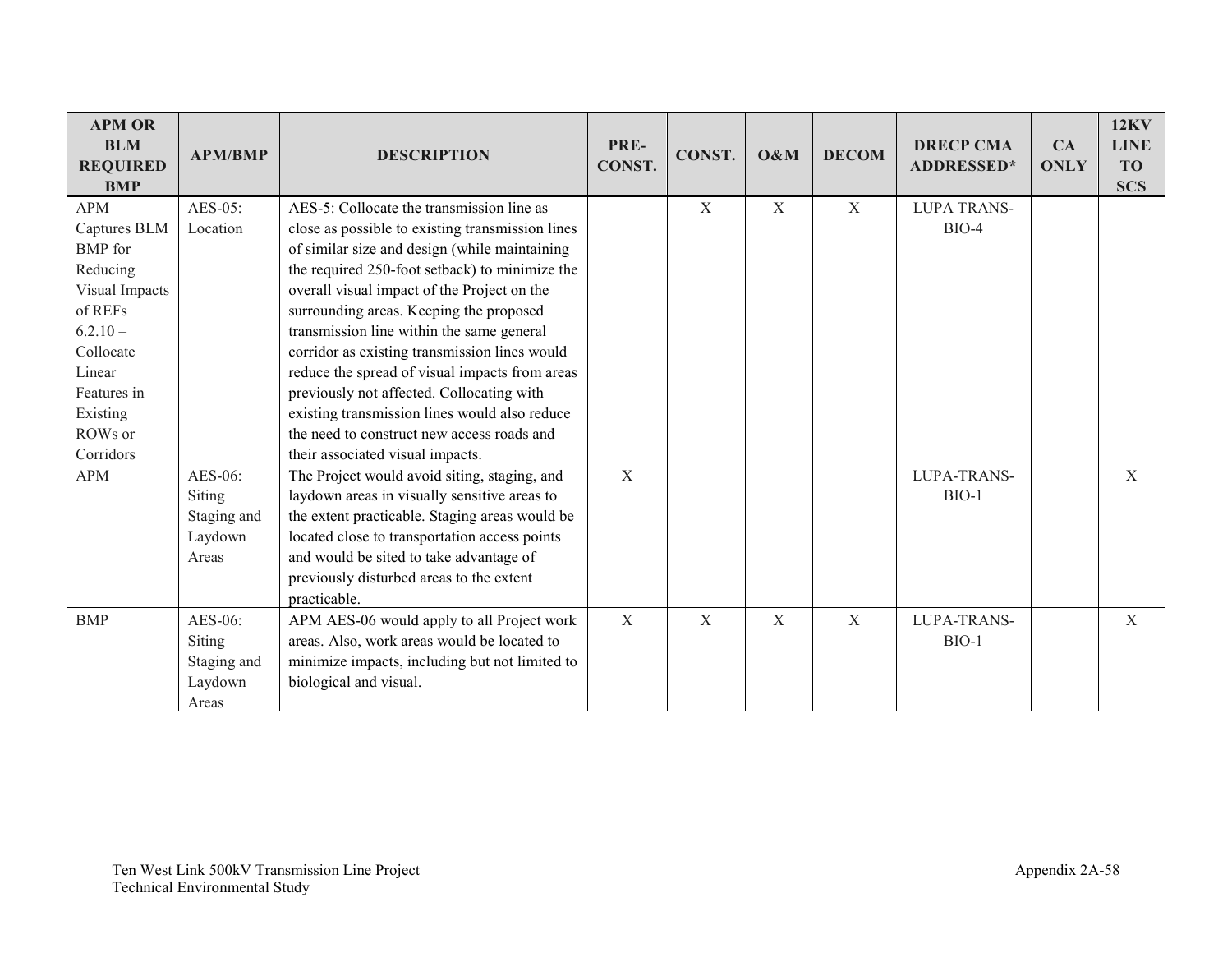| <b>APM OR</b><br><b>BLM</b><br><b>REQUIRED</b><br><b>BMP</b> | <b>APM/BMP</b> | <b>DESCRIPTION</b>                               | PRE-<br><b>CONST.</b> | <b>CONST.</b> | O&M         | <b>DECOM</b> | <b>DRECP CMA</b><br><b>ADDRESSED*</b> | CA<br><b>ONLY</b> | <b>12KV</b><br><b>LINE</b><br>T <sub>O</sub><br><b>SCS</b> |
|--------------------------------------------------------------|----------------|--------------------------------------------------|-----------------------|---------------|-------------|--------------|---------------------------------------|-------------------|------------------------------------------------------------|
| <b>APM</b>                                                   | AES-05:        | AES-5: Collocate the transmission line as        |                       | $\mathbf X$   | X           | $\mathbf X$  | <b>LUPA TRANS-</b>                    |                   |                                                            |
| Captures BLM                                                 | Location       | close as possible to existing transmission lines |                       |               |             |              | $BIO-4$                               |                   |                                                            |
| <b>BMP</b> for                                               |                | of similar size and design (while maintaining    |                       |               |             |              |                                       |                   |                                                            |
| Reducing                                                     |                | the required 250-foot setback) to minimize the   |                       |               |             |              |                                       |                   |                                                            |
| Visual Impacts                                               |                | overall visual impact of the Project on the      |                       |               |             |              |                                       |                   |                                                            |
| of REFs                                                      |                | surrounding areas. Keeping the proposed          |                       |               |             |              |                                       |                   |                                                            |
| $6.2.10 -$                                                   |                | transmission line within the same general        |                       |               |             |              |                                       |                   |                                                            |
| Collocate                                                    |                | corridor as existing transmission lines would    |                       |               |             |              |                                       |                   |                                                            |
| Linear                                                       |                | reduce the spread of visual impacts from areas   |                       |               |             |              |                                       |                   |                                                            |
| Features in                                                  |                | previously not affected. Collocating with        |                       |               |             |              |                                       |                   |                                                            |
| Existing                                                     |                | existing transmission lines would also reduce    |                       |               |             |              |                                       |                   |                                                            |
| ROWs or                                                      |                | the need to construct new access roads and       |                       |               |             |              |                                       |                   |                                                            |
| Corridors                                                    |                | their associated visual impacts.                 |                       |               |             |              |                                       |                   |                                                            |
| <b>APM</b>                                                   | $AES-06$ :     | The Project would avoid siting, staging, and     | X                     |               |             |              | LUPA-TRANS-                           |                   | $\mathbf{X}$                                               |
|                                                              | Siting         | laydown areas in visually sensitive areas to     |                       |               |             |              | $BIO-1$                               |                   |                                                            |
|                                                              | Staging and    | the extent practicable. Staging areas would be   |                       |               |             |              |                                       |                   |                                                            |
|                                                              | Laydown        | located close to transportation access points    |                       |               |             |              |                                       |                   |                                                            |
|                                                              | Areas          | and would be sited to take advantage of          |                       |               |             |              |                                       |                   |                                                            |
|                                                              |                | previously disturbed areas to the extent         |                       |               |             |              |                                       |                   |                                                            |
|                                                              |                | practicable.                                     |                       |               |             |              |                                       |                   |                                                            |
| <b>BMP</b>                                                   | $AES-06$ :     | APM AES-06 would apply to all Project work       | $\mathbf X$           | $\mathbf{X}$  | $\mathbf X$ | $\mathbf X$  | LUPA-TRANS-                           |                   | $\mathbf{X}$                                               |
|                                                              | Siting         | areas. Also, work areas would be located to      |                       |               |             |              | $BIO-1$                               |                   |                                                            |
|                                                              | Staging and    | minimize impacts, including but not limited to   |                       |               |             |              |                                       |                   |                                                            |
|                                                              | Laydown        | biological and visual.                           |                       |               |             |              |                                       |                   |                                                            |
|                                                              | Areas          |                                                  |                       |               |             |              |                                       |                   |                                                            |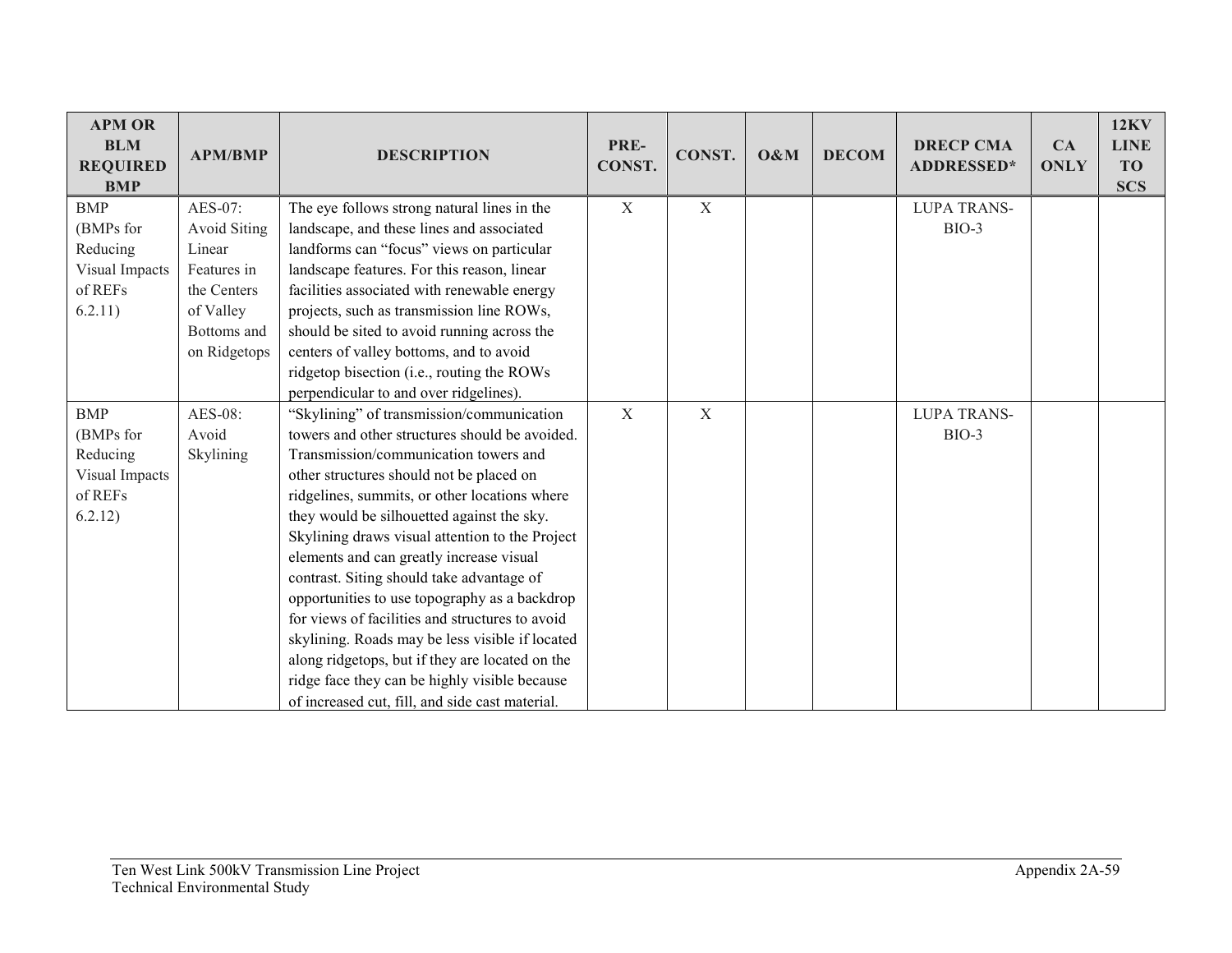| <b>APM OR</b><br><b>BLM</b><br><b>REQUIRED</b><br><b>BMP</b> | <b>APM/BMP</b>      | <b>DESCRIPTION</b>                              | PRE-<br><b>CONST.</b> | CONST.      | O&M | <b>DECOM</b> | <b>DRECP CMA</b><br><b>ADDRESSED*</b> | CA<br><b>ONLY</b> | <b>12KV</b><br><b>LINE</b><br>TO<br><b>SCS</b> |
|--------------------------------------------------------------|---------------------|-------------------------------------------------|-----------------------|-------------|-----|--------------|---------------------------------------|-------------------|------------------------------------------------|
| <b>BMP</b>                                                   | AES-07:             | The eye follows strong natural lines in the     | X                     | $\mathbf X$ |     |              | <b>LUPA TRANS-</b>                    |                   |                                                |
| (BMPs for                                                    | <b>Avoid Siting</b> | landscape, and these lines and associated       |                       |             |     |              | $BIO-3$                               |                   |                                                |
| Reducing                                                     | Linear              | landforms can "focus" views on particular       |                       |             |     |              |                                       |                   |                                                |
| Visual Impacts                                               | Features in         | landscape features. For this reason, linear     |                       |             |     |              |                                       |                   |                                                |
| of REFs                                                      | the Centers         | facilities associated with renewable energy     |                       |             |     |              |                                       |                   |                                                |
| 6.2.11)                                                      | of Valley           | projects, such as transmission line ROWs,       |                       |             |     |              |                                       |                   |                                                |
|                                                              | Bottoms and         | should be sited to avoid running across the     |                       |             |     |              |                                       |                   |                                                |
|                                                              | on Ridgetops        | centers of valley bottoms, and to avoid         |                       |             |     |              |                                       |                   |                                                |
|                                                              |                     | ridgetop bisection (i.e., routing the ROWs      |                       |             |     |              |                                       |                   |                                                |
|                                                              |                     | perpendicular to and over ridgelines).          |                       |             |     |              |                                       |                   |                                                |
| <b>BMP</b>                                                   | AES-08:             | "Skylining" of transmission/communication       | $\mathbf X$           | $\mathbf X$ |     |              | <b>LUPA TRANS-</b>                    |                   |                                                |
| (BMPs for                                                    | Avoid               | towers and other structures should be avoided.  |                       |             |     |              | $BIO-3$                               |                   |                                                |
| Reducing                                                     | Skylining           | Transmission/communication towers and           |                       |             |     |              |                                       |                   |                                                |
| Visual Impacts                                               |                     | other structures should not be placed on        |                       |             |     |              |                                       |                   |                                                |
| of REFs                                                      |                     | ridgelines, summits, or other locations where   |                       |             |     |              |                                       |                   |                                                |
| 6.2.12)                                                      |                     | they would be silhouetted against the sky.      |                       |             |     |              |                                       |                   |                                                |
|                                                              |                     | Skylining draws visual attention to the Project |                       |             |     |              |                                       |                   |                                                |
|                                                              |                     | elements and can greatly increase visual        |                       |             |     |              |                                       |                   |                                                |
|                                                              |                     | contrast. Siting should take advantage of       |                       |             |     |              |                                       |                   |                                                |
|                                                              |                     | opportunities to use topography as a backdrop   |                       |             |     |              |                                       |                   |                                                |
|                                                              |                     | for views of facilities and structures to avoid |                       |             |     |              |                                       |                   |                                                |
|                                                              |                     | skylining. Roads may be less visible if located |                       |             |     |              |                                       |                   |                                                |
|                                                              |                     | along ridgetops, but if they are located on the |                       |             |     |              |                                       |                   |                                                |
|                                                              |                     | ridge face they can be highly visible because   |                       |             |     |              |                                       |                   |                                                |
|                                                              |                     | of increased cut, fill, and side cast material. |                       |             |     |              |                                       |                   |                                                |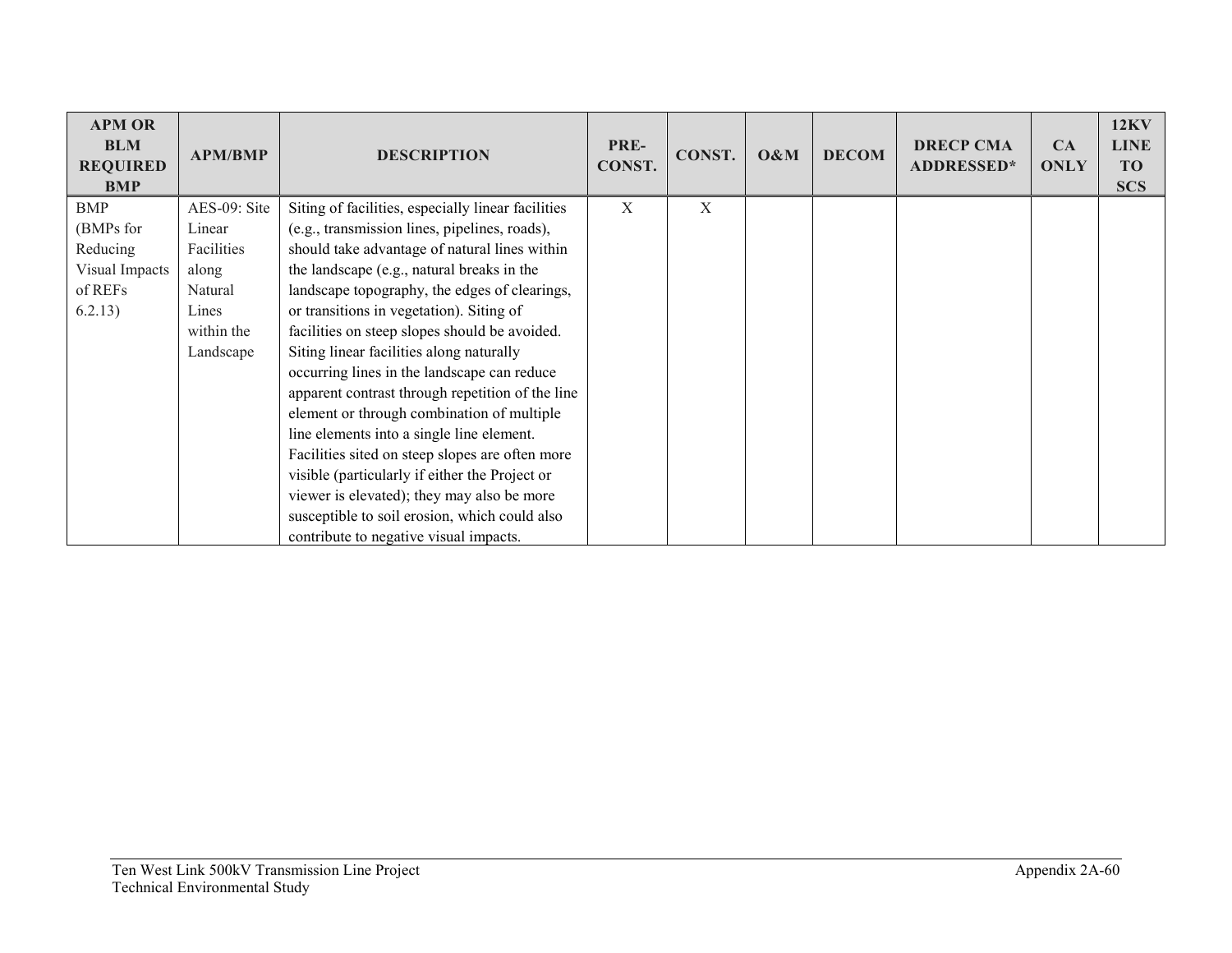| <b>APM OR</b><br><b>BLM</b><br><b>REQUIRED</b><br><b>BMP</b> | <b>APM/BMP</b> | <b>DESCRIPTION</b>                                 | PRE-<br><b>CONST.</b> | <b>CONST.</b> | O&M | <b>DECOM</b> | <b>DRECP CMA</b><br><b>ADDRESSED*</b> | CA<br><b>ONLY</b> | <b>12KV</b><br><b>LINE</b><br>TO<br><b>SCS</b> |
|--------------------------------------------------------------|----------------|----------------------------------------------------|-----------------------|---------------|-----|--------------|---------------------------------------|-------------------|------------------------------------------------|
| BMP                                                          | AES-09: Site   | Siting of facilities, especially linear facilities | X                     | $\mathbf X$   |     |              |                                       |                   |                                                |
| (BMPs for                                                    | Linear         | (e.g., transmission lines, pipelines, roads),      |                       |               |     |              |                                       |                   |                                                |
| Reducing                                                     | Facilities     | should take advantage of natural lines within      |                       |               |     |              |                                       |                   |                                                |
| Visual Impacts                                               | along          | the landscape (e.g., natural breaks in the         |                       |               |     |              |                                       |                   |                                                |
| of REFs                                                      | Natural        | landscape topography, the edges of clearings,      |                       |               |     |              |                                       |                   |                                                |
| 6.2.13)                                                      | Lines          | or transitions in vegetation). Siting of           |                       |               |     |              |                                       |                   |                                                |
|                                                              | within the     | facilities on steep slopes should be avoided.      |                       |               |     |              |                                       |                   |                                                |
|                                                              | Landscape      | Siting linear facilities along naturally           |                       |               |     |              |                                       |                   |                                                |
|                                                              |                | occurring lines in the landscape can reduce        |                       |               |     |              |                                       |                   |                                                |
|                                                              |                | apparent contrast through repetition of the line   |                       |               |     |              |                                       |                   |                                                |
|                                                              |                | element or through combination of multiple         |                       |               |     |              |                                       |                   |                                                |
|                                                              |                | line elements into a single line element.          |                       |               |     |              |                                       |                   |                                                |
|                                                              |                | Facilities sited on steep slopes are often more    |                       |               |     |              |                                       |                   |                                                |
|                                                              |                | visible (particularly if either the Project or     |                       |               |     |              |                                       |                   |                                                |
|                                                              |                | viewer is elevated); they may also be more         |                       |               |     |              |                                       |                   |                                                |
|                                                              |                | susceptible to soil erosion, which could also      |                       |               |     |              |                                       |                   |                                                |
|                                                              |                | contribute to negative visual impacts.             |                       |               |     |              |                                       |                   |                                                |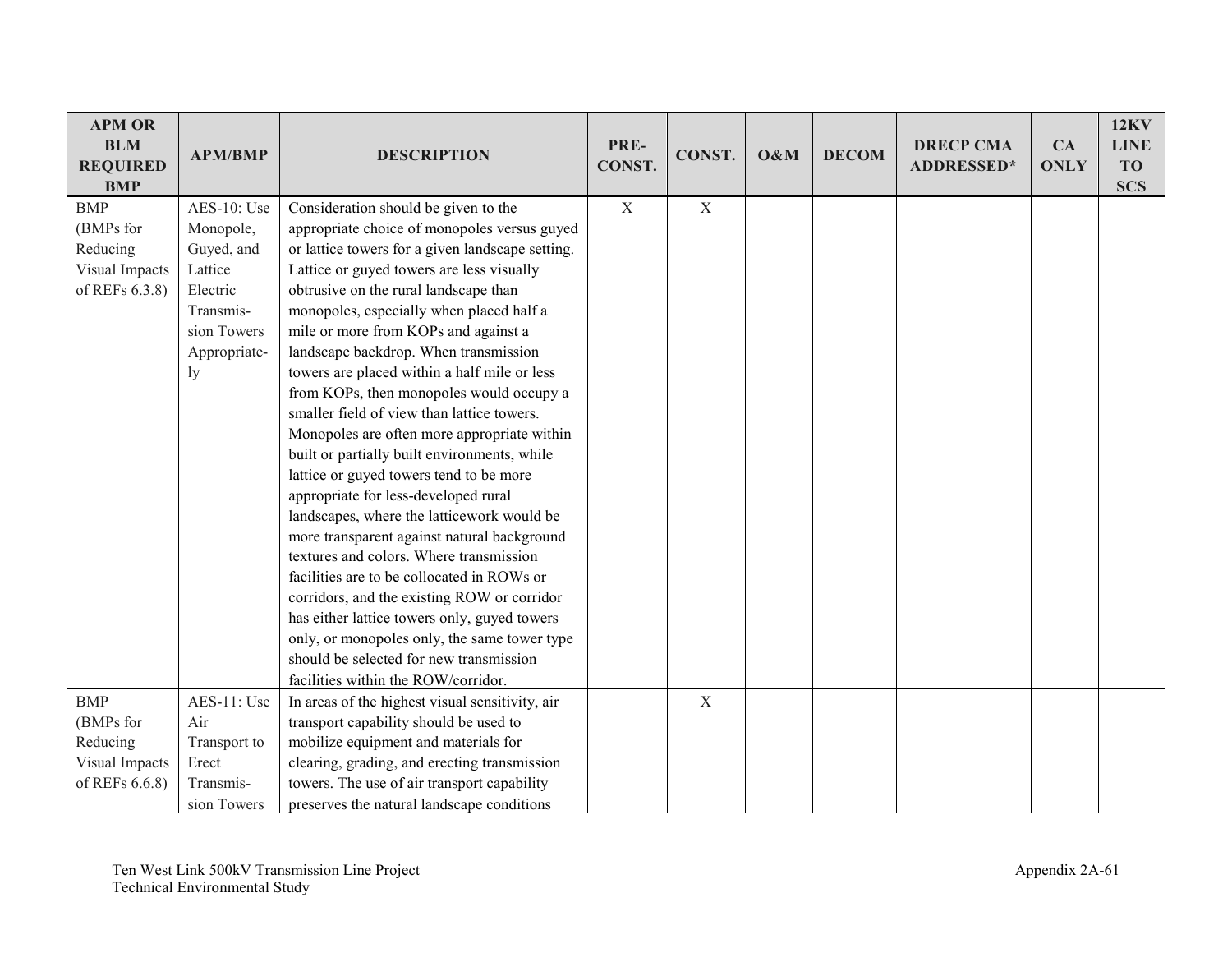| <b>APM OR</b><br><b>BLM</b><br><b>REQUIRED</b><br><b>BMP</b> | <b>APM/BMP</b> | <b>DESCRIPTION</b>                               | PRE-<br><b>CONST.</b> | <b>CONST.</b> | O&M | <b>DECOM</b> | <b>DRECP CMA</b><br><b>ADDRESSED*</b> | CA<br><b>ONLY</b> | <b>12KV</b><br><b>LINE</b><br>TO<br><b>SCS</b> |
|--------------------------------------------------------------|----------------|--------------------------------------------------|-----------------------|---------------|-----|--------------|---------------------------------------|-------------------|------------------------------------------------|
| <b>BMP</b>                                                   | AES-10: Use    | Consideration should be given to the             | X                     | $\mathbf X$   |     |              |                                       |                   |                                                |
| (BMPs for                                                    | Monopole,      | appropriate choice of monopoles versus guyed     |                       |               |     |              |                                       |                   |                                                |
| Reducing                                                     | Guyed, and     | or lattice towers for a given landscape setting. |                       |               |     |              |                                       |                   |                                                |
| Visual Impacts                                               | Lattice        | Lattice or guyed towers are less visually        |                       |               |     |              |                                       |                   |                                                |
| of REFs 6.3.8)                                               | Electric       | obtrusive on the rural landscape than            |                       |               |     |              |                                       |                   |                                                |
|                                                              | Transmis-      | monopoles, especially when placed half a         |                       |               |     |              |                                       |                   |                                                |
|                                                              | sion Towers    | mile or more from KOPs and against a             |                       |               |     |              |                                       |                   |                                                |
|                                                              | Appropriate-   | landscape backdrop. When transmission            |                       |               |     |              |                                       |                   |                                                |
|                                                              | ly             | towers are placed within a half mile or less     |                       |               |     |              |                                       |                   |                                                |
|                                                              |                | from KOPs, then monopoles would occupy a         |                       |               |     |              |                                       |                   |                                                |
|                                                              |                | smaller field of view than lattice towers.       |                       |               |     |              |                                       |                   |                                                |
|                                                              |                | Monopoles are often more appropriate within      |                       |               |     |              |                                       |                   |                                                |
|                                                              |                | built or partially built environments, while     |                       |               |     |              |                                       |                   |                                                |
|                                                              |                | lattice or guyed towers tend to be more          |                       |               |     |              |                                       |                   |                                                |
|                                                              |                | appropriate for less-developed rural             |                       |               |     |              |                                       |                   |                                                |
|                                                              |                | landscapes, where the latticework would be       |                       |               |     |              |                                       |                   |                                                |
|                                                              |                | more transparent against natural background      |                       |               |     |              |                                       |                   |                                                |
|                                                              |                | textures and colors. Where transmission          |                       |               |     |              |                                       |                   |                                                |
|                                                              |                | facilities are to be collocated in ROWs or       |                       |               |     |              |                                       |                   |                                                |
|                                                              |                | corridors, and the existing ROW or corridor      |                       |               |     |              |                                       |                   |                                                |
|                                                              |                | has either lattice towers only, guyed towers     |                       |               |     |              |                                       |                   |                                                |
|                                                              |                | only, or monopoles only, the same tower type     |                       |               |     |              |                                       |                   |                                                |
|                                                              |                | should be selected for new transmission          |                       |               |     |              |                                       |                   |                                                |
|                                                              |                | facilities within the ROW/corridor.              |                       |               |     |              |                                       |                   |                                                |
| <b>BMP</b>                                                   | AES-11: Use    | In areas of the highest visual sensitivity, air  |                       | $\mathbf X$   |     |              |                                       |                   |                                                |
| (BMPs for                                                    | Air            | transport capability should be used to           |                       |               |     |              |                                       |                   |                                                |
| Reducing                                                     | Transport to   | mobilize equipment and materials for             |                       |               |     |              |                                       |                   |                                                |
| Visual Impacts                                               | Erect          | clearing, grading, and erecting transmission     |                       |               |     |              |                                       |                   |                                                |
| of REFs 6.6.8)                                               | Transmis-      | towers. The use of air transport capability      |                       |               |     |              |                                       |                   |                                                |
|                                                              | sion Towers    | preserves the natural landscape conditions       |                       |               |     |              |                                       |                   |                                                |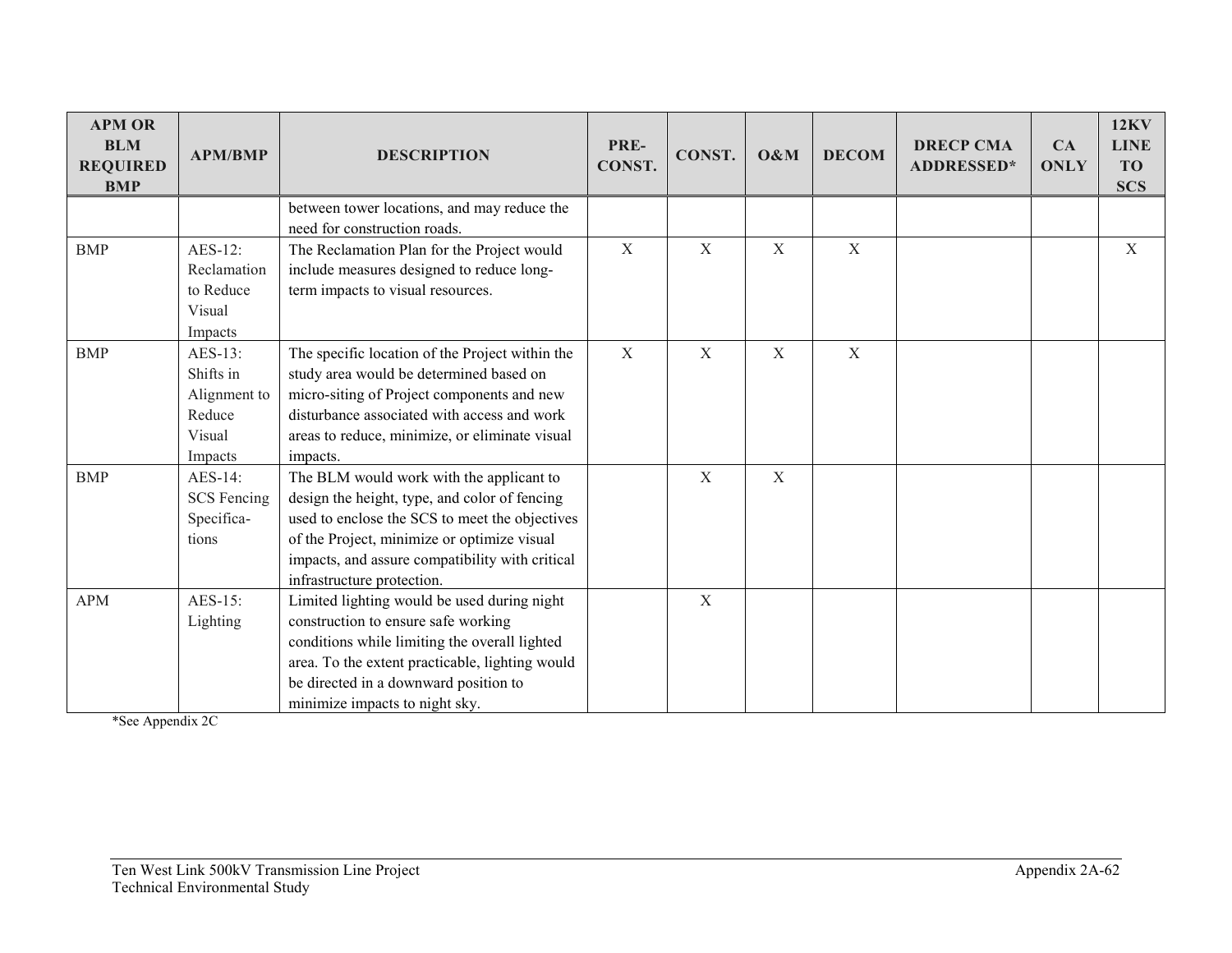| <b>APM OR</b><br><b>BLM</b><br><b>REQUIRED</b><br><b>BMP</b> | <b>APM/BMP</b>                                                         | <b>DESCRIPTION</b>                                                                                                                                                                                                                                                          | PRE-<br><b>CONST.</b> | <b>CONST.</b> | O&M         | <b>DECOM</b> | <b>DRECP CMA</b><br><b>ADDRESSED*</b> | CA<br><b>ONLY</b> | <b>12KV</b><br><b>LINE</b><br>TO<br><b>SCS</b> |
|--------------------------------------------------------------|------------------------------------------------------------------------|-----------------------------------------------------------------------------------------------------------------------------------------------------------------------------------------------------------------------------------------------------------------------------|-----------------------|---------------|-------------|--------------|---------------------------------------|-------------------|------------------------------------------------|
|                                                              |                                                                        | between tower locations, and may reduce the<br>need for construction roads.                                                                                                                                                                                                 |                       |               |             |              |                                       |                   |                                                |
| <b>BMP</b>                                                   | $AES-12$ :<br>Reclamation<br>to Reduce<br>Visual<br>Impacts            | The Reclamation Plan for the Project would<br>include measures designed to reduce long-<br>term impacts to visual resources.                                                                                                                                                | X                     | $\mathbf X$   | $\mathbf X$ | $\mathbf X$  |                                       |                   | $\mathbf X$                                    |
| <b>BMP</b>                                                   | $AES-13$ :<br>Shifts in<br>Alignment to<br>Reduce<br>Visual<br>Impacts | The specific location of the Project within the<br>study area would be determined based on<br>micro-siting of Project components and new<br>disturbance associated with access and work<br>areas to reduce, minimize, or eliminate visual<br>impacts.                       | X                     | $\mathbf X$   | $\mathbf X$ | $\mathbf X$  |                                       |                   |                                                |
| <b>BMP</b>                                                   | AES-14:<br><b>SCS</b> Fencing<br>Specifica-<br>tions                   | The BLM would work with the applicant to<br>design the height, type, and color of fencing<br>used to enclose the SCS to meet the objectives<br>of the Project, minimize or optimize visual<br>impacts, and assure compatibility with critical<br>infrastructure protection. |                       | $\mathbf X$   | X           |              |                                       |                   |                                                |
| <b>APM</b>                                                   | $AES-15$ :<br>Lighting                                                 | Limited lighting would be used during night<br>construction to ensure safe working<br>conditions while limiting the overall lighted<br>area. To the extent practicable, lighting would<br>be directed in a downward position to<br>minimize impacts to night sky.           |                       | $\mathbf X$   |             |              |                                       |                   |                                                |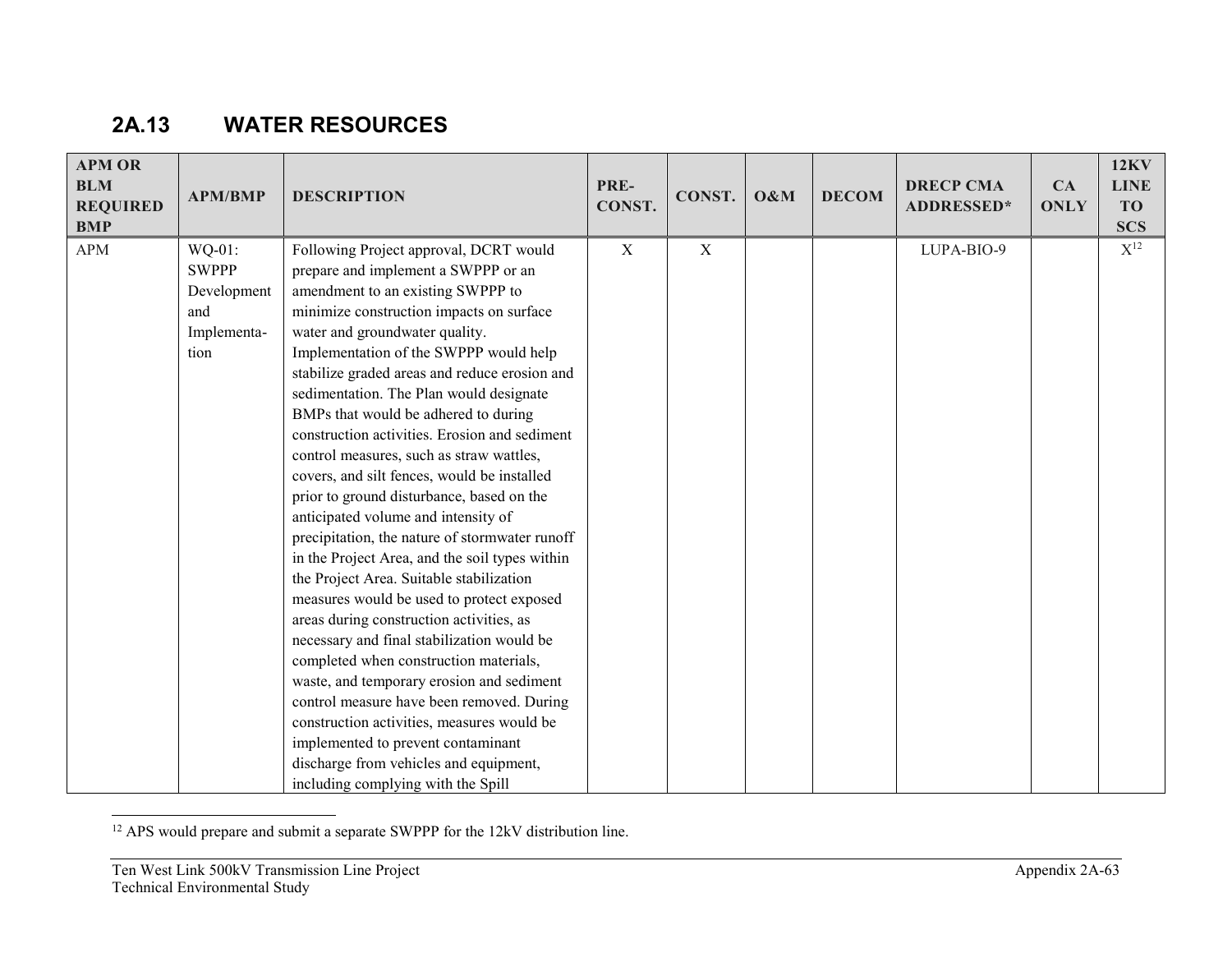### **2A.13 WATER RESOURCES**

<span id="page-65-0"></span>

| <b>APM OR</b><br><b>BLM</b><br><b>REQUIRED</b><br><b>BMP</b> | <b>APM/BMP</b>                                                         | <b>DESCRIPTION</b>                                                                                                                                                                                                                                                                                                                                                                                                                                                                                                                                                                                                                                                                                                                                                                                                                                                                                                                                                                                                                                                                                                                                                                                            | PRE-<br><b>CONST.</b> | <b>CONST.</b> | O&M | <b>DECOM</b> | <b>DRECP CMA</b><br><b>ADDRESSED*</b> | CA<br><b>ONLY</b> | <b>12KV</b><br><b>LINE</b><br>TO<br><b>SCS</b> |
|--------------------------------------------------------------|------------------------------------------------------------------------|---------------------------------------------------------------------------------------------------------------------------------------------------------------------------------------------------------------------------------------------------------------------------------------------------------------------------------------------------------------------------------------------------------------------------------------------------------------------------------------------------------------------------------------------------------------------------------------------------------------------------------------------------------------------------------------------------------------------------------------------------------------------------------------------------------------------------------------------------------------------------------------------------------------------------------------------------------------------------------------------------------------------------------------------------------------------------------------------------------------------------------------------------------------------------------------------------------------|-----------------------|---------------|-----|--------------|---------------------------------------|-------------------|------------------------------------------------|
| <b>APM</b>                                                   | $WQ-01$ :<br><b>SWPPP</b><br>Development<br>and<br>Implementa-<br>tion | Following Project approval, DCRT would<br>prepare and implement a SWPPP or an<br>amendment to an existing SWPPP to<br>minimize construction impacts on surface<br>water and groundwater quality.<br>Implementation of the SWPPP would help<br>stabilize graded areas and reduce erosion and<br>sedimentation. The Plan would designate<br>BMPs that would be adhered to during<br>construction activities. Erosion and sediment<br>control measures, such as straw wattles,<br>covers, and silt fences, would be installed<br>prior to ground disturbance, based on the<br>anticipated volume and intensity of<br>precipitation, the nature of stormwater runoff<br>in the Project Area, and the soil types within<br>the Project Area. Suitable stabilization<br>measures would be used to protect exposed<br>areas during construction activities, as<br>necessary and final stabilization would be<br>completed when construction materials,<br>waste, and temporary erosion and sediment<br>control measure have been removed. During<br>construction activities, measures would be<br>implemented to prevent contaminant<br>discharge from vehicles and equipment,<br>including complying with the Spill | X                     | $\mathbf X$   |     |              | LUPA-BIO-9                            |                   | $X^{12}$                                       |

<sup>&</sup>lt;sup>12</sup> APS would prepare and submit a separate SWPPP for the 12kV distribution line.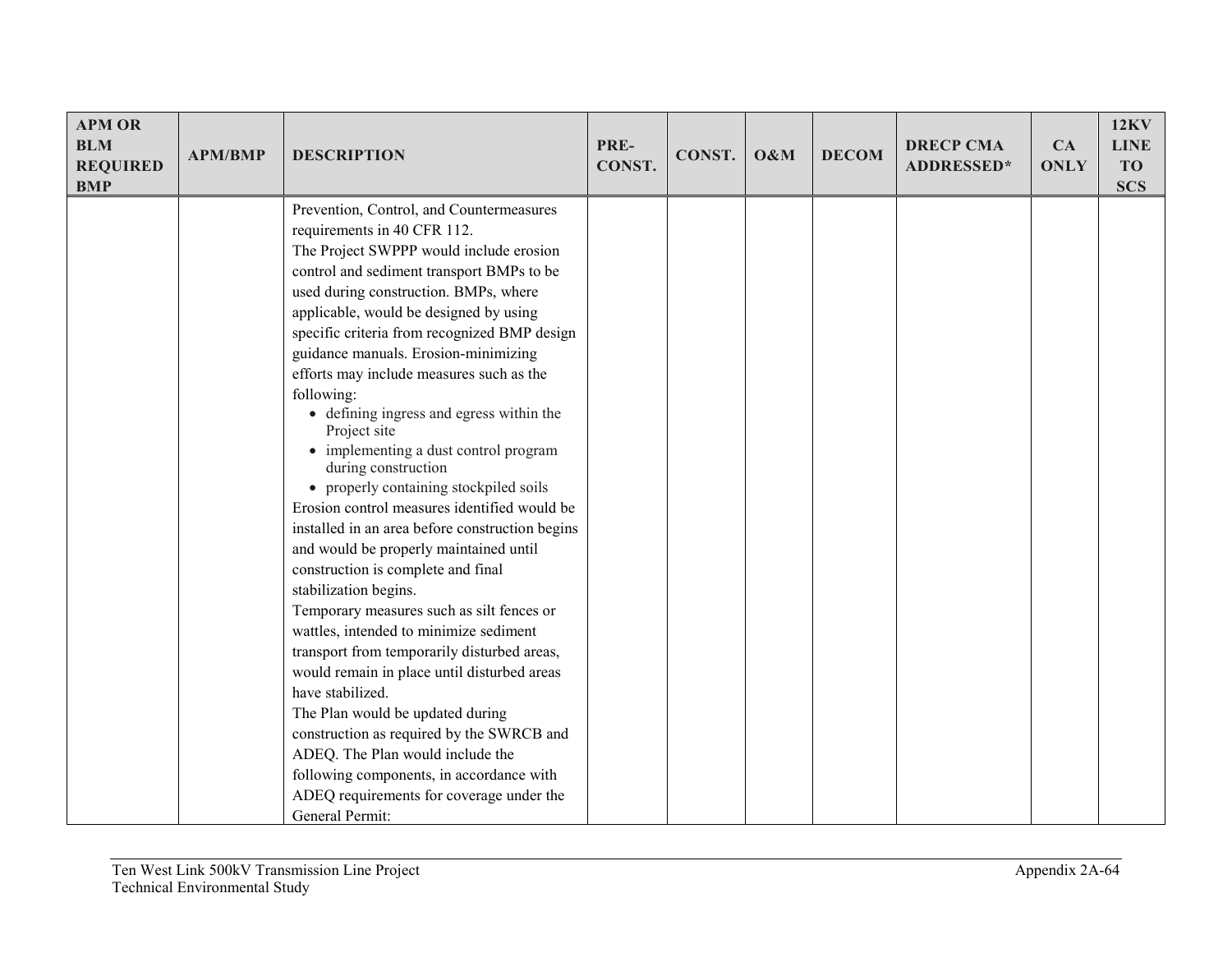| <b>BLM</b><br><b>APM/BMP</b><br><b>REQUIRED</b><br><b>BMP</b> | <b>DESCRIPTION</b>                                                                                                                                                                                                                                                                                                                                                                                                                                                                                                                                                                                                                                                                                                                                                                                                                                                                                                                                                                                                                                                                                                                                                                                                              | PRE-<br><b>CONST.</b> | <b>CONST.</b> | O&M | <b>DECOM</b> | <b>DRECP CMA</b><br><b>ADDRESSED*</b> | <b>CA</b><br><b>ONLY</b> | <b>12KV</b><br><b>LINE</b><br>TO<br><b>SCS</b> |
|---------------------------------------------------------------|---------------------------------------------------------------------------------------------------------------------------------------------------------------------------------------------------------------------------------------------------------------------------------------------------------------------------------------------------------------------------------------------------------------------------------------------------------------------------------------------------------------------------------------------------------------------------------------------------------------------------------------------------------------------------------------------------------------------------------------------------------------------------------------------------------------------------------------------------------------------------------------------------------------------------------------------------------------------------------------------------------------------------------------------------------------------------------------------------------------------------------------------------------------------------------------------------------------------------------|-----------------------|---------------|-----|--------------|---------------------------------------|--------------------------|------------------------------------------------|
|                                                               | Prevention, Control, and Countermeasures<br>requirements in 40 CFR 112.<br>The Project SWPPP would include erosion<br>control and sediment transport BMPs to be<br>used during construction. BMPs, where<br>applicable, would be designed by using<br>specific criteria from recognized BMP design<br>guidance manuals. Erosion-minimizing<br>efforts may include measures such as the<br>following:<br>• defining ingress and egress within the<br>Project site<br>• implementing a dust control program<br>during construction<br>• properly containing stockpiled soils<br>Erosion control measures identified would be<br>installed in an area before construction begins<br>and would be properly maintained until<br>construction is complete and final<br>stabilization begins.<br>Temporary measures such as silt fences or<br>wattles, intended to minimize sediment<br>transport from temporarily disturbed areas,<br>would remain in place until disturbed areas<br>have stabilized.<br>The Plan would be updated during<br>construction as required by the SWRCB and<br>ADEQ. The Plan would include the<br>following components, in accordance with<br>ADEQ requirements for coverage under the<br>General Permit: |                       |               |     |              |                                       |                          |                                                |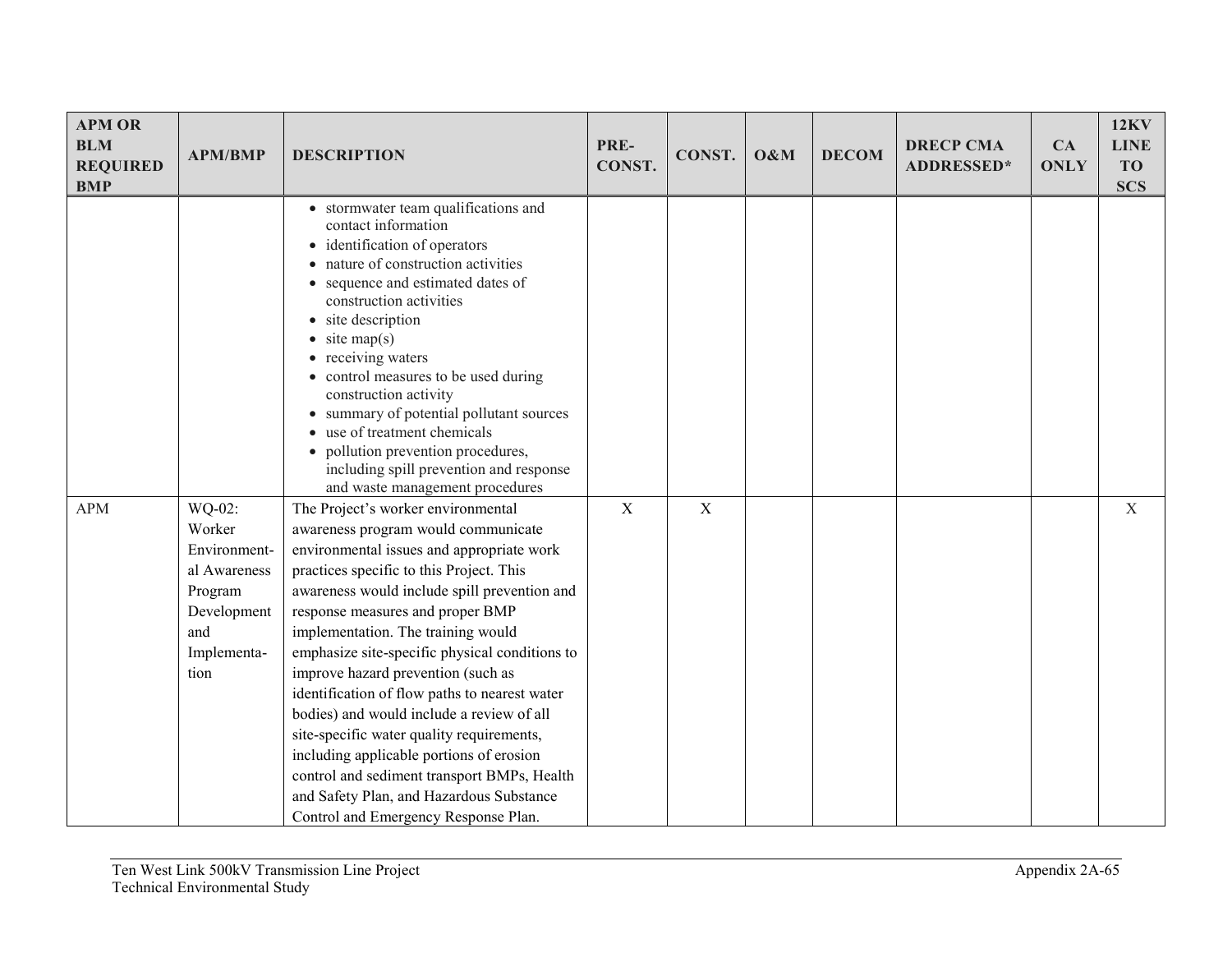| <b>APM OR</b><br><b>BLM</b><br><b>REQUIRED</b><br><b>BMP</b> | <b>APM/BMP</b>                                                                                           | <b>DESCRIPTION</b>                                                                                                                                                                                                                                                                                                                                                                                                                                                                                                                                                                                                                                                                                             | PRE-<br><b>CONST.</b> | <b>CONST.</b> | O&M | <b>DECOM</b> | <b>DRECP CMA</b><br><b>ADDRESSED*</b> | CA<br><b>ONLY</b> | <b>12KV</b><br><b>LINE</b><br>TO<br><b>SCS</b> |
|--------------------------------------------------------------|----------------------------------------------------------------------------------------------------------|----------------------------------------------------------------------------------------------------------------------------------------------------------------------------------------------------------------------------------------------------------------------------------------------------------------------------------------------------------------------------------------------------------------------------------------------------------------------------------------------------------------------------------------------------------------------------------------------------------------------------------------------------------------------------------------------------------------|-----------------------|---------------|-----|--------------|---------------------------------------|-------------------|------------------------------------------------|
|                                                              |                                                                                                          | • stormwater team qualifications and<br>contact information<br>• identification of operators<br>nature of construction activities<br>• sequence and estimated dates of<br>construction activities<br>• site description<br>$\bullet$ site map(s)<br>• receiving waters<br>• control measures to be used during<br>construction activity<br>• summary of potential pollutant sources<br>• use of treatment chemicals<br>• pollution prevention procedures,<br>including spill prevention and response<br>and waste management procedures                                                                                                                                                                        |                       |               |     |              |                                       |                   |                                                |
| <b>APM</b>                                                   | WQ-02:<br>Worker<br>Environment-<br>al Awareness<br>Program<br>Development<br>and<br>Implementa-<br>tion | The Project's worker environmental<br>awareness program would communicate<br>environmental issues and appropriate work<br>practices specific to this Project. This<br>awareness would include spill prevention and<br>response measures and proper BMP<br>implementation. The training would<br>emphasize site-specific physical conditions to<br>improve hazard prevention (such as<br>identification of flow paths to nearest water<br>bodies) and would include a review of all<br>site-specific water quality requirements,<br>including applicable portions of erosion<br>control and sediment transport BMPs, Health<br>and Safety Plan, and Hazardous Substance<br>Control and Emergency Response Plan. | $\mathbf X$           | $\mathbf X$   |     |              |                                       |                   | $\mathbf X$                                    |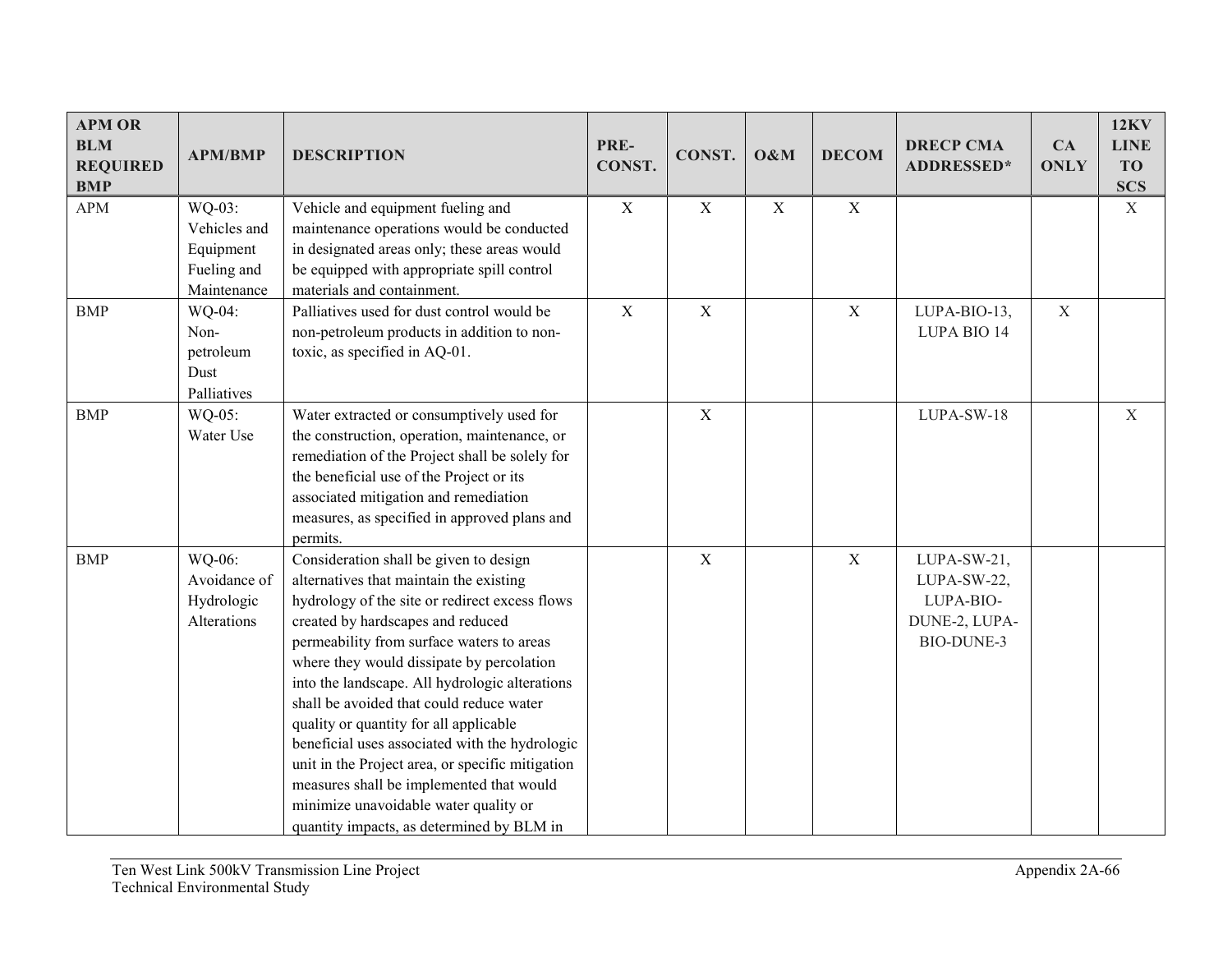| <b>APM OR</b><br><b>BLM</b><br><b>REQUIRED</b><br><b>BMP</b> | <b>APM/BMP</b>                                                    | <b>DESCRIPTION</b>                                                                                                                                                                                                                                                                                                                                                                                                                                                                                                                                                                                                                                 | PRE-<br><b>CONST.</b> | <b>CONST.</b> | O&M         | <b>DECOM</b> | <b>DRECP CMA</b><br><b>ADDRESSED*</b>                                         | CA<br><b>ONLY</b> | <b>12KV</b><br><b>LINE</b><br>TO<br><b>SCS</b> |
|--------------------------------------------------------------|-------------------------------------------------------------------|----------------------------------------------------------------------------------------------------------------------------------------------------------------------------------------------------------------------------------------------------------------------------------------------------------------------------------------------------------------------------------------------------------------------------------------------------------------------------------------------------------------------------------------------------------------------------------------------------------------------------------------------------|-----------------------|---------------|-------------|--------------|-------------------------------------------------------------------------------|-------------------|------------------------------------------------|
| <b>APM</b>                                                   | WQ-03:<br>Vehicles and<br>Equipment<br>Fueling and<br>Maintenance | Vehicle and equipment fueling and<br>maintenance operations would be conducted<br>in designated areas only; these areas would<br>be equipped with appropriate spill control<br>materials and containment.                                                                                                                                                                                                                                                                                                                                                                                                                                          | $\mathbf X$           | $\mathbf X$   | $\mathbf X$ | $\mathbf X$  |                                                                               |                   | $\mathbf X$                                    |
| <b>BMP</b>                                                   | WQ-04:<br>Non-<br>petroleum<br>Dust<br>Palliatives                | Palliatives used for dust control would be<br>non-petroleum products in addition to non-<br>toxic, as specified in AQ-01.                                                                                                                                                                                                                                                                                                                                                                                                                                                                                                                          | $\mathbf{X}$          | $\mathbf X$   |             | $\mathbf X$  | LUPA-BIO-13,<br>LUPA BIO 14                                                   | $\mathbf{X}$      |                                                |
| <b>BMP</b>                                                   | WQ-05:<br>Water Use                                               | Water extracted or consumptively used for<br>the construction, operation, maintenance, or<br>remediation of the Project shall be solely for<br>the beneficial use of the Project or its<br>associated mitigation and remediation<br>measures, as specified in approved plans and<br>permits.                                                                                                                                                                                                                                                                                                                                                       |                       | X             |             |              | LUPA-SW-18                                                                    |                   | $\mathbf X$                                    |
| <b>BMP</b>                                                   | WQ-06:<br>Avoidance of<br>Hydrologic<br>Alterations               | Consideration shall be given to design<br>alternatives that maintain the existing<br>hydrology of the site or redirect excess flows<br>created by hardscapes and reduced<br>permeability from surface waters to areas<br>where they would dissipate by percolation<br>into the landscape. All hydrologic alterations<br>shall be avoided that could reduce water<br>quality or quantity for all applicable<br>beneficial uses associated with the hydrologic<br>unit in the Project area, or specific mitigation<br>measures shall be implemented that would<br>minimize unavoidable water quality or<br>quantity impacts, as determined by BLM in |                       | $\mathbf X$   |             | $\mathbf X$  | LUPA-SW-21,<br>LUPA-SW-22,<br>LUPA-BIO-<br>DUNE-2, LUPA-<br><b>BIO-DUNE-3</b> |                   |                                                |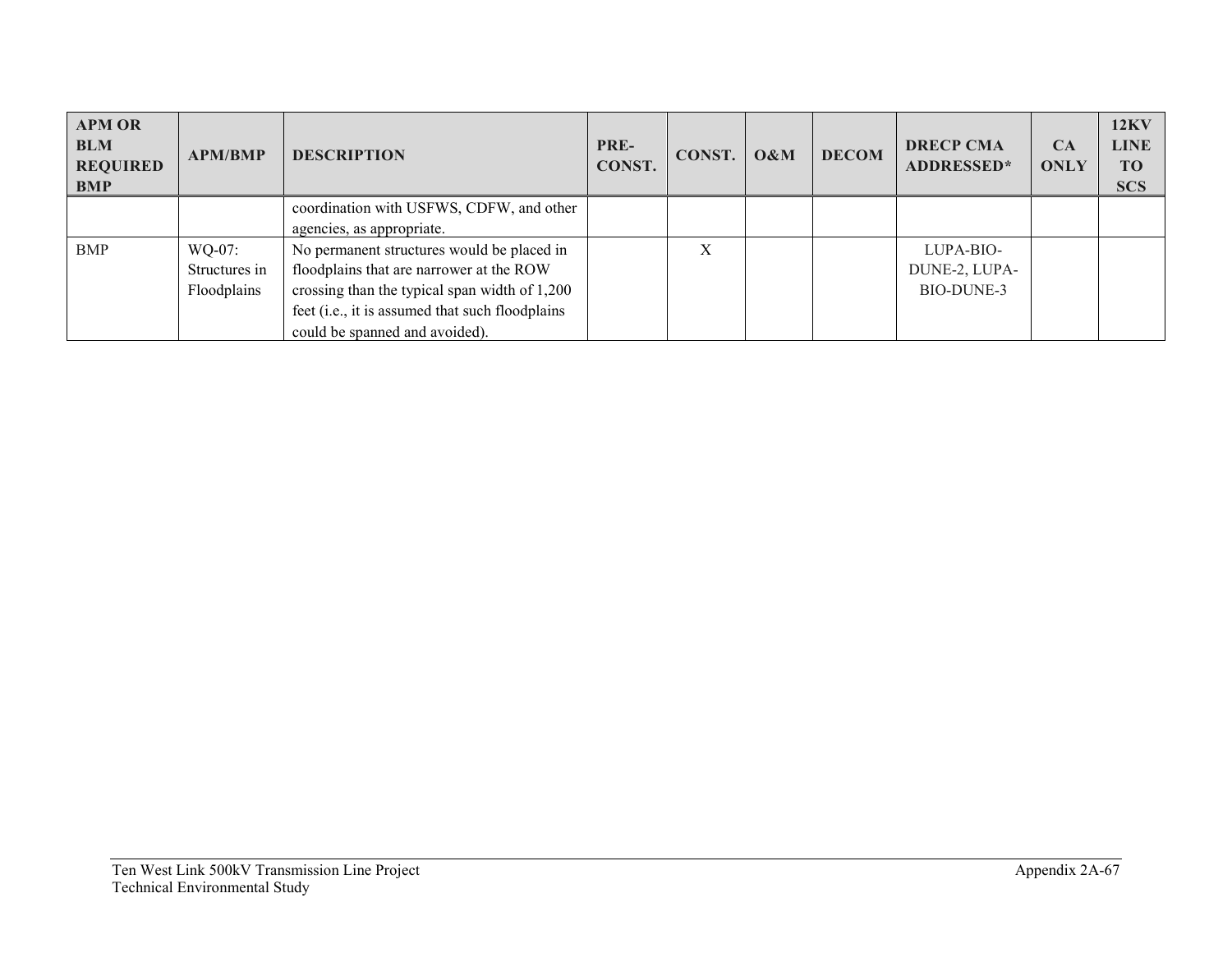| <b>APM OR</b><br><b>BLM</b><br><b>REQUIRED</b><br><b>BMP</b> | <b>APM/BMP</b> | <b>DESCRIPTION</b>                              | PRE-<br><b>CONST.</b> | CONST. | $0\&M$ | <b>DECOM</b> | <b>DRECP CMA</b><br><b>ADDRESSED*</b> | CA<br><b>ONLY</b> | <b>12KV</b><br><b>LINE</b><br>TO <sub>1</sub><br><b>SCS</b> |
|--------------------------------------------------------------|----------------|-------------------------------------------------|-----------------------|--------|--------|--------------|---------------------------------------|-------------------|-------------------------------------------------------------|
|                                                              |                | coordination with USFWS, CDFW, and other        |                       |        |        |              |                                       |                   |                                                             |
|                                                              |                | agencies, as appropriate.                       |                       |        |        |              |                                       |                   |                                                             |
| <b>BMP</b>                                                   | $WQ-07$ :      | No permanent structures would be placed in      |                       | X      |        |              | LUPA-BIO-                             |                   |                                                             |
|                                                              | Structures in  | floodplains that are narrower at the ROW        |                       |        |        |              | DUNE-2, LUPA-                         |                   |                                                             |
|                                                              | Floodplains    | crossing than the typical span width of 1,200   |                       |        |        |              | BIO-DUNE-3                            |                   |                                                             |
|                                                              |                | feet (i.e., it is assumed that such floodplains |                       |        |        |              |                                       |                   |                                                             |
|                                                              |                | could be spanned and avoided).                  |                       |        |        |              |                                       |                   |                                                             |